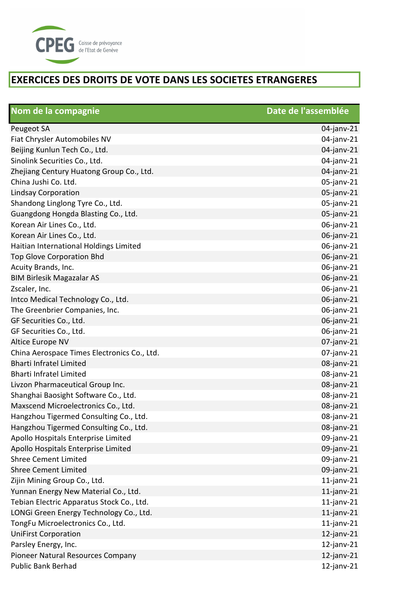

| Nom de la compagnie                         | Date de l'assemblée |
|---------------------------------------------|---------------------|
| <b>Peugeot SA</b>                           | 04-janv-21          |
| Fiat Chrysler Automobiles NV                | 04-janv-21          |
| Beijing Kunlun Tech Co., Ltd.               | 04-janv-21          |
| Sinolink Securities Co., Ltd.               | 04-janv-21          |
| Zhejiang Century Huatong Group Co., Ltd.    | 04-janv-21          |
| China Jushi Co. Ltd.                        | 05-janv-21          |
| <b>Lindsay Corporation</b>                  | 05-janv-21          |
| Shandong Linglong Tyre Co., Ltd.            | 05-janv-21          |
| Guangdong Hongda Blasting Co., Ltd.         | 05-janv-21          |
| Korean Air Lines Co., Ltd.                  | 06-janv-21          |
| Korean Air Lines Co., Ltd.                  | 06-janv-21          |
| Haitian International Holdings Limited      | 06-janv-21          |
| <b>Top Glove Corporation Bhd</b>            | 06-janv-21          |
| Acuity Brands, Inc.                         | 06-janv-21          |
| <b>BIM Birlesik Magazalar AS</b>            | 06-janv-21          |
| Zscaler, Inc.                               | 06-janv-21          |
| Intco Medical Technology Co., Ltd.          | 06-janv-21          |
| The Greenbrier Companies, Inc.              | 06-janv-21          |
| GF Securities Co., Ltd.                     | 06-janv-21          |
| GF Securities Co., Ltd.                     | 06-janv-21          |
| Altice Europe NV                            | $07$ -janv-21       |
| China Aerospace Times Electronics Co., Ltd. | $07$ -janv-21       |
| <b>Bharti Infratel Limited</b>              | 08-janv-21          |
| <b>Bharti Infratel Limited</b>              | 08-janv-21          |
| Livzon Pharmaceutical Group Inc.            | 08-janv-21          |
| Shanghai Baosight Software Co., Ltd.        | 08-janv-21          |
| Maxscend Microelectronics Co., Ltd.         | 08-janv-21          |
| Hangzhou Tigermed Consulting Co., Ltd.      | 08-janv-21          |
| Hangzhou Tigermed Consulting Co., Ltd.      | 08-janv-21          |
| Apollo Hospitals Enterprise Limited         | 09-janv-21          |
| Apollo Hospitals Enterprise Limited         | 09-janv-21          |
| <b>Shree Cement Limited</b>                 | 09-janv-21          |
| <b>Shree Cement Limited</b>                 | 09-janv-21          |
| Zijin Mining Group Co., Ltd.                | $11$ -janv-21       |
| Yunnan Energy New Material Co., Ltd.        | $11$ -janv-21       |
| Tebian Electric Apparatus Stock Co., Ltd.   | $11$ -janv-21       |
| LONGi Green Energy Technology Co., Ltd.     | $11$ -janv-21       |
| TongFu Microelectronics Co., Ltd.           | $11$ -janv-21       |
| <b>UniFirst Corporation</b>                 | $12$ -janv-21       |
| Parsley Energy, Inc.                        | $12$ -janv-21       |
| Pioneer Natural Resources Company           | $12$ -janv-21       |
| <b>Public Bank Berhad</b>                   | $12$ -janv-21       |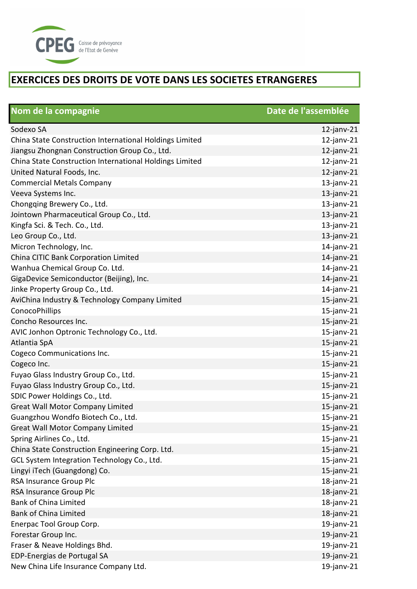

| Nom de la compagnie                                     | Date de l'assemblée |
|---------------------------------------------------------|---------------------|
| Sodexo SA                                               | $12$ -janv-21       |
| China State Construction International Holdings Limited | $12$ -janv-21       |
| Jiangsu Zhongnan Construction Group Co., Ltd.           | $12$ -janv-21       |
| China State Construction International Holdings Limited | $12$ -janv-21       |
| United Natural Foods, Inc.                              | $12$ -janv-21       |
| <b>Commercial Metals Company</b>                        | $13$ -janv-21       |
| Veeva Systems Inc.                                      | $13$ -janv-21       |
| Chongqing Brewery Co., Ltd.                             | $13$ -janv-21       |
| Jointown Pharmaceutical Group Co., Ltd.                 | $13$ -janv-21       |
| Kingfa Sci. & Tech. Co., Ltd.                           | $13$ -janv-21       |
| Leo Group Co., Ltd.                                     | $13$ -janv-21       |
| Micron Technology, Inc.                                 | $14$ -janv-21       |
| China CITIC Bank Corporation Limited                    | $14$ -janv-21       |
| Wanhua Chemical Group Co. Ltd.                          | $14$ -janv-21       |
| GigaDevice Semiconductor (Beijing), Inc.                | $14$ -janv-21       |
| Jinke Property Group Co., Ltd.                          | $14$ -janv-21       |
| AviChina Industry & Technology Company Limited          | $15$ -janv-21       |
| ConocoPhillips                                          | $15$ -janv-21       |
| Concho Resources Inc.                                   | $15$ -janv-21       |
| AVIC Jonhon Optronic Technology Co., Ltd.               | $15$ -janv-21       |
| Atlantia SpA                                            | $15$ -janv-21       |
| Cogeco Communications Inc.                              | $15$ -janv-21       |
| Cogeco Inc.                                             | $15$ -janv-21       |
| Fuyao Glass Industry Group Co., Ltd.                    | $15$ -janv-21       |
| Fuyao Glass Industry Group Co., Ltd.                    | $15$ -janv-21       |
| SDIC Power Holdings Co., Ltd.                           | $15$ -janv-21       |
| <b>Great Wall Motor Company Limited</b>                 | $15$ -janv-21       |
| Guangzhou Wondfo Biotech Co., Ltd.                      | $15$ -janv-21       |
| <b>Great Wall Motor Company Limited</b>                 | $15$ -janv-21       |
| Spring Airlines Co., Ltd.                               | $15$ -janv-21       |
| China State Construction Engineering Corp. Ltd.         | $15$ -janv-21       |
| GCL System Integration Technology Co., Ltd.             | $15$ -janv-21       |
| Lingyi iTech (Guangdong) Co.                            | $15$ -janv-21       |
| RSA Insurance Group Plc                                 | $18$ -janv-21       |
| RSA Insurance Group Plc                                 | $18$ -janv-21       |
| <b>Bank of China Limited</b>                            | $18$ -janv-21       |
| <b>Bank of China Limited</b>                            | $18$ -janv-21       |
| Enerpac Tool Group Corp.                                | $19$ -janv-21       |
| Forestar Group Inc.                                     | $19$ -janv-21       |
| Fraser & Neave Holdings Bhd.                            | $19$ -janv-21       |
| EDP-Energias de Portugal SA                             | $19$ -janv-21       |
| New China Life Insurance Company Ltd.                   | $19$ -janv-21       |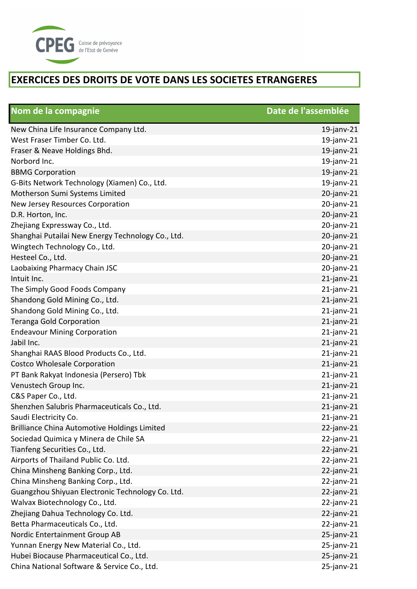

| Nom de la compagnie                                 | Date de l'assemblée |
|-----------------------------------------------------|---------------------|
| New China Life Insurance Company Ltd.               | $19$ -janv-21       |
| West Fraser Timber Co. Ltd.                         | $19$ -janv-21       |
| Fraser & Neave Holdings Bhd.                        | $19$ -janv-21       |
| Norbord Inc.                                        | $19$ -janv-21       |
| <b>BBMG Corporation</b>                             | $19$ -janv-21       |
| G-Bits Network Technology (Xiamen) Co., Ltd.        | $19$ -janv-21       |
| Motherson Sumi Systems Limited                      | $20$ -janv- $21$    |
| New Jersey Resources Corporation                    | $20$ -janv-21       |
| D.R. Horton, Inc.                                   | $20$ -janv-21       |
| Zhejiang Expressway Co., Ltd.                       | $20$ -janv-21       |
| Shanghai Putailai New Energy Technology Co., Ltd.   | $20$ -janv-21       |
| Wingtech Technology Co., Ltd.                       | 20-janv-21          |
| Hesteel Co., Ltd.                                   | 20-janv-21          |
| Laobaixing Pharmacy Chain JSC                       | $20$ -janv-21       |
| Intuit Inc.                                         | $21$ -janv-21       |
| The Simply Good Foods Company                       | $21$ -janv-21       |
| Shandong Gold Mining Co., Ltd.                      | $21$ -janv-21       |
| Shandong Gold Mining Co., Ltd.                      | $21$ -janv-21       |
| <b>Teranga Gold Corporation</b>                     | $21$ -janv-21       |
| <b>Endeavour Mining Corporation</b>                 | $21$ -janv-21       |
| Jabil Inc.                                          | $21$ -janv-21       |
| Shanghai RAAS Blood Products Co., Ltd.              | $21$ -janv-21       |
| Costco Wholesale Corporation                        | $21$ -janv-21       |
| PT Bank Rakyat Indonesia (Persero) Tbk              | $21$ -janv-21       |
| Venustech Group Inc.                                | $21$ -janv-21       |
| C&S Paper Co., Ltd.                                 | $21$ -janv-21       |
| Shenzhen Salubris Pharmaceuticals Co., Ltd.         | $21$ -janv-21       |
| Saudi Electricity Co.                               | $21$ -janv-21       |
| <b>Brilliance China Automotive Holdings Limited</b> | $22$ -janv-21       |
| Sociedad Quimica y Minera de Chile SA               | $22$ -janv-21       |
| Tianfeng Securities Co., Ltd.                       | $22$ -janv-21       |
| Airports of Thailand Public Co. Ltd.                | $22$ -janv-21       |
| China Minsheng Banking Corp., Ltd.                  | $22$ -janv-21       |
| China Minsheng Banking Corp., Ltd.                  | $22$ -janv-21       |
| Guangzhou Shiyuan Electronic Technology Co. Ltd.    | $22$ -janv-21       |
| Walvax Biotechnology Co., Ltd.                      | $22$ -janv-21       |
| Zhejiang Dahua Technology Co. Ltd.                  | $22$ -janv-21       |
| Betta Pharmaceuticals Co., Ltd.                     | $22$ -janv-21       |
| Nordic Entertainment Group AB                       | $25$ -janv-21       |
| Yunnan Energy New Material Co., Ltd.                | $25$ -janv-21       |
| Hubei Biocause Pharmaceutical Co., Ltd.             | $25$ -janv-21       |
| China National Software & Service Co., Ltd.         | $25$ -janv-21       |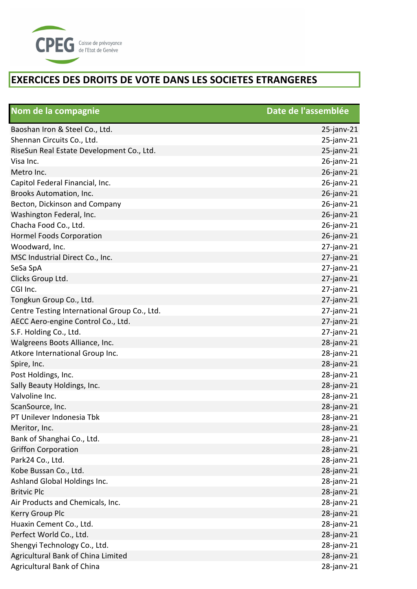

| Nom de la compagnie                          | Date de l'assemblée |
|----------------------------------------------|---------------------|
| Baoshan Iron & Steel Co., Ltd.               | $25$ -janv-21       |
| Shennan Circuits Co., Ltd.                   | $25$ -janv-21       |
| RiseSun Real Estate Development Co., Ltd.    | $25$ -janv-21       |
| Visa Inc.                                    | $26$ -janv-21       |
| Metro Inc.                                   | $26$ -janv-21       |
| Capitol Federal Financial, Inc.              | 26-janv-21          |
| Brooks Automation, Inc.                      | $26$ -janv-21       |
| Becton, Dickinson and Company                | $26$ -janv-21       |
| Washington Federal, Inc.                     | $26$ -janv-21       |
| Chacha Food Co., Ltd.                        | 26-janv-21          |
| <b>Hormel Foods Corporation</b>              | $26$ -janv-21       |
| Woodward, Inc.                               | $27$ -janv-21       |
| MSC Industrial Direct Co., Inc.              | $27$ -janv-21       |
| SeSa SpA                                     | $27$ -janv-21       |
| Clicks Group Ltd.                            | $27$ -janv-21       |
| CGI Inc.                                     | $27$ -janv-21       |
| Tongkun Group Co., Ltd.                      | $27$ -janv-21       |
| Centre Testing International Group Co., Ltd. | $27$ -janv-21       |
| AECC Aero-engine Control Co., Ltd.           | $27$ -janv-21       |
| S.F. Holding Co., Ltd.                       | $27$ -janv-21       |
| Walgreens Boots Alliance, Inc.               | $28$ -janv-21       |
| Atkore International Group Inc.              | 28-janv-21          |
| Spire, Inc.                                  | 28-janv-21          |
| Post Holdings, Inc.                          | $28$ -janv-21       |
| Sally Beauty Holdings, Inc.                  | $28$ -janv-21       |
| Valvoline Inc.                               | 28-janv-21          |
| ScanSource, Inc.                             | 28-janv-21          |
| PT Unilever Indonesia Tbk                    | $28$ -janv-21       |
| Meritor, Inc.                                | $28$ -janv- $21$    |
| Bank of Shanghai Co., Ltd.                   | $28$ -janv-21       |
| <b>Griffon Corporation</b>                   | $28$ -janv- $21$    |
| Park24 Co., Ltd.                             | $28$ -janv- $21$    |
| Kobe Bussan Co., Ltd.                        | $28$ -janv- $21$    |
| Ashland Global Holdings Inc.                 | $28$ -janv- $21$    |
| <b>Britvic Plc</b>                           | $28$ -janv- $21$    |
| Air Products and Chemicals, Inc.             | 28-janv-21          |
| Kerry Group Plc                              | 28-janv-21          |
| Huaxin Cement Co., Ltd.                      | $28$ -janv-21       |
| Perfect World Co., Ltd.                      | $28$ -janv- $21$    |
| Shengyi Technology Co., Ltd.                 | $28$ -janv-21       |
| Agricultural Bank of China Limited           | $28$ -janv-21       |
| Agricultural Bank of China                   | 28-janv-21          |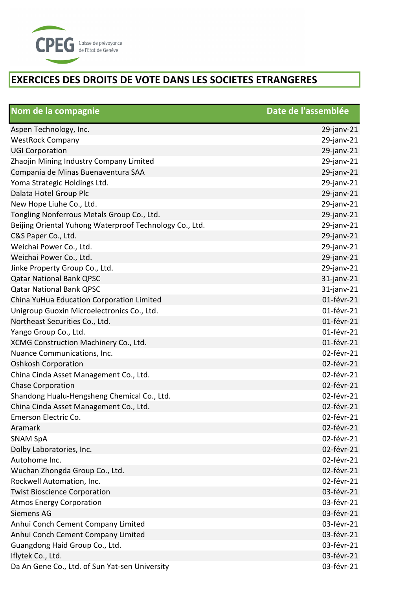

| Nom de la compagnie                                     | Date de l'assemblée |
|---------------------------------------------------------|---------------------|
| Aspen Technology, Inc.                                  | $29$ -janv-21       |
| <b>WestRock Company</b>                                 | 29-janv-21          |
| <b>UGI Corporation</b>                                  | 29-janv-21          |
| Zhaojin Mining Industry Company Limited                 | 29-janv-21          |
| Compania de Minas Buenaventura SAA                      | 29-janv-21          |
| Yoma Strategic Holdings Ltd.                            | 29-janv-21          |
| Dalata Hotel Group Plc                                  | $29$ -janv-21       |
| New Hope Liuhe Co., Ltd.                                | 29-janv-21          |
| Tongling Nonferrous Metals Group Co., Ltd.              | 29-janv-21          |
| Beijing Oriental Yuhong Waterproof Technology Co., Ltd. | 29-janv-21          |
| C&S Paper Co., Ltd.                                     | 29-janv-21          |
| Weichai Power Co., Ltd.                                 | 29-janv-21          |
| Weichai Power Co., Ltd.                                 | 29-janv-21          |
| Jinke Property Group Co., Ltd.                          | 29-janv-21          |
| <b>Qatar National Bank QPSC</b>                         | $31$ -janv-21       |
| <b>Qatar National Bank QPSC</b>                         | $31$ -janv-21       |
| China YuHua Education Corporation Limited               | 01-févr-21          |
| Unigroup Guoxin Microelectronics Co., Ltd.              | 01-févr-21          |
| Northeast Securities Co., Ltd.                          | 01-févr-21          |
| Yango Group Co., Ltd.                                   | 01-févr-21          |
| XCMG Construction Machinery Co., Ltd.                   | 01-févr-21          |
| Nuance Communications, Inc.                             | 02-févr-21          |
| <b>Oshkosh Corporation</b>                              | 02-févr-21          |
| China Cinda Asset Management Co., Ltd.                  | 02-févr-21          |
| Chase Corporation                                       | 02-févr-21          |
| Shandong Hualu-Hengsheng Chemical Co., Ltd.             | 02-févr-21          |
| China Cinda Asset Management Co., Ltd.                  | 02-févr-21          |
| Emerson Electric Co.                                    | 02-févr-21          |
| Aramark                                                 | 02-févr-21          |
| <b>SNAM SpA</b>                                         | 02-févr-21          |
| Dolby Laboratories, Inc.                                | 02-févr-21          |
| Autohome Inc.                                           | 02-févr-21          |
| Wuchan Zhongda Group Co., Ltd.                          | 02-févr-21          |
| Rockwell Automation, Inc.                               | 02-févr-21          |
| <b>Twist Bioscience Corporation</b>                     | 03-févr-21          |
| <b>Atmos Energy Corporation</b>                         | 03-févr-21          |
| Siemens AG                                              | 03-févr-21          |
| Anhui Conch Cement Company Limited                      | 03-févr-21          |
| Anhui Conch Cement Company Limited                      | 03-févr-21          |
| Guangdong Haid Group Co., Ltd.                          | 03-févr-21          |
| Iflytek Co., Ltd.                                       | 03-févr-21          |
| Da An Gene Co., Ltd. of Sun Yat-sen University          | 03-févr-21          |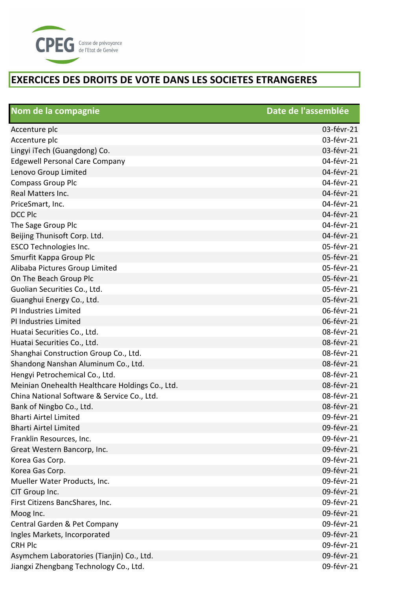

| Nom de la compagnie                             | Date de l'assemblée |
|-------------------------------------------------|---------------------|
| Accenture plc                                   | 03-févr-21          |
| Accenture plc                                   | 03-févr-21          |
| Lingyi iTech (Guangdong) Co.                    | 03-févr-21          |
| <b>Edgewell Personal Care Company</b>           | 04-févr-21          |
| Lenovo Group Limited                            | 04-févr-21          |
| <b>Compass Group Plc</b>                        | 04-févr-21          |
| Real Matters Inc.                               | 04-févr-21          |
| PriceSmart, Inc.                                | 04-févr-21          |
| <b>DCC Plc</b>                                  | 04-févr-21          |
| The Sage Group Plc                              | 04-févr-21          |
| Beijing Thunisoft Corp. Ltd.                    | 04-févr-21          |
| <b>ESCO Technologies Inc.</b>                   | 05-févr-21          |
| Smurfit Kappa Group Plc                         | 05-févr-21          |
| Alibaba Pictures Group Limited                  | 05-févr-21          |
| On The Beach Group Plc                          | 05-févr-21          |
| Guolian Securities Co., Ltd.                    | 05-févr-21          |
| Guanghui Energy Co., Ltd.                       | 05-févr-21          |
| PI Industries Limited                           | 06-févr-21          |
| PI Industries Limited                           | 06-févr-21          |
| Huatai Securities Co., Ltd.                     | 08-févr-21          |
| Huatai Securities Co., Ltd.                     | 08-févr-21          |
| Shanghai Construction Group Co., Ltd.           | 08-févr-21          |
| Shandong Nanshan Aluminum Co., Ltd.             | 08-févr-21          |
| Hengyi Petrochemical Co., Ltd.                  | 08-févr-21          |
| Meinian Onehealth Healthcare Holdings Co., Ltd. | 08-févr-21          |
| China National Software & Service Co., Ltd.     | 08-févr-21          |
| Bank of Ningbo Co., Ltd.                        | 08-févr-21          |
| <b>Bharti Airtel Limited</b>                    | 09-févr-21          |
| <b>Bharti Airtel Limited</b>                    | 09-févr-21          |
| Franklin Resources, Inc.                        | 09-févr-21          |
| Great Western Bancorp, Inc.                     | 09-févr-21          |
| Korea Gas Corp.                                 | 09-févr-21          |
| Korea Gas Corp.                                 | 09-févr-21          |
| Mueller Water Products, Inc.                    | 09-févr-21          |
| CIT Group Inc.                                  | 09-févr-21          |
| First Citizens BancShares, Inc.                 | 09-févr-21          |
| Moog Inc.                                       | 09-févr-21          |
| Central Garden & Pet Company                    | 09-févr-21          |
| Ingles Markets, Incorporated                    | 09-févr-21          |
| <b>CRH Plc</b>                                  | 09-févr-21          |
| Asymchem Laboratories (Tianjin) Co., Ltd.       | 09-févr-21          |
| Jiangxi Zhengbang Technology Co., Ltd.          | 09-févr-21          |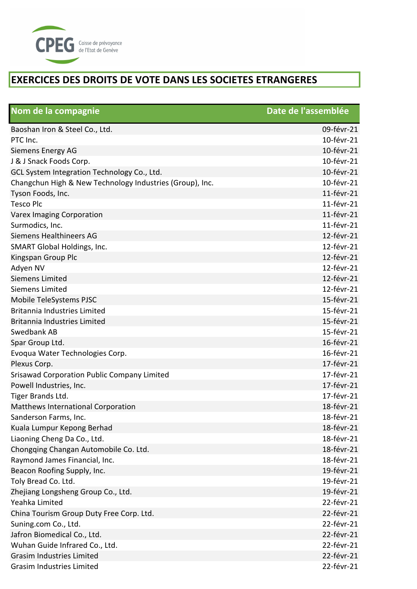

| Nom de la compagnie                                      | Date de l'assemblée |
|----------------------------------------------------------|---------------------|
| Baoshan Iron & Steel Co., Ltd.                           | 09-févr-21          |
| PTC Inc.                                                 | 10-févr-21          |
| Siemens Energy AG                                        | 10-févr-21          |
| J & J Snack Foods Corp.                                  | 10-févr-21          |
| GCL System Integration Technology Co., Ltd.              | 10-févr-21          |
| Changchun High & New Technology Industries (Group), Inc. | 10-févr-21          |
| Tyson Foods, Inc.                                        | 11-févr-21          |
| <b>Tesco Plc</b>                                         | 11-févr-21          |
| <b>Varex Imaging Corporation</b>                         | 11-févr-21          |
| Surmodics, Inc.                                          | 11-févr-21          |
| Siemens Healthineers AG                                  | 12-févr-21          |
| SMART Global Holdings, Inc.                              | 12-févr-21          |
| Kingspan Group Plc                                       | 12-févr-21          |
| Adyen NV                                                 | 12-févr-21          |
| Siemens Limited                                          | 12-févr-21          |
| Siemens Limited                                          | 12-févr-21          |
| Mobile TeleSystems PJSC                                  | 15-févr-21          |
| <b>Britannia Industries Limited</b>                      | 15-févr-21          |
| Britannia Industries Limited                             | 15-févr-21          |
| Swedbank AB                                              | 15-févr-21          |
| Spar Group Ltd.                                          | 16-févr-21          |
| Evoqua Water Technologies Corp.                          | 16-févr-21          |
| Plexus Corp.                                             | 17-févr-21          |
| <b>Srisawad Corporation Public Company Limited</b>       | 17-févr-21          |
| Powell Industries, Inc.                                  | 17-févr-21          |
| Tiger Brands Ltd.                                        | 17-févr-21          |
| Matthews International Corporation                       | 18-févr-21          |
| Sanderson Farms, Inc.                                    | 18-févr-21          |
| Kuala Lumpur Kepong Berhad                               | 18-févr-21          |
| Liaoning Cheng Da Co., Ltd.                              | 18-févr-21          |
| Chongqing Changan Automobile Co. Ltd.                    | 18-févr-21          |
| Raymond James Financial, Inc.                            | 18-févr-21          |
| Beacon Roofing Supply, Inc.                              | 19-févr-21          |
| Toly Bread Co. Ltd.                                      | 19-févr-21          |
| Zhejiang Longsheng Group Co., Ltd.                       | 19-févr-21          |
| Yeahka Limited                                           | 22-févr-21          |
| China Tourism Group Duty Free Corp. Ltd.                 | 22-févr-21          |
| Suning.com Co., Ltd.                                     | 22-févr-21          |
| Jafron Biomedical Co., Ltd.                              | 22-févr-21          |
| Wuhan Guide Infrared Co., Ltd.                           | 22-févr-21          |
| <b>Grasim Industries Limited</b>                         | 22-févr-21          |
| <b>Grasim Industries Limited</b>                         | 22-févr-21          |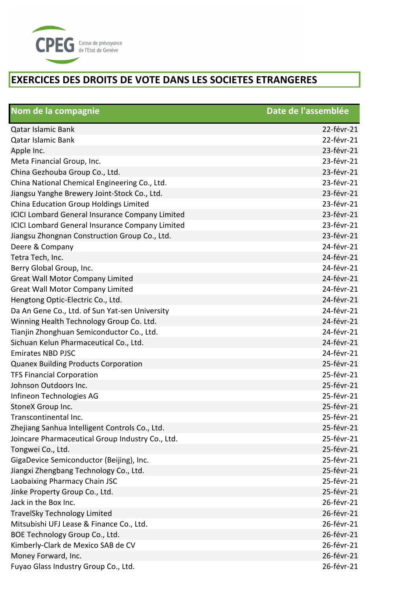

| Nom de la compagnie                                    | Date de l'assemblée |
|--------------------------------------------------------|---------------------|
| <b>Qatar Islamic Bank</b>                              | 22-févr-21          |
| <b>Qatar Islamic Bank</b>                              | 22-févr-21          |
| Apple Inc.                                             | 23-févr-21          |
| Meta Financial Group, Inc.                             | 23-févr-21          |
| China Gezhouba Group Co., Ltd.                         | 23-févr-21          |
| China National Chemical Engineering Co., Ltd.          | 23-févr-21          |
| Jiangsu Yanghe Brewery Joint-Stock Co., Ltd.           | 23-févr-21          |
| China Education Group Holdings Limited                 | 23-févr-21          |
| <b>ICICI Lombard General Insurance Company Limited</b> | 23-févr-21          |
| <b>ICICI Lombard General Insurance Company Limited</b> | 23-févr-21          |
| Jiangsu Zhongnan Construction Group Co., Ltd.          | 23-févr-21          |
| Deere & Company                                        | 24-févr-21          |
| Tetra Tech, Inc.                                       | 24-févr-21          |
| Berry Global Group, Inc.                               | 24-févr-21          |
| <b>Great Wall Motor Company Limited</b>                | 24-févr-21          |
| <b>Great Wall Motor Company Limited</b>                | 24-févr-21          |
| Hengtong Optic-Electric Co., Ltd.                      | 24-févr-21          |
| Da An Gene Co., Ltd. of Sun Yat-sen University         | 24-févr-21          |
| Winning Health Technology Group Co. Ltd.               | 24-févr-21          |
| Tianjin Zhonghuan Semiconductor Co., Ltd.              | 24-févr-21          |
| Sichuan Kelun Pharmaceutical Co., Ltd.                 | 24-févr-21          |
| <b>Emirates NBD PJSC</b>                               | 24-févr-21          |
| <b>Quanex Building Products Corporation</b>            | 25-févr-21          |
| <b>TFS Financial Corporation</b>                       | 25-févr-21          |
| Johnson Outdoors Inc.                                  | 25-févr-21          |
| Infineon Technologies AG                               | 25-févr-21          |
| StoneX Group Inc.                                      | 25-févr-21          |
| Transcontinental Inc.                                  | 25-févr-21          |
| Zhejiang Sanhua Intelligent Controls Co., Ltd.         | 25-févr-21          |
| Joincare Pharmaceutical Group Industry Co., Ltd.       | 25-févr-21          |
| Tongwei Co., Ltd.                                      | 25-févr-21          |
| GigaDevice Semiconductor (Beijing), Inc.               | 25-févr-21          |
| Jiangxi Zhengbang Technology Co., Ltd.                 | 25-févr-21          |
| Laobaixing Pharmacy Chain JSC                          | 25-févr-21          |
| Jinke Property Group Co., Ltd.                         | 25-févr-21          |
| Jack in the Box Inc.                                   | 26-févr-21          |
| <b>TravelSky Technology Limited</b>                    | 26-févr-21          |
| Mitsubishi UFJ Lease & Finance Co., Ltd.               | 26-févr-21          |
| BOE Technology Group Co., Ltd.                         | 26-févr-21          |
| Kimberly-Clark de Mexico SAB de CV                     | 26-févr-21          |
| Money Forward, Inc.                                    | 26-févr-21          |
| Fuyao Glass Industry Group Co., Ltd.                   | 26-févr-21          |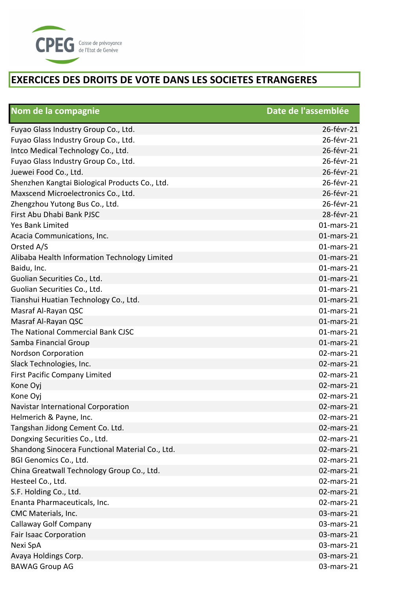

| Nom de la compagnie                             | Date de l'assemblée |
|-------------------------------------------------|---------------------|
| Fuyao Glass Industry Group Co., Ltd.            | 26-févr-21          |
| Fuyao Glass Industry Group Co., Ltd.            | 26-févr-21          |
| Intco Medical Technology Co., Ltd.              | 26-févr-21          |
| Fuyao Glass Industry Group Co., Ltd.            | 26-févr-21          |
| Juewei Food Co., Ltd.                           | 26-févr-21          |
| Shenzhen Kangtai Biological Products Co., Ltd.  | 26-févr-21          |
| Maxscend Microelectronics Co., Ltd.             | 26-févr-21          |
| Zhengzhou Yutong Bus Co., Ltd.                  | 26-févr-21          |
| First Abu Dhabi Bank PJSC                       | 28-févr-21          |
| <b>Yes Bank Limited</b>                         | 01-mars-21          |
| Acacia Communications, Inc.                     | $01$ -mars-21       |
| Orsted A/S                                      | $01$ -mars-21       |
| Alibaba Health Information Technology Limited   | $01$ -mars-21       |
| Baidu, Inc.                                     | 01-mars-21          |
| Guolian Securities Co., Ltd.                    | 01-mars-21          |
| Guolian Securities Co., Ltd.                    | 01-mars-21          |
| Tianshui Huatian Technology Co., Ltd.           | $01$ -mars-21       |
| Masraf Al-Rayan QSC                             | 01-mars-21          |
| Masraf Al-Rayan QSC                             | 01-mars-21          |
| The National Commercial Bank CJSC               | 01-mars-21          |
| Samba Financial Group                           | $01$ -mars-21       |
| <b>Nordson Corporation</b>                      | 02-mars-21          |
| Slack Technologies, Inc.                        | 02-mars-21          |
| First Pacific Company Limited                   | 02-mars-21          |
| Kone Oyj                                        | 02-mars-21          |
| Kone Oyj                                        | 02-mars-21          |
| Navistar International Corporation              | 02-mars-21          |
| Helmerich & Payne, Inc.                         | 02-mars-21          |
| Tangshan Jidong Cement Co. Ltd.                 | 02-mars-21          |
| Dongxing Securities Co., Ltd.                   | 02-mars-21          |
| Shandong Sinocera Functional Material Co., Ltd. | $02$ -mars-21       |
| BGI Genomics Co., Ltd.                          | 02-mars-21          |
| China Greatwall Technology Group Co., Ltd.      | 02-mars-21          |
| Hesteel Co., Ltd.                               | 02-mars-21          |
| S.F. Holding Co., Ltd.                          | 02-mars-21          |
| Enanta Pharmaceuticals, Inc.                    | 02-mars-21          |
| CMC Materials, Inc.                             | 03-mars-21          |
| Callaway Golf Company                           | 03-mars-21          |
| <b>Fair Isaac Corporation</b>                   | 03-mars-21          |
| Nexi SpA                                        | 03-mars-21          |
| Avaya Holdings Corp.                            | 03-mars-21          |
| <b>BAWAG Group AG</b>                           | 03-mars-21          |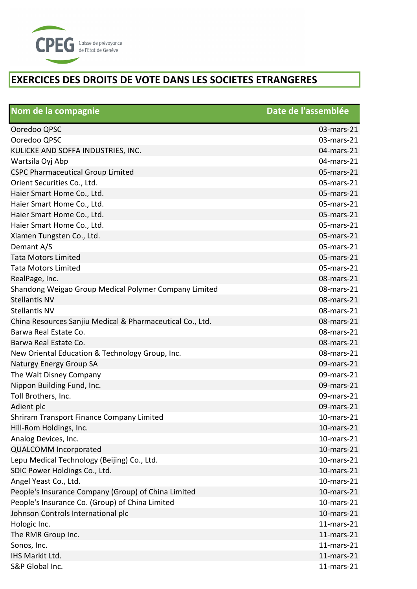

| Nom de la compagnie                                       | Date de l'assemblée |
|-----------------------------------------------------------|---------------------|
| Ooredoo QPSC                                              | 03-mars-21          |
| Ooredoo QPSC                                              | 03-mars-21          |
| KULICKE AND SOFFA INDUSTRIES, INC.                        | 04-mars-21          |
| Wartsila Oyj Abp                                          | 04-mars-21          |
| <b>CSPC Pharmaceutical Group Limited</b>                  | 05-mars-21          |
| Orient Securities Co., Ltd.                               | 05-mars-21          |
| Haier Smart Home Co., Ltd.                                | 05-mars-21          |
| Haier Smart Home Co., Ltd.                                | 05-mars-21          |
| Haier Smart Home Co., Ltd.                                | 05-mars-21          |
| Haier Smart Home Co., Ltd.                                | 05-mars-21          |
| Xiamen Tungsten Co., Ltd.                                 | 05-mars-21          |
| Demant A/S                                                | 05-mars-21          |
| <b>Tata Motors Limited</b>                                | 05-mars-21          |
| <b>Tata Motors Limited</b>                                | 05-mars-21          |
| RealPage, Inc.                                            | 08-mars-21          |
| Shandong Weigao Group Medical Polymer Company Limited     | 08-mars-21          |
| <b>Stellantis NV</b>                                      | 08-mars-21          |
| <b>Stellantis NV</b>                                      | 08-mars-21          |
| China Resources Sanjiu Medical & Pharmaceutical Co., Ltd. | 08-mars-21          |
| Barwa Real Estate Co.                                     | 08-mars-21          |
| Barwa Real Estate Co.                                     | 08-mars-21          |
| New Oriental Education & Technology Group, Inc.           | 08-mars-21          |
| <b>Naturgy Energy Group SA</b>                            | 09-mars-21          |
| The Walt Disney Company                                   | 09-mars-21          |
| Nippon Building Fund, Inc.                                | 09-mars-21          |
| Toll Brothers, Inc.                                       | 09-mars-21          |
| Adient plc                                                | 09-mars-21          |
| Shriram Transport Finance Company Limited                 | 10-mars-21          |
| Hill-Rom Holdings, Inc.                                   | 10-mars-21          |
| Analog Devices, Inc.                                      | $10$ -mars- $21$    |
| <b>QUALCOMM Incorporated</b>                              | 10-mars-21          |
| Lepu Medical Technology (Beijing) Co., Ltd.               | 10-mars-21          |
| SDIC Power Holdings Co., Ltd.                             | 10-mars-21          |
| Angel Yeast Co., Ltd.                                     | 10-mars-21          |
| People's Insurance Company (Group) of China Limited       | 10-mars-21          |
| People's Insurance Co. (Group) of China Limited           | 10-mars-21          |
| Johnson Controls International plc                        | 10-mars-21          |
| Hologic Inc.                                              | $11$ -mars- $21$    |
| The RMR Group Inc.                                        | $11$ -mars- $21$    |
| Sonos, Inc.                                               | $11$ -mars- $21$    |
| IHS Markit Ltd.                                           | $11$ -mars- $21$    |
| S&P Global Inc.                                           | $11$ -mars- $21$    |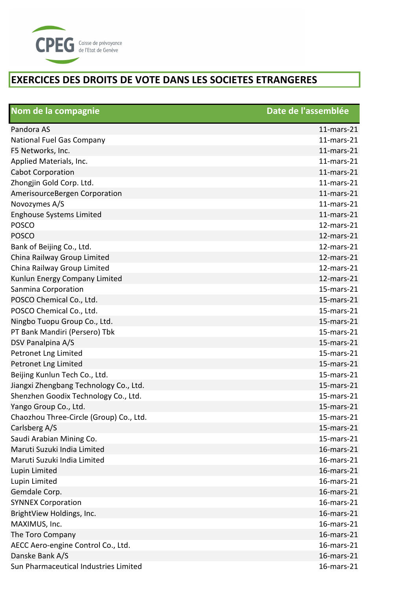

| Nom de la compagnie                     | Date de l'assemblée |
|-----------------------------------------|---------------------|
| Pandora AS                              | $11$ -mars- $21$    |
| National Fuel Gas Company               | $11$ -mars- $21$    |
| F5 Networks, Inc.                       | $11$ -mars- $21$    |
| Applied Materials, Inc.                 | $11$ -mars-21       |
| <b>Cabot Corporation</b>                | $11$ -mars-21       |
| Zhongjin Gold Corp. Ltd.                | $11$ -mars-21       |
| AmerisourceBergen Corporation           | $11$ -mars-21       |
| Novozymes A/S                           | $11$ -mars-21       |
| <b>Enghouse Systems Limited</b>         | $11$ -mars-21       |
| <b>POSCO</b>                            | 12-mars-21          |
| <b>POSCO</b>                            | 12-mars-21          |
| Bank of Beijing Co., Ltd.               | 12-mars-21          |
| China Railway Group Limited             | 12-mars-21          |
| China Railway Group Limited             | $12$ -mars- $21$    |
| Kunlun Energy Company Limited           | 12-mars-21          |
| Sanmina Corporation                     | $15$ -mars- $21$    |
| POSCO Chemical Co., Ltd.                | 15-mars-21          |
| POSCO Chemical Co., Ltd.                | 15-mars-21          |
| Ningbo Tuopu Group Co., Ltd.            | 15-mars-21          |
| PT Bank Mandiri (Persero) Tbk           | 15-mars-21          |
| DSV Panalpina A/S                       | 15-mars-21          |
| Petronet Lng Limited                    | 15-mars-21          |
| Petronet Lng Limited                    | 15-mars-21          |
| Beijing Kunlun Tech Co., Ltd.           | 15-mars-21          |
| Jiangxi Zhengbang Technology Co., Ltd.  | 15-mars-21          |
| Shenzhen Goodix Technology Co., Ltd.    | 15-mars-21          |
| Yango Group Co., Ltd.                   | 15-mars-21          |
| Chaozhou Three-Circle (Group) Co., Ltd. | 15-mars-21          |
| Carlsberg A/S                           | 15-mars-21          |
| Saudi Arabian Mining Co.                | 15-mars-21          |
| Maruti Suzuki India Limited             | 16-mars-21          |
| Maruti Suzuki India Limited             | 16-mars-21          |
| Lupin Limited                           | 16-mars-21          |
| Lupin Limited                           | 16-mars-21          |
| Gemdale Corp.                           | 16-mars-21          |
| <b>SYNNEX Corporation</b>               | 16-mars-21          |
| BrightView Holdings, Inc.               | 16-mars-21          |
| MAXIMUS, Inc.                           | 16-mars-21          |
| The Toro Company                        | 16-mars-21          |
| AECC Aero-engine Control Co., Ltd.      | 16-mars-21          |
| Danske Bank A/S                         | 16-mars-21          |
| Sun Pharmaceutical Industries Limited   | 16-mars-21          |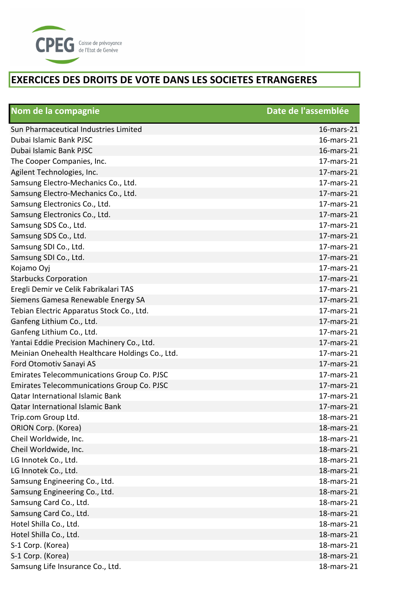

| Nom de la compagnie                               | Date de l'assemblée |
|---------------------------------------------------|---------------------|
| Sun Pharmaceutical Industries Limited             | 16-mars-21          |
| Dubai Islamic Bank PJSC                           | 16-mars-21          |
| Dubai Islamic Bank PJSC                           | 16-mars-21          |
| The Cooper Companies, Inc.                        | 17-mars-21          |
| Agilent Technologies, Inc.                        | 17-mars-21          |
| Samsung Electro-Mechanics Co., Ltd.               | 17-mars-21          |
| Samsung Electro-Mechanics Co., Ltd.               | 17-mars-21          |
| Samsung Electronics Co., Ltd.                     | 17-mars-21          |
| Samsung Electronics Co., Ltd.                     | 17-mars-21          |
| Samsung SDS Co., Ltd.                             | 17-mars-21          |
| Samsung SDS Co., Ltd.                             | 17-mars-21          |
| Samsung SDI Co., Ltd.                             | 17-mars-21          |
| Samsung SDI Co., Ltd.                             | 17-mars-21          |
| Kojamo Oyj                                        | 17-mars-21          |
| <b>Starbucks Corporation</b>                      | 17-mars-21          |
| Eregli Demir ve Celik Fabrikalari TAS             | 17-mars-21          |
| Siemens Gamesa Renewable Energy SA                | 17-mars-21          |
| Tebian Electric Apparatus Stock Co., Ltd.         | 17-mars-21          |
| Ganfeng Lithium Co., Ltd.                         | 17-mars-21          |
| Ganfeng Lithium Co., Ltd.                         | 17-mars-21          |
| Yantai Eddie Precision Machinery Co., Ltd.        | 17-mars-21          |
| Meinian Onehealth Healthcare Holdings Co., Ltd.   | 17-mars-21          |
| Ford Otomotiv Sanayi AS                           | 17-mars-21          |
| <b>Emirates Telecommunications Group Co. PJSC</b> | 17-mars-21          |
| <b>Emirates Telecommunications Group Co. PJSC</b> | 17-mars-21          |
| <b>Qatar International Islamic Bank</b>           | 17-mars-21          |
| Qatar International Islamic Bank                  | 17-mars-21          |
| Trip.com Group Ltd.                               | 18-mars-21          |
| ORION Corp. (Korea)                               | 18-mars-21          |
| Cheil Worldwide, Inc.                             | 18-mars-21          |
| Cheil Worldwide, Inc.                             | 18-mars-21          |
| LG Innotek Co., Ltd.                              | 18-mars-21          |
| LG Innotek Co., Ltd.                              | 18-mars-21          |
| Samsung Engineering Co., Ltd.                     | 18-mars-21          |
| Samsung Engineering Co., Ltd.                     | 18-mars-21          |
| Samsung Card Co., Ltd.                            | 18-mars-21          |
| Samsung Card Co., Ltd.                            | 18-mars-21          |
| Hotel Shilla Co., Ltd.                            | 18-mars-21          |
| Hotel Shilla Co., Ltd.                            | 18-mars-21          |
| S-1 Corp. (Korea)                                 | 18-mars-21          |
| S-1 Corp. (Korea)                                 | 18-mars-21          |
| Samsung Life Insurance Co., Ltd.                  | 18-mars-21          |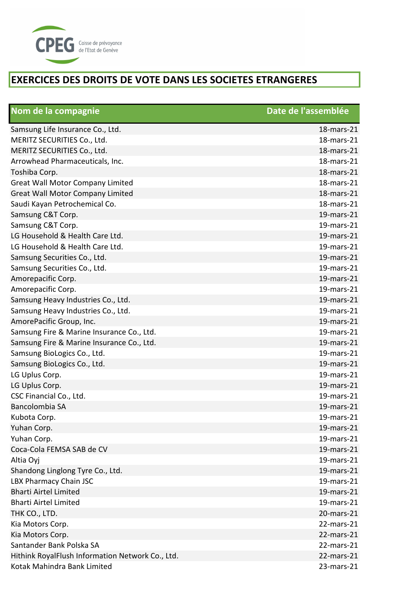

| Nom de la compagnie                              | Date de l'assemblée |
|--------------------------------------------------|---------------------|
| Samsung Life Insurance Co., Ltd.                 | 18-mars-21          |
| MERITZ SECURITIES Co., Ltd.                      | 18-mars-21          |
| MERITZ SECURITIES Co., Ltd.                      | 18-mars-21          |
| Arrowhead Pharmaceuticals, Inc.                  | 18-mars-21          |
| Toshiba Corp.                                    | 18-mars-21          |
| <b>Great Wall Motor Company Limited</b>          | 18-mars-21          |
| <b>Great Wall Motor Company Limited</b>          | 18-mars-21          |
| Saudi Kayan Petrochemical Co.                    | 18-mars-21          |
| Samsung C&T Corp.                                | 19-mars-21          |
| Samsung C&T Corp.                                | 19-mars-21          |
| LG Household & Health Care Ltd.                  | 19-mars-21          |
| LG Household & Health Care Ltd.                  | 19-mars-21          |
| Samsung Securities Co., Ltd.                     | 19-mars-21          |
| Samsung Securities Co., Ltd.                     | 19-mars-21          |
| Amorepacific Corp.                               | 19-mars-21          |
| Amorepacific Corp.                               | 19-mars-21          |
| Samsung Heavy Industries Co., Ltd.               | 19-mars-21          |
| Samsung Heavy Industries Co., Ltd.               | 19-mars-21          |
| AmorePacific Group, Inc.                         | 19-mars-21          |
| Samsung Fire & Marine Insurance Co., Ltd.        | 19-mars-21          |
| Samsung Fire & Marine Insurance Co., Ltd.        | 19-mars-21          |
| Samsung BioLogics Co., Ltd.                      | 19-mars-21          |
| Samsung BioLogics Co., Ltd.                      | 19-mars-21          |
| LG Uplus Corp.                                   | 19-mars-21          |
| LG Uplus Corp.                                   | 19-mars-21          |
| CSC Financial Co., Ltd.                          | 19-mars-21          |
| Bancolombia SA                                   | 19-mars-21          |
| Kubota Corp.                                     | 19-mars-21          |
| Yuhan Corp.                                      | 19-mars-21          |
| Yuhan Corp.                                      | 19-mars-21          |
| Coca-Cola FEMSA SAB de CV                        | 19-mars-21          |
| Altia Oyj                                        | 19-mars-21          |
| Shandong Linglong Tyre Co., Ltd.                 | 19-mars-21          |
| LBX Pharmacy Chain JSC                           | 19-mars-21          |
| <b>Bharti Airtel Limited</b>                     | 19-mars-21          |
| <b>Bharti Airtel Limited</b>                     | 19-mars-21          |
| THK CO., LTD.                                    | 20-mars-21          |
| Kia Motors Corp.                                 | 22-mars-21          |
| Kia Motors Corp.                                 | 22-mars-21          |
| Santander Bank Polska SA                         | 22-mars-21          |
| Hithink RoyalFlush Information Network Co., Ltd. | 22-mars-21          |
| Kotak Mahindra Bank Limited                      | 23-mars-21          |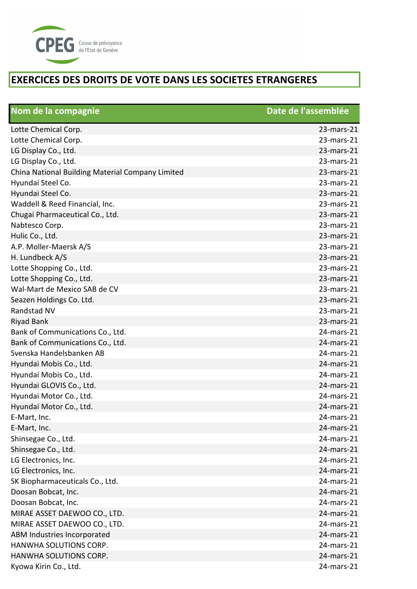

| Nom de la compagnie                              | Date de l'assemblée |
|--------------------------------------------------|---------------------|
| Lotte Chemical Corp.                             | 23-mars-21          |
| Lotte Chemical Corp.                             | $23$ -mars- $21$    |
| LG Display Co., Ltd.                             | 23-mars-21          |
| LG Display Co., Ltd.                             | 23-mars-21          |
| China National Building Material Company Limited | 23-mars-21          |
| Hyundai Steel Co.                                | 23-mars-21          |
| Hyundai Steel Co.                                | 23-mars-21          |
| Waddell & Reed Financial, Inc.                   | 23-mars-21          |
| Chugai Pharmaceutical Co., Ltd.                  | 23-mars-21          |
| Nabtesco Corp.                                   | 23-mars-21          |
| Hulic Co., Ltd.                                  | 23-mars-21          |
| A.P. Moller-Maersk A/S                           | $23$ -mars- $21$    |
| H. Lundbeck A/S                                  | 23-mars-21          |
| Lotte Shopping Co., Ltd.                         | 23-mars-21          |
| Lotte Shopping Co., Ltd.                         | 23-mars-21          |
| Wal-Mart de Mexico SAB de CV                     | 23-mars-21          |
| Seazen Holdings Co. Ltd.                         | 23-mars-21          |
| Randstad NV                                      | 23-mars-21          |
| <b>Riyad Bank</b>                                | 23-mars-21          |
| Bank of Communications Co., Ltd.                 | 24-mars-21          |
| Bank of Communications Co., Ltd.                 | 24-mars-21          |
| Svenska Handelsbanken AB                         | 24-mars-21          |
| Hyundai Mobis Co., Ltd.                          | 24-mars-21          |
| Hyundai Mobis Co., Ltd.                          | 24-mars-21          |
| Hyundai GLOVIS Co., Ltd.                         | 24-mars-21          |
| Hyundai Motor Co., Ltd.                          | 24-mars-21          |
| Hyundai Motor Co., Ltd.                          | 24-mars-21          |
| E-Mart, Inc.                                     | 24-mars-21          |
| E-Mart, Inc.                                     | 24-mars-21          |
| Shinsegae Co., Ltd.                              | 24-mars-21          |
| Shinsegae Co., Ltd.                              | 24-mars-21          |
| LG Electronics, Inc.                             | 24-mars-21          |
| LG Electronics, Inc.                             | 24-mars-21          |
| SK Biopharmaceuticals Co., Ltd.                  | 24-mars-21          |
| Doosan Bobcat, Inc.                              | 24-mars-21          |
| Doosan Bobcat, Inc.                              | 24-mars-21          |
| MIRAE ASSET DAEWOO CO., LTD.                     | 24-mars-21          |
| MIRAE ASSET DAEWOO CO., LTD.                     | 24-mars-21          |
| ABM Industries Incorporated                      | 24-mars-21          |
| HANWHA SOLUTIONS CORP.                           | 24-mars-21          |
| HANWHA SOLUTIONS CORP.                           | 24-mars-21          |
| Kyowa Kirin Co., Ltd.                            | 24-mars-21          |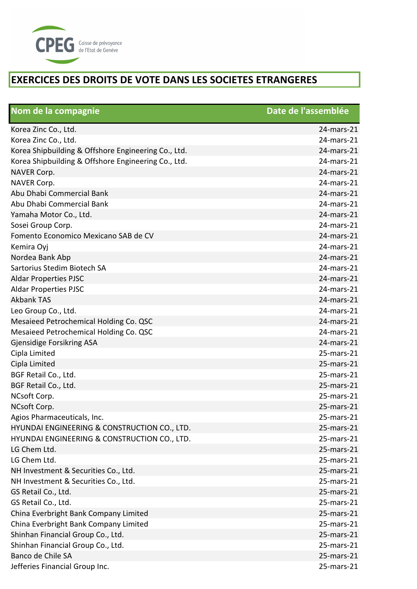

| Nom de la compagnie                                 | Date de l'assemblée |
|-----------------------------------------------------|---------------------|
| Korea Zinc Co., Ltd.                                | 24-mars-21          |
| Korea Zinc Co., Ltd.                                | 24-mars-21          |
| Korea Shipbuilding & Offshore Engineering Co., Ltd. | 24-mars-21          |
| Korea Shipbuilding & Offshore Engineering Co., Ltd. | 24-mars-21          |
| NAVER Corp.                                         | 24-mars-21          |
| NAVER Corp.                                         | 24-mars-21          |
| Abu Dhabi Commercial Bank                           | 24-mars-21          |
| Abu Dhabi Commercial Bank                           | 24-mars-21          |
| Yamaha Motor Co., Ltd.                              | 24-mars-21          |
| Sosei Group Corp.                                   | 24-mars-21          |
| Fomento Economico Mexicano SAB de CV                | 24-mars-21          |
| Kemira Oyj                                          | 24-mars-21          |
| Nordea Bank Abp                                     | 24-mars-21          |
| Sartorius Stedim Biotech SA                         | 24-mars-21          |
| <b>Aldar Properties PJSC</b>                        | 24-mars-21          |
| <b>Aldar Properties PJSC</b>                        | 24-mars-21          |
| <b>Akbank TAS</b>                                   | 24-mars-21          |
| Leo Group Co., Ltd.                                 | 24-mars-21          |
| Mesaieed Petrochemical Holding Co. QSC              | 24-mars-21          |
| Mesaieed Petrochemical Holding Co. QSC              | 24-mars-21          |
| Gjensidige Forsikring ASA                           | 24-mars-21          |
| Cipla Limited                                       | 25-mars-21          |
| Cipla Limited                                       | 25-mars-21          |
| BGF Retail Co., Ltd.                                | 25-mars-21          |
| BGF Retail Co., Ltd.                                | 25-mars-21          |
| NCsoft Corp.                                        | 25-mars-21          |
| NCsoft Corp.                                        | 25-mars-21          |
| Agios Pharmaceuticals, Inc.                         | 25-mars-21          |
| HYUNDAI ENGINEERING & CONSTRUCTION CO., LTD.        | 25-mars-21          |
| HYUNDAI ENGINEERING & CONSTRUCTION CO., LTD.        | 25-mars-21          |
| LG Chem Ltd.                                        | $25$ -mars- $21$    |
| LG Chem Ltd.                                        | 25-mars-21          |
| NH Investment & Securities Co., Ltd.                | 25-mars-21          |
| NH Investment & Securities Co., Ltd.                | $25$ -mars- $21$    |
| GS Retail Co., Ltd.                                 | 25-mars-21          |
| GS Retail Co., Ltd.                                 | 25-mars-21          |
| China Everbright Bank Company Limited               | 25-mars-21          |
| China Everbright Bank Company Limited               | 25-mars-21          |
| Shinhan Financial Group Co., Ltd.                   | 25-mars-21          |
| Shinhan Financial Group Co., Ltd.                   | 25-mars-21          |
| Banco de Chile SA                                   | 25-mars-21          |
| Jefferies Financial Group Inc.                      | 25-mars-21          |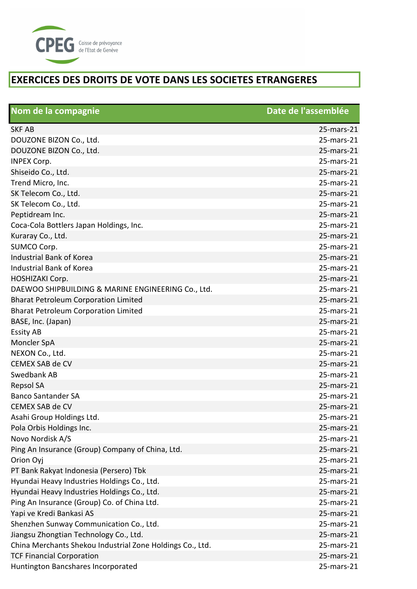

| Nom de la compagnie                                       | Date de l'assemblée |
|-----------------------------------------------------------|---------------------|
| <b>SKF AB</b>                                             | 25-mars-21          |
| DOUZONE BIZON Co., Ltd.                                   | 25-mars-21          |
| DOUZONE BIZON Co., Ltd.                                   | $25$ -mars- $21$    |
| <b>INPEX Corp.</b>                                        | 25-mars-21          |
| Shiseido Co., Ltd.                                        | 25-mars-21          |
| Trend Micro, Inc.                                         | 25-mars-21          |
| SK Telecom Co., Ltd.                                      | 25-mars-21          |
| SK Telecom Co., Ltd.                                      | 25-mars-21          |
| Peptidream Inc.                                           | 25-mars-21          |
| Coca-Cola Bottlers Japan Holdings, Inc.                   | 25-mars-21          |
| Kuraray Co., Ltd.                                         | 25-mars-21          |
| SUMCO Corp.                                               | $25$ -mars- $21$    |
| <b>Industrial Bank of Korea</b>                           | 25-mars-21          |
| Industrial Bank of Korea                                  | 25-mars-21          |
| HOSHIZAKI Corp.                                           | 25-mars-21          |
| DAEWOO SHIPBUILDING & MARINE ENGINEERING Co., Ltd.        | 25-mars-21          |
| <b>Bharat Petroleum Corporation Limited</b>               | 25-mars-21          |
| <b>Bharat Petroleum Corporation Limited</b>               | 25-mars-21          |
| BASE, Inc. (Japan)                                        | 25-mars-21          |
| <b>Essity AB</b>                                          | 25-mars-21          |
| Moncler SpA                                               | 25-mars-21          |
| NEXON Co., Ltd.                                           | 25-mars-21          |
| <b>CEMEX SAB de CV</b>                                    | 25-mars-21          |
| Swedbank AB                                               | 25-mars-21          |
| <b>Repsol SA</b>                                          | 25-mars-21          |
| <b>Banco Santander SA</b>                                 | 25-mars-21          |
| <b>CEMEX SAB de CV</b>                                    | 25-mars-21          |
| Asahi Group Holdings Ltd.                                 | 25-mars-21          |
| Pola Orbis Holdings Inc.                                  | 25-mars-21          |
| Novo Nordisk A/S                                          | 25-mars-21          |
| Ping An Insurance (Group) Company of China, Ltd.          | 25-mars-21          |
| Orion Oyj                                                 | 25-mars-21          |
| PT Bank Rakyat Indonesia (Persero) Tbk                    | 25-mars-21          |
| Hyundai Heavy Industries Holdings Co., Ltd.               | 25-mars-21          |
| Hyundai Heavy Industries Holdings Co., Ltd.               | 25-mars-21          |
| Ping An Insurance (Group) Co. of China Ltd.               | 25-mars-21          |
| Yapi ve Kredi Bankasi AS                                  | 25-mars-21          |
| Shenzhen Sunway Communication Co., Ltd.                   | 25-mars-21          |
| Jiangsu Zhongtian Technology Co., Ltd.                    | 25-mars-21          |
| China Merchants Shekou Industrial Zone Holdings Co., Ltd. | 25-mars-21          |
| <b>TCF Financial Corporation</b>                          | 25-mars-21          |
| Huntington Bancshares Incorporated                        | 25-mars-21          |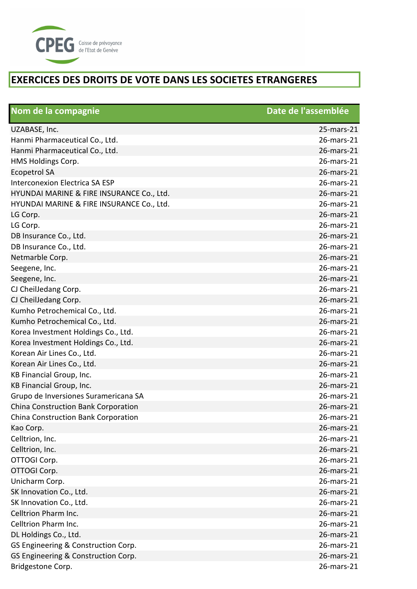

| Nom de la compagnie                       | Date de l'assemblée |
|-------------------------------------------|---------------------|
| UZABASE, Inc.                             | 25-mars-21          |
| Hanmi Pharmaceutical Co., Ltd.            | 26-mars-21          |
| Hanmi Pharmaceutical Co., Ltd.            | 26-mars-21          |
| HMS Holdings Corp.                        | 26-mars-21          |
| <b>Ecopetrol SA</b>                       | 26-mars-21          |
| Interconexion Electrica SA ESP            | 26-mars-21          |
| HYUNDAI MARINE & FIRE INSURANCE Co., Ltd. | 26-mars-21          |
| HYUNDAI MARINE & FIRE INSURANCE Co., Ltd. | 26-mars-21          |
| LG Corp.                                  | 26-mars-21          |
| LG Corp.                                  | 26-mars-21          |
| DB Insurance Co., Ltd.                    | 26-mars-21          |
| DB Insurance Co., Ltd.                    | 26-mars-21          |
| Netmarble Corp.                           | 26-mars-21          |
| Seegene, Inc.                             | 26-mars-21          |
| Seegene, Inc.                             | 26-mars-21          |
| CJ CheilJedang Corp.                      | 26-mars-21          |
| CJ CheilJedang Corp.                      | 26-mars-21          |
| Kumho Petrochemical Co., Ltd.             | 26-mars-21          |
| Kumho Petrochemical Co., Ltd.             | 26-mars-21          |
| Korea Investment Holdings Co., Ltd.       | 26-mars-21          |
| Korea Investment Holdings Co., Ltd.       | 26-mars-21          |
| Korean Air Lines Co., Ltd.                | 26-mars-21          |
| Korean Air Lines Co., Ltd.                | 26-mars-21          |
| KB Financial Group, Inc.                  | 26-mars-21          |
| KB Financial Group, Inc.                  | 26-mars-21          |
| Grupo de Inversiones Suramericana SA      | 26-mars-21          |
| China Construction Bank Corporation       | 26-mars-21          |
| China Construction Bank Corporation       | 26-mars-21          |
| Kao Corp.                                 | 26-mars-21          |
| Celltrion, Inc.                           | 26-mars-21          |
| Celltrion, Inc.                           | 26-mars-21          |
| OTTOGI Corp.                              | 26-mars-21          |
| OTTOGI Corp.                              | 26-mars-21          |
| Unicharm Corp.                            | 26-mars-21          |
| SK Innovation Co., Ltd.                   | 26-mars-21          |
| SK Innovation Co., Ltd.                   | 26-mars-21          |
| Celltrion Pharm Inc.                      | 26-mars-21          |
| Celltrion Pharm Inc.                      | 26-mars-21          |
| DL Holdings Co., Ltd.                     | 26-mars-21          |
| GS Engineering & Construction Corp.       | 26-mars-21          |
| GS Engineering & Construction Corp.       | 26-mars-21          |
| Bridgestone Corp.                         | 26-mars-21          |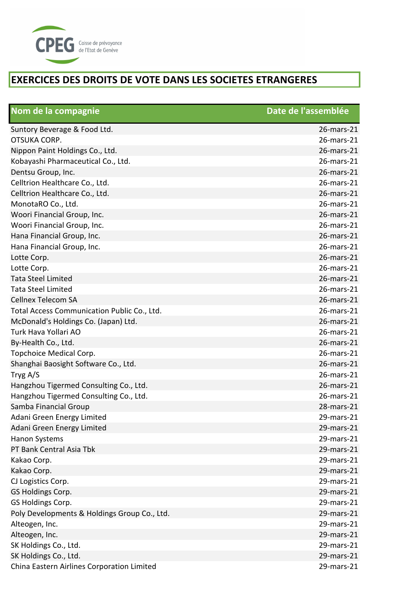

| Nom de la compagnie                          | Date de l'assemblée |
|----------------------------------------------|---------------------|
| Suntory Beverage & Food Ltd.                 | 26-mars-21          |
| OTSUKA CORP.                                 | 26-mars-21          |
| Nippon Paint Holdings Co., Ltd.              | 26-mars-21          |
| Kobayashi Pharmaceutical Co., Ltd.           | 26-mars-21          |
| Dentsu Group, Inc.                           | 26-mars-21          |
| Celltrion Healthcare Co., Ltd.               | 26-mars-21          |
| Celltrion Healthcare Co., Ltd.               | 26-mars-21          |
| MonotaRO Co., Ltd.                           | 26-mars-21          |
| Woori Financial Group, Inc.                  | 26-mars-21          |
| Woori Financial Group, Inc.                  | 26-mars-21          |
| Hana Financial Group, Inc.                   | 26-mars-21          |
| Hana Financial Group, Inc.                   | 26-mars-21          |
| Lotte Corp.                                  | 26-mars-21          |
| Lotte Corp.                                  | 26-mars-21          |
| <b>Tata Steel Limited</b>                    | 26-mars-21          |
| <b>Tata Steel Limited</b>                    | 26-mars-21          |
| <b>Cellnex Telecom SA</b>                    | 26-mars-21          |
| Total Access Communication Public Co., Ltd.  | 26-mars-21          |
| McDonald's Holdings Co. (Japan) Ltd.         | 26-mars-21          |
| Turk Hava Yollari AO                         | 26-mars-21          |
| By-Health Co., Ltd.                          | 26-mars-21          |
| Topchoice Medical Corp.                      | 26-mars-21          |
| Shanghai Baosight Software Co., Ltd.         | 26-mars-21          |
| Tryg A/S                                     | 26-mars-21          |
| Hangzhou Tigermed Consulting Co., Ltd.       | 26-mars-21          |
| Hangzhou Tigermed Consulting Co., Ltd.       | 26-mars-21          |
| Samba Financial Group                        | 28-mars-21          |
| Adani Green Energy Limited                   | 29-mars-21          |
| Adani Green Energy Limited                   | 29-mars-21          |
| <b>Hanon Systems</b>                         | 29-mars-21          |
| PT Bank Central Asia Tbk                     | 29-mars-21          |
| Kakao Corp.                                  | 29-mars-21          |
| Kakao Corp.                                  | 29-mars-21          |
| CJ Logistics Corp.                           | 29-mars-21          |
| GS Holdings Corp.                            | 29-mars-21          |
| GS Holdings Corp.                            | 29-mars-21          |
| Poly Developments & Holdings Group Co., Ltd. | 29-mars-21          |
| Alteogen, Inc.                               | 29-mars-21          |
| Alteogen, Inc.                               | 29-mars-21          |
| SK Holdings Co., Ltd.                        | 29-mars-21          |
| SK Holdings Co., Ltd.                        | 29-mars-21          |
| China Eastern Airlines Corporation Limited   | 29-mars-21          |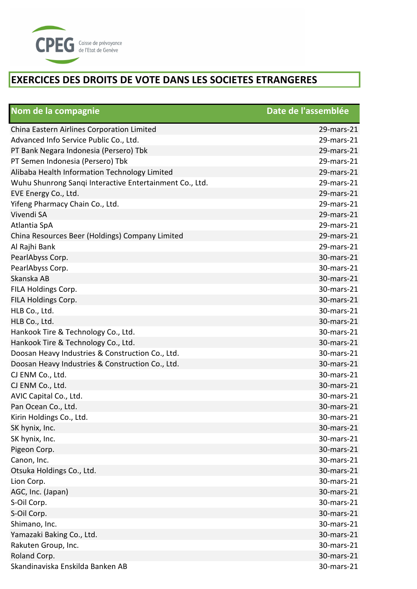

| Nom de la compagnie                                     | Date de l'assemblée |
|---------------------------------------------------------|---------------------|
| China Eastern Airlines Corporation Limited              | 29-mars-21          |
| Advanced Info Service Public Co., Ltd.                  | 29-mars-21          |
| PT Bank Negara Indonesia (Persero) Tbk                  | 29-mars-21          |
| PT Semen Indonesia (Persero) Tbk                        | 29-mars-21          |
| Alibaba Health Information Technology Limited           | 29-mars-21          |
| Wuhu Shunrong Sanqi Interactive Entertainment Co., Ltd. | 29-mars-21          |
| EVE Energy Co., Ltd.                                    | 29-mars-21          |
| Yifeng Pharmacy Chain Co., Ltd.                         | 29-mars-21          |
| Vivendi SA                                              | 29-mars-21          |
| Atlantia SpA                                            | 29-mars-21          |
| China Resources Beer (Holdings) Company Limited         | 29-mars-21          |
| Al Rajhi Bank                                           | 29-mars-21          |
| PearlAbyss Corp.                                        | 30-mars-21          |
| PearlAbyss Corp.                                        | 30-mars-21          |
| Skanska AB                                              | 30-mars-21          |
| FILA Holdings Corp.                                     | 30-mars-21          |
| FILA Holdings Corp.                                     | 30-mars-21          |
| HLB Co., Ltd.                                           | 30-mars-21          |
| HLB Co., Ltd.                                           | 30-mars-21          |
| Hankook Tire & Technology Co., Ltd.                     | 30-mars-21          |
| Hankook Tire & Technology Co., Ltd.                     | 30-mars-21          |
| Doosan Heavy Industries & Construction Co., Ltd.        | 30-mars-21          |
| Doosan Heavy Industries & Construction Co., Ltd.        | 30-mars-21          |
| CJ ENM Co., Ltd.                                        | 30-mars-21          |
| CJ ENM Co., Ltd.                                        | 30-mars-21          |
| AVIC Capital Co., Ltd.                                  | 30-mars-21          |
| Pan Ocean Co., Ltd.                                     | 30-mars-21          |
| Kirin Holdings Co., Ltd.                                | 30-mars-21          |
| SK hynix, Inc.                                          | 30-mars-21          |
| SK hynix, Inc.                                          | 30-mars-21          |
| Pigeon Corp.                                            | 30-mars-21          |
| Canon, Inc.                                             | 30-mars-21          |
| Otsuka Holdings Co., Ltd.                               | 30-mars-21          |
| Lion Corp.                                              | 30-mars-21          |
| AGC, Inc. (Japan)                                       | 30-mars-21          |
| S-Oil Corp.                                             | 30-mars-21          |
| S-Oil Corp.                                             | 30-mars-21          |
| Shimano, Inc.                                           | 30-mars-21          |
| Yamazaki Baking Co., Ltd.                               | 30-mars-21          |
| Rakuten Group, Inc.                                     | 30-mars-21          |
| Roland Corp.                                            | 30-mars-21          |
| Skandinaviska Enskilda Banken AB                        | 30-mars-21          |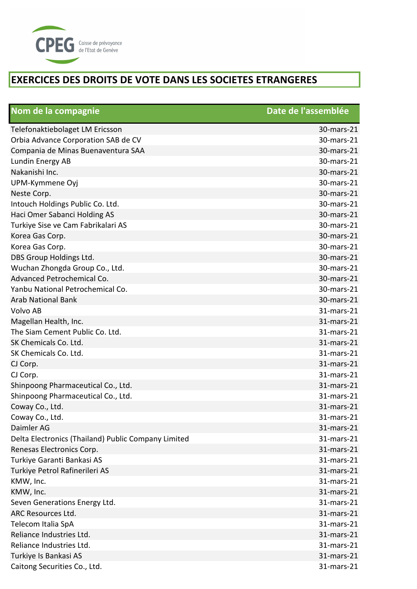

| Nom de la compagnie                                 | Date de l'assemblée |
|-----------------------------------------------------|---------------------|
| Telefonaktiebolaget LM Ericsson                     | 30-mars-21          |
| Orbia Advance Corporation SAB de CV                 | 30-mars-21          |
| Compania de Minas Buenaventura SAA                  | 30-mars-21          |
| Lundin Energy AB                                    | 30-mars-21          |
| Nakanishi Inc.                                      | 30-mars-21          |
| UPM-Kymmene Oyj                                     | 30-mars-21          |
| Neste Corp.                                         | 30-mars-21          |
| Intouch Holdings Public Co. Ltd.                    | 30-mars-21          |
| Haci Omer Sabanci Holding AS                        | 30-mars-21          |
| Turkiye Sise ve Cam Fabrikalari AS                  | 30-mars-21          |
| Korea Gas Corp.                                     | 30-mars-21          |
| Korea Gas Corp.                                     | 30-mars-21          |
| DBS Group Holdings Ltd.                             | 30-mars-21          |
| Wuchan Zhongda Group Co., Ltd.                      | 30-mars-21          |
| Advanced Petrochemical Co.                          | 30-mars-21          |
| Yanbu National Petrochemical Co.                    | 30-mars-21          |
| <b>Arab National Bank</b>                           | 30-mars-21          |
| Volvo AB                                            | 31-mars-21          |
| Magellan Health, Inc.                               | 31-mars-21          |
| The Siam Cement Public Co. Ltd.                     | 31-mars-21          |
| SK Chemicals Co. Ltd.                               | 31-mars-21          |
| SK Chemicals Co. Ltd.                               | 31-mars-21          |
| CJ Corp.                                            | 31-mars-21          |
| CJ Corp.                                            | 31-mars-21          |
| Shinpoong Pharmaceutical Co., Ltd.                  | 31-mars-21          |
| Shinpoong Pharmaceutical Co., Ltd.                  | 31-mars-21          |
| Coway Co., Ltd.                                     | 31-mars-21          |
| Coway Co., Ltd.                                     | 31-mars-21          |
| Daimler AG                                          | 31-mars-21          |
| Delta Electronics (Thailand) Public Company Limited | 31-mars-21          |
| Renesas Electronics Corp.                           | 31-mars-21          |
| Turkiye Garanti Bankasi AS                          | 31-mars-21          |
| Turkiye Petrol Rafinerileri AS                      | 31-mars-21          |
| KMW, Inc.                                           | 31-mars-21          |
| KMW, Inc.                                           | 31-mars-21          |
| Seven Generations Energy Ltd.                       | 31-mars-21          |
| ARC Resources Ltd.                                  | 31-mars-21          |
| Telecom Italia SpA                                  | 31-mars-21          |
| Reliance Industries Ltd.                            | 31-mars-21          |
| Reliance Industries Ltd.                            | 31-mars-21          |
| Turkiye Is Bankasi AS                               | 31-mars-21          |
| Caitong Securities Co., Ltd.                        | 31-mars-21          |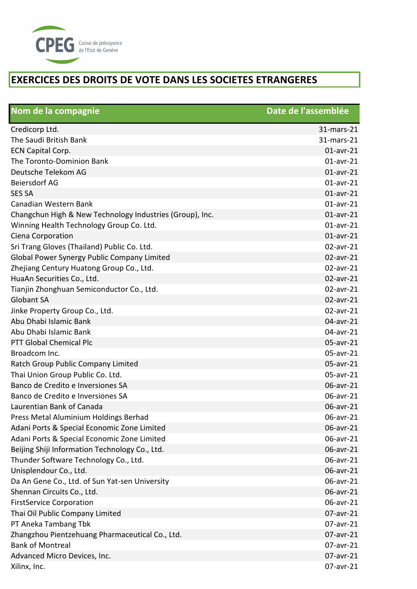

| Nom de la compagnie                                      | Date de l'assemblée |
|----------------------------------------------------------|---------------------|
| Credicorp Ltd.                                           | 31-mars-21          |
| The Saudi British Bank                                   | 31-mars-21          |
| ECN Capital Corp.                                        | $01$ -avr-21        |
| The Toronto-Dominion Bank                                | $01$ -avr-21        |
| Deutsche Telekom AG                                      | $01$ -avr-21        |
| <b>Beiersdorf AG</b>                                     | $01$ -avr-21        |
| <b>SES SA</b>                                            | $01$ -avr-21        |
| Canadian Western Bank                                    | $01$ -avr-21        |
| Changchun High & New Technology Industries (Group), Inc. | $01$ -avr-21        |
| Winning Health Technology Group Co. Ltd.                 | $01$ -avr-21        |
| Ciena Corporation                                        | $01$ -avr-21        |
| Sri Trang Gloves (Thailand) Public Co. Ltd.              | $02$ -avr-21        |
| Global Power Synergy Public Company Limited              | 02-avr-21           |
| Zhejiang Century Huatong Group Co., Ltd.                 | 02-avr-21           |
| HuaAn Securities Co., Ltd.                               | 02-avr-21           |
| Tianjin Zhonghuan Semiconductor Co., Ltd.                | 02-avr-21           |
| <b>Globant SA</b>                                        | 02-avr-21           |
| Jinke Property Group Co., Ltd.                           | 02-avr-21           |
| Abu Dhabi Islamic Bank                                   | 04-avr-21           |
| Abu Dhabi Islamic Bank                                   | 04-avr-21           |
| <b>PTT Global Chemical Plc</b>                           | 05-avr-21           |
| Broadcom Inc.                                            | 05-avr-21           |
| Ratch Group Public Company Limited                       | 05-avr-21           |
| Thai Union Group Public Co. Ltd.                         | 05-avr-21           |
| Banco de Credito e Inversiones SA                        | 06-avr-21           |
| Banco de Credito e Inversiones SA                        | 06-avr-21           |
| Laurentian Bank of Canada                                | 06-avr-21           |
| Press Metal Aluminium Holdings Berhad                    | 06-avr-21           |
| Adani Ports & Special Economic Zone Limited              | 06-avr-21           |
| Adani Ports & Special Economic Zone Limited              | 06-avr-21           |
| Beijing Shiji Information Technology Co., Ltd.           | 06-avr-21           |
| Thunder Software Technology Co., Ltd.                    | 06-avr-21           |
| Unisplendour Co., Ltd.                                   | 06-avr-21           |
| Da An Gene Co., Ltd. of Sun Yat-sen University           | 06-avr-21           |
| Shennan Circuits Co., Ltd.                               | 06-avr-21           |
| <b>FirstService Corporation</b>                          | 06-avr-21           |
| Thai Oil Public Company Limited                          | 07-avr-21           |
| PT Aneka Tambang Tbk                                     | 07-avr-21           |
| Zhangzhou Pientzehuang Pharmaceutical Co., Ltd.          | 07-avr-21           |
| <b>Bank of Montreal</b>                                  | 07-avr-21           |
| Advanced Micro Devices, Inc.                             | 07-avr-21           |
| Xilinx, Inc.                                             | 07-avr-21           |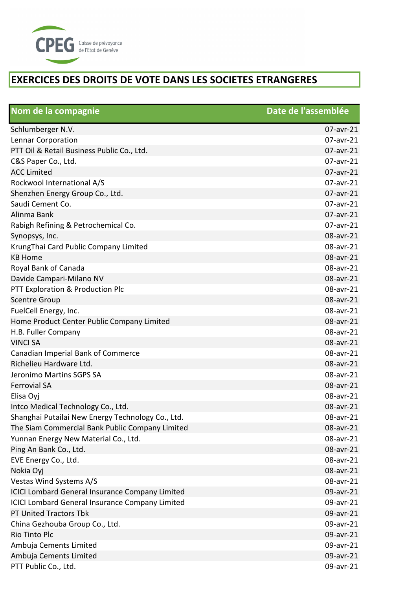

| Nom de la compagnie                                    | Date de l'assemblée |
|--------------------------------------------------------|---------------------|
| Schlumberger N.V.                                      | $07$ -avr-21        |
| Lennar Corporation                                     | 07-avr-21           |
| PTT Oil & Retail Business Public Co., Ltd.             | 07-avr-21           |
| C&S Paper Co., Ltd.                                    | 07-avr-21           |
| <b>ACC Limited</b>                                     | 07-avr-21           |
| Rockwool International A/S                             | 07-avr-21           |
| Shenzhen Energy Group Co., Ltd.                        | 07-avr-21           |
| Saudi Cement Co.                                       | 07-avr-21           |
| Alinma Bank                                            | 07-avr-21           |
| Rabigh Refining & Petrochemical Co.                    | 07-avr-21           |
| Synopsys, Inc.                                         | 08-avr-21           |
| KrungThai Card Public Company Limited                  | 08-avr-21           |
| <b>KB Home</b>                                         | 08-avr-21           |
| Royal Bank of Canada                                   | 08-avr-21           |
| Davide Campari-Milano NV                               | 08-avr-21           |
| PTT Exploration & Production Plc                       | 08-avr-21           |
| <b>Scentre Group</b>                                   | 08-avr-21           |
| FuelCell Energy, Inc.                                  | 08-avr-21           |
| Home Product Center Public Company Limited             | 08-avr-21           |
| H.B. Fuller Company                                    | 08-avr-21           |
| <b>VINCI SA</b>                                        | 08-avr-21           |
| Canadian Imperial Bank of Commerce                     | 08-avr-21           |
| Richelieu Hardware Ltd.                                | 08-avr-21           |
| Jeronimo Martins SGPS SA                               | 08-avr-21           |
| <b>Ferrovial SA</b>                                    | 08-avr-21           |
| Elisa Oyj                                              | 08-avr-21           |
| Intco Medical Technology Co., Ltd.                     | 08-avr-21           |
| Shanghai Putailai New Energy Technology Co., Ltd.      | 08-avr-21           |
| The Siam Commercial Bank Public Company Limited        | 08-avr-21           |
| Yunnan Energy New Material Co., Ltd.                   | 08-avr-21           |
| Ping An Bank Co., Ltd.                                 | 08-avr-21           |
| EVE Energy Co., Ltd.                                   | 08-avr-21           |
| Nokia Oyj                                              | 08-avr-21           |
| Vestas Wind Systems A/S                                | 08-avr-21           |
| <b>ICICI Lombard General Insurance Company Limited</b> | 09-avr-21           |
| <b>ICICI Lombard General Insurance Company Limited</b> | 09-avr-21           |
| PT United Tractors Tbk                                 | 09-avr-21           |
| China Gezhouba Group Co., Ltd.                         | 09-avr-21           |
| Rio Tinto Plc                                          | 09-avr-21           |
| Ambuja Cements Limited                                 | 09-avr-21           |
| Ambuja Cements Limited                                 | 09-avr-21           |
| PTT Public Co., Ltd.                                   | 09-avr-21           |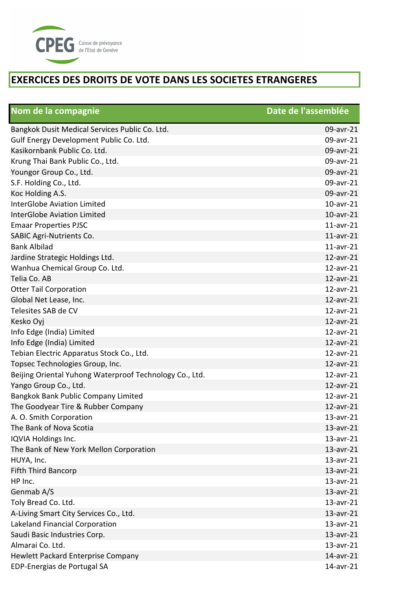

| Nom de la compagnie                                     | Date de l'assemblée |
|---------------------------------------------------------|---------------------|
| Bangkok Dusit Medical Services Public Co. Ltd.          | 09-avr-21           |
| Gulf Energy Development Public Co. Ltd.                 | 09-avr-21           |
| Kasikornbank Public Co. Ltd.                            | 09-avr-21           |
| Krung Thai Bank Public Co., Ltd.                        | 09-avr-21           |
| Youngor Group Co., Ltd.                                 | 09-avr-21           |
| S.F. Holding Co., Ltd.                                  | 09-avr-21           |
| Koc Holding A.S.                                        | 09-avr-21           |
| <b>InterGlobe Aviation Limited</b>                      | $10$ -avr- $21$     |
| <b>InterGlobe Aviation Limited</b>                      | $10$ -avr-21        |
| <b>Emaar Properties PJSC</b>                            | $11$ -avr-21        |
| <b>SABIC Agri-Nutrients Co.</b>                         | $11$ -avr-21        |
| <b>Bank Albilad</b>                                     | $11$ -avr-21        |
| Jardine Strategic Holdings Ltd.                         | 12-avr-21           |
| Wanhua Chemical Group Co. Ltd.                          | 12-avr-21           |
| Telia Co. AB                                            | 12-avr-21           |
| <b>Otter Tail Corporation</b>                           | 12-avr-21           |
| Global Net Lease, Inc.                                  | 12-avr-21           |
| Telesites SAB de CV                                     | 12-avr-21           |
| Kesko Oyj                                               | 12-avr-21           |
| Info Edge (India) Limited                               | 12-avr-21           |
| Info Edge (India) Limited                               | $12$ -avr-21        |
| Tebian Electric Apparatus Stock Co., Ltd.               | 12-avr-21           |
| Topsec Technologies Group, Inc.                         | 12-avr-21           |
| Beijing Oriental Yuhong Waterproof Technology Co., Ltd. | 12-avr-21           |
| Yango Group Co., Ltd.                                   | $12$ -avr-21        |
| Bangkok Bank Public Company Limited                     | 12-avr-21           |
| The Goodyear Tire & Rubber Company                      | 12-avr-21           |
| A. O. Smith Corporation                                 | $13$ -avr-21        |
| The Bank of Nova Scotia                                 | $13$ -avr-21        |
| IQVIA Holdings Inc.                                     | $13$ -avr-21        |
| The Bank of New York Mellon Corporation                 | $13$ -avr-21        |
| HUYA, Inc.                                              | $13$ -avr-21        |
| Fifth Third Bancorp                                     | 13-avr-21           |
| HP Inc.                                                 | $13$ -avr- $21$     |
| Genmab A/S                                              | $13$ -avr-21        |
| Toly Bread Co. Ltd.                                     | $13$ -avr-21        |
| A-Living Smart City Services Co., Ltd.                  | 13-avr-21           |
| Lakeland Financial Corporation                          | $13$ -avr-21        |
| Saudi Basic Industries Corp.                            | 13-avr-21           |
| Almarai Co. Ltd.                                        | $13$ -avr-21        |
| <b>Hewlett Packard Enterprise Company</b>               | 14-avr-21           |
| EDP-Energias de Portugal SA                             | 14-avr-21           |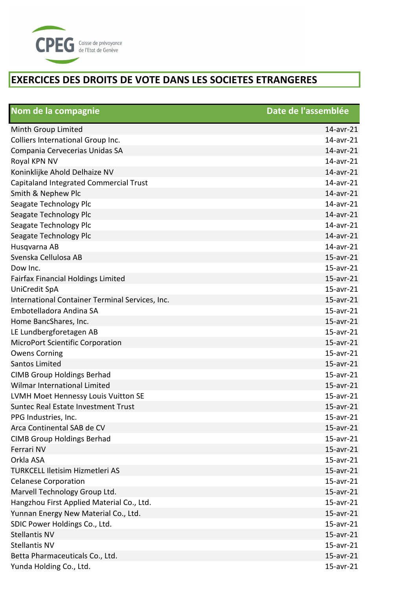

| Nom de la compagnie                             | Date de l'assemblée |
|-------------------------------------------------|---------------------|
| Minth Group Limited                             | $14$ -avr-21        |
| Colliers International Group Inc.               | 14-avr-21           |
| Compania Cervecerias Unidas SA                  | 14-avr-21           |
| Royal KPN NV                                    | 14-avr-21           |
| Koninklijke Ahold Delhaize NV                   | 14-avr-21           |
| Capitaland Integrated Commercial Trust          | 14-avr-21           |
| Smith & Nephew Plc                              | 14-avr-21           |
| Seagate Technology Plc                          | 14-avr-21           |
| Seagate Technology Plc                          | 14-avr-21           |
| Seagate Technology Plc                          | 14-avr-21           |
| Seagate Technology Plc                          | 14-avr-21           |
| Husqvarna AB                                    | 14-avr-21           |
| Svenska Cellulosa AB                            | 15-avr-21           |
| Dow Inc.                                        | 15-avr-21           |
| <b>Fairfax Financial Holdings Limited</b>       | 15-avr-21           |
| UniCredit SpA                                   | 15-avr-21           |
| International Container Terminal Services, Inc. | 15-avr-21           |
| Embotelladora Andina SA                         | 15-avr-21           |
| Home BancShares, Inc.                           | 15-avr-21           |
| LE Lundbergforetagen AB                         | 15-avr-21           |
| <b>MicroPort Scientific Corporation</b>         | 15-avr-21           |
| <b>Owens Corning</b>                            | 15-avr-21           |
| <b>Santos Limited</b>                           | 15-avr-21           |
| <b>CIMB Group Holdings Berhad</b>               | 15-avr-21           |
| <b>Wilmar International Limited</b>             | 15-avr-21           |
| LVMH Moet Hennessy Louis Vuitton SE             | 15-avr-21           |
| Suntec Real Estate Investment Trust             | 15-avr-21           |
| PPG Industries, Inc.                            | $15$ -avr-21        |
| Arca Continental SAB de CV                      | $15$ -avr- $21$     |
| <b>CIMB Group Holdings Berhad</b>               | $15$ -avr-21        |
| Ferrari NV                                      | 15-avr-21           |
| Orkla ASA                                       | 15-avr-21           |
| <b>TURKCELL Iletisim Hizmetleri AS</b>          | 15-avr-21           |
| <b>Celanese Corporation</b>                     | 15-avr-21           |
| Marvell Technology Group Ltd.                   | 15-avr-21           |
| Hangzhou First Applied Material Co., Ltd.       | $15$ -avr-21        |
| Yunnan Energy New Material Co., Ltd.            | 15-avr-21           |
| SDIC Power Holdings Co., Ltd.                   | 15-avr-21           |
| <b>Stellantis NV</b>                            | 15-avr-21           |
| <b>Stellantis NV</b>                            | $15$ -avr-21        |
| Betta Pharmaceuticals Co., Ltd.                 | 15-avr-21           |
| Yunda Holding Co., Ltd.                         | $15$ -avr-21        |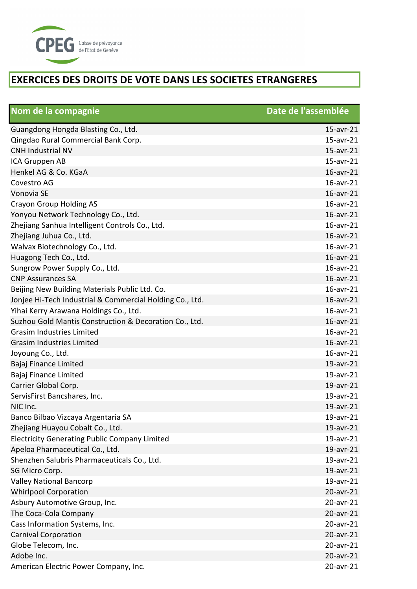

| Nom de la compagnie                                      | Date de l'assemblée |
|----------------------------------------------------------|---------------------|
| Guangdong Hongda Blasting Co., Ltd.                      | 15-avr-21           |
| Qingdao Rural Commercial Bank Corp.                      | 15-avr-21           |
| <b>CNH Industrial NV</b>                                 | 15-avr-21           |
| ICA Gruppen AB                                           | 15-avr-21           |
| Henkel AG & Co. KGaA                                     | 16-avr-21           |
| Covestro AG                                              | 16-avr-21           |
| Vonovia SE                                               | 16-avr-21           |
| <b>Crayon Group Holding AS</b>                           | 16-avr-21           |
| Yonyou Network Technology Co., Ltd.                      | 16-avr-21           |
| Zhejiang Sanhua Intelligent Controls Co., Ltd.           | 16-avr-21           |
| Zhejiang Juhua Co., Ltd.                                 | 16-avr-21           |
| Walvax Biotechnology Co., Ltd.                           | 16-avr-21           |
| Huagong Tech Co., Ltd.                                   | 16-avr-21           |
| Sungrow Power Supply Co., Ltd.                           | 16-avr-21           |
| <b>CNP Assurances SA</b>                                 | 16-avr-21           |
| Beijing New Building Materials Public Ltd. Co.           | $16$ -avr-21        |
| Jonjee Hi-Tech Industrial & Commercial Holding Co., Ltd. | 16-avr-21           |
| Yihai Kerry Arawana Holdings Co., Ltd.                   | 16-avr-21           |
| Suzhou Gold Mantis Construction & Decoration Co., Ltd.   | 16-avr-21           |
| <b>Grasim Industries Limited</b>                         | $16$ -avr-21        |
| <b>Grasim Industries Limited</b>                         | 16-avr-21           |
| Joyoung Co., Ltd.                                        | 16-avr-21           |
| Bajaj Finance Limited                                    | 19-avr-21           |
| Bajaj Finance Limited                                    | 19-avr-21           |
| Carrier Global Corp.                                     | 19-avr-21           |
| ServisFirst Bancshares, Inc.                             | 19-avr-21           |
| NIC Inc.                                                 | 19-avr-21           |
| Banco Bilbao Vizcaya Argentaria SA                       | 19-avr-21           |
| Zhejiang Huayou Cobalt Co., Ltd.                         | 19-avr-21           |
| <b>Electricity Generating Public Company Limited</b>     | 19-avr-21           |
| Apeloa Pharmaceutical Co., Ltd.                          | 19-avr-21           |
| Shenzhen Salubris Pharmaceuticals Co., Ltd.              | 19-avr-21           |
| SG Micro Corp.                                           | 19-avr-21           |
| <b>Valley National Bancorp</b>                           | 19-avr-21           |
| <b>Whirlpool Corporation</b>                             | 20-avr-21           |
| Asbury Automotive Group, Inc.                            | 20-avr-21           |
| The Coca-Cola Company                                    | 20-avr-21           |
| Cass Information Systems, Inc.                           | 20-avr-21           |
| <b>Carnival Corporation</b>                              | $20$ -avr- $21$     |
| Globe Telecom, Inc.                                      | 20-avr-21           |
| Adobe Inc.                                               | 20-avr-21           |
| American Electric Power Company, Inc.                    | 20-avr-21           |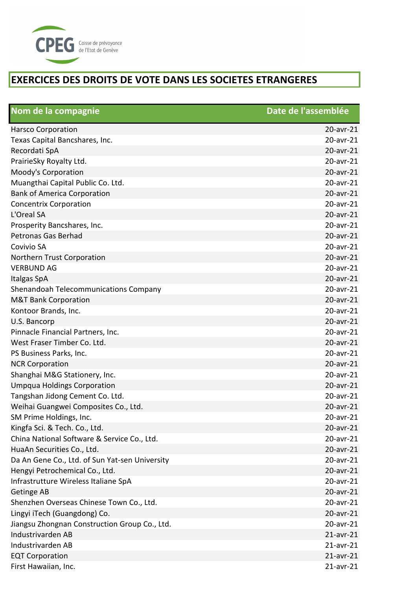

| Nom de la compagnie                            | Date de l'assemblée |
|------------------------------------------------|---------------------|
| <b>Harsco Corporation</b>                      | 20-avr-21           |
| Texas Capital Bancshares, Inc.                 | 20-avr-21           |
| Recordati SpA                                  | 20-avr-21           |
| PrairieSky Royalty Ltd.                        | 20-avr-21           |
| Moody's Corporation                            | 20-avr-21           |
| Muangthai Capital Public Co. Ltd.              | 20-avr-21           |
| <b>Bank of America Corporation</b>             | 20-avr-21           |
| <b>Concentrix Corporation</b>                  | 20-avr-21           |
| L'Oreal SA                                     | 20-avr-21           |
| Prosperity Bancshares, Inc.                    | 20-avr-21           |
| Petronas Gas Berhad                            | 20-avr-21           |
| Covivio SA                                     | 20-avr-21           |
| Northern Trust Corporation                     | 20-avr-21           |
| <b>VERBUND AG</b>                              | 20-avr-21           |
| Italgas SpA                                    | 20-avr-21           |
| Shenandoah Telecommunications Company          | 20-avr-21           |
| <b>M&amp;T Bank Corporation</b>                | 20-avr-21           |
| Kontoor Brands, Inc.                           | 20-avr-21           |
| U.S. Bancorp                                   | 20-avr-21           |
| Pinnacle Financial Partners, Inc.              | 20-avr-21           |
| West Fraser Timber Co. Ltd.                    | 20-avr-21           |
| PS Business Parks, Inc.                        | 20-avr-21           |
| <b>NCR Corporation</b>                         | 20-avr-21           |
| Shanghai M&G Stationery, Inc.                  | 20-avr-21           |
| <b>Umpqua Holdings Corporation</b>             | 20-avr-21           |
| Tangshan Jidong Cement Co. Ltd.                | 20-avr-21           |
| Weihai Guangwei Composites Co., Ltd.           | 20-avr-21           |
| SM Prime Holdings, Inc.                        | 20-avr-21           |
| Kingfa Sci. & Tech. Co., Ltd.                  | 20-avr-21           |
| China National Software & Service Co., Ltd.    | 20-avr-21           |
| HuaAn Securities Co., Ltd.                     | 20-avr-21           |
| Da An Gene Co., Ltd. of Sun Yat-sen University | 20-avr-21           |
| Hengyi Petrochemical Co., Ltd.                 | 20-avr-21           |
| Infrastrutture Wireless Italiane SpA           | 20-avr-21           |
| Getinge AB                                     | 20-avr-21           |
| Shenzhen Overseas Chinese Town Co., Ltd.       | 20-avr-21           |
| Lingyi iTech (Guangdong) Co.                   | 20-avr-21           |
| Jiangsu Zhongnan Construction Group Co., Ltd.  | 20-avr-21           |
| Industrivarden AB                              | $21$ -avr- $21$     |
| Industrivarden AB                              | $21$ -avr-21        |
| <b>EQT Corporation</b>                         | $21$ -avr-21        |
| First Hawaiian, Inc.                           | $21$ -avr- $21$     |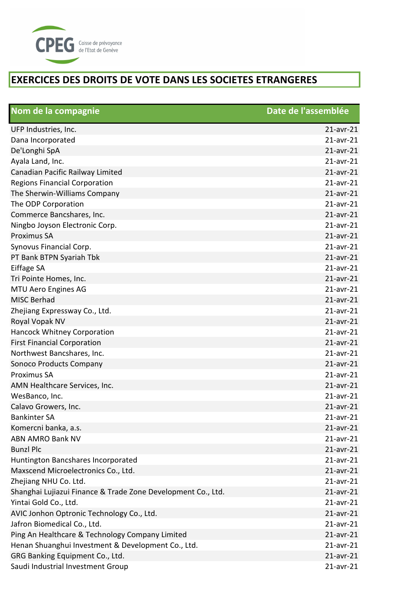

| Nom de la compagnie                                          | Date de l'assemblée |
|--------------------------------------------------------------|---------------------|
| UFP Industries, Inc.                                         | $21$ -avr- $21$     |
| Dana Incorporated                                            | $21$ -avr-21        |
| De'Longhi SpA                                                | $21$ -avr-21        |
| Ayala Land, Inc.                                             | $21$ -avr- $21$     |
| Canadian Pacific Railway Limited                             | $21$ -avr-21        |
| <b>Regions Financial Corporation</b>                         | $21$ -avr- $21$     |
| The Sherwin-Williams Company                                 | $21$ -avr-21        |
| The ODP Corporation                                          | $21$ -avr- $21$     |
| Commerce Bancshares, Inc.                                    | $21$ -avr-21        |
| Ningbo Joyson Electronic Corp.                               | $21$ -avr- $21$     |
| <b>Proximus SA</b>                                           | $21$ -avr-21        |
| Synovus Financial Corp.                                      | $21$ -avr- $21$     |
| PT Bank BTPN Syariah Tbk                                     | $21$ -avr-21        |
| Eiffage SA                                                   | $21$ -avr-21        |
| Tri Pointe Homes, Inc.                                       | $21$ -avr- $21$     |
| <b>MTU Aero Engines AG</b>                                   | $21$ -avr-21        |
| <b>MISC Berhad</b>                                           | $21$ -avr-21        |
| Zhejiang Expressway Co., Ltd.                                | $21$ -avr-21        |
| Royal Vopak NV                                               | $21$ -avr-21        |
| <b>Hancock Whitney Corporation</b>                           | $21$ -avr- $21$     |
| <b>First Financial Corporation</b>                           | $21$ -avr-21        |
| Northwest Bancshares, Inc.                                   | $21$ -avr- $21$     |
| Sonoco Products Company                                      | $21$ -avr-21        |
| <b>Proximus SA</b>                                           | $21$ -avr- $21$     |
| AMN Healthcare Services, Inc.                                | $21$ -avr-21        |
| WesBanco, Inc.                                               | $21$ -avr-21        |
| Calavo Growers, Inc.                                         | $21$ -avr- $21$     |
| <b>Bankinter SA</b>                                          | $21$ -avr- $21$     |
| Komercni banka, a.s.                                         | $21$ -avr- $21$     |
| <b>ABN AMRO Bank NV</b>                                      | $21$ -avr- $21$     |
| <b>Bunzl Plc</b>                                             | $21$ -avr-21        |
| Huntington Bancshares Incorporated                           | $21$ -avr- $21$     |
| Maxscend Microelectronics Co., Ltd.                          | $21$ -avr-21        |
| Zhejiang NHU Co. Ltd.                                        | $21$ -avr- $21$     |
| Shanghai Lujiazui Finance & Trade Zone Development Co., Ltd. | $21$ -avr- $21$     |
| Yintai Gold Co., Ltd.                                        | $21$ -avr- $21$     |
| AVIC Jonhon Optronic Technology Co., Ltd.                    | $21$ -avr- $21$     |
| Jafron Biomedical Co., Ltd.                                  | $21$ -avr- $21$     |
| Ping An Healthcare & Technology Company Limited              | $21$ -avr- $21$     |
| Henan Shuanghui Investment & Development Co., Ltd.           | $21$ -avr-21        |
| GRG Banking Equipment Co., Ltd.                              | $21$ -avr-21        |
| Saudi Industrial Investment Group                            | $21$ -avr- $21$     |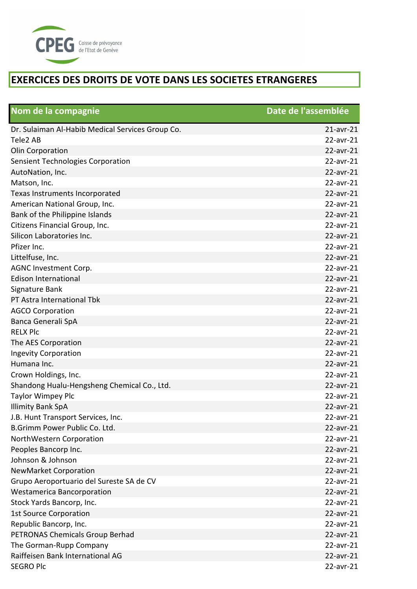

| Nom de la compagnie                              | Date de l'assemblée |
|--------------------------------------------------|---------------------|
| Dr. Sulaiman Al-Habib Medical Services Group Co. | $21$ -avr- $21$     |
| Tele2 AB                                         | 22-avr-21           |
| Olin Corporation                                 | 22-avr-21           |
| Sensient Technologies Corporation                | 22-avr-21           |
| AutoNation, Inc.                                 | 22-avr-21           |
| Matson, Inc.                                     | $22$ -avr-21        |
| Texas Instruments Incorporated                   | 22-avr-21           |
| American National Group, Inc.                    | 22-avr-21           |
| Bank of the Philippine Islands                   | 22-avr-21           |
| Citizens Financial Group, Inc.                   | 22-avr-21           |
| Silicon Laboratories Inc.                        | 22-avr-21           |
| Pfizer Inc.                                      | 22-avr-21           |
| Littelfuse, Inc.                                 | 22-avr-21           |
| AGNC Investment Corp.                            | 22-avr-21           |
| <b>Edison International</b>                      | 22-avr-21           |
| Signature Bank                                   | 22-avr-21           |
| PT Astra International Tbk                       | 22-avr-21           |
| <b>AGCO Corporation</b>                          | 22-avr-21           |
| Banca Generali SpA                               | 22-avr-21           |
| <b>RELX Plc</b>                                  | 22-avr-21           |
| The AES Corporation                              | 22-avr-21           |
| <b>Ingevity Corporation</b>                      | 22-avr-21           |
| Humana Inc.                                      | 22-avr-21           |
| Crown Holdings, Inc.                             | 22-avr-21           |
| Shandong Hualu-Hengsheng Chemical Co., Ltd.      | $22$ -avr- $21$     |
| <b>Taylor Wimpey Plc</b>                         | 22-avr-21           |
| <b>Illimity Bank SpA</b>                         | 22-avr-21           |
| J.B. Hunt Transport Services, Inc.               | 22-avr-21           |
| B.Grimm Power Public Co. Ltd.                    | $22$ -avr-21        |
| NorthWestern Corporation                         | $22$ -avr-21        |
| Peoples Bancorp Inc.                             | $22$ -avr-21        |
| Johnson & Johnson                                | $22$ -avr-21        |
| <b>NewMarket Corporation</b>                     | $22$ -avr-21        |
| Grupo Aeroportuario del Sureste SA de CV         | $22$ -avr-21        |
| <b>Westamerica Bancorporation</b>                | $22$ -avr-21        |
| Stock Yards Bancorp, Inc.                        | 22-avr-21           |
| <b>1st Source Corporation</b>                    | $22$ -avr-21        |
| Republic Bancorp, Inc.                           | $22$ -avr-21        |
| PETRONAS Chemicals Group Berhad                  | $22$ -avr-21        |
| The Gorman-Rupp Company                          | 22-avr-21           |
| Raiffeisen Bank International AG                 | $22$ -avr-21        |
| <b>SEGRO Plc</b>                                 | 22-avr-21           |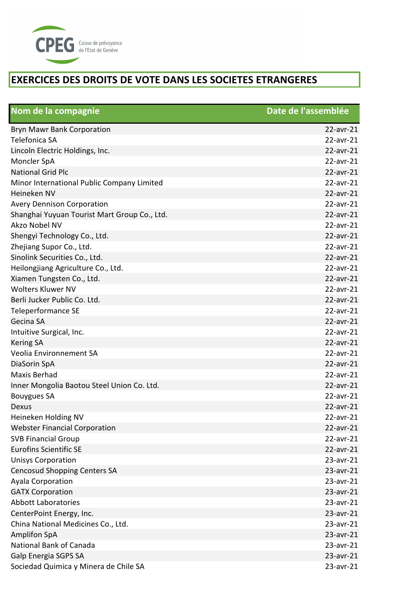

| Nom de la compagnie                          | Date de l'assemblée |
|----------------------------------------------|---------------------|
| <b>Bryn Mawr Bank Corporation</b>            | $22$ -avr-21        |
| Telefonica SA                                | $22$ -avr-21        |
| Lincoln Electric Holdings, Inc.              | 22-avr-21           |
| Moncler SpA                                  | 22-avr-21           |
| <b>National Grid Plc</b>                     | 22-avr-21           |
| Minor International Public Company Limited   | $22$ -avr-21        |
| Heineken NV                                  | 22-avr-21           |
| <b>Avery Dennison Corporation</b>            | 22-avr-21           |
| Shanghai Yuyuan Tourist Mart Group Co., Ltd. | 22-avr-21           |
| Akzo Nobel NV                                | $22$ -avr-21        |
| Shengyi Technology Co., Ltd.                 | 22-avr-21           |
| Zhejiang Supor Co., Ltd.                     | 22-avr-21           |
| Sinolink Securities Co., Ltd.                | 22-avr-21           |
| Heilongjiang Agriculture Co., Ltd.           | 22-avr-21           |
| Xiamen Tungsten Co., Ltd.                    | 22-avr-21           |
| <b>Wolters Kluwer NV</b>                     | $22$ -avr-21        |
| Berli Jucker Public Co. Ltd.                 | $22$ -avr-21        |
| Teleperformance SE                           | 22-avr-21           |
| Gecina SA                                    | 22-avr-21           |
| Intuitive Surgical, Inc.                     | 22-avr-21           |
| <b>Kering SA</b>                             | 22-avr-21           |
| Veolia Environnement SA                      | 22-avr-21           |
| DiaSorin SpA                                 | 22-avr-21           |
| <b>Maxis Berhad</b>                          | $22$ -avr-21        |
| Inner Mongolia Baotou Steel Union Co. Ltd.   | 22-avr-21           |
| <b>Bouygues SA</b>                           | 22-avr-21           |
| Dexus                                        | 22-avr-21           |
| Heineken Holding NV                          | 22-avr-21           |
| <b>Webster Financial Corporation</b>         | 22-avr-21           |
| <b>SVB Financial Group</b>                   | $22$ -avr-21        |
| <b>Eurofins Scientific SE</b>                | 22-avr-21           |
| <b>Unisys Corporation</b>                    | 23-avr-21           |
| <b>Cencosud Shopping Centers SA</b>          | 23-avr-21           |
| Ayala Corporation                            | 23-avr-21           |
| <b>GATX Corporation</b>                      | 23-avr-21           |
| <b>Abbott Laboratories</b>                   | 23-avr-21           |
| CenterPoint Energy, Inc.                     | 23-avr-21           |
| China National Medicines Co., Ltd.           | 23-avr-21           |
| <b>Amplifon SpA</b>                          | 23-avr-21           |
| National Bank of Canada                      | 23-avr-21           |
| Galp Energia SGPS SA                         | $23$ -avr- $21$     |
| Sociedad Quimica y Minera de Chile SA        | 23-avr-21           |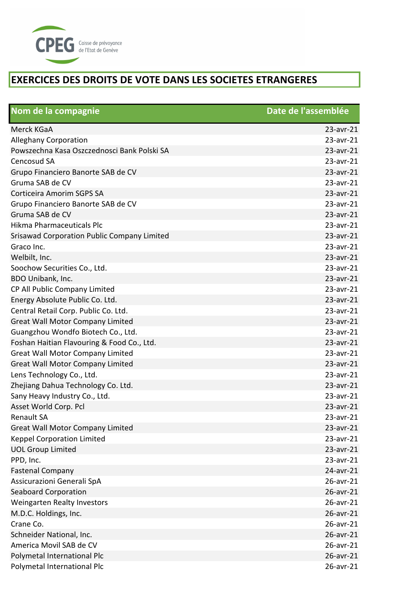

| Nom de la compagnie                         | Date de l'assemblée |
|---------------------------------------------|---------------------|
| Merck KGaA                                  | 23-avr-21           |
| <b>Alleghany Corporation</b>                | 23-avr-21           |
| Powszechna Kasa Oszczednosci Bank Polski SA | 23-avr-21           |
| Cencosud SA                                 | 23-avr-21           |
| Grupo Financiero Banorte SAB de CV          | 23-avr-21           |
| Gruma SAB de CV                             | $23$ -avr- $21$     |
| Corticeira Amorim SGPS SA                   | 23-avr-21           |
| Grupo Financiero Banorte SAB de CV          | 23-avr-21           |
| Gruma SAB de CV                             | 23-avr-21           |
| Hikma Pharmaceuticals Plc                   | 23-avr-21           |
| Srisawad Corporation Public Company Limited | 23-avr-21           |
| Graco Inc.                                  | 23-avr-21           |
| Welbilt, Inc.                               | 23-avr-21           |
| Soochow Securities Co., Ltd.                | 23-avr-21           |
| BDO Unibank, Inc.                           | 23-avr-21           |
| CP All Public Company Limited               | 23-avr-21           |
| Energy Absolute Public Co. Ltd.             | 23-avr-21           |
| Central Retail Corp. Public Co. Ltd.        | 23-avr-21           |
| <b>Great Wall Motor Company Limited</b>     | 23-avr-21           |
| Guangzhou Wondfo Biotech Co., Ltd.          | 23-avr-21           |
| Foshan Haitian Flavouring & Food Co., Ltd.  | 23-avr-21           |
| <b>Great Wall Motor Company Limited</b>     | 23-avr-21           |
| <b>Great Wall Motor Company Limited</b>     | 23-avr-21           |
| Lens Technology Co., Ltd.                   | 23-avr-21           |
| Zhejiang Dahua Technology Co. Ltd.          | 23-avr-21           |
| Sany Heavy Industry Co., Ltd.               | 23-avr-21           |
| Asset World Corp. Pcl                       | 23-avr-21           |
| <b>Renault SA</b>                           | 23-avr-21           |
| <b>Great Wall Motor Company Limited</b>     | 23-avr-21           |
| <b>Keppel Corporation Limited</b>           | $23$ -avr- $21$     |
| <b>UOL Group Limited</b>                    | 23-avr-21           |
| PPD, Inc.                                   | 23-avr-21           |
| <b>Fastenal Company</b>                     | 24-avr-21           |
| Assicurazioni Generali SpA                  | 26-avr-21           |
| <b>Seaboard Corporation</b>                 | 26-avr-21           |
| <b>Weingarten Realty Investors</b>          | 26-avr-21           |
| M.D.C. Holdings, Inc.                       | 26-avr-21           |
| Crane Co.                                   | 26-avr-21           |
| Schneider National, Inc.                    | 26-avr-21           |
| America Movil SAB de CV                     | 26-avr-21           |
| Polymetal International Plc                 | 26-avr-21           |
| Polymetal International Plc                 | 26-avr-21           |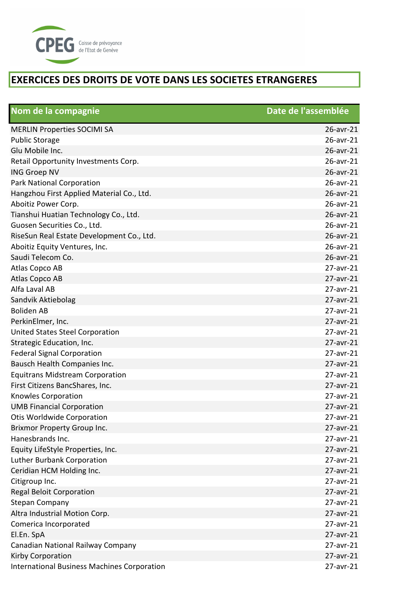

| Nom de la compagnie                                | Date de l'assemblée |
|----------------------------------------------------|---------------------|
| <b>MERLIN Properties SOCIMI SA</b>                 | 26-avr-21           |
| <b>Public Storage</b>                              | 26-avr-21           |
| Glu Mobile Inc.                                    | 26-avr-21           |
| Retail Opportunity Investments Corp.               | 26-avr-21           |
| <b>ING Groep NV</b>                                | 26-avr-21           |
| Park National Corporation                          | 26-avr-21           |
| Hangzhou First Applied Material Co., Ltd.          | 26-avr-21           |
| Aboitiz Power Corp.                                | 26-avr-21           |
| Tianshui Huatian Technology Co., Ltd.              | 26-avr-21           |
| Guosen Securities Co., Ltd.                        | 26-avr-21           |
| RiseSun Real Estate Development Co., Ltd.          | 26-avr-21           |
| Aboitiz Equity Ventures, Inc.                      | 26-avr-21           |
| Saudi Telecom Co.                                  | 26-avr-21           |
| Atlas Copco AB                                     | $27$ -avr- $21$     |
| Atlas Copco AB                                     | 27-avr-21           |
| Alfa Laval AB                                      | 27-avr-21           |
| Sandvik Aktiebolag                                 | $27$ -avr- $21$     |
| <b>Boliden AB</b>                                  | 27-avr-21           |
| PerkinElmer, Inc.                                  | 27-avr-21           |
| <b>United States Steel Corporation</b>             | 27-avr-21           |
| Strategic Education, Inc.                          | 27-avr-21           |
| <b>Federal Signal Corporation</b>                  | 27-avr-21           |
| Bausch Health Companies Inc.                       | 27-avr-21           |
| <b>Equitrans Midstream Corporation</b>             | 27-avr-21           |
| First Citizens BancShares, Inc.                    | 27-avr-21           |
| <b>Knowles Corporation</b>                         | 27-avr-21           |
| <b>UMB Financial Corporation</b>                   | 27-avr-21           |
| Otis Worldwide Corporation                         | 27-avr-21           |
| <b>Brixmor Property Group Inc.</b>                 | 27-avr-21           |
| Hanesbrands Inc.                                   | 27-avr-21           |
| Equity LifeStyle Properties, Inc.                  | 27-avr-21           |
| Luther Burbank Corporation                         | 27-avr-21           |
| Ceridian HCM Holding Inc.                          | 27-avr-21           |
| Citigroup Inc.                                     | 27-avr-21           |
| <b>Regal Beloit Corporation</b>                    | $27$ -avr- $21$     |
| <b>Stepan Company</b>                              | 27-avr-21           |
| Altra Industrial Motion Corp.                      | 27-avr-21           |
| Comerica Incorporated                              | 27-avr-21           |
| El.En. SpA                                         | 27-avr-21           |
| Canadian National Railway Company                  | 27-avr-21           |
| Kirby Corporation                                  | 27-avr-21           |
| <b>International Business Machines Corporation</b> | 27-avr-21           |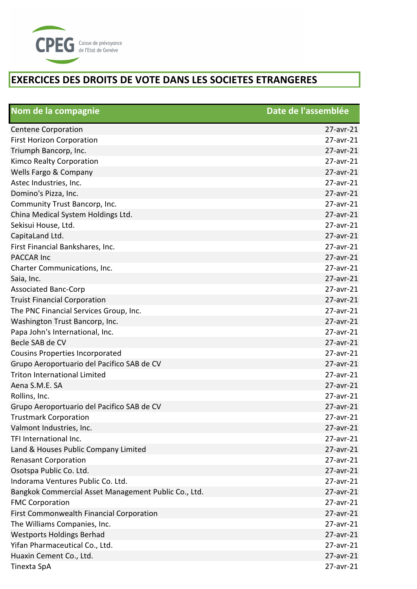

| Nom de la compagnie                                  | Date de l'assemblée |
|------------------------------------------------------|---------------------|
| <b>Centene Corporation</b>                           | $27$ -avr- $21$     |
| <b>First Horizon Corporation</b>                     | 27-avr-21           |
| Triumph Bancorp, Inc.                                | 27-avr-21           |
| Kimco Realty Corporation                             | 27-avr-21           |
| Wells Fargo & Company                                | 27-avr-21           |
| Astec Industries, Inc.                               | 27-avr-21           |
| Domino's Pizza, Inc.                                 | 27-avr-21           |
| Community Trust Bancorp, Inc.                        | 27-avr-21           |
| China Medical System Holdings Ltd.                   | 27-avr-21           |
| Sekisui House, Ltd.                                  | 27-avr-21           |
| CapitaLand Ltd.                                      | 27-avr-21           |
| First Financial Bankshares, Inc.                     | 27-avr-21           |
| <b>PACCAR Inc</b>                                    | 27-avr-21           |
| Charter Communications, Inc.                         | 27-avr-21           |
| Saia, Inc.                                           | 27-avr-21           |
| <b>Associated Banc-Corp</b>                          | 27-avr-21           |
| <b>Truist Financial Corporation</b>                  | $27$ -avr- $21$     |
| The PNC Financial Services Group, Inc.               | 27-avr-21           |
| Washington Trust Bancorp, Inc.                       | 27-avr-21           |
| Papa John's International, Inc.                      | 27-avr-21           |
| Becle SAB de CV                                      | 27-avr-21           |
| <b>Cousins Properties Incorporated</b>               | 27-avr-21           |
| Grupo Aeroportuario del Pacifico SAB de CV           | 27-avr-21           |
| <b>Triton International Limited</b>                  | 27-avr-21           |
| Aena S.M.E. SA                                       | 27-avr-21           |
| Rollins, Inc.                                        | 27-avr-21           |
| Grupo Aeroportuario del Pacifico SAB de CV           | 27-avr-21           |
| <b>Trustmark Corporation</b>                         | 27-avr-21           |
| Valmont Industries, Inc.                             | 27-avr-21           |
| TFI International Inc.                               | 27-avr-21           |
| Land & Houses Public Company Limited                 | 27-avr-21           |
| <b>Renasant Corporation</b>                          | 27-avr-21           |
| Osotspa Public Co. Ltd.                              | 27-avr-21           |
| Indorama Ventures Public Co. Ltd.                    | 27-avr-21           |
| Bangkok Commercial Asset Management Public Co., Ltd. | 27-avr-21           |
| <b>FMC Corporation</b>                               | 27-avr-21           |
| First Commonwealth Financial Corporation             | 27-avr-21           |
| The Williams Companies, Inc.                         | 27-avr-21           |
| <b>Westports Holdings Berhad</b>                     | 27-avr-21           |
| Yifan Pharmaceutical Co., Ltd.                       | 27-avr-21           |
| Huaxin Cement Co., Ltd.                              | 27-avr-21           |
| Tinexta SpA                                          | 27-avr-21           |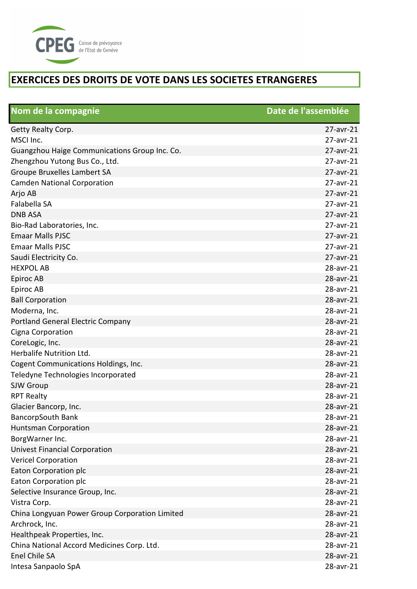

| Nom de la compagnie                            | Date de l'assemblée |
|------------------------------------------------|---------------------|
| Getty Realty Corp.                             | $27$ -avr- $21$     |
| MSCI Inc.                                      | 27-avr-21           |
| Guangzhou Haige Communications Group Inc. Co.  | 27-avr-21           |
| Zhengzhou Yutong Bus Co., Ltd.                 | 27-avr-21           |
| Groupe Bruxelles Lambert SA                    | 27-avr-21           |
| <b>Camden National Corporation</b>             | 27-avr-21           |
| Arjo AB                                        | 27-avr-21           |
| Falabella SA                                   | 27-avr-21           |
| <b>DNB ASA</b>                                 | 27-avr-21           |
| Bio-Rad Laboratories, Inc.                     | 27-avr-21           |
| <b>Emaar Malls PJSC</b>                        | 27-avr-21           |
| <b>Emaar Malls PJSC</b>                        | 27-avr-21           |
| Saudi Electricity Co.                          | 27-avr-21           |
| <b>HEXPOL AB</b>                               | 28-avr-21           |
| Epiroc AB                                      | 28-avr-21           |
| Epiroc AB                                      | 28-avr-21           |
| <b>Ball Corporation</b>                        | 28-avr-21           |
| Moderna, Inc.                                  | 28-avr-21           |
| <b>Portland General Electric Company</b>       | 28-avr-21           |
| Cigna Corporation                              | 28-avr-21           |
| CoreLogic, Inc.                                | 28-avr-21           |
| Herbalife Nutrition Ltd.                       | 28-avr-21           |
| Cogent Communications Holdings, Inc.           | 28-avr-21           |
| Teledyne Technologies Incorporated             | 28-avr-21           |
| SJW Group                                      | 28-avr-21           |
| <b>RPT Realty</b>                              | 28-avr-21           |
| Glacier Bancorp, Inc.                          | 28-avr-21           |
| <b>BancorpSouth Bank</b>                       | 28-avr-21           |
| <b>Huntsman Corporation</b>                    | 28-avr-21           |
| BorgWarner Inc.                                | 28-avr-21           |
| <b>Univest Financial Corporation</b>           | 28-avr-21           |
| <b>Vericel Corporation</b>                     | 28-avr-21           |
| Eaton Corporation plc                          | 28-avr-21           |
| Eaton Corporation plc                          | 28-avr-21           |
| Selective Insurance Group, Inc.                | 28-avr-21           |
| Vistra Corp.                                   | 28-avr-21           |
| China Longyuan Power Group Corporation Limited | 28-avr-21           |
| Archrock, Inc.                                 | 28-avr-21           |
| Healthpeak Properties, Inc.                    | 28-avr-21           |
| China National Accord Medicines Corp. Ltd.     | 28-avr-21           |
| Enel Chile SA                                  | 28-avr-21           |
| Intesa Sanpaolo SpA                            | 28-avr-21           |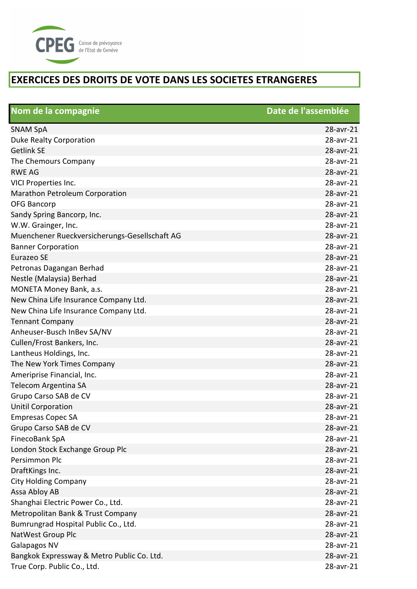

| Nom de la compagnie                           | Date de l'assemblée |
|-----------------------------------------------|---------------------|
| <b>SNAM SpA</b>                               | 28-avr-21           |
| Duke Realty Corporation                       | 28-avr-21           |
| <b>Getlink SE</b>                             | 28-avr-21           |
| The Chemours Company                          | 28-avr-21           |
| <b>RWE AG</b>                                 | 28-avr-21           |
| VICI Properties Inc.                          | 28-avr-21           |
| Marathon Petroleum Corporation                | 28-avr-21           |
| <b>OFG Bancorp</b>                            | 28-avr-21           |
| Sandy Spring Bancorp, Inc.                    | 28-avr-21           |
| W.W. Grainger, Inc.                           | 28-avr-21           |
| Muenchener Rueckversicherungs-Gesellschaft AG | 28-avr-21           |
| <b>Banner Corporation</b>                     | 28-avr-21           |
| Eurazeo SE                                    | 28-avr-21           |
| Petronas Dagangan Berhad                      | 28-avr-21           |
| Nestle (Malaysia) Berhad                      | 28-avr-21           |
| MONETA Money Bank, a.s.                       | 28-avr-21           |
| New China Life Insurance Company Ltd.         | 28-avr-21           |
| New China Life Insurance Company Ltd.         | 28-avr-21           |
| <b>Tennant Company</b>                        | 28-avr-21           |
| Anheuser-Busch InBev SA/NV                    | 28-avr-21           |
| Cullen/Frost Bankers, Inc.                    | 28-avr-21           |
| Lantheus Holdings, Inc.                       | 28-avr-21           |
| The New York Times Company                    | 28-avr-21           |
| Ameriprise Financial, Inc.                    | 28-avr-21           |
| Telecom Argentina SA                          | 28-avr-21           |
| Grupo Carso SAB de CV                         | 28-avr-21           |
| <b>Unitil Corporation</b>                     | 28-avr-21           |
| <b>Empresas Copec SA</b>                      | 28-avr-21           |
| Grupo Carso SAB de CV                         | 28-avr-21           |
| FinecoBank SpA                                | 28-avr-21           |
| London Stock Exchange Group Plc               | 28-avr-21           |
| Persimmon Plc                                 | 28-avr-21           |
| DraftKings Inc.                               | 28-avr-21           |
| <b>City Holding Company</b>                   | 28-avr-21           |
| Assa Abloy AB                                 | 28-avr-21           |
| Shanghai Electric Power Co., Ltd.             | 28-avr-21           |
| Metropolitan Bank & Trust Company             | 28-avr-21           |
| Bumrungrad Hospital Public Co., Ltd.          | 28-avr-21           |
| NatWest Group Plc                             | 28-avr-21           |
| Galapagos NV                                  | 28-avr-21           |
| Bangkok Expressway & Metro Public Co. Ltd.    | 28-avr-21           |
| True Corp. Public Co., Ltd.                   | 28-avr-21           |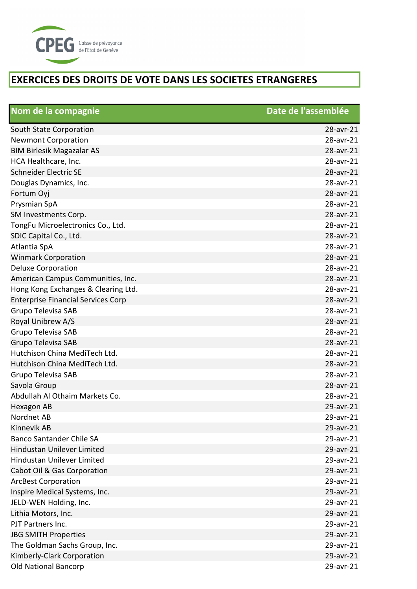

| Nom de la compagnie                       | Date de l'assemblée |
|-------------------------------------------|---------------------|
| South State Corporation                   | 28-avr-21           |
| <b>Newmont Corporation</b>                | 28-avr-21           |
| <b>BIM Birlesik Magazalar AS</b>          | 28-avr-21           |
| HCA Healthcare, Inc.                      | 28-avr-21           |
| <b>Schneider Electric SE</b>              | 28-avr-21           |
| Douglas Dynamics, Inc.                    | 28-avr-21           |
| Fortum Oyj                                | 28-avr-21           |
| Prysmian SpA                              | 28-avr-21           |
| SM Investments Corp.                      | 28-avr-21           |
| TongFu Microelectronics Co., Ltd.         | 28-avr-21           |
| SDIC Capital Co., Ltd.                    | 28-avr-21           |
| Atlantia SpA                              | 28-avr-21           |
| <b>Winmark Corporation</b>                | 28-avr-21           |
| <b>Deluxe Corporation</b>                 | 28-avr-21           |
| American Campus Communities, Inc.         | 28-avr-21           |
| Hong Kong Exchanges & Clearing Ltd.       | 28-avr-21           |
| <b>Enterprise Financial Services Corp</b> | 28-avr-21           |
| Grupo Televisa SAB                        | 28-avr-21           |
| Royal Unibrew A/S                         | 28-avr-21           |
| Grupo Televisa SAB                        | 28-avr-21           |
| <b>Grupo Televisa SAB</b>                 | 28-avr-21           |
| Hutchison China MediTech Ltd.             | 28-avr-21           |
| Hutchison China MediTech Ltd.             | 28-avr-21           |
| Grupo Televisa SAB                        | 28-avr-21           |
| Savola Group                              | 28-avr-21           |
| Abdullah Al Othaim Markets Co.            | 28-avr-21           |
| Hexagon AB                                | 29-avr-21           |
| Nordnet AB                                | 29-avr-21           |
| <b>Kinnevik AB</b>                        | 29-avr-21           |
| <b>Banco Santander Chile SA</b>           | 29-avr-21           |
| <b>Hindustan Unilever Limited</b>         | 29-avr-21           |
| <b>Hindustan Unilever Limited</b>         | 29-avr-21           |
| Cabot Oil & Gas Corporation               | 29-avr-21           |
| <b>ArcBest Corporation</b>                | 29-avr-21           |
| Inspire Medical Systems, Inc.             | 29-avr-21           |
| JELD-WEN Holding, Inc.                    | 29-avr-21           |
| Lithia Motors, Inc.                       | 29-avr-21           |
| PJT Partners Inc.                         | 29-avr-21           |
| <b>JBG SMITH Properties</b>               | 29-avr-21           |
| The Goldman Sachs Group, Inc.             | 29-avr-21           |
| Kimberly-Clark Corporation                | 29-avr-21           |
| <b>Old National Bancorp</b>               | 29-avr-21           |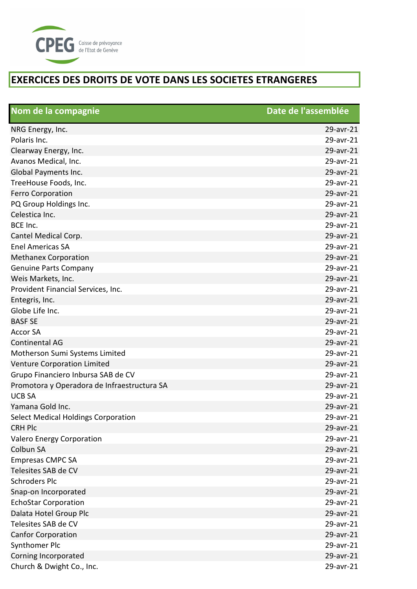

| Nom de la compagnie                         | Date de l'assemblée |
|---------------------------------------------|---------------------|
| NRG Energy, Inc.                            | 29-avr-21           |
| Polaris Inc.                                | 29-avr-21           |
| Clearway Energy, Inc.                       | 29-avr-21           |
| Avanos Medical, Inc.                        | 29-avr-21           |
| Global Payments Inc.                        | 29-avr-21           |
| TreeHouse Foods, Inc.                       | 29-avr-21           |
| <b>Ferro Corporation</b>                    | 29-avr-21           |
| PQ Group Holdings Inc.                      | 29-avr-21           |
| Celestica Inc.                              | 29-avr-21           |
| BCE Inc.                                    | 29-avr-21           |
| Cantel Medical Corp.                        | 29-avr-21           |
| <b>Enel Americas SA</b>                     | 29-avr-21           |
| <b>Methanex Corporation</b>                 | 29-avr-21           |
| <b>Genuine Parts Company</b>                | 29-avr-21           |
| Weis Markets, Inc.                          | 29-avr-21           |
| Provident Financial Services, Inc.          | 29-avr-21           |
| Entegris, Inc.                              | 29-avr-21           |
| Globe Life Inc.                             | 29-avr-21           |
| <b>BASF SE</b>                              | 29-avr-21           |
| <b>Accor SA</b>                             | 29-avr-21           |
| <b>Continental AG</b>                       | 29-avr-21           |
| Motherson Sumi Systems Limited              | 29-avr-21           |
| <b>Venture Corporation Limited</b>          | 29-avr-21           |
| Grupo Financiero Inbursa SAB de CV          | 29-avr-21           |
| Promotora y Operadora de Infraestructura SA | 29-avr-21           |
| <b>UCB SA</b>                               | 29-avr-21           |
| Yamana Gold Inc.                            | 29-avr-21           |
| Select Medical Holdings Corporation         | 29-avr-21           |
| <b>CRH Plc</b>                              | 29-avr-21           |
| Valero Energy Corporation                   | 29-avr-21           |
| Colbun SA                                   | 29-avr-21           |
| <b>Empresas CMPC SA</b>                     | 29-avr-21           |
| Telesites SAB de CV                         | 29-avr-21           |
| <b>Schroders Plc</b>                        | 29-avr-21           |
| Snap-on Incorporated                        | 29-avr-21           |
| <b>EchoStar Corporation</b>                 | 29-avr-21           |
| Dalata Hotel Group Plc                      | 29-avr-21           |
| Telesites SAB de CV                         | 29-avr-21           |
| <b>Canfor Corporation</b>                   | 29-avr-21           |
| Synthomer Plc                               | 29-avr-21           |
| Corning Incorporated                        | 29-avr-21           |
| Church & Dwight Co., Inc.                   | 29-avr-21           |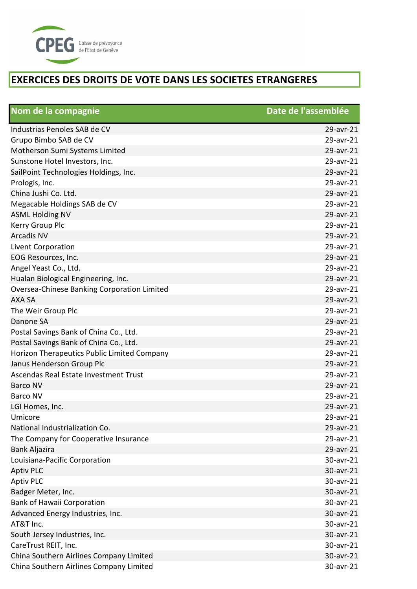

| Nom de la compagnie                         | Date de l'assemblée |
|---------------------------------------------|---------------------|
| Industrias Penoles SAB de CV                | 29-avr-21           |
| Grupo Bimbo SAB de CV                       | 29-avr-21           |
| Motherson Sumi Systems Limited              | 29-avr-21           |
| Sunstone Hotel Investors, Inc.              | 29-avr-21           |
| SailPoint Technologies Holdings, Inc.       | 29-avr-21           |
| Prologis, Inc.                              | 29-avr-21           |
| China Jushi Co. Ltd.                        | 29-avr-21           |
| Megacable Holdings SAB de CV                | 29-avr-21           |
| <b>ASML Holding NV</b>                      | 29-avr-21           |
| Kerry Group Plc                             | 29-avr-21           |
| <b>Arcadis NV</b>                           | 29-avr-21           |
| Livent Corporation                          | 29-avr-21           |
| EOG Resources, Inc.                         | 29-avr-21           |
| Angel Yeast Co., Ltd.                       | 29-avr-21           |
| Hualan Biological Engineering, Inc.         | 29-avr-21           |
| Oversea-Chinese Banking Corporation Limited | 29-avr-21           |
| <b>AXA SA</b>                               | 29-avr-21           |
| The Weir Group Plc                          | 29-avr-21           |
| Danone SA                                   | 29-avr-21           |
| Postal Savings Bank of China Co., Ltd.      | 29-avr-21           |
| Postal Savings Bank of China Co., Ltd.      | 29-avr-21           |
| Horizon Therapeutics Public Limited Company | 29-avr-21           |
| Janus Henderson Group Plc                   | 29-avr-21           |
| Ascendas Real Estate Investment Trust       | 29-avr-21           |
| <b>Barco NV</b>                             | 29-avr-21           |
| <b>Barco NV</b>                             | 29-avr-21           |
| LGI Homes, Inc.                             | 29-avr-21           |
| Umicore                                     | 29-avr-21           |
| National Industrialization Co.              | 29-avr-21           |
| The Company for Cooperative Insurance       | 29-avr-21           |
| Bank Aljazira                               | 29-avr-21           |
| Louisiana-Pacific Corporation               | 30-avr-21           |
| <b>Aptiv PLC</b>                            | 30-avr-21           |
| <b>Aptiv PLC</b>                            | 30-avr-21           |
| Badger Meter, Inc.                          | 30-avr-21           |
| <b>Bank of Hawaii Corporation</b>           | 30-avr-21           |
| Advanced Energy Industries, Inc.            | 30-avr-21           |
| AT&T Inc.                                   | 30-avr-21           |
| South Jersey Industries, Inc.               | 30-avr-21           |
| CareTrust REIT, Inc.                        | 30-avr-21           |
| China Southern Airlines Company Limited     | 30-avr-21           |
| China Southern Airlines Company Limited     | 30-avr-21           |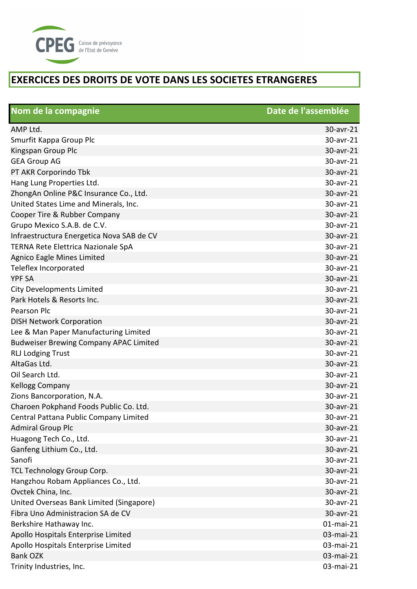

| Nom de la compagnie                           | Date de l'assemblée |
|-----------------------------------------------|---------------------|
| AMP Ltd.                                      | 30-avr-21           |
| Smurfit Kappa Group Plc                       | 30-avr-21           |
| Kingspan Group Plc                            | 30-avr-21           |
| <b>GEA Group AG</b>                           | 30-avr-21           |
| PT AKR Corporindo Tbk                         | 30-avr-21           |
| Hang Lung Properties Ltd.                     | 30-avr-21           |
| ZhongAn Online P&C Insurance Co., Ltd.        | 30-avr-21           |
| United States Lime and Minerals, Inc.         | 30-avr-21           |
| Cooper Tire & Rubber Company                  | 30-avr-21           |
| Grupo Mexico S.A.B. de C.V.                   | 30-avr-21           |
| Infraestructura Energetica Nova SAB de CV     | 30-avr-21           |
| TERNA Rete Elettrica Nazionale SpA            | 30-avr-21           |
| Agnico Eagle Mines Limited                    | 30-avr-21           |
| Teleflex Incorporated                         | 30-avr-21           |
| <b>YPF SA</b>                                 | 30-avr-21           |
| <b>City Developments Limited</b>              | 30-avr-21           |
| Park Hotels & Resorts Inc.                    | 30-avr-21           |
| Pearson Plc                                   | 30-avr-21           |
| <b>DISH Network Corporation</b>               | 30-avr-21           |
| Lee & Man Paper Manufacturing Limited         | 30-avr-21           |
| <b>Budweiser Brewing Company APAC Limited</b> | 30-avr-21           |
| <b>RLJ Lodging Trust</b>                      | 30-avr-21           |
| AltaGas Ltd.                                  | 30-avr-21           |
| Oil Search Ltd.                               | 30-avr-21           |
| Kellogg Company                               | 30-avr-21           |
| Zions Bancorporation, N.A.                    | 30-avr-21           |
| Charoen Pokphand Foods Public Co. Ltd.        | 30-avr-21           |
| Central Pattana Public Company Limited        | 30-avr-21           |
| <b>Admiral Group Plc</b>                      | 30-avr-21           |
| Huagong Tech Co., Ltd.                        | 30-avr-21           |
| Ganfeng Lithium Co., Ltd.                     | 30-avr-21           |
| Sanofi                                        | 30-avr-21           |
| TCL Technology Group Corp.                    | 30-avr-21           |
| Hangzhou Robam Appliances Co., Ltd.           | 30-avr-21           |
| Ovctek China, Inc.                            | 30-avr-21           |
| United Overseas Bank Limited (Singapore)      | 30-avr-21           |
| Fibra Uno Administracion SA de CV             | 30-avr-21           |
| Berkshire Hathaway Inc.                       | 01-mai-21           |
| Apollo Hospitals Enterprise Limited           | 03-mai-21           |
| Apollo Hospitals Enterprise Limited           | 03-mai-21           |
| <b>Bank OZK</b>                               | 03-mai-21           |
| Trinity Industries, Inc.                      | 03-mai-21           |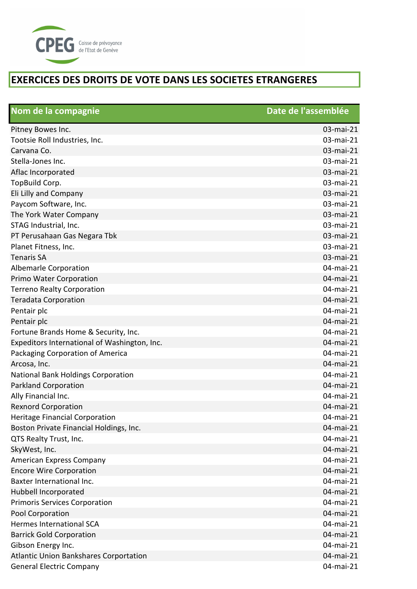

| Nom de la compagnie                           | Date de l'assemblée |
|-----------------------------------------------|---------------------|
| Pitney Bowes Inc.                             | 03-mai-21           |
| Tootsie Roll Industries, Inc.                 | 03-mai-21           |
| Carvana Co.                                   | 03-mai-21           |
| Stella-Jones Inc.                             | 03-mai-21           |
| Aflac Incorporated                            | 03-mai-21           |
| TopBuild Corp.                                | 03-mai-21           |
| Eli Lilly and Company                         | 03-mai-21           |
| Paycom Software, Inc.                         | 03-mai-21           |
| The York Water Company                        | 03-mai-21           |
| STAG Industrial, Inc.                         | 03-mai-21           |
| PT Perusahaan Gas Negara Tbk                  | 03-mai-21           |
| Planet Fitness, Inc.                          | 03-mai-21           |
| <b>Tenaris SA</b>                             | 03-mai-21           |
| <b>Albemarle Corporation</b>                  | 04-mai-21           |
| Primo Water Corporation                       | 04-mai-21           |
| <b>Terreno Realty Corporation</b>             | 04-mai-21           |
| <b>Teradata Corporation</b>                   | 04-mai-21           |
| Pentair plc                                   | 04-mai-21           |
| Pentair plc                                   | 04-mai-21           |
| Fortune Brands Home & Security, Inc.          | 04-mai-21           |
| Expeditors International of Washington, Inc.  | 04-mai-21           |
| Packaging Corporation of America              | 04-mai-21           |
| Arcosa, Inc.                                  | 04-mai-21           |
| National Bank Holdings Corporation            | 04-mai-21           |
| <b>Parkland Corporation</b>                   | 04-mai-21           |
| Ally Financial Inc.                           | 04-mai-21           |
| <b>Rexnord Corporation</b>                    | 04-mai-21           |
| <b>Heritage Financial Corporation</b>         | 04-mai-21           |
| Boston Private Financial Holdings, Inc.       | 04-mai-21           |
| QTS Realty Trust, Inc.                        | 04-mai-21           |
| SkyWest, Inc.                                 | 04-mai-21           |
| American Express Company                      | 04-mai-21           |
| <b>Encore Wire Corporation</b>                | 04-mai-21           |
| Baxter International Inc.                     | 04-mai-21           |
| Hubbell Incorporated                          | 04-mai-21           |
| <b>Primoris Services Corporation</b>          | 04-mai-21           |
| Pool Corporation                              | 04-mai-21           |
| <b>Hermes International SCA</b>               | 04-mai-21           |
| <b>Barrick Gold Corporation</b>               | 04-mai-21           |
| Gibson Energy Inc.                            | 04-mai-21           |
| <b>Atlantic Union Bankshares Corportation</b> | 04-mai-21           |
| <b>General Electric Company</b>               | 04-mai-21           |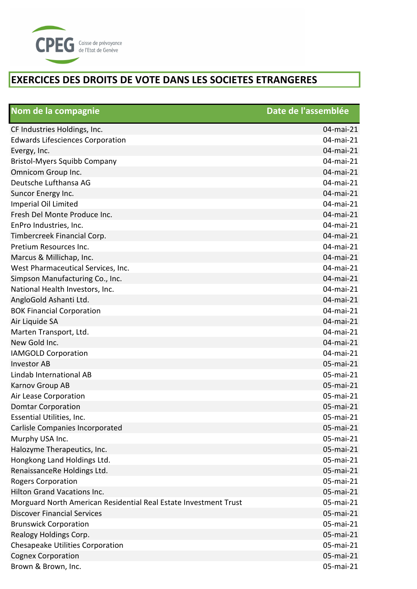

| Nom de la compagnie                                              | Date de l'assemblée |
|------------------------------------------------------------------|---------------------|
| CF Industries Holdings, Inc.                                     | 04-mai-21           |
| <b>Edwards Lifesciences Corporation</b>                          | 04-mai-21           |
| Evergy, Inc.                                                     | 04-mai-21           |
| <b>Bristol-Myers Squibb Company</b>                              | 04-mai-21           |
| Omnicom Group Inc.                                               | 04-mai-21           |
| Deutsche Lufthansa AG                                            | 04-mai-21           |
| Suncor Energy Inc.                                               | 04-mai-21           |
| Imperial Oil Limited                                             | 04-mai-21           |
| Fresh Del Monte Produce Inc.                                     | 04-mai-21           |
| EnPro Industries, Inc.                                           | 04-mai-21           |
| Timbercreek Financial Corp.                                      | 04-mai-21           |
| Pretium Resources Inc.                                           | 04-mai-21           |
| Marcus & Millichap, Inc.                                         | 04-mai-21           |
| West Pharmaceutical Services, Inc.                               | 04-mai-21           |
| Simpson Manufacturing Co., Inc.                                  | 04-mai-21           |
| National Health Investors, Inc.                                  | 04-mai-21           |
| AngloGold Ashanti Ltd.                                           | 04-mai-21           |
| <b>BOK Financial Corporation</b>                                 | 04-mai-21           |
| Air Liquide SA                                                   | 04-mai-21           |
| Marten Transport, Ltd.                                           | 04-mai-21           |
| New Gold Inc.                                                    | 04-mai-21           |
| <b>IAMGOLD Corporation</b>                                       | 04-mai-21           |
| <b>Investor AB</b>                                               | 05-mai-21           |
| Lindab International AB                                          | 05-mai-21           |
| Karnov Group AB                                                  | 05-mai-21           |
| Air Lease Corporation                                            | 05-mai-21           |
| <b>Domtar Corporation</b>                                        | 05-mai-21           |
| Essential Utilities, Inc.                                        | 05-mai-21           |
| Carlisle Companies Incorporated                                  | 05-mai-21           |
| Murphy USA Inc.                                                  | 05-mai-21           |
| Halozyme Therapeutics, Inc.                                      | 05-mai-21           |
| Hongkong Land Holdings Ltd.                                      | 05-mai-21           |
| RenaissanceRe Holdings Ltd.                                      | 05-mai-21           |
| <b>Rogers Corporation</b>                                        | 05-mai-21           |
| <b>Hilton Grand Vacations Inc.</b>                               | 05-mai-21           |
| Morguard North American Residential Real Estate Investment Trust | 05-mai-21           |
| <b>Discover Financial Services</b>                               | 05-mai-21           |
| <b>Brunswick Corporation</b>                                     | 05-mai-21           |
| Realogy Holdings Corp.                                           | 05-mai-21           |
| Chesapeake Utilities Corporation                                 | 05-mai-21           |
| <b>Cognex Corporation</b>                                        | 05-mai-21           |
| Brown & Brown, Inc.                                              | 05-mai-21           |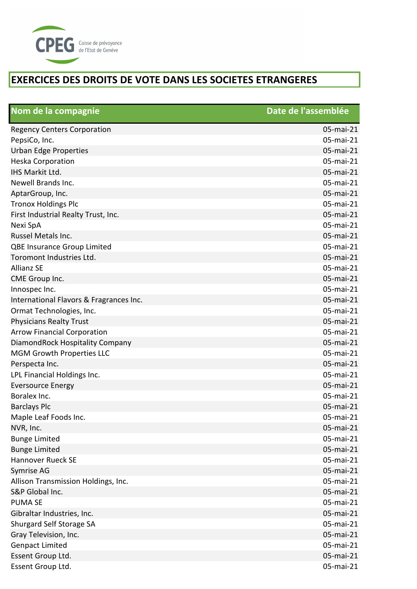

| Nom de la compagnie                     | Date de l'assemblée |
|-----------------------------------------|---------------------|
| <b>Regency Centers Corporation</b>      | 05-mai-21           |
| PepsiCo, Inc.                           | 05-mai-21           |
| <b>Urban Edge Properties</b>            | 05-mai-21           |
| <b>Heska Corporation</b>                | 05-mai-21           |
| IHS Markit Ltd.                         | 05-mai-21           |
| Newell Brands Inc.                      | 05-mai-21           |
| AptarGroup, Inc.                        | 05-mai-21           |
| <b>Tronox Holdings Plc</b>              | 05-mai-21           |
| First Industrial Realty Trust, Inc.     | 05-mai-21           |
| Nexi SpA                                | 05-mai-21           |
| Russel Metals Inc.                      | 05-mai-21           |
| QBE Insurance Group Limited             | 05-mai-21           |
| Toromont Industries Ltd.                | 05-mai-21           |
| <b>Allianz SE</b>                       | 05-mai-21           |
| CME Group Inc.                          | 05-mai-21           |
| Innospec Inc.                           | 05-mai-21           |
| International Flavors & Fragrances Inc. | 05-mai-21           |
| Ormat Technologies, Inc.                | 05-mai-21           |
| <b>Physicians Realty Trust</b>          | 05-mai-21           |
| <b>Arrow Financial Corporation</b>      | 05-mai-21           |
| DiamondRock Hospitality Company         | 05-mai-21           |
| <b>MGM Growth Properties LLC</b>        | 05-mai-21           |
| Perspecta Inc.                          | 05-mai-21           |
| LPL Financial Holdings Inc.             | 05-mai-21           |
| <b>Eversource Energy</b>                | 05-mai-21           |
| Boralex Inc.                            | 05-mai-21           |
| <b>Barclays Plc</b>                     | 05-mai-21           |
| Maple Leaf Foods Inc.                   | 05-mai-21           |
| NVR, Inc.                               | 05-mai-21           |
| <b>Bunge Limited</b>                    | 05-mai-21           |
| <b>Bunge Limited</b>                    | 05-mai-21           |
| <b>Hannover Rueck SE</b>                | 05-mai-21           |
| Symrise AG                              | 05-mai-21           |
| Allison Transmission Holdings, Inc.     | 05-mai-21           |
| S&P Global Inc.                         | 05-mai-21           |
| <b>PUMA SE</b>                          | 05-mai-21           |
| Gibraltar Industries, Inc.              | 05-mai-21           |
| Shurgard Self Storage SA                | 05-mai-21           |
| Gray Television, Inc.                   | 05-mai-21           |
| <b>Genpact Limited</b>                  | 05-mai-21           |
| Essent Group Ltd.                       | 05-mai-21           |
| Essent Group Ltd.                       | 05-mai-21           |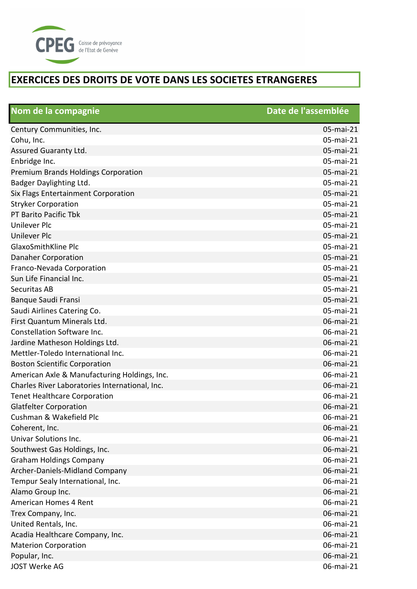

| Nom de la compagnie                            | Date de l'assemblée |
|------------------------------------------------|---------------------|
| Century Communities, Inc.                      | 05-mai-21           |
| Cohu, Inc.                                     | 05-mai-21           |
| Assured Guaranty Ltd.                          | 05-mai-21           |
| Enbridge Inc.                                  | 05-mai-21           |
| Premium Brands Holdings Corporation            | 05-mai-21           |
| Badger Daylighting Ltd.                        | 05-mai-21           |
| Six Flags Entertainment Corporation            | 05-mai-21           |
| <b>Stryker Corporation</b>                     | 05-mai-21           |
| PT Barito Pacific Tbk                          | 05-mai-21           |
| <b>Unilever Plc</b>                            | 05-mai-21           |
| <b>Unilever Plc</b>                            | 05-mai-21           |
| GlaxoSmithKline Plc                            | 05-mai-21           |
| <b>Danaher Corporation</b>                     | 05-mai-21           |
| Franco-Nevada Corporation                      | 05-mai-21           |
| Sun Life Financial Inc.                        | 05-mai-21           |
| <b>Securitas AB</b>                            | 05-mai-21           |
| Banque Saudi Fransi                            | 05-mai-21           |
| Saudi Airlines Catering Co.                    | 05-mai-21           |
| First Quantum Minerals Ltd.                    | 06-mai-21           |
| Constellation Software Inc.                    | 06-mai-21           |
| Jardine Matheson Holdings Ltd.                 | 06-mai-21           |
| Mettler-Toledo International Inc.              | 06-mai-21           |
| <b>Boston Scientific Corporation</b>           | 06-mai-21           |
| American Axle & Manufacturing Holdings, Inc.   | 06-mai-21           |
| Charles River Laboratories International, Inc. | 06-mai-21           |
| <b>Tenet Healthcare Corporation</b>            | 06-mai-21           |
| <b>Glatfelter Corporation</b>                  | 06-mai-21           |
| Cushman & Wakefield Plc                        | 06-mai-21           |
| Coherent, Inc.                                 | 06-mai-21           |
| Univar Solutions Inc.                          | 06-mai-21           |
| Southwest Gas Holdings, Inc.                   | 06-mai-21           |
| <b>Graham Holdings Company</b>                 | 06-mai-21           |
| Archer-Daniels-Midland Company                 | 06-mai-21           |
| Tempur Sealy International, Inc.               | 06-mai-21           |
| Alamo Group Inc.                               | 06-mai-21           |
| American Homes 4 Rent                          | 06-mai-21           |
| Trex Company, Inc.                             | 06-mai-21           |
| United Rentals, Inc.                           | 06-mai-21           |
| Acadia Healthcare Company, Inc.                | 06-mai-21           |
| <b>Materion Corporation</b>                    | 06-mai-21           |
| Popular, Inc.                                  | 06-mai-21           |
| <b>JOST Werke AG</b>                           | 06-mai-21           |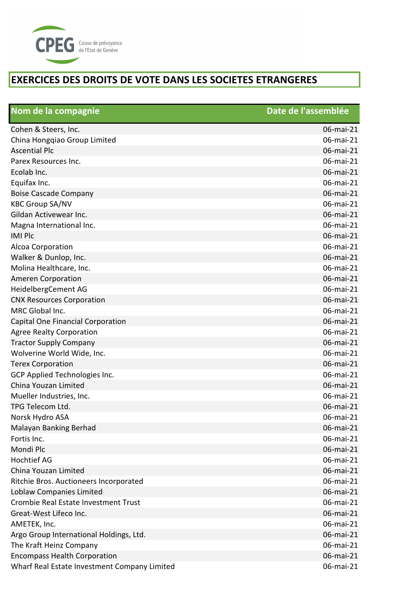

| Nom de la compagnie                          | Date de l'assemblée |
|----------------------------------------------|---------------------|
| Cohen & Steers, Inc.                         | 06-mai-21           |
| China Hongqiao Group Limited                 | 06-mai-21           |
| <b>Ascential Plc</b>                         | 06-mai-21           |
| Parex Resources Inc.                         | 06-mai-21           |
| Ecolab Inc.                                  | 06-mai-21           |
| Equifax Inc.                                 | 06-mai-21           |
| <b>Boise Cascade Company</b>                 | 06-mai-21           |
| <b>KBC Group SA/NV</b>                       | 06-mai-21           |
| Gildan Activewear Inc.                       | 06-mai-21           |
| Magna International Inc.                     | 06-mai-21           |
| <b>IMI Plc</b>                               | 06-mai-21           |
| Alcoa Corporation                            | 06-mai-21           |
| Walker & Dunlop, Inc.                        | 06-mai-21           |
| Molina Healthcare, Inc.                      | 06-mai-21           |
| <b>Ameren Corporation</b>                    | 06-mai-21           |
| HeidelbergCement AG                          | 06-mai-21           |
| <b>CNX Resources Corporation</b>             | 06-mai-21           |
| MRC Global Inc.                              | 06-mai-21           |
| Capital One Financial Corporation            | 06-mai-21           |
| <b>Agree Realty Corporation</b>              | 06-mai-21           |
| <b>Tractor Supply Company</b>                | 06-mai-21           |
| Wolverine World Wide, Inc.                   | 06-mai-21           |
| <b>Terex Corporation</b>                     | 06-mai-21           |
| GCP Applied Technologies Inc.                | 06-mai-21           |
| China Youzan Limited                         | 06-mai-21           |
| Mueller Industries, Inc.                     | 06-mai-21           |
| TPG Telecom Ltd.                             | 06-mai-21           |
| Norsk Hydro ASA                              | 06-mai-21           |
| Malayan Banking Berhad                       | 06-mai-21           |
| Fortis Inc.                                  | 06-mai-21           |
| Mondi Plc                                    | 06-mai-21           |
| <b>Hochtief AG</b>                           | 06-mai-21           |
| China Youzan Limited                         | 06-mai-21           |
| Ritchie Bros. Auctioneers Incorporated       | 06-mai-21           |
| Loblaw Companies Limited                     | 06-mai-21           |
| Crombie Real Estate Investment Trust         | 06-mai-21           |
| Great-West Lifeco Inc.                       | 06-mai-21           |
| AMETEK, Inc.                                 | 06-mai-21           |
| Argo Group International Holdings, Ltd.      | 06-mai-21           |
| The Kraft Heinz Company                      | 06-mai-21           |
| <b>Encompass Health Corporation</b>          | 06-mai-21           |
| Wharf Real Estate Investment Company Limited | 06-mai-21           |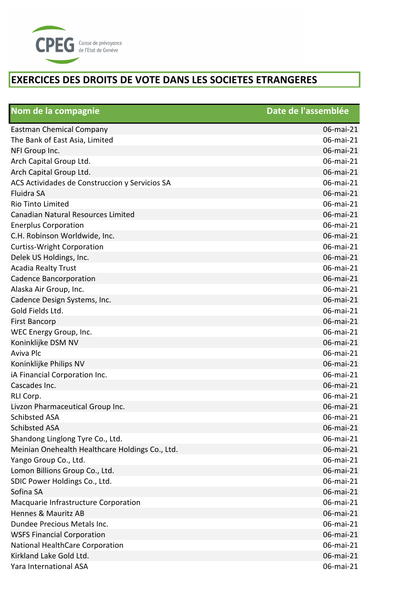

| Nom de la compagnie                             | Date de l'assemblée |
|-------------------------------------------------|---------------------|
| <b>Eastman Chemical Company</b>                 | 06-mai-21           |
| The Bank of East Asia, Limited                  | 06-mai-21           |
| NFI Group Inc.                                  | 06-mai-21           |
| Arch Capital Group Ltd.                         | 06-mai-21           |
| Arch Capital Group Ltd.                         | 06-mai-21           |
| ACS Actividades de Construccion y Servicios SA  | 06-mai-21           |
| Fluidra SA                                      | 06-mai-21           |
| Rio Tinto Limited                               | 06-mai-21           |
| Canadian Natural Resources Limited              | 06-mai-21           |
| <b>Enerplus Corporation</b>                     | 06-mai-21           |
| C.H. Robinson Worldwide, Inc.                   | 06-mai-21           |
| <b>Curtiss-Wright Corporation</b>               | 06-mai-21           |
| Delek US Holdings, Inc.                         | 06-mai-21           |
| <b>Acadia Realty Trust</b>                      | 06-mai-21           |
| <b>Cadence Bancorporation</b>                   | 06-mai-21           |
| Alaska Air Group, Inc.                          | 06-mai-21           |
| Cadence Design Systems, Inc.                    | 06-mai-21           |
| Gold Fields Ltd.                                | 06-mai-21           |
| <b>First Bancorp</b>                            | 06-mai-21           |
| WEC Energy Group, Inc.                          | 06-mai-21           |
| Koninklijke DSM NV                              | 06-mai-21           |
| Aviva Plc                                       | 06-mai-21           |
| Koninklijke Philips NV                          | 06-mai-21           |
| iA Financial Corporation Inc.                   | 06-mai-21           |
| Cascades Inc.                                   | 06-mai-21           |
| RLI Corp.                                       | 06-mai-21           |
| Livzon Pharmaceutical Group Inc.                | 06-mai-21           |
| <b>Schibsted ASA</b>                            | 06-mai-21           |
| <b>Schibsted ASA</b>                            | 06-mai-21           |
| Shandong Linglong Tyre Co., Ltd.                | 06-mai-21           |
| Meinian Onehealth Healthcare Holdings Co., Ltd. | 06-mai-21           |
| Yango Group Co., Ltd.                           | 06-mai-21           |
| Lomon Billions Group Co., Ltd.                  | 06-mai-21           |
| SDIC Power Holdings Co., Ltd.                   | 06-mai-21           |
| Sofina SA                                       | 06-mai-21           |
| Macquarie Infrastructure Corporation            | 06-mai-21           |
| Hennes & Mauritz AB                             | 06-mai-21           |
| Dundee Precious Metals Inc.                     | 06-mai-21           |
| <b>WSFS Financial Corporation</b>               | 06-mai-21           |
| National HealthCare Corporation                 | 06-mai-21           |
| Kirkland Lake Gold Ltd.                         | 06-mai-21           |
| Yara International ASA                          | 06-mai-21           |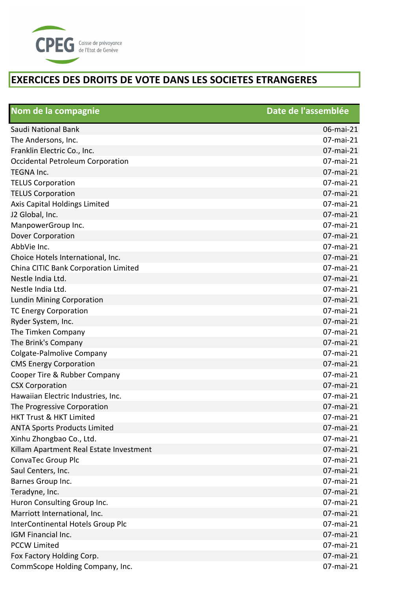

| Nom de la compagnie                     | Date de l'assemblée |
|-----------------------------------------|---------------------|
| Saudi National Bank                     | 06-mai-21           |
| The Andersons, Inc.                     | 07-mai-21           |
| Franklin Electric Co., Inc.             | 07-mai-21           |
| Occidental Petroleum Corporation        | 07-mai-21           |
| <b>TEGNA Inc.</b>                       | 07-mai-21           |
| <b>TELUS Corporation</b>                | 07-mai-21           |
| <b>TELUS Corporation</b>                | 07-mai-21           |
| Axis Capital Holdings Limited           | 07-mai-21           |
| J2 Global, Inc.                         | 07-mai-21           |
| ManpowerGroup Inc.                      | 07-mai-21           |
| Dover Corporation                       | 07-mai-21           |
| AbbVie Inc.                             | 07-mai-21           |
| Choice Hotels International, Inc.       | 07-mai-21           |
| China CITIC Bank Corporation Limited    | 07-mai-21           |
| Nestle India Ltd.                       | 07-mai-21           |
| Nestle India Ltd.                       | 07-mai-21           |
| Lundin Mining Corporation               | 07-mai-21           |
| <b>TC Energy Corporation</b>            | 07-mai-21           |
| Ryder System, Inc.                      | 07-mai-21           |
| The Timken Company                      | 07-mai-21           |
| The Brink's Company                     | 07-mai-21           |
| Colgate-Palmolive Company               | 07-mai-21           |
| <b>CMS Energy Corporation</b>           | 07-mai-21           |
| Cooper Tire & Rubber Company            | 07-mai-21           |
| <b>CSX Corporation</b>                  | 07-mai-21           |
| Hawaiian Electric Industries, Inc.      | 07-mai-21           |
| The Progressive Corporation             | 07-mai-21           |
| HKT Trust & HKT Limited                 | 07-mai-21           |
| <b>ANTA Sports Products Limited</b>     | 07-mai-21           |
| Xinhu Zhongbao Co., Ltd.                | 07-mai-21           |
| Killam Apartment Real Estate Investment | 07-mai-21           |
| ConvaTec Group Plc                      | 07-mai-21           |
| Saul Centers, Inc.                      | 07-mai-21           |
| Barnes Group Inc.                       | 07-mai-21           |
| Teradyne, Inc.                          | 07-mai-21           |
| Huron Consulting Group Inc.             | 07-mai-21           |
| Marriott International, Inc.            | 07-mai-21           |
| InterContinental Hotels Group Plc       | 07-mai-21           |
| IGM Financial Inc.                      | 07-mai-21           |
| <b>PCCW Limited</b>                     | 07-mai-21           |
| Fox Factory Holding Corp.               | 07-mai-21           |
| CommScope Holding Company, Inc.         | 07-mai-21           |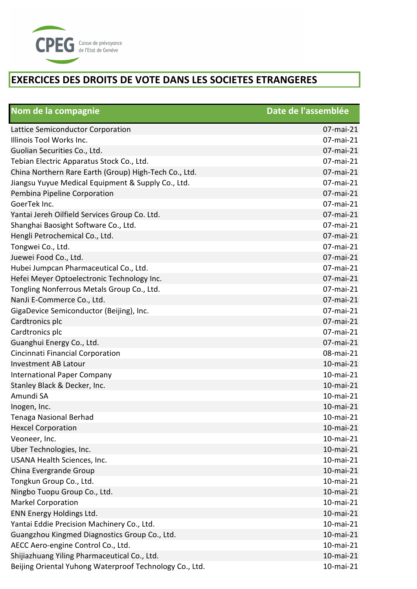

| Nom de la compagnie                                     | Date de l'assemblée |
|---------------------------------------------------------|---------------------|
| Lattice Semiconductor Corporation                       | 07-mai-21           |
| Illinois Tool Works Inc.                                | 07-mai-21           |
| Guolian Securities Co., Ltd.                            | 07-mai-21           |
| Tebian Electric Apparatus Stock Co., Ltd.               | 07-mai-21           |
| China Northern Rare Earth (Group) High-Tech Co., Ltd.   | 07-mai-21           |
| Jiangsu Yuyue Medical Equipment & Supply Co., Ltd.      | 07-mai-21           |
| Pembina Pipeline Corporation                            | 07-mai-21           |
| GoerTek Inc.                                            | 07-mai-21           |
| Yantai Jereh Oilfield Services Group Co. Ltd.           | 07-mai-21           |
| Shanghai Baosight Software Co., Ltd.                    | 07-mai-21           |
| Hengli Petrochemical Co., Ltd.                          | 07-mai-21           |
| Tongwei Co., Ltd.                                       | 07-mai-21           |
| Juewei Food Co., Ltd.                                   | 07-mai-21           |
| Hubei Jumpcan Pharmaceutical Co., Ltd.                  | 07-mai-21           |
| Hefei Meyer Optoelectronic Technology Inc.              | 07-mai-21           |
| Tongling Nonferrous Metals Group Co., Ltd.              | 07-mai-21           |
| NanJi E-Commerce Co., Ltd.                              | 07-mai-21           |
| GigaDevice Semiconductor (Beijing), Inc.                | 07-mai-21           |
| Cardtronics plc                                         | 07-mai-21           |
| Cardtronics plc                                         | 07-mai-21           |
| Guanghui Energy Co., Ltd.                               | 07-mai-21           |
| Cincinnati Financial Corporation                        | 08-mai-21           |
| <b>Investment AB Latour</b>                             | 10-mai-21           |
| <b>International Paper Company</b>                      | 10-mai-21           |
| Stanley Black & Decker, Inc.                            | 10-mai-21           |
| Amundi SA                                               | 10-mai-21           |
| Inogen, Inc.                                            | 10-mai-21           |
| <b>Tenaga Nasional Berhad</b>                           | 10-mai-21           |
| <b>Hexcel Corporation</b>                               | 10-mai-21           |
| Veoneer, Inc.                                           | 10-mai-21           |
| Uber Technologies, Inc.                                 | 10-mai-21           |
| USANA Health Sciences, Inc.                             | 10-mai-21           |
| China Evergrande Group                                  | 10-mai-21           |
| Tongkun Group Co., Ltd.                                 | 10-mai-21           |
| Ningbo Tuopu Group Co., Ltd.                            | 10-mai-21           |
| <b>Markel Corporation</b>                               | 10-mai-21           |
| ENN Energy Holdings Ltd.                                | 10-mai-21           |
| Yantai Eddie Precision Machinery Co., Ltd.              | 10-mai-21           |
| Guangzhou Kingmed Diagnostics Group Co., Ltd.           | 10-mai-21           |
| AECC Aero-engine Control Co., Ltd.                      | 10-mai-21           |
| Shijiazhuang Yiling Pharmaceutical Co., Ltd.            | 10-mai-21           |
| Beijing Oriental Yuhong Waterproof Technology Co., Ltd. | 10-mai-21           |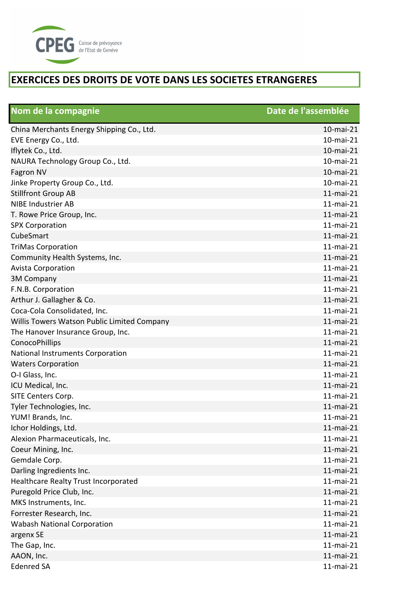

| Nom de la compagnie                         | Date de l'assemblée |
|---------------------------------------------|---------------------|
| China Merchants Energy Shipping Co., Ltd.   | 10-mai-21           |
| EVE Energy Co., Ltd.                        | 10-mai-21           |
| Iflytek Co., Ltd.                           | 10-mai-21           |
| NAURA Technology Group Co., Ltd.            | 10-mai-21           |
| Fagron NV                                   | 10-mai-21           |
| Jinke Property Group Co., Ltd.              | 10-mai-21           |
| <b>Stillfront Group AB</b>                  | $11$ -mai-21        |
| <b>NIBE Industrier AB</b>                   | $11$ -mai-21        |
| T. Rowe Price Group, Inc.                   | 11-mai-21           |
| <b>SPX Corporation</b>                      | $11$ -mai-21        |
| CubeSmart                                   | 11-mai-21           |
| <b>TriMas Corporation</b>                   | $11$ -mai-21        |
| Community Health Systems, Inc.              | $11$ -mai-21        |
| <b>Avista Corporation</b>                   | $11$ -mai-21        |
| <b>3M Company</b>                           | $11$ -mai-21        |
| F.N.B. Corporation                          | $11$ -mai-21        |
| Arthur J. Gallagher & Co.                   | 11-mai-21           |
| Coca-Cola Consolidated, Inc.                | $11$ -mai-21        |
| Willis Towers Watson Public Limited Company | $11$ -mai-21        |
| The Hanover Insurance Group, Inc.           | $11$ -mai-21        |
| ConocoPhillips                              | 11-mai-21           |
| National Instruments Corporation            | 11-mai-21           |
| <b>Waters Corporation</b>                   | 11-mai-21           |
| O-I Glass, Inc.                             | $11$ -mai-21        |
| ICU Medical, Inc.                           | 11-mai-21           |
| SITE Centers Corp.                          | 11-mai-21           |
| Tyler Technologies, Inc.                    | $11$ -mai-21        |
| YUM! Brands, Inc.                           | 11-mai-21           |
| Ichor Holdings, Ltd.                        | 11-mai-21           |
| Alexion Pharmaceuticals, Inc.               | 11-mai-21           |
| Coeur Mining, Inc.                          | $11$ -mai-21        |
| Gemdale Corp.                               | $11$ -mai-21        |
| Darling Ingredients Inc.                    | $11$ -mai-21        |
| Healthcare Realty Trust Incorporated        | $11$ -mai-21        |
| Puregold Price Club, Inc.                   | $11$ -mai-21        |
| MKS Instruments, Inc.                       | 11-mai-21           |
| Forrester Research, Inc.                    | $11$ -mai-21        |
| <b>Wabash National Corporation</b>          | $11$ -mai-21        |
| argenx SE                                   | $11$ -mai-21        |
| The Gap, Inc.                               | $11$ -mai-21        |
| AAON, Inc.                                  | $11$ -mai-21        |
| <b>Edenred SA</b>                           | $11$ -mai-21        |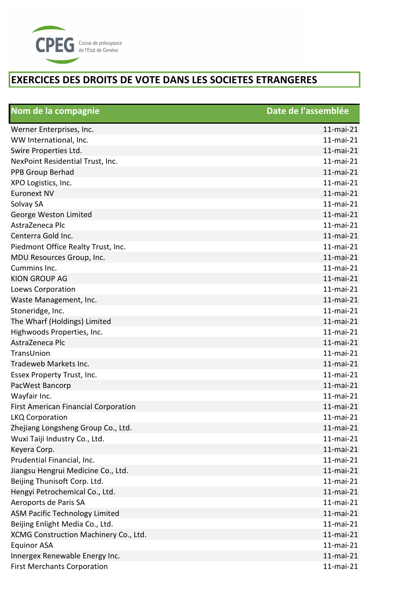

| Nom de la compagnie                         | Date de l'assemblée |
|---------------------------------------------|---------------------|
| Werner Enterprises, Inc.                    | 11-mai-21           |
| WW International, Inc.                      | $11$ -mai-21        |
| Swire Properties Ltd.                       | $11$ -mai-21        |
| NexPoint Residential Trust, Inc.            | $11$ -mai-21        |
| PPB Group Berhad                            | 11-mai-21           |
| XPO Logistics, Inc.                         | $11$ -mai-21        |
| <b>Euronext NV</b>                          | 11-mai-21           |
| Solvay SA                                   | $11$ -mai-21        |
| George Weston Limited                       | 11-mai-21           |
| AstraZeneca Plc                             | $11$ -mai-21        |
| Centerra Gold Inc.                          | 11-mai-21           |
| Piedmont Office Realty Trust, Inc.          | $11$ -mai-21        |
| MDU Resources Group, Inc.                   | $11$ -mai-21        |
| Cummins Inc.                                | $11$ -mai-21        |
| <b>KION GROUP AG</b>                        | 11-mai-21           |
| Loews Corporation                           | $11$ -mai-21        |
| Waste Management, Inc.                      | 11-mai-21           |
| Stoneridge, Inc.                            | $11$ -mai-21        |
| The Wharf (Holdings) Limited                | 11-mai-21           |
| Highwoods Properties, Inc.                  | $11$ -mai-21        |
| AstraZeneca Plc                             | 11-mai-21           |
| TransUnion                                  | $11$ -mai-21        |
| Tradeweb Markets Inc.                       | 11-mai-21           |
| Essex Property Trust, Inc.                  | $11$ -mai-21        |
| PacWest Bancorp                             | 11-mai-21           |
| Wayfair Inc.                                | 11-mai-21           |
| <b>First American Financial Corporation</b> | 11-mai-21           |
| <b>LKQ Corporation</b>                      | 11-mai-21           |
| Zhejiang Longsheng Group Co., Ltd.          | $11$ -mai-21        |
| Wuxi Taiji Industry Co., Ltd.               | $11$ -mai-21        |
| Keyera Corp.                                | $11$ -mai-21        |
| Prudential Financial, Inc.                  | $11$ -mai-21        |
| Jiangsu Hengrui Medicine Co., Ltd.          | 11-mai-21           |
| Beijing Thunisoft Corp. Ltd.                | 11-mai-21           |
| Hengyi Petrochemical Co., Ltd.              | $11$ -mai-21        |
| Aeroports de Paris SA                       | 11-mai-21           |
| <b>ASM Pacific Technology Limited</b>       | $11$ -mai-21        |
| Beijing Enlight Media Co., Ltd.             | $11$ -mai-21        |
| XCMG Construction Machinery Co., Ltd.       | $11$ -mai-21        |
| <b>Equinor ASA</b>                          | $11$ -mai-21        |
| Innergex Renewable Energy Inc.              | $11$ -mai-21        |
| <b>First Merchants Corporation</b>          | $11$ -mai-21        |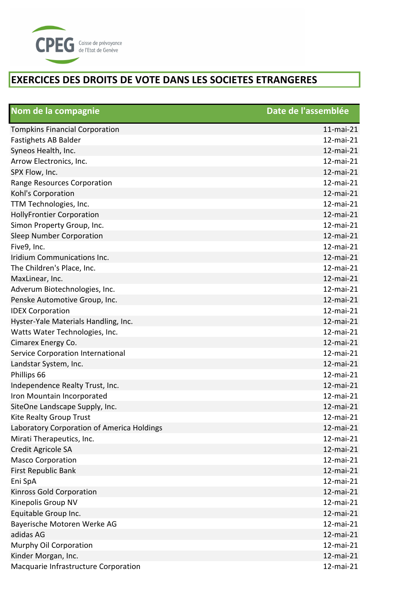

| Nom de la compagnie                        | Date de l'assemblée |
|--------------------------------------------|---------------------|
| <b>Tompkins Financial Corporation</b>      | $11$ -mai-21        |
| Fastighets AB Balder                       | 12-mai-21           |
| Syneos Health, Inc.                        | 12-mai-21           |
| Arrow Electronics, Inc.                    | 12-mai-21           |
| SPX Flow, Inc.                             | 12-mai-21           |
| Range Resources Corporation                | 12-mai-21           |
| Kohl's Corporation                         | 12-mai-21           |
| TTM Technologies, Inc.                     | 12-mai-21           |
| <b>HollyFrontier Corporation</b>           | 12-mai-21           |
| Simon Property Group, Inc.                 | 12-mai-21           |
| Sleep Number Corporation                   | 12-mai-21           |
| Five9, Inc.                                | 12-mai-21           |
| Iridium Communications Inc.                | 12-mai-21           |
| The Children's Place, Inc.                 | 12-mai-21           |
| MaxLinear, Inc.                            | 12-mai-21           |
| Adverum Biotechnologies, Inc.              | 12-mai-21           |
| Penske Automotive Group, Inc.              | 12-mai-21           |
| <b>IDEX Corporation</b>                    | 12-mai-21           |
| Hyster-Yale Materials Handling, Inc.       | 12-mai-21           |
| Watts Water Technologies, Inc.             | 12-mai-21           |
| Cimarex Energy Co.                         | 12-mai-21           |
| Service Corporation International          | 12-mai-21           |
| Landstar System, Inc.                      | 12-mai-21           |
| Phillips 66                                | 12-mai-21           |
| Independence Realty Trust, Inc.            | 12-mai-21           |
| Iron Mountain Incorporated                 | 12-mai-21           |
| SiteOne Landscape Supply, Inc.             | 12-mai-21           |
| Kite Realty Group Trust                    | 12-mai-21           |
| Laboratory Corporation of America Holdings | 12-mai-21           |
| Mirati Therapeutics, Inc.                  | 12-mai-21           |
| Credit Agricole SA                         | 12-mai-21           |
| <b>Masco Corporation</b>                   | 12-mai-21           |
| First Republic Bank                        | 12-mai-21           |
| Eni SpA                                    | 12-mai-21           |
| Kinross Gold Corporation                   | 12-mai-21           |
| Kinepolis Group NV                         | 12-mai-21           |
| Equitable Group Inc.                       | 12-mai-21           |
| Bayerische Motoren Werke AG                | 12-mai-21           |
| adidas AG                                  | 12-mai-21           |
| Murphy Oil Corporation                     | 12-mai-21           |
| Kinder Morgan, Inc.                        | 12-mai-21           |
| Macquarie Infrastructure Corporation       | 12-mai-21           |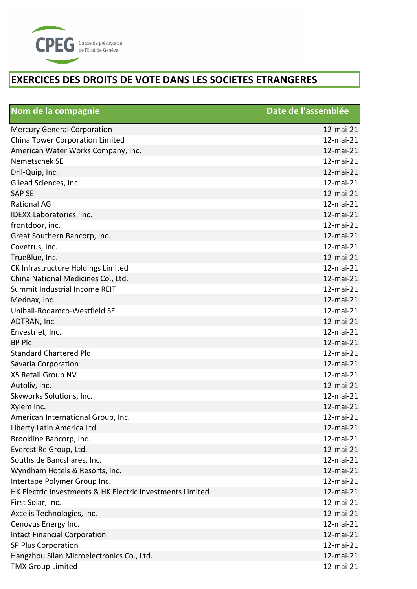

| Nom de la compagnie                                       | Date de l'assemblée |
|-----------------------------------------------------------|---------------------|
| <b>Mercury General Corporation</b>                        | 12-mai-21           |
| China Tower Corporation Limited                           | 12-mai-21           |
| American Water Works Company, Inc.                        | 12-mai-21           |
| Nemetschek SE                                             | 12-mai-21           |
| Dril-Quip, Inc.                                           | 12-mai-21           |
| Gilead Sciences, Inc.                                     | 12-mai-21           |
| <b>SAP SE</b>                                             | 12-mai-21           |
| <b>Rational AG</b>                                        | 12-mai-21           |
| IDEXX Laboratories, Inc.                                  | 12-mai-21           |
| frontdoor, inc.                                           | 12-mai-21           |
| Great Southern Bancorp, Inc.                              | 12-mai-21           |
| Covetrus, Inc.                                            | 12-mai-21           |
| TrueBlue, Inc.                                            | 12-mai-21           |
| CK Infrastructure Holdings Limited                        | 12-mai-21           |
| China National Medicines Co., Ltd.                        | 12-mai-21           |
| Summit Industrial Income REIT                             | 12-mai-21           |
| Mednax, Inc.                                              | 12-mai-21           |
| Unibail-Rodamco-Westfield SE                              | 12-mai-21           |
| ADTRAN, Inc.                                              | 12-mai-21           |
| Envestnet, Inc.                                           | 12-mai-21           |
| <b>BP Plc</b>                                             | 12-mai-21           |
| <b>Standard Chartered Plc</b>                             | 12-mai-21           |
| Savaria Corporation                                       | 12-mai-21           |
| X5 Retail Group NV                                        | 12-mai-21           |
| Autoliv, Inc.                                             | 12-mai-21           |
| Skyworks Solutions, Inc.                                  | 12-mai-21           |
| Xylem Inc.                                                | 12-mai-21           |
| American International Group, Inc.                        | 12-mai-21           |
| Liberty Latin America Ltd.                                | 12-mai-21           |
| Brookline Bancorp, Inc.                                   | 12-mai-21           |
| Everest Re Group, Ltd.                                    | 12-mai-21           |
| Southside Bancshares, Inc.                                | 12-mai-21           |
| Wyndham Hotels & Resorts, Inc.                            | 12-mai-21           |
| Intertape Polymer Group Inc.                              | 12-mai-21           |
| HK Electric Investments & HK Electric Investments Limited | 12-mai-21           |
| First Solar, Inc.                                         | 12-mai-21           |
| Axcelis Technologies, Inc.                                | 12-mai-21           |
| Cenovus Energy Inc.                                       | 12-mai-21           |
| <b>Intact Financial Corporation</b>                       | 12-mai-21           |
| SP Plus Corporation                                       | 12-mai-21           |
| Hangzhou Silan Microelectronics Co., Ltd.                 | 12-mai-21           |
| <b>TMX Group Limited</b>                                  | 12-mai-21           |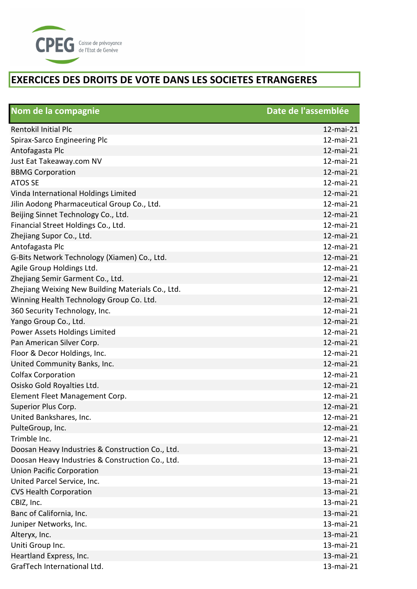

| Nom de la compagnie                               | Date de l'assemblée |
|---------------------------------------------------|---------------------|
| <b>Rentokil Initial Plc</b>                       | 12-mai-21           |
| Spirax-Sarco Engineering Plc                      | 12-mai-21           |
| Antofagasta Plc                                   | 12-mai-21           |
| Just Eat Takeaway.com NV                          | 12-mai-21           |
| <b>BBMG Corporation</b>                           | 12-mai-21           |
| <b>ATOS SE</b>                                    | 12-mai-21           |
| Vinda International Holdings Limited              | 12-mai-21           |
| Jilin Aodong Pharmaceutical Group Co., Ltd.       | 12-mai-21           |
| Beijing Sinnet Technology Co., Ltd.               | 12-mai-21           |
| Financial Street Holdings Co., Ltd.               | 12-mai-21           |
| Zhejiang Supor Co., Ltd.                          | 12-mai-21           |
| Antofagasta Plc                                   | 12-mai-21           |
| G-Bits Network Technology (Xiamen) Co., Ltd.      | 12-mai-21           |
| Agile Group Holdings Ltd.                         | 12-mai-21           |
| Zhejiang Semir Garment Co., Ltd.                  | 12-mai-21           |
| Zhejiang Weixing New Building Materials Co., Ltd. | 12-mai-21           |
| Winning Health Technology Group Co. Ltd.          | 12-mai-21           |
| 360 Security Technology, Inc.                     | 12-mai-21           |
| Yango Group Co., Ltd.                             | 12-mai-21           |
| Power Assets Holdings Limited                     | 12-mai-21           |
| Pan American Silver Corp.                         | 12-mai-21           |
| Floor & Decor Holdings, Inc.                      | 12-mai-21           |
| United Community Banks, Inc.                      | 12-mai-21           |
| <b>Colfax Corporation</b>                         | 12-mai-21           |
| Osisko Gold Royalties Ltd.                        | 12-mai-21           |
| Element Fleet Management Corp.                    | 12-mai-21           |
| Superior Plus Corp.                               | 12-mai-21           |
| United Bankshares, Inc.                           | 12-mai-21           |
| PulteGroup, Inc.                                  | 12-mai-21           |
| Trimble Inc.                                      | 12-mai-21           |
| Doosan Heavy Industries & Construction Co., Ltd.  | 13-mai-21           |
| Doosan Heavy Industries & Construction Co., Ltd.  | 13-mai-21           |
| <b>Union Pacific Corporation</b>                  | 13-mai-21           |
| United Parcel Service, Inc.                       | 13-mai-21           |
| <b>CVS Health Corporation</b>                     | 13-mai-21           |
| CBIZ, Inc.                                        | 13-mai-21           |
| Banc of California, Inc.                          | 13-mai-21           |
| Juniper Networks, Inc.                            | 13-mai-21           |
| Alteryx, Inc.                                     | 13-mai-21           |
| Uniti Group Inc.                                  | 13-mai-21           |
| Heartland Express, Inc.                           | 13-mai-21           |
| GrafTech International Ltd.                       | 13-mai-21           |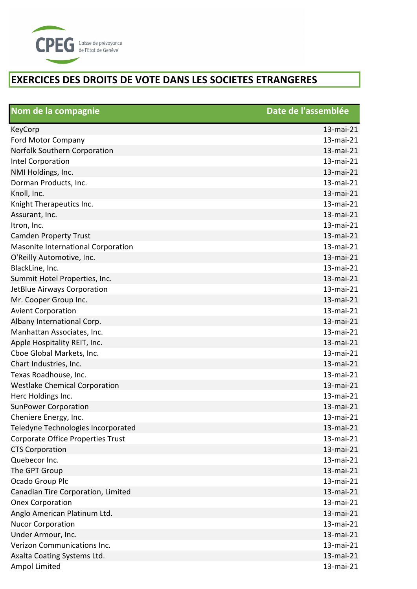

| Nom de la compagnie                  | Date de l'assemblée |
|--------------------------------------|---------------------|
| KeyCorp                              | 13-mai-21           |
| <b>Ford Motor Company</b>            | 13-mai-21           |
| Norfolk Southern Corporation         | 13-mai-21           |
| Intel Corporation                    | 13-mai-21           |
| NMI Holdings, Inc.                   | 13-mai-21           |
| Dorman Products, Inc.                | 13-mai-21           |
| Knoll, Inc.                          | 13-mai-21           |
| Knight Therapeutics Inc.             | 13-mai-21           |
| Assurant, Inc.                       | 13-mai-21           |
| Itron, Inc.                          | 13-mai-21           |
| <b>Camden Property Trust</b>         | 13-mai-21           |
| Masonite International Corporation   | 13-mai-21           |
| O'Reilly Automotive, Inc.            | 13-mai-21           |
| BlackLine, Inc.                      | 13-mai-21           |
| Summit Hotel Properties, Inc.        | 13-mai-21           |
| JetBlue Airways Corporation          | 13-mai-21           |
| Mr. Cooper Group Inc.                | 13-mai-21           |
| <b>Avient Corporation</b>            | 13-mai-21           |
| Albany International Corp.           | 13-mai-21           |
| Manhattan Associates, Inc.           | 13-mai-21           |
| Apple Hospitality REIT, Inc.         | 13-mai-21           |
| Cboe Global Markets, Inc.            | 13-mai-21           |
| Chart Industries, Inc.               | 13-mai-21           |
| Texas Roadhouse, Inc.                | 13-mai-21           |
| <b>Westlake Chemical Corporation</b> | 13-mai-21           |
| Herc Holdings Inc.                   | 13-mai-21           |
| <b>SunPower Corporation</b>          | 13-mai-21           |
| Cheniere Energy, Inc.                | 13-mai-21           |
| Teledyne Technologies Incorporated   | 13-mai-21           |
| Corporate Office Properties Trust    | 13-mai-21           |
| <b>CTS Corporation</b>               | 13-mai-21           |
| Quebecor Inc.                        | 13-mai-21           |
| The GPT Group                        | 13-mai-21           |
| Ocado Group Plc                      | 13-mai-21           |
| Canadian Tire Corporation, Limited   | 13-mai-21           |
| <b>Onex Corporation</b>              | 13-mai-21           |
| Anglo American Platinum Ltd.         | 13-mai-21           |
| <b>Nucor Corporation</b>             | 13-mai-21           |
| Under Armour, Inc.                   | 13-mai-21           |
| <b>Verizon Communications Inc.</b>   | 13-mai-21           |
| Axalta Coating Systems Ltd.          | 13-mai-21           |
| Ampol Limited                        | 13-mai-21           |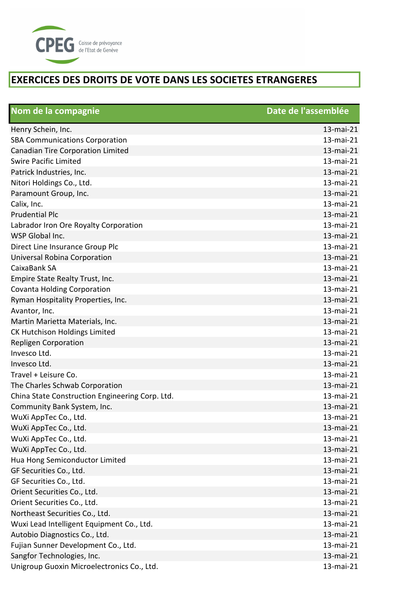

| Nom de la compagnie                             | Date de l'assemblée |
|-------------------------------------------------|---------------------|
| Henry Schein, Inc.                              | 13-mai-21           |
| <b>SBA Communications Corporation</b>           | 13-mai-21           |
| Canadian Tire Corporation Limited               | 13-mai-21           |
| <b>Swire Pacific Limited</b>                    | 13-mai-21           |
| Patrick Industries, Inc.                        | 13-mai-21           |
| Nitori Holdings Co., Ltd.                       | 13-mai-21           |
| Paramount Group, Inc.                           | 13-mai-21           |
| Calix, Inc.                                     | 13-mai-21           |
| <b>Prudential Plc</b>                           | 13-mai-21           |
| Labrador Iron Ore Royalty Corporation           | 13-mai-21           |
| WSP Global Inc.                                 | 13-mai-21           |
| Direct Line Insurance Group Plc                 | 13-mai-21           |
| Universal Robina Corporation                    | 13-mai-21           |
| CaixaBank SA                                    | 13-mai-21           |
| Empire State Realty Trust, Inc.                 | 13-mai-21           |
| <b>Covanta Holding Corporation</b>              | 13-mai-21           |
| Ryman Hospitality Properties, Inc.              | 13-mai-21           |
| Avantor, Inc.                                   | 13-mai-21           |
| Martin Marietta Materials, Inc.                 | 13-mai-21           |
| <b>CK Hutchison Holdings Limited</b>            | 13-mai-21           |
| <b>Repligen Corporation</b>                     | 13-mai-21           |
| Invesco Ltd.                                    | 13-mai-21           |
| Invesco Ltd.                                    | 13-mai-21           |
| Travel + Leisure Co.                            | 13-mai-21           |
| The Charles Schwab Corporation                  | 13-mai-21           |
| China State Construction Engineering Corp. Ltd. | 13-mai-21           |
| Community Bank System, Inc.                     | 13-mai-21           |
| WuXi AppTec Co., Ltd.                           | 13-mai-21           |
| WuXi AppTec Co., Ltd.                           | 13-mai-21           |
| WuXi AppTec Co., Ltd.                           | 13-mai-21           |
| WuXi AppTec Co., Ltd.                           | 13-mai-21           |
| Hua Hong Semiconductor Limited                  | 13-mai-21           |
| GF Securities Co., Ltd.                         | 13-mai-21           |
| GF Securities Co., Ltd.                         | 13-mai-21           |
| Orient Securities Co., Ltd.                     | 13-mai-21           |
| Orient Securities Co., Ltd.                     | 13-mai-21           |
| Northeast Securities Co., Ltd.                  | 13-mai-21           |
| Wuxi Lead Intelligent Equipment Co., Ltd.       | 13-mai-21           |
| Autobio Diagnostics Co., Ltd.                   | 13-mai-21           |
| Fujian Sunner Development Co., Ltd.             | 13-mai-21           |
| Sangfor Technologies, Inc.                      | 13-mai-21           |
| Unigroup Guoxin Microelectronics Co., Ltd.      | 13-mai-21           |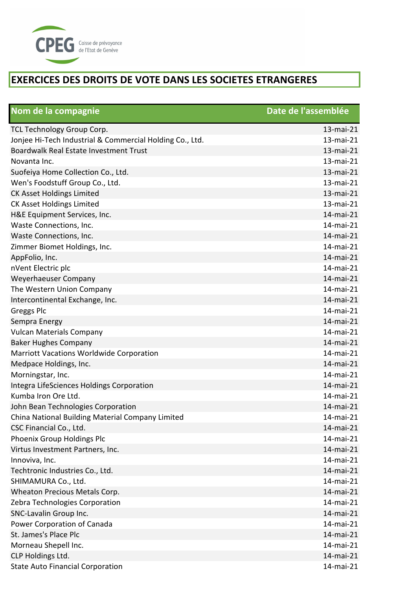

| Nom de la compagnie                                      | Date de l'assemblée |
|----------------------------------------------------------|---------------------|
| TCL Technology Group Corp.                               | 13-mai-21           |
| Jonjee Hi-Tech Industrial & Commercial Holding Co., Ltd. | 13-mai-21           |
| Boardwalk Real Estate Investment Trust                   | 13-mai-21           |
| Novanta Inc.                                             | 13-mai-21           |
| Suofeiya Home Collection Co., Ltd.                       | 13-mai-21           |
| Wen's Foodstuff Group Co., Ltd.                          | 13-mai-21           |
| <b>CK Asset Holdings Limited</b>                         | 13-mai-21           |
| <b>CK Asset Holdings Limited</b>                         | 13-mai-21           |
| H&E Equipment Services, Inc.                             | 14-mai-21           |
| Waste Connections, Inc.                                  | 14-mai-21           |
| Waste Connections, Inc.                                  | 14-mai-21           |
| Zimmer Biomet Holdings, Inc.                             | 14-mai-21           |
| AppFolio, Inc.                                           | 14-mai-21           |
| nVent Electric plc                                       | 14-mai-21           |
| Weyerhaeuser Company                                     | 14-mai-21           |
| The Western Union Company                                | 14-mai-21           |
| Intercontinental Exchange, Inc.                          | 14-mai-21           |
| <b>Greggs Plc</b>                                        | 14-mai-21           |
| Sempra Energy                                            | 14-mai-21           |
| <b>Vulcan Materials Company</b>                          | 14-mai-21           |
| <b>Baker Hughes Company</b>                              | 14-mai-21           |
| <b>Marriott Vacations Worldwide Corporation</b>          | 14-mai-21           |
| Medpace Holdings, Inc.                                   | 14-mai-21           |
| Morningstar, Inc.                                        | 14-mai-21           |
| Integra LifeSciences Holdings Corporation                | 14-mai-21           |
| Kumba Iron Ore Ltd.                                      | 14-mai-21           |
| John Bean Technologies Corporation                       | 14-mai-21           |
| China National Building Material Company Limited         | 14-mai-21           |
| CSC Financial Co., Ltd.                                  | 14-mai-21           |
| Phoenix Group Holdings Plc                               | 14-mai-21           |
| Virtus Investment Partners, Inc.                         | 14-mai-21           |
| Innoviva, Inc.                                           | 14-mai-21           |
| Techtronic Industries Co., Ltd.                          | 14-mai-21           |
| SHIMAMURA Co., Ltd.                                      | 14-mai-21           |
| Wheaton Precious Metals Corp.                            | 14-mai-21           |
| Zebra Technologies Corporation                           | 14-mai-21           |
| SNC-Lavalin Group Inc.                                   | 14-mai-21           |
| Power Corporation of Canada                              | 14-mai-21           |
| St. James's Place Plc                                    | 14-mai-21           |
| Morneau Shepell Inc.                                     | 14-mai-21           |
| CLP Holdings Ltd.                                        | 14-mai-21           |
| <b>State Auto Financial Corporation</b>                  | 14-mai-21           |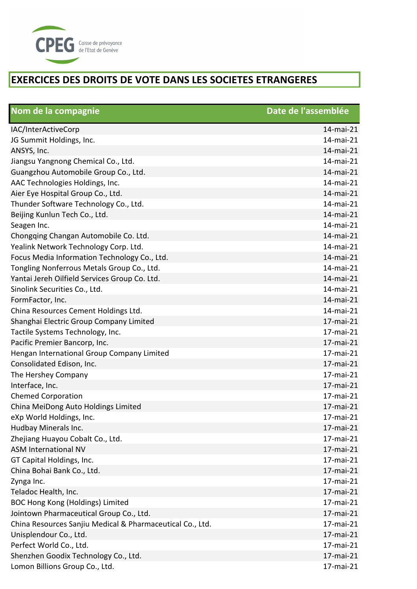

| Nom de la compagnie                                       | Date de l'assemblée |
|-----------------------------------------------------------|---------------------|
| IAC/InterActiveCorp                                       | 14-mai-21           |
| JG Summit Holdings, Inc.                                  | 14-mai-21           |
| ANSYS, Inc.                                               | 14-mai-21           |
| Jiangsu Yangnong Chemical Co., Ltd.                       | 14-mai-21           |
| Guangzhou Automobile Group Co., Ltd.                      | 14-mai-21           |
| AAC Technologies Holdings, Inc.                           | 14-mai-21           |
| Aier Eye Hospital Group Co., Ltd.                         | 14-mai-21           |
| Thunder Software Technology Co., Ltd.                     | 14-mai-21           |
| Beijing Kunlun Tech Co., Ltd.                             | 14-mai-21           |
| Seagen Inc.                                               | 14-mai-21           |
| Chongqing Changan Automobile Co. Ltd.                     | 14-mai-21           |
| Yealink Network Technology Corp. Ltd.                     | 14-mai-21           |
| Focus Media Information Technology Co., Ltd.              | 14-mai-21           |
| Tongling Nonferrous Metals Group Co., Ltd.                | 14-mai-21           |
| Yantai Jereh Oilfield Services Group Co. Ltd.             | 14-mai-21           |
| Sinolink Securities Co., Ltd.                             | 14-mai-21           |
| FormFactor, Inc.                                          | 14-mai-21           |
| China Resources Cement Holdings Ltd.                      | 14-mai-21           |
| Shanghai Electric Group Company Limited                   | 17-mai-21           |
| Tactile Systems Technology, Inc.                          | 17-mai-21           |
| Pacific Premier Bancorp, Inc.                             | 17-mai-21           |
| Hengan International Group Company Limited                | 17-mai-21           |
| Consolidated Edison, Inc.                                 | 17-mai-21           |
| The Hershey Company                                       | 17-mai-21           |
| Interface, Inc.                                           | 17-mai-21           |
| <b>Chemed Corporation</b>                                 | 17-mai-21           |
| China MeiDong Auto Holdings Limited                       | 17-mai-21           |
| eXp World Holdings, Inc.                                  | 17-mai-21           |
| Hudbay Minerals Inc.                                      | 17-mai-21           |
| Zhejiang Huayou Cobalt Co., Ltd.                          | 17-mai-21           |
| <b>ASM International NV</b>                               | 17-mai-21           |
| GT Capital Holdings, Inc.                                 | 17-mai-21           |
| China Bohai Bank Co., Ltd.                                | 17-mai-21           |
| Zynga Inc.                                                | 17-mai-21           |
| Teladoc Health, Inc.                                      | 17-mai-21           |
| <b>BOC Hong Kong (Holdings) Limited</b>                   | 17-mai-21           |
| Jointown Pharmaceutical Group Co., Ltd.                   | 17-mai-21           |
| China Resources Sanjiu Medical & Pharmaceutical Co., Ltd. | 17-mai-21           |
| Unisplendour Co., Ltd.                                    | 17-mai-21           |
| Perfect World Co., Ltd.                                   | 17-mai-21           |
| Shenzhen Goodix Technology Co., Ltd.                      | 17-mai-21           |
| Lomon Billions Group Co., Ltd.                            | 17-mai-21           |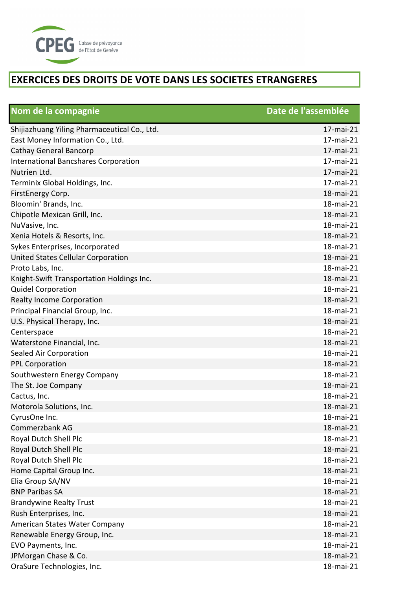

| Nom de la compagnie                          | Date de l'assemblée |
|----------------------------------------------|---------------------|
| Shijiazhuang Yiling Pharmaceutical Co., Ltd. | 17-mai-21           |
| East Money Information Co., Ltd.             | 17-mai-21           |
| <b>Cathay General Bancorp</b>                | 17-mai-21           |
| <b>International Bancshares Corporation</b>  | 17-mai-21           |
| Nutrien Ltd.                                 | 17-mai-21           |
| Terminix Global Holdings, Inc.               | 17-mai-21           |
| FirstEnergy Corp.                            | 18-mai-21           |
| Bloomin' Brands, Inc.                        | 18-mai-21           |
| Chipotle Mexican Grill, Inc.                 | 18-mai-21           |
| NuVasive, Inc.                               | 18-mai-21           |
| Xenia Hotels & Resorts, Inc.                 | 18-mai-21           |
| Sykes Enterprises, Incorporated              | 18-mai-21           |
| United States Cellular Corporation           | 18-mai-21           |
| Proto Labs, Inc.                             | 18-mai-21           |
| Knight-Swift Transportation Holdings Inc.    | 18-mai-21           |
| <b>Quidel Corporation</b>                    | 18-mai-21           |
| <b>Realty Income Corporation</b>             | 18-mai-21           |
| Principal Financial Group, Inc.              | 18-mai-21           |
| U.S. Physical Therapy, Inc.                  | 18-mai-21           |
| Centerspace                                  | 18-mai-21           |
| Waterstone Financial, Inc.                   | 18-mai-21           |
| Sealed Air Corporation                       | 18-mai-21           |
| <b>PPL Corporation</b>                       | 18-mai-21           |
| Southwestern Energy Company                  | 18-mai-21           |
| The St. Joe Company                          | 18-mai-21           |
| Cactus, Inc.                                 | 18-mai-21           |
| Motorola Solutions, Inc.                     | 18-mai-21           |
| CyrusOne Inc.                                | 18-mai-21           |
| Commerzbank AG                               | 18-mai-21           |
| Royal Dutch Shell Plc                        | 18-mai-21           |
| Royal Dutch Shell Plc                        | 18-mai-21           |
| Royal Dutch Shell Plc                        | 18-mai-21           |
| Home Capital Group Inc.                      | 18-mai-21           |
| Elia Group SA/NV                             | 18-mai-21           |
| <b>BNP Paribas SA</b>                        | 18-mai-21           |
| <b>Brandywine Realty Trust</b>               | 18-mai-21           |
| Rush Enterprises, Inc.                       | 18-mai-21           |
| American States Water Company                | 18-mai-21           |
| Renewable Energy Group, Inc.                 | 18-mai-21           |
| EVO Payments, Inc.                           | 18-mai-21           |
| JPMorgan Chase & Co.                         | 18-mai-21           |
| OraSure Technologies, Inc.                   | 18-mai-21           |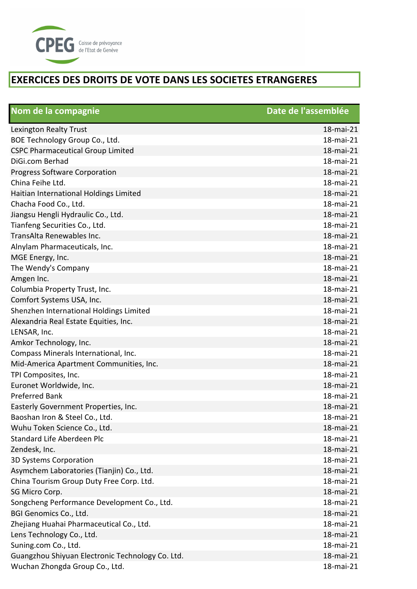

| Nom de la compagnie                              | Date de l'assemblée |
|--------------------------------------------------|---------------------|
| Lexington Realty Trust                           | 18-mai-21           |
| BOE Technology Group Co., Ltd.                   | 18-mai-21           |
| <b>CSPC Pharmaceutical Group Limited</b>         | 18-mai-21           |
| DiGi.com Berhad                                  | 18-mai-21           |
| <b>Progress Software Corporation</b>             | 18-mai-21           |
| China Feihe Ltd.                                 | 18-mai-21           |
| Haitian International Holdings Limited           | 18-mai-21           |
| Chacha Food Co., Ltd.                            | 18-mai-21           |
| Jiangsu Hengli Hydraulic Co., Ltd.               | 18-mai-21           |
| Tianfeng Securities Co., Ltd.                    | 18-mai-21           |
| TransAlta Renewables Inc.                        | 18-mai-21           |
| Alnylam Pharmaceuticals, Inc.                    | 18-mai-21           |
| MGE Energy, Inc.                                 | 18-mai-21           |
| The Wendy's Company                              | 18-mai-21           |
| Amgen Inc.                                       | 18-mai-21           |
| Columbia Property Trust, Inc.                    | 18-mai-21           |
| Comfort Systems USA, Inc.                        | 18-mai-21           |
| Shenzhen International Holdings Limited          | 18-mai-21           |
| Alexandria Real Estate Equities, Inc.            | 18-mai-21           |
| LENSAR, Inc.                                     | 18-mai-21           |
| Amkor Technology, Inc.                           | 18-mai-21           |
| Compass Minerals International, Inc.             | 18-mai-21           |
| Mid-America Apartment Communities, Inc.          | 18-mai-21           |
| TPI Composites, Inc.                             | 18-mai-21           |
| Euronet Worldwide, Inc.                          | 18-mai-21           |
| <b>Preferred Bank</b>                            | 18-mai-21           |
| Easterly Government Properties, Inc.             | 18-mai-21           |
| Baoshan Iron & Steel Co., Ltd.                   | 18-mai-21           |
| Wuhu Token Science Co., Ltd.                     | 18-mai-21           |
| Standard Life Aberdeen Plc                       | 18-mai-21           |
| Zendesk, Inc.                                    | 18-mai-21           |
| 3D Systems Corporation                           | 18-mai-21           |
| Asymchem Laboratories (Tianjin) Co., Ltd.        | 18-mai-21           |
| China Tourism Group Duty Free Corp. Ltd.         | 18-mai-21           |
| SG Micro Corp.                                   | 18-mai-21           |
| Songcheng Performance Development Co., Ltd.      | 18-mai-21           |
| BGI Genomics Co., Ltd.                           | 18-mai-21           |
| Zhejiang Huahai Pharmaceutical Co., Ltd.         | 18-mai-21           |
| Lens Technology Co., Ltd.                        | 18-mai-21           |
| Suning.com Co., Ltd.                             | 18-mai-21           |
| Guangzhou Shiyuan Electronic Technology Co. Ltd. | 18-mai-21           |
| Wuchan Zhongda Group Co., Ltd.                   | 18-mai-21           |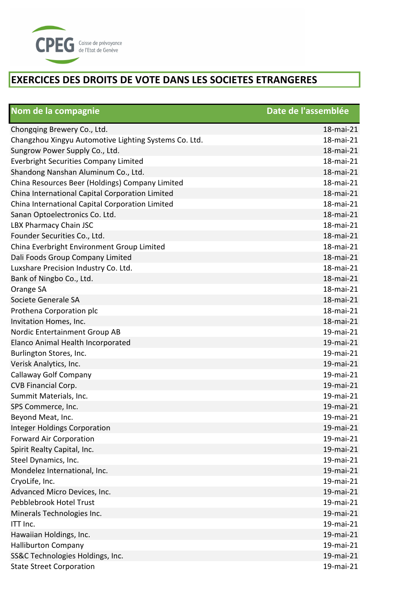

| Nom de la compagnie                                   | Date de l'assemblée |
|-------------------------------------------------------|---------------------|
| Chongqing Brewery Co., Ltd.                           | 18-mai-21           |
| Changzhou Xingyu Automotive Lighting Systems Co. Ltd. | 18-mai-21           |
| Sungrow Power Supply Co., Ltd.                        | 18-mai-21           |
| <b>Everbright Securities Company Limited</b>          | 18-mai-21           |
| Shandong Nanshan Aluminum Co., Ltd.                   | 18-mai-21           |
| China Resources Beer (Holdings) Company Limited       | 18-mai-21           |
| China International Capital Corporation Limited       | 18-mai-21           |
| China International Capital Corporation Limited       | 18-mai-21           |
| Sanan Optoelectronics Co. Ltd.                        | 18-mai-21           |
| LBX Pharmacy Chain JSC                                | 18-mai-21           |
| Founder Securities Co., Ltd.                          | 18-mai-21           |
| China Everbright Environment Group Limited            | 18-mai-21           |
| Dali Foods Group Company Limited                      | 18-mai-21           |
| Luxshare Precision Industry Co. Ltd.                  | 18-mai-21           |
| Bank of Ningbo Co., Ltd.                              | 18-mai-21           |
| Orange SA                                             | 18-mai-21           |
| Societe Generale SA                                   | 18-mai-21           |
| Prothena Corporation plc                              | 18-mai-21           |
| Invitation Homes, Inc.                                | 18-mai-21           |
| Nordic Entertainment Group AB                         | 19-mai-21           |
| Elanco Animal Health Incorporated                     | 19-mai-21           |
| Burlington Stores, Inc.                               | 19-mai-21           |
| Verisk Analytics, Inc.                                | 19-mai-21           |
| Callaway Golf Company                                 | 19-mai-21           |
| CVB Financial Corp.                                   | 19-mai-21           |
| Summit Materials, Inc.                                | 19-mai-21           |
| SPS Commerce, Inc.                                    | 19-mai-21           |
| Beyond Meat, Inc.                                     | 19-mai-21           |
| <b>Integer Holdings Corporation</b>                   | 19-mai-21           |
| <b>Forward Air Corporation</b>                        | 19-mai-21           |
| Spirit Realty Capital, Inc.                           | 19-mai-21           |
| Steel Dynamics, Inc.                                  | 19-mai-21           |
| Mondelez International, Inc.                          | 19-mai-21           |
| CryoLife, Inc.                                        | 19-mai-21           |
| Advanced Micro Devices, Inc.                          | 19-mai-21           |
| Pebblebrook Hotel Trust                               | 19-mai-21           |
| Minerals Technologies Inc.                            | 19-mai-21           |
| ITT Inc.                                              | 19-mai-21           |
| Hawaiian Holdings, Inc.                               | 19-mai-21           |
| <b>Halliburton Company</b>                            | 19-mai-21           |
| SS&C Technologies Holdings, Inc.                      | 19-mai-21           |
| <b>State Street Corporation</b>                       | 19-mai-21           |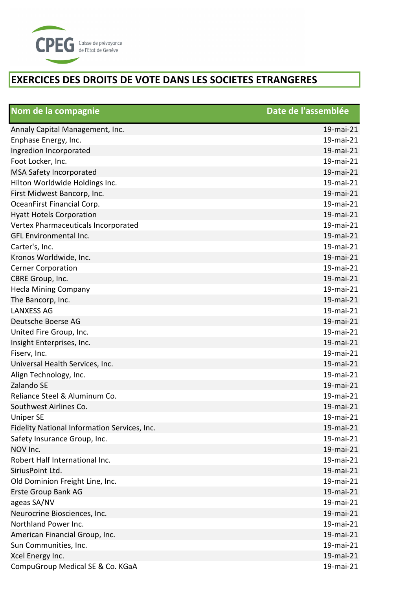

| Nom de la compagnie                          | Date de l'assemblée |
|----------------------------------------------|---------------------|
| Annaly Capital Management, Inc.              | 19-mai-21           |
| Enphase Energy, Inc.                         | 19-mai-21           |
| Ingredion Incorporated                       | 19-mai-21           |
| Foot Locker, Inc.                            | 19-mai-21           |
| MSA Safety Incorporated                      | 19-mai-21           |
| Hilton Worldwide Holdings Inc.               | 19-mai-21           |
| First Midwest Bancorp, Inc.                  | 19-mai-21           |
| OceanFirst Financial Corp.                   | 19-mai-21           |
| <b>Hyatt Hotels Corporation</b>              | 19-mai-21           |
| Vertex Pharmaceuticals Incorporated          | 19-mai-21           |
| GFL Environmental Inc.                       | 19-mai-21           |
| Carter's, Inc.                               | 19-mai-21           |
| Kronos Worldwide, Inc.                       | 19-mai-21           |
| <b>Cerner Corporation</b>                    | 19-mai-21           |
| CBRE Group, Inc.                             | 19-mai-21           |
| <b>Hecla Mining Company</b>                  | 19-mai-21           |
| The Bancorp, Inc.                            | 19-mai-21           |
| <b>LANXESS AG</b>                            | 19-mai-21           |
| Deutsche Boerse AG                           | 19-mai-21           |
| United Fire Group, Inc.                      | 19-mai-21           |
| Insight Enterprises, Inc.                    | 19-mai-21           |
| Fiserv, Inc.                                 | 19-mai-21           |
| Universal Health Services, Inc.              | 19-mai-21           |
| Align Technology, Inc.                       | 19-mai-21           |
| Zalando SE                                   | 19-mai-21           |
| Reliance Steel & Aluminum Co.                | 19-mai-21           |
| Southwest Airlines Co.                       | 19-mai-21           |
| <b>Uniper SE</b>                             | 19-mai-21           |
| Fidelity National Information Services, Inc. | 19-mai-21           |
| Safety Insurance Group, Inc.                 | 19-mai-21           |
| NOV Inc.                                     | 19-mai-21           |
| Robert Half International Inc.               | 19-mai-21           |
| SiriusPoint Ltd.                             | 19-mai-21           |
| Old Dominion Freight Line, Inc.              | 19-mai-21           |
| Erste Group Bank AG                          | 19-mai-21           |
| ageas SA/NV                                  | 19-mai-21           |
| Neurocrine Biosciences, Inc.                 | 19-mai-21           |
| Northland Power Inc.                         | 19-mai-21           |
| American Financial Group, Inc.               | 19-mai-21           |
| Sun Communities, Inc.                        | 19-mai-21           |
| Xcel Energy Inc.                             | 19-mai-21           |
| CompuGroup Medical SE & Co. KGaA             | 19-mai-21           |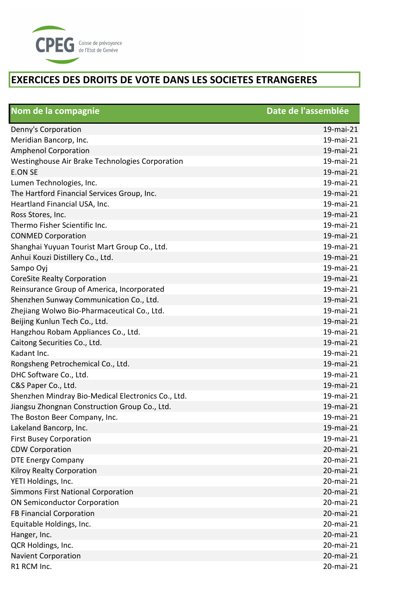

| Nom de la compagnie                                | Date de l'assemblée |
|----------------------------------------------------|---------------------|
| Denny's Corporation                                | 19-mai-21           |
| Meridian Bancorp, Inc.                             | 19-mai-21           |
| <b>Amphenol Corporation</b>                        | 19-mai-21           |
| Westinghouse Air Brake Technologies Corporation    | 19-mai-21           |
| <b>E.ON SE</b>                                     | 19-mai-21           |
| Lumen Technologies, Inc.                           | 19-mai-21           |
| The Hartford Financial Services Group, Inc.        | 19-mai-21           |
| Heartland Financial USA, Inc.                      | 19-mai-21           |
| Ross Stores, Inc.                                  | 19-mai-21           |
| Thermo Fisher Scientific Inc.                      | 19-mai-21           |
| <b>CONMED Corporation</b>                          | 19-mai-21           |
| Shanghai Yuyuan Tourist Mart Group Co., Ltd.       | 19-mai-21           |
| Anhui Kouzi Distillery Co., Ltd.                   | 19-mai-21           |
| Sampo Oyj                                          | 19-mai-21           |
| <b>CoreSite Realty Corporation</b>                 | 19-mai-21           |
| Reinsurance Group of America, Incorporated         | 19-mai-21           |
| Shenzhen Sunway Communication Co., Ltd.            | 19-mai-21           |
| Zhejiang Wolwo Bio-Pharmaceutical Co., Ltd.        | 19-mai-21           |
| Beijing Kunlun Tech Co., Ltd.                      | 19-mai-21           |
| Hangzhou Robam Appliances Co., Ltd.                | 19-mai-21           |
| Caitong Securities Co., Ltd.                       | 19-mai-21           |
| Kadant Inc.                                        | 19-mai-21           |
| Rongsheng Petrochemical Co., Ltd.                  | 19-mai-21           |
| DHC Software Co., Ltd.                             | 19-mai-21           |
| C&S Paper Co., Ltd.                                | 19-mai-21           |
| Shenzhen Mindray Bio-Medical Electronics Co., Ltd. | 19-mai-21           |
| Jiangsu Zhongnan Construction Group Co., Ltd.      | 19-mai-21           |
| The Boston Beer Company, Inc.                      | 19-mai-21           |
| Lakeland Bancorp, Inc.                             | 19-mai-21           |
| <b>First Busey Corporation</b>                     | 19-mai-21           |
| <b>CDW Corporation</b>                             | 20-mai-21           |
| <b>DTE Energy Company</b>                          | 20-mai-21           |
| Kilroy Realty Corporation                          | 20-mai-21           |
| YETI Holdings, Inc.                                | 20-mai-21           |
| <b>Simmons First National Corporation</b>          | 20-mai-21           |
| <b>ON Semiconductor Corporation</b>                | 20-mai-21           |
| FB Financial Corporation                           | 20-mai-21           |
| Equitable Holdings, Inc.                           | 20-mai-21           |
| Hanger, Inc.                                       | 20-mai-21           |
| QCR Holdings, Inc.                                 | 20-mai-21           |
| <b>Navient Corporation</b>                         | 20-mai-21           |
| R1 RCM Inc.                                        | 20-mai-21           |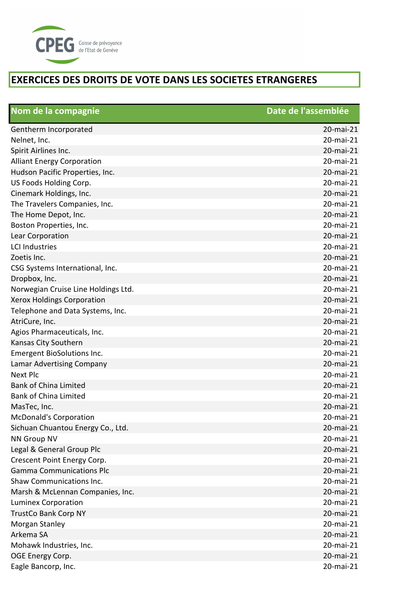

| Nom de la compagnie                 | Date de l'assemblée |
|-------------------------------------|---------------------|
| Gentherm Incorporated               | 20-mai-21           |
| Nelnet, Inc.                        | 20-mai-21           |
| Spirit Airlines Inc.                | 20-mai-21           |
| <b>Alliant Energy Corporation</b>   | 20-mai-21           |
| Hudson Pacific Properties, Inc.     | 20-mai-21           |
| US Foods Holding Corp.              | 20-mai-21           |
| Cinemark Holdings, Inc.             | 20-mai-21           |
| The Travelers Companies, Inc.       | 20-mai-21           |
| The Home Depot, Inc.                | 20-mai-21           |
| Boston Properties, Inc.             | 20-mai-21           |
| Lear Corporation                    | 20-mai-21           |
| <b>LCI Industries</b>               | 20-mai-21           |
| Zoetis Inc.                         | 20-mai-21           |
| CSG Systems International, Inc.     | 20-mai-21           |
| Dropbox, Inc.                       | 20-mai-21           |
| Norwegian Cruise Line Holdings Ltd. | 20-mai-21           |
| <b>Xerox Holdings Corporation</b>   | 20-mai-21           |
| Telephone and Data Systems, Inc.    | 20-mai-21           |
| AtriCure, Inc.                      | 20-mai-21           |
| Agios Pharmaceuticals, Inc.         | 20-mai-21           |
| Kansas City Southern                | 20-mai-21           |
| <b>Emergent BioSolutions Inc.</b>   | 20-mai-21           |
| Lamar Advertising Company           | 20-mai-21           |
| <b>Next Plc</b>                     | 20-mai-21           |
| <b>Bank of China Limited</b>        | 20-mai-21           |
| <b>Bank of China Limited</b>        | 20-mai-21           |
| MasTec, Inc.                        | 20-mai-21           |
| <b>McDonald's Corporation</b>       | 20-mai-21           |
| Sichuan Chuantou Energy Co., Ltd.   | 20-mai-21           |
| <b>NN Group NV</b>                  | 20-mai-21           |
| Legal & General Group Plc           | 20-mai-21           |
| Crescent Point Energy Corp.         | 20-mai-21           |
| <b>Gamma Communications Plc</b>     | 20-mai-21           |
| Shaw Communications Inc.            | 20-mai-21           |
| Marsh & McLennan Companies, Inc.    | 20-mai-21           |
| <b>Luminex Corporation</b>          | 20-mai-21           |
| <b>TrustCo Bank Corp NY</b>         | 20-mai-21           |
| Morgan Stanley                      | 20-mai-21           |
| Arkema SA                           | 20-mai-21           |
| Mohawk Industries, Inc.             | 20-mai-21           |
| OGE Energy Corp.                    | 20-mai-21           |
| Eagle Bancorp, Inc.                 | 20-mai-21           |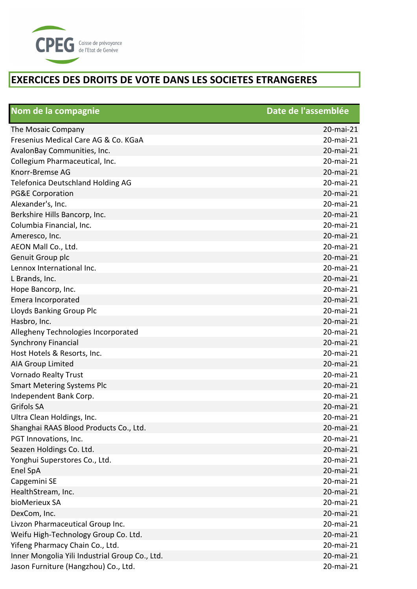

| Nom de la compagnie                            | Date de l'assemblée |
|------------------------------------------------|---------------------|
| The Mosaic Company                             | 20-mai-21           |
| Fresenius Medical Care AG & Co. KGaA           | 20-mai-21           |
| AvalonBay Communities, Inc.                    | 20-mai-21           |
| Collegium Pharmaceutical, Inc.                 | 20-mai-21           |
| Knorr-Bremse AG                                | 20-mai-21           |
| <b>Telefonica Deutschland Holding AG</b>       | 20-mai-21           |
| <b>PG&amp;E Corporation</b>                    | 20-mai-21           |
| Alexander's, Inc.                              | 20-mai-21           |
| Berkshire Hills Bancorp, Inc.                  | 20-mai-21           |
| Columbia Financial, Inc.                       | 20-mai-21           |
| Ameresco, Inc.                                 | 20-mai-21           |
| AEON Mall Co., Ltd.                            | 20-mai-21           |
| Genuit Group plc                               | 20-mai-21           |
| Lennox International Inc.                      | 20-mai-21           |
| L Brands, Inc.                                 | 20-mai-21           |
| Hope Bancorp, Inc.                             | 20-mai-21           |
| Emera Incorporated                             | 20-mai-21           |
| Lloyds Banking Group Plc                       | 20-mai-21           |
| Hasbro, Inc.                                   | 20-mai-21           |
| Allegheny Technologies Incorporated            | 20-mai-21           |
| <b>Synchrony Financial</b>                     | 20-mai-21           |
| Host Hotels & Resorts, Inc.                    | 20-mai-21           |
| <b>AIA Group Limited</b>                       | 20-mai-21           |
| <b>Vornado Realty Trust</b>                    | 20-mai-21           |
| <b>Smart Metering Systems Plc</b>              | 20-mai-21           |
| Independent Bank Corp.                         | 20-mai-21           |
| <b>Grifols SA</b>                              | 20-mai-21           |
| Ultra Clean Holdings, Inc.                     | 20-mai-21           |
| Shanghai RAAS Blood Products Co., Ltd.         | 20-mai-21           |
| PGT Innovations, Inc.                          | 20-mai-21           |
| Seazen Holdings Co. Ltd.                       | 20-mai-21           |
| Yonghui Superstores Co., Ltd.                  | 20-mai-21           |
| Enel SpA                                       | 20-mai-21           |
| Capgemini SE                                   | 20-mai-21           |
| HealthStream, Inc.                             | 20-mai-21           |
| bioMerieux SA                                  | 20-mai-21           |
| DexCom, Inc.                                   | 20-mai-21           |
| Livzon Pharmaceutical Group Inc.               | 20-mai-21           |
| Weifu High-Technology Group Co. Ltd.           | 20-mai-21           |
| Yifeng Pharmacy Chain Co., Ltd.                | 20-mai-21           |
| Inner Mongolia Yili Industrial Group Co., Ltd. | 20-mai-21           |
| Jason Furniture (Hangzhou) Co., Ltd.           | 20-mai-21           |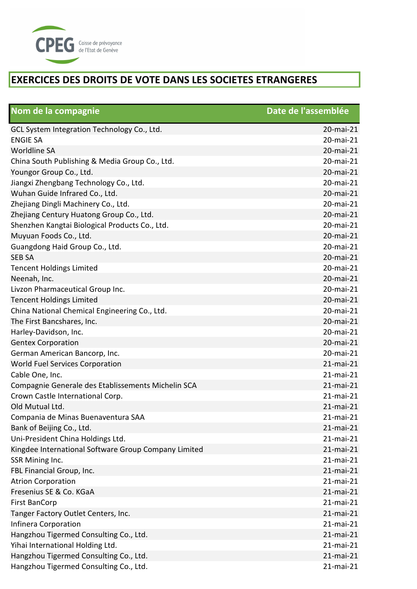

| Nom de la compagnie                                  | Date de l'assemblée |
|------------------------------------------------------|---------------------|
| GCL System Integration Technology Co., Ltd.          | 20-mai-21           |
| <b>ENGIE SA</b>                                      | 20-mai-21           |
| <b>Worldline SA</b>                                  | 20-mai-21           |
| China South Publishing & Media Group Co., Ltd.       | 20-mai-21           |
| Youngor Group Co., Ltd.                              | 20-mai-21           |
| Jiangxi Zhengbang Technology Co., Ltd.               | 20-mai-21           |
| Wuhan Guide Infrared Co., Ltd.                       | 20-mai-21           |
| Zhejiang Dingli Machinery Co., Ltd.                  | 20-mai-21           |
| Zhejiang Century Huatong Group Co., Ltd.             | 20-mai-21           |
| Shenzhen Kangtai Biological Products Co., Ltd.       | 20-mai-21           |
| Muyuan Foods Co., Ltd.                               | 20-mai-21           |
| Guangdong Haid Group Co., Ltd.                       | 20-mai-21           |
| <b>SEB SA</b>                                        | 20-mai-21           |
| <b>Tencent Holdings Limited</b>                      | 20-mai-21           |
| Neenah, Inc.                                         | 20-mai-21           |
| Livzon Pharmaceutical Group Inc.                     | 20-mai-21           |
| <b>Tencent Holdings Limited</b>                      | 20-mai-21           |
| China National Chemical Engineering Co., Ltd.        | 20-mai-21           |
| The First Bancshares, Inc.                           | 20-mai-21           |
| Harley-Davidson, Inc.                                | 20-mai-21           |
| <b>Gentex Corporation</b>                            | 20-mai-21           |
| German American Bancorp, Inc.                        | 20-mai-21           |
| World Fuel Services Corporation                      | 21-mai-21           |
| Cable One, Inc.                                      | 21-mai-21           |
| Compagnie Generale des Etablissements Michelin SCA   | 21-mai-21           |
| Crown Castle International Corp.                     | 21-mai-21           |
| Old Mutual Ltd.                                      | 21-mai-21           |
| Compania de Minas Buenaventura SAA                   | 21-mai-21           |
| Bank of Beijing Co., Ltd.                            | 21-mai-21           |
| Uni-President China Holdings Ltd.                    | 21-mai-21           |
| Kingdee International Software Group Company Limited | 21-mai-21           |
| SSR Mining Inc.                                      | 21-mai-21           |
| FBL Financial Group, Inc.                            | 21-mai-21           |
| <b>Atrion Corporation</b>                            | 21-mai-21           |
| Fresenius SE & Co. KGaA                              | 21-mai-21           |
| <b>First BanCorp</b>                                 | 21-mai-21           |
| Tanger Factory Outlet Centers, Inc.                  | 21-mai-21           |
| Infinera Corporation                                 | 21-mai-21           |
| Hangzhou Tigermed Consulting Co., Ltd.               | 21-mai-21           |
| Yihai International Holding Ltd.                     | 21-mai-21           |
| Hangzhou Tigermed Consulting Co., Ltd.               | 21-mai-21           |
| Hangzhou Tigermed Consulting Co., Ltd.               | 21-mai-21           |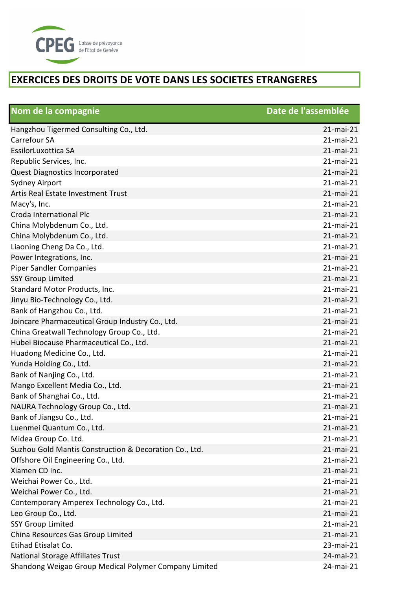

| Nom de la compagnie                                    | Date de l'assemblée |
|--------------------------------------------------------|---------------------|
| Hangzhou Tigermed Consulting Co., Ltd.                 | 21-mai-21           |
| Carrefour SA                                           | 21-mai-21           |
| EssilorLuxottica SA                                    | 21-mai-21           |
| Republic Services, Inc.                                | 21-mai-21           |
| Quest Diagnostics Incorporated                         | 21-mai-21           |
| <b>Sydney Airport</b>                                  | 21-mai-21           |
| Artis Real Estate Investment Trust                     | 21-mai-21           |
| Macy's, Inc.                                           | 21-mai-21           |
| Croda International Plc                                | 21-mai-21           |
| China Molybdenum Co., Ltd.                             | 21-mai-21           |
| China Molybdenum Co., Ltd.                             | 21-mai-21           |
| Liaoning Cheng Da Co., Ltd.                            | 21-mai-21           |
| Power Integrations, Inc.                               | 21-mai-21           |
| <b>Piper Sandler Companies</b>                         | 21-mai-21           |
| <b>SSY Group Limited</b>                               | 21-mai-21           |
| Standard Motor Products, Inc.                          | 21-mai-21           |
| Jinyu Bio-Technology Co., Ltd.                         | $21$ -mai-21        |
| Bank of Hangzhou Co., Ltd.                             | 21-mai-21           |
| Joincare Pharmaceutical Group Industry Co., Ltd.       | 21-mai-21           |
| China Greatwall Technology Group Co., Ltd.             | 21-mai-21           |
| Hubei Biocause Pharmaceutical Co., Ltd.                | 21-mai-21           |
| Huadong Medicine Co., Ltd.                             | 21-mai-21           |
| Yunda Holding Co., Ltd.                                | 21-mai-21           |
| Bank of Nanjing Co., Ltd.                              | 21-mai-21           |
| Mango Excellent Media Co., Ltd.                        | 21-mai-21           |
| Bank of Shanghai Co., Ltd.                             | 21-mai-21           |
| NAURA Technology Group Co., Ltd.                       | 21-mai-21           |
| Bank of Jiangsu Co., Ltd.                              | 21-mai-21           |
| Luenmei Quantum Co., Ltd.                              | 21-mai-21           |
| Midea Group Co. Ltd.                                   | 21-mai-21           |
| Suzhou Gold Mantis Construction & Decoration Co., Ltd. | 21-mai-21           |
| Offshore Oil Engineering Co., Ltd.                     | 21-mai-21           |
| Xiamen CD Inc.                                         | $21$ -mai- $21$     |
| Weichai Power Co., Ltd.                                | $21$ -mai-21        |
| Weichai Power Co., Ltd.                                | 21-mai-21           |
| Contemporary Amperex Technology Co., Ltd.              | 21-mai-21           |
| Leo Group Co., Ltd.                                    | 21-mai-21           |
| <b>SSY Group Limited</b>                               | 21-mai-21           |
| China Resources Gas Group Limited                      | 21-mai-21           |
| Etihad Etisalat Co.                                    | 23-mai-21           |
| <b>National Storage Affiliates Trust</b>               | 24-mai-21           |
| Shandong Weigao Group Medical Polymer Company Limited  | 24-mai-21           |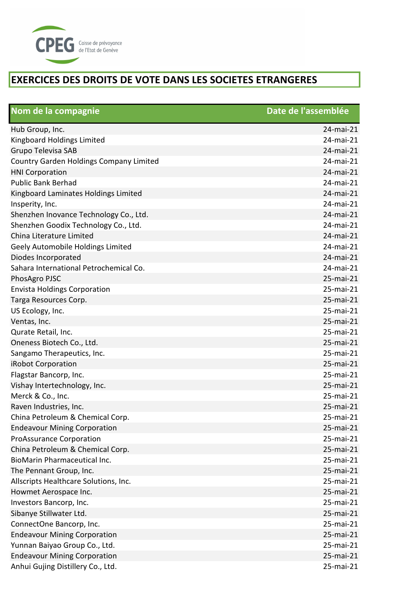

| Nom de la compagnie                            | Date de l'assemblée |
|------------------------------------------------|---------------------|
| Hub Group, Inc.                                | 24-mai-21           |
| Kingboard Holdings Limited                     | 24-mai-21           |
| <b>Grupo Televisa SAB</b>                      | 24-mai-21           |
| <b>Country Garden Holdings Company Limited</b> | 24-mai-21           |
| <b>HNI Corporation</b>                         | 24-mai-21           |
| <b>Public Bank Berhad</b>                      | 24-mai-21           |
| Kingboard Laminates Holdings Limited           | 24-mai-21           |
| Insperity, Inc.                                | 24-mai-21           |
| Shenzhen Inovance Technology Co., Ltd.         | 24-mai-21           |
| Shenzhen Goodix Technology Co., Ltd.           | 24-mai-21           |
| China Literature Limited                       | 24-mai-21           |
| Geely Automobile Holdings Limited              | 24-mai-21           |
| Diodes Incorporated                            | 24-mai-21           |
| Sahara International Petrochemical Co.         | 24-mai-21           |
| PhosAgro PJSC                                  | 25-mai-21           |
| <b>Envista Holdings Corporation</b>            | 25-mai-21           |
| Targa Resources Corp.                          | 25-mai-21           |
| US Ecology, Inc.                               | 25-mai-21           |
| Ventas, Inc.                                   | 25-mai-21           |
| Qurate Retail, Inc.                            | 25-mai-21           |
| Oneness Biotech Co., Ltd.                      | 25-mai-21           |
| Sangamo Therapeutics, Inc.                     | 25-mai-21           |
| iRobot Corporation                             | 25-mai-21           |
| Flagstar Bancorp, Inc.                         | 25-mai-21           |
| Vishay Intertechnology, Inc.                   | 25-mai-21           |
| Merck & Co., Inc.                              | 25-mai-21           |
| Raven Industries, Inc.                         | 25-mai-21           |
| China Petroleum & Chemical Corp.               | 25-mai-21           |
| <b>Endeavour Mining Corporation</b>            | 25-mai-21           |
| <b>ProAssurance Corporation</b>                | 25-mai-21           |
| China Petroleum & Chemical Corp.               | 25-mai-21           |
| <b>BioMarin Pharmaceutical Inc.</b>            | 25-mai-21           |
| The Pennant Group, Inc.                        | 25-mai-21           |
| Allscripts Healthcare Solutions, Inc.          | 25-mai-21           |
| Howmet Aerospace Inc.                          | 25-mai-21           |
| Investors Bancorp, Inc.                        | 25-mai-21           |
| Sibanye Stillwater Ltd.                        | 25-mai-21           |
| ConnectOne Bancorp, Inc.                       | 25-mai-21           |
| <b>Endeavour Mining Corporation</b>            | 25-mai-21           |
| Yunnan Baiyao Group Co., Ltd.                  | 25-mai-21           |
| <b>Endeavour Mining Corporation</b>            | 25-mai-21           |
| Anhui Gujing Distillery Co., Ltd.              | 25-mai-21           |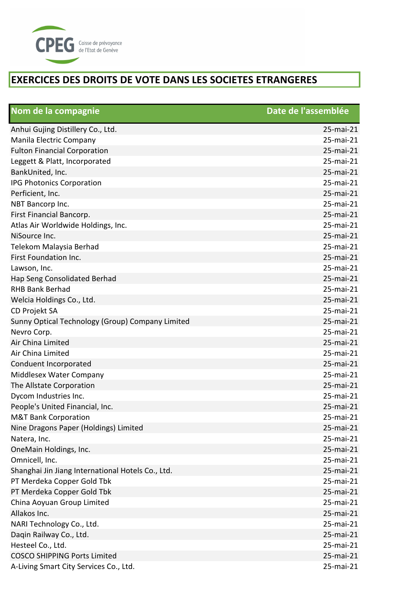

| Nom de la compagnie                               | Date de l'assemblée |
|---------------------------------------------------|---------------------|
| Anhui Gujing Distillery Co., Ltd.                 | 25-mai-21           |
| Manila Electric Company                           | 25-mai-21           |
| <b>Fulton Financial Corporation</b>               | 25-mai-21           |
| Leggett & Platt, Incorporated                     | 25-mai-21           |
| BankUnited, Inc.                                  | 25-mai-21           |
| IPG Photonics Corporation                         | 25-mai-21           |
| Perficient, Inc.                                  | 25-mai-21           |
| NBT Bancorp Inc.                                  | 25-mai-21           |
| First Financial Bancorp.                          | 25-mai-21           |
| Atlas Air Worldwide Holdings, Inc.                | 25-mai-21           |
| NiSource Inc.                                     | 25-mai-21           |
| Telekom Malaysia Berhad                           | 25-mai-21           |
| First Foundation Inc.                             | 25-mai-21           |
| Lawson, Inc.                                      | 25-mai-21           |
| Hap Seng Consolidated Berhad                      | 25-mai-21           |
| <b>RHB Bank Berhad</b>                            | 25-mai-21           |
| Welcia Holdings Co., Ltd.                         | 25-mai-21           |
| CD Projekt SA                                     | 25-mai-21           |
| Sunny Optical Technology (Group) Company Limited  | 25-mai-21           |
| Nevro Corp.                                       | 25-mai-21           |
| Air China Limited                                 | 25-mai-21           |
| Air China Limited                                 | 25-mai-21           |
| Conduent Incorporated                             | 25-mai-21           |
| Middlesex Water Company                           | 25-mai-21           |
| The Allstate Corporation                          | 25-mai-21           |
| Dycom Industries Inc.                             | 25-mai-21           |
| People's United Financial, Inc.                   | 25-mai-21           |
| <b>M&amp;T Bank Corporation</b>                   | 25-mai-21           |
| Nine Dragons Paper (Holdings) Limited             | 25-mai-21           |
| Natera, Inc.                                      | 25-mai-21           |
| OneMain Holdings, Inc.                            | 25-mai-21           |
| Omnicell, Inc.                                    | 25-mai-21           |
| Shanghai Jin Jiang International Hotels Co., Ltd. | 25-mai-21           |
| PT Merdeka Copper Gold Tbk                        | 25-mai-21           |
| PT Merdeka Copper Gold Tbk                        | 25-mai-21           |
| China Aoyuan Group Limited                        | 25-mai-21           |
| Allakos Inc.                                      | 25-mai-21           |
| NARI Technology Co., Ltd.                         | 25-mai-21           |
| Daqin Railway Co., Ltd.                           | 25-mai-21           |
| Hesteel Co., Ltd.                                 | 25-mai-21           |
| <b>COSCO SHIPPING Ports Limited</b>               | 25-mai-21           |
| A-Living Smart City Services Co., Ltd.            | 25-mai-21           |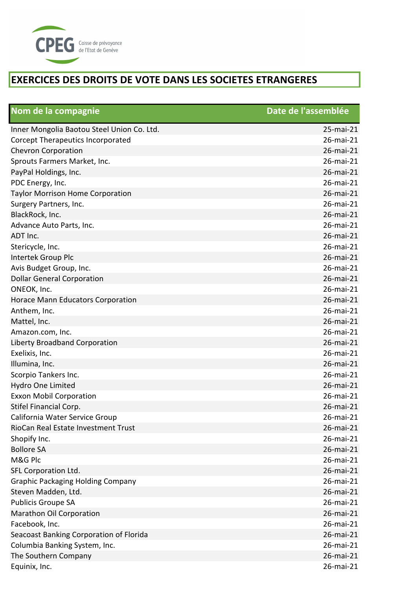

| Nom de la compagnie                        | Date de l'assemblée |
|--------------------------------------------|---------------------|
| Inner Mongolia Baotou Steel Union Co. Ltd. | 25-mai-21           |
| Corcept Therapeutics Incorporated          | 26-mai-21           |
| <b>Chevron Corporation</b>                 | 26-mai-21           |
| Sprouts Farmers Market, Inc.               | 26-mai-21           |
| PayPal Holdings, Inc.                      | 26-mai-21           |
| PDC Energy, Inc.                           | 26-mai-21           |
| <b>Taylor Morrison Home Corporation</b>    | 26-mai-21           |
| Surgery Partners, Inc.                     | 26-mai-21           |
| BlackRock, Inc.                            | 26-mai-21           |
| Advance Auto Parts, Inc.                   | 26-mai-21           |
| ADT Inc.                                   | 26-mai-21           |
| Stericycle, Inc.                           | 26-mai-21           |
| Intertek Group Plc                         | 26-mai-21           |
| Avis Budget Group, Inc.                    | 26-mai-21           |
| <b>Dollar General Corporation</b>          | 26-mai-21           |
| ONEOK, Inc.                                | 26-mai-21           |
| <b>Horace Mann Educators Corporation</b>   | 26-mai-21           |
| Anthem, Inc.                               | 26-mai-21           |
| Mattel, Inc.                               | 26-mai-21           |
| Amazon.com, Inc.                           | 26-mai-21           |
| Liberty Broadband Corporation              | 26-mai-21           |
| Exelixis, Inc.                             | 26-mai-21           |
| Illumina, Inc.                             | 26-mai-21           |
| Scorpio Tankers Inc.                       | 26-mai-21           |
| Hydro One Limited                          | 26-mai-21           |
| <b>Exxon Mobil Corporation</b>             | 26-mai-21           |
| Stifel Financial Corp.                     | 26-mai-21           |
| California Water Service Group             | 26-mai-21           |
| RioCan Real Estate Investment Trust        | 26-mai-21           |
| Shopify Inc.                               | 26-mai-21           |
| <b>Bollore SA</b>                          | 26-mai-21           |
| M&G Plc                                    | 26-mai-21           |
| SFL Corporation Ltd.                       | 26-mai-21           |
| <b>Graphic Packaging Holding Company</b>   | 26-mai-21           |
| Steven Madden, Ltd.                        | 26-mai-21           |
| Publicis Groupe SA                         | 26-mai-21           |
| Marathon Oil Corporation                   | 26-mai-21           |
| Facebook, Inc.                             | 26-mai-21           |
| Seacoast Banking Corporation of Florida    | 26-mai-21           |
| Columbia Banking System, Inc.              | 26-mai-21           |
| The Southern Company                       | 26-mai-21           |
| Equinix, Inc.                              | 26-mai-21           |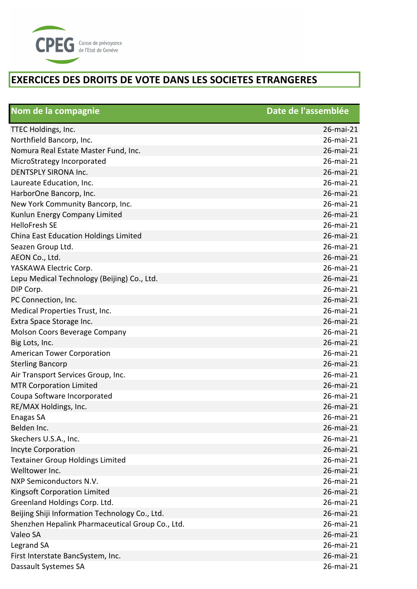

| Nom de la compagnie                              | Date de l'assemblée |
|--------------------------------------------------|---------------------|
| TTEC Holdings, Inc.                              | 26-mai-21           |
| Northfield Bancorp, Inc.                         | 26-mai-21           |
| Nomura Real Estate Master Fund, Inc.             | 26-mai-21           |
| MicroStrategy Incorporated                       | 26-mai-21           |
| <b>DENTSPLY SIRONA Inc.</b>                      | 26-mai-21           |
| Laureate Education, Inc.                         | 26-mai-21           |
| HarborOne Bancorp, Inc.                          | 26-mai-21           |
| New York Community Bancorp, Inc.                 | 26-mai-21           |
| Kunlun Energy Company Limited                    | 26-mai-21           |
| <b>HelloFresh SE</b>                             | 26-mai-21           |
| China East Education Holdings Limited            | 26-mai-21           |
| Seazen Group Ltd.                                | 26-mai-21           |
| AEON Co., Ltd.                                   | 26-mai-21           |
| YASKAWA Electric Corp.                           | 26-mai-21           |
| Lepu Medical Technology (Beijing) Co., Ltd.      | 26-mai-21           |
| DIP Corp.                                        | 26-mai-21           |
| PC Connection, Inc.                              | 26-mai-21           |
| Medical Properties Trust, Inc.                   | 26-mai-21           |
| Extra Space Storage Inc.                         | 26-mai-21           |
| Molson Coors Beverage Company                    | 26-mai-21           |
| Big Lots, Inc.                                   | 26-mai-21           |
| <b>American Tower Corporation</b>                | 26-mai-21           |
| <b>Sterling Bancorp</b>                          | 26-mai-21           |
| Air Transport Services Group, Inc.               | 26-mai-21           |
| <b>MTR Corporation Limited</b>                   | 26-mai-21           |
| Coupa Software Incorporated                      | 26-mai-21           |
| RE/MAX Holdings, Inc.                            | 26-mai-21           |
| Enagas SA                                        | 26-mai-21           |
| Belden Inc.                                      | 26-mai-21           |
| Skechers U.S.A., Inc.                            | 26-mai-21           |
| <b>Incyte Corporation</b>                        | 26-mai-21           |
| <b>Textainer Group Holdings Limited</b>          | 26-mai-21           |
| Welltower Inc.                                   | 26-mai-21           |
| NXP Semiconductors N.V.                          | 26-mai-21           |
| Kingsoft Corporation Limited                     | 26-mai-21           |
| Greenland Holdings Corp. Ltd.                    | 26-mai-21           |
| Beijing Shiji Information Technology Co., Ltd.   | 26-mai-21           |
| Shenzhen Hepalink Pharmaceutical Group Co., Ltd. | 26-mai-21           |
| Valeo SA                                         | 26-mai-21           |
| Legrand SA                                       | 26-mai-21           |
| First Interstate BancSystem, Inc.                | 26-mai-21           |
| Dassault Systemes SA                             | 26-mai-21           |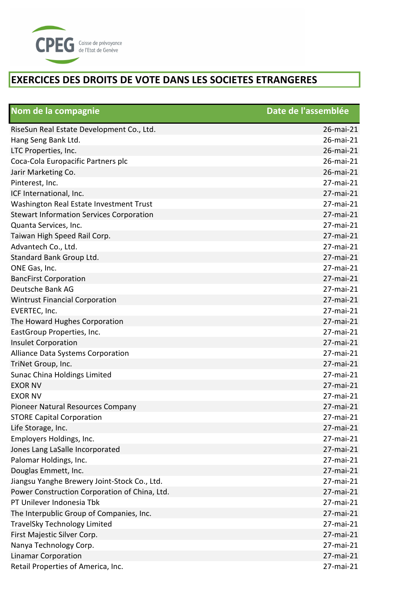

| Nom de la compagnie                             | Date de l'assemblée |
|-------------------------------------------------|---------------------|
| RiseSun Real Estate Development Co., Ltd.       | 26-mai-21           |
| Hang Seng Bank Ltd.                             | 26-mai-21           |
| LTC Properties, Inc.                            | 26-mai-21           |
| Coca-Cola Europacific Partners plc              | 26-mai-21           |
| Jarir Marketing Co.                             | 26-mai-21           |
| Pinterest, Inc.                                 | 27-mai-21           |
| ICF International, Inc.                         | 27-mai-21           |
| Washington Real Estate Investment Trust         | 27-mai-21           |
| <b>Stewart Information Services Corporation</b> | 27-mai-21           |
| Quanta Services, Inc.                           | 27-mai-21           |
| Taiwan High Speed Rail Corp.                    | 27-mai-21           |
| Advantech Co., Ltd.                             | 27-mai-21           |
| Standard Bank Group Ltd.                        | 27-mai-21           |
| ONE Gas, Inc.                                   | 27-mai-21           |
| <b>BancFirst Corporation</b>                    | 27-mai-21           |
| Deutsche Bank AG                                | 27-mai-21           |
| <b>Wintrust Financial Corporation</b>           | 27-mai-21           |
| EVERTEC, Inc.                                   | 27-mai-21           |
| The Howard Hughes Corporation                   | 27-mai-21           |
| EastGroup Properties, Inc.                      | 27-mai-21           |
| <b>Insulet Corporation</b>                      | 27-mai-21           |
| Alliance Data Systems Corporation               | 27-mai-21           |
| TriNet Group, Inc.                              | 27-mai-21           |
| Sunac China Holdings Limited                    | 27-mai-21           |
| <b>EXOR NV</b>                                  | 27-mai-21           |
| <b>EXOR NV</b>                                  | 27-mai-21           |
| Pioneer Natural Resources Company               | 27-mai-21           |
| <b>STORE Capital Corporation</b>                | 27-mai-21           |
| Life Storage, Inc.                              | 27-mai-21           |
| Employers Holdings, Inc.                        | 27-mai-21           |
| Jones Lang LaSalle Incorporated                 | 27-mai-21           |
| Palomar Holdings, Inc.                          | 27-mai-21           |
| Douglas Emmett, Inc.                            | 27-mai-21           |
| Jiangsu Yanghe Brewery Joint-Stock Co., Ltd.    | 27-mai-21           |
| Power Construction Corporation of China, Ltd.   | 27-mai-21           |
| PT Unilever Indonesia Tbk                       | 27-mai-21           |
| The Interpublic Group of Companies, Inc.        | 27-mai-21           |
| <b>TravelSky Technology Limited</b>             | 27-mai-21           |
| First Majestic Silver Corp.                     | 27-mai-21           |
| Nanya Technology Corp.                          | 27-mai-21           |
| <b>Linamar Corporation</b>                      | 27-mai-21           |
| Retail Properties of America, Inc.              | 27-mai-21           |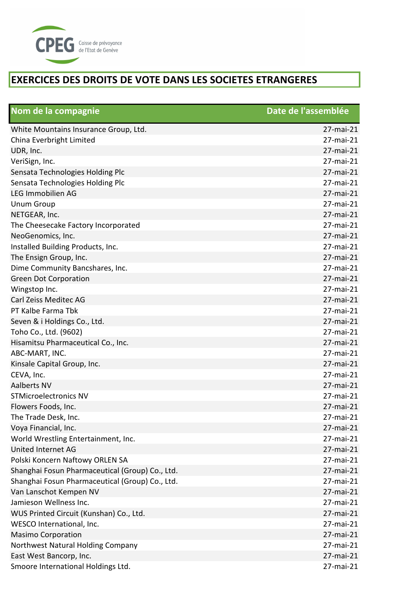

| Nom de la compagnie                             | Date de l'assemblée |
|-------------------------------------------------|---------------------|
| White Mountains Insurance Group, Ltd.           | 27-mai-21           |
| China Everbright Limited                        | 27-mai-21           |
| UDR, Inc.                                       | 27-mai-21           |
| VeriSign, Inc.                                  | 27-mai-21           |
| Sensata Technologies Holding Plc                | 27-mai-21           |
| Sensata Technologies Holding Plc                | 27-mai-21           |
| <b>LEG Immobilien AG</b>                        | 27-mai-21           |
| <b>Unum Group</b>                               | 27-mai-21           |
| NETGEAR, Inc.                                   | 27-mai-21           |
| The Cheesecake Factory Incorporated             | 27-mai-21           |
| NeoGenomics, Inc.                               | 27-mai-21           |
| Installed Building Products, Inc.               | 27-mai-21           |
| The Ensign Group, Inc.                          | 27-mai-21           |
| Dime Community Bancshares, Inc.                 | 27-mai-21           |
| <b>Green Dot Corporation</b>                    | 27-mai-21           |
| Wingstop Inc.                                   | 27-mai-21           |
| Carl Zeiss Meditec AG                           | 27-mai-21           |
| PT Kalbe Farma Tbk                              | 27-mai-21           |
| Seven & i Holdings Co., Ltd.                    | 27-mai-21           |
| Toho Co., Ltd. (9602)                           | 27-mai-21           |
| Hisamitsu Pharmaceutical Co., Inc.              | 27-mai-21           |
| ABC-MART, INC.                                  | 27-mai-21           |
| Kinsale Capital Group, Inc.                     | 27-mai-21           |
| CEVA, Inc.                                      | 27-mai-21           |
| <b>Aalberts NV</b>                              | 27-mai-21           |
| <b>STMicroelectronics NV</b>                    | 27-mai-21           |
| Flowers Foods, Inc.                             | 27-mai-21           |
| The Trade Desk, Inc.                            | 27-mai-21           |
| Voya Financial, Inc.                            | 27-mai-21           |
| World Wrestling Entertainment, Inc.             | 27-mai-21           |
| United Internet AG                              | 27-mai-21           |
| Polski Koncern Naftowy ORLEN SA                 | 27-mai-21           |
| Shanghai Fosun Pharmaceutical (Group) Co., Ltd. | 27-mai-21           |
| Shanghai Fosun Pharmaceutical (Group) Co., Ltd. | 27-mai-21           |
| Van Lanschot Kempen NV                          | 27-mai-21           |
| Jamieson Wellness Inc.                          | 27-mai-21           |
| WUS Printed Circuit (Kunshan) Co., Ltd.         | 27-mai-21           |
| WESCO International, Inc.                       | 27-mai-21           |
| <b>Masimo Corporation</b>                       | 27-mai-21           |
| Northwest Natural Holding Company               | 27-mai-21           |
| East West Bancorp, Inc.                         | 27-mai-21           |
| Smoore International Holdings Ltd.              | 27-mai-21           |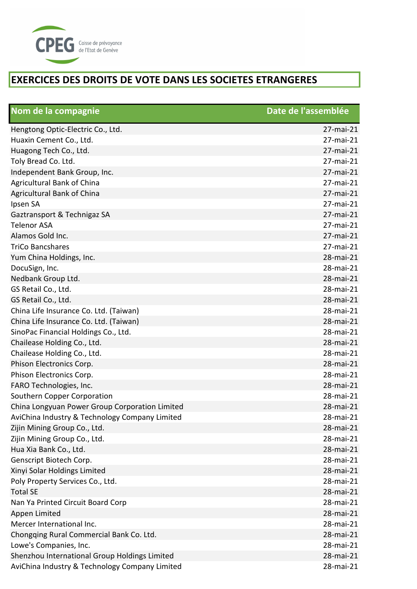

| Nom de la compagnie                            | Date de l'assemblée |
|------------------------------------------------|---------------------|
| Hengtong Optic-Electric Co., Ltd.              | 27-mai-21           |
| Huaxin Cement Co., Ltd.                        | 27-mai-21           |
| Huagong Tech Co., Ltd.                         | 27-mai-21           |
| Toly Bread Co. Ltd.                            | 27-mai-21           |
| Independent Bank Group, Inc.                   | 27-mai-21           |
| <b>Agricultural Bank of China</b>              | 27-mai-21           |
| Agricultural Bank of China                     | 27-mai-21           |
| Ipsen SA                                       | 27-mai-21           |
| Gaztransport & Technigaz SA                    | 27-mai-21           |
| <b>Telenor ASA</b>                             | 27-mai-21           |
| Alamos Gold Inc.                               | 27-mai-21           |
| <b>TriCo Bancshares</b>                        | 27-mai-21           |
| Yum China Holdings, Inc.                       | 28-mai-21           |
| DocuSign, Inc.                                 | 28-mai-21           |
| Nedbank Group Ltd.                             | 28-mai-21           |
| GS Retail Co., Ltd.                            | 28-mai-21           |
| GS Retail Co., Ltd.                            | 28-mai-21           |
| China Life Insurance Co. Ltd. (Taiwan)         | 28-mai-21           |
| China Life Insurance Co. Ltd. (Taiwan)         | 28-mai-21           |
| SinoPac Financial Holdings Co., Ltd.           | 28-mai-21           |
| Chailease Holding Co., Ltd.                    | 28-mai-21           |
| Chailease Holding Co., Ltd.                    | 28-mai-21           |
| Phison Electronics Corp.                       | 28-mai-21           |
| Phison Electronics Corp.                       | 28-mai-21           |
| FARO Technologies, Inc.                        | 28-mai-21           |
| Southern Copper Corporation                    | 28-mai-21           |
| China Longyuan Power Group Corporation Limited | 28-mai-21           |
| AviChina Industry & Technology Company Limited | 28-mai-21           |
| Zijin Mining Group Co., Ltd.                   | 28-mai-21           |
| Zijin Mining Group Co., Ltd.                   | 28-mai-21           |
| Hua Xia Bank Co., Ltd.                         | 28-mai-21           |
| Genscript Biotech Corp.                        | 28-mai-21           |
| Xinyi Solar Holdings Limited                   | 28-mai-21           |
| Poly Property Services Co., Ltd.               | 28-mai-21           |
| <b>Total SE</b>                                | 28-mai-21           |
| Nan Ya Printed Circuit Board Corp              | 28-mai-21           |
| Appen Limited                                  | 28-mai-21           |
| Mercer International Inc.                      | 28-mai-21           |
| Chongqing Rural Commercial Bank Co. Ltd.       | 28-mai-21           |
| Lowe's Companies, Inc.                         | 28-mai-21           |
| Shenzhou International Group Holdings Limited  | 28-mai-21           |
| AviChina Industry & Technology Company Limited | 28-mai-21           |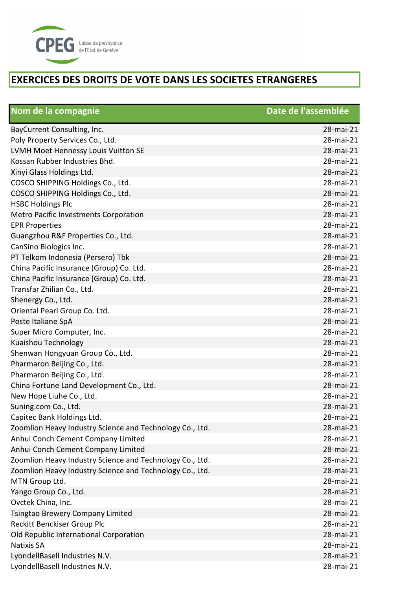

| Nom de la compagnie                                      | Date de l'assemblée |
|----------------------------------------------------------|---------------------|
| BayCurrent Consulting, Inc.                              | 28-mai-21           |
| Poly Property Services Co., Ltd.                         | 28-mai-21           |
| LVMH Moet Hennessy Louis Vuitton SE                      | 28-mai-21           |
| Kossan Rubber Industries Bhd.                            | 28-mai-21           |
| Xinyi Glass Holdings Ltd.                                | 28-mai-21           |
| COSCO SHIPPING Holdings Co., Ltd.                        | 28-mai-21           |
| COSCO SHIPPING Holdings Co., Ltd.                        | 28-mai-21           |
| <b>HSBC Holdings Plc</b>                                 | 28-mai-21           |
| Metro Pacific Investments Corporation                    | 28-mai-21           |
| <b>EPR Properties</b>                                    | 28-mai-21           |
| Guangzhou R&F Properties Co., Ltd.                       | 28-mai-21           |
| CanSino Biologics Inc.                                   | 28-mai-21           |
| PT Telkom Indonesia (Persero) Tbk                        | 28-mai-21           |
| China Pacific Insurance (Group) Co. Ltd.                 | 28-mai-21           |
| China Pacific Insurance (Group) Co. Ltd.                 | 28-mai-21           |
| Transfar Zhilian Co., Ltd.                               | 28-mai-21           |
| Shenergy Co., Ltd.                                       | 28-mai-21           |
| Oriental Pearl Group Co. Ltd.                            | 28-mai-21           |
| Poste Italiane SpA                                       | 28-mai-21           |
| Super Micro Computer, Inc.                               | 28-mai-21           |
| Kuaishou Technology                                      | 28-mai-21           |
| Shenwan Hongyuan Group Co., Ltd.                         | 28-mai-21           |
| Pharmaron Beijing Co., Ltd.                              | 28-mai-21           |
| Pharmaron Beijing Co., Ltd.                              | 28-mai-21           |
| China Fortune Land Development Co., Ltd.                 | 28-mai-21           |
| New Hope Liuhe Co., Ltd.                                 | 28-mai-21           |
| Suning.com Co., Ltd.                                     | 28-mai-21           |
| Capitec Bank Holdings Ltd.                               | 28-mai-21           |
| Zoomlion Heavy Industry Science and Technology Co., Ltd. | 28-mai-21           |
| Anhui Conch Cement Company Limited                       | 28-mai-21           |
| Anhui Conch Cement Company Limited                       | 28-mai-21           |
| Zoomlion Heavy Industry Science and Technology Co., Ltd. | 28-mai-21           |
| Zoomlion Heavy Industry Science and Technology Co., Ltd. | 28-mai-21           |
| MTN Group Ltd.                                           | 28-mai-21           |
| Yango Group Co., Ltd.                                    | 28-mai-21           |
| Ovctek China, Inc.                                       | 28-mai-21           |
| <b>Tsingtao Brewery Company Limited</b>                  | 28-mai-21           |
| Reckitt Benckiser Group Plc                              | 28-mai-21           |
| Old Republic International Corporation                   | 28-mai-21           |
| <b>Natixis SA</b>                                        | 28-mai-21           |
| LyondellBasell Industries N.V.                           | 28-mai-21           |
| LyondellBasell Industries N.V.                           | 28-mai-21           |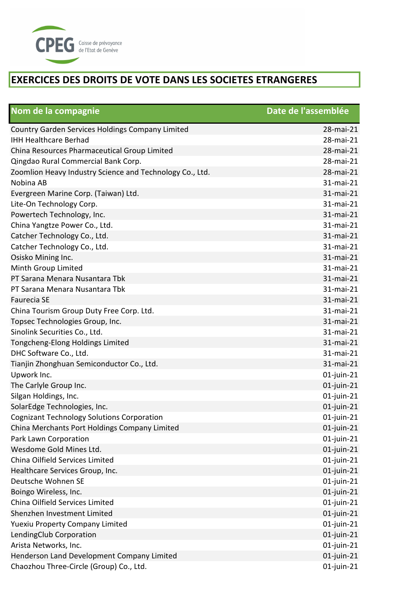

| Nom de la compagnie                                      | Date de l'assemblée |
|----------------------------------------------------------|---------------------|
| Country Garden Services Holdings Company Limited         | 28-mai-21           |
| <b>IHH Healthcare Berhad</b>                             | 28-mai-21           |
| China Resources Pharmaceutical Group Limited             | 28-mai-21           |
| Qingdao Rural Commercial Bank Corp.                      | 28-mai-21           |
| Zoomlion Heavy Industry Science and Technology Co., Ltd. | 28-mai-21           |
| Nobina AB                                                | 31-mai-21           |
| Evergreen Marine Corp. (Taiwan) Ltd.                     | 31-mai-21           |
| Lite-On Technology Corp.                                 | 31-mai-21           |
| Powertech Technology, Inc.                               | 31-mai-21           |
| China Yangtze Power Co., Ltd.                            | 31-mai-21           |
| Catcher Technology Co., Ltd.                             | 31-mai-21           |
| Catcher Technology Co., Ltd.                             | 31-mai-21           |
| Osisko Mining Inc.                                       | 31-mai-21           |
| Minth Group Limited                                      | 31-mai-21           |
| PT Sarana Menara Nusantara Tbk                           | 31-mai-21           |
| PT Sarana Menara Nusantara Tbk                           | 31-mai-21           |
| <b>Faurecia SE</b>                                       | 31-mai-21           |
| China Tourism Group Duty Free Corp. Ltd.                 | 31-mai-21           |
| Topsec Technologies Group, Inc.                          | 31-mai-21           |
| Sinolink Securities Co., Ltd.                            | 31-mai-21           |
| Tongcheng-Elong Holdings Limited                         | 31-mai-21           |
| DHC Software Co., Ltd.                                   | 31-mai-21           |
| Tianjin Zhonghuan Semiconductor Co., Ltd.                | 31-mai-21           |
| Upwork Inc.                                              | $01$ -juin-21       |
| The Carlyle Group Inc.                                   | $01$ -juin-21       |
| Silgan Holdings, Inc.                                    | $01$ -juin-21       |
| SolarEdge Technologies, Inc.                             | $01$ -juin-21       |
| <b>Cognizant Technology Solutions Corporation</b>        | $01$ -juin-21       |
| China Merchants Port Holdings Company Limited            | $01$ -juin-21       |
| Park Lawn Corporation                                    | $01$ -juin-21       |
| Wesdome Gold Mines Ltd.                                  | $01$ -juin-21       |
| China Oilfield Services Limited                          | $01$ -juin-21       |
| Healthcare Services Group, Inc.                          | $01$ -juin-21       |
| Deutsche Wohnen SE                                       | $01$ -juin-21       |
| Boingo Wireless, Inc.                                    | $01$ -juin-21       |
| China Oilfield Services Limited                          | $01$ -juin-21       |
| Shenzhen Investment Limited                              | $01$ -juin-21       |
| <b>Yuexiu Property Company Limited</b>                   | $01$ -juin-21       |
| LendingClub Corporation                                  | $01$ -juin-21       |
| Arista Networks, Inc.                                    | $01$ -juin-21       |
| Henderson Land Development Company Limited               | 01-juin-21          |
| Chaozhou Three-Circle (Group) Co., Ltd.                  | $01$ -juin-21       |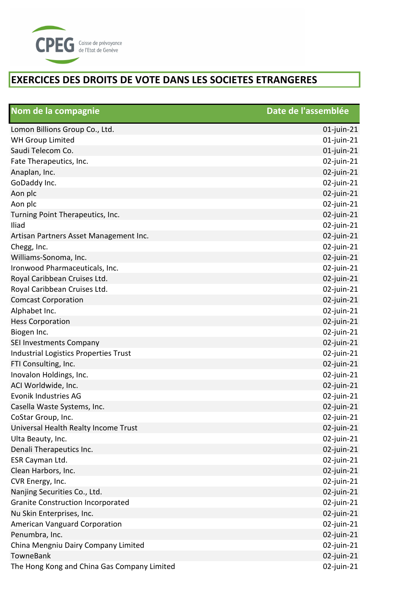

| Nom de la compagnie                          | Date de l'assemblée |
|----------------------------------------------|---------------------|
| Lomon Billions Group Co., Ltd.               | $01$ -juin-21       |
| <b>WH Group Limited</b>                      | $01$ -juin-21       |
| Saudi Telecom Co.                            | $01$ -juin-21       |
| Fate Therapeutics, Inc.                      | 02-juin-21          |
| Anaplan, Inc.                                | 02-juin-21          |
| GoDaddy Inc.                                 | 02-juin-21          |
| Aon plc                                      | 02-juin-21          |
| Aon plc                                      | 02-juin-21          |
| Turning Point Therapeutics, Inc.             | 02-juin-21          |
| Iliad                                        | 02-juin-21          |
| Artisan Partners Asset Management Inc.       | 02-juin-21          |
| Chegg, Inc.                                  | 02-juin-21          |
| Williams-Sonoma, Inc.                        | 02-juin-21          |
| Ironwood Pharmaceuticals, Inc.               | 02-juin-21          |
| Royal Caribbean Cruises Ltd.                 | 02-juin-21          |
| Royal Caribbean Cruises Ltd.                 | 02-juin-21          |
| <b>Comcast Corporation</b>                   | 02-juin-21          |
| Alphabet Inc.                                | 02-juin-21          |
| <b>Hess Corporation</b>                      | 02-juin-21          |
| Biogen Inc.                                  | 02-juin-21          |
| SEI Investments Company                      | 02-juin-21          |
| <b>Industrial Logistics Properties Trust</b> | 02-juin-21          |
| FTI Consulting, Inc.                         | 02-juin-21          |
| Inovalon Holdings, Inc.                      | 02-juin-21          |
| ACI Worldwide, Inc.                          | 02-juin-21          |
| Evonik Industries AG                         | 02-juin-21          |
| Casella Waste Systems, Inc.                  | 02-juin-21          |
| CoStar Group, Inc.                           | 02-juin-21          |
| Universal Health Realty Income Trust         | 02-juin-21          |
| Ulta Beauty, Inc.                            | 02-juin-21          |
| Denali Therapeutics Inc.                     | $02$ -juin-21       |
| ESR Cayman Ltd.                              | 02-juin-21          |
| Clean Harbors, Inc.                          | $02$ -juin-21       |
| CVR Energy, Inc.                             | 02-juin-21          |
| Nanjing Securities Co., Ltd.                 | 02-juin-21          |
| <b>Granite Construction Incorporated</b>     | 02-juin-21          |
| Nu Skin Enterprises, Inc.                    | 02-juin-21          |
| American Vanguard Corporation                | 02-juin-21          |
| Penumbra, Inc.                               | 02-juin-21          |
| China Mengniu Dairy Company Limited          | 02-juin-21          |
| TowneBank                                    | $02$ -juin-21       |
| The Hong Kong and China Gas Company Limited  | $02$ -juin-21       |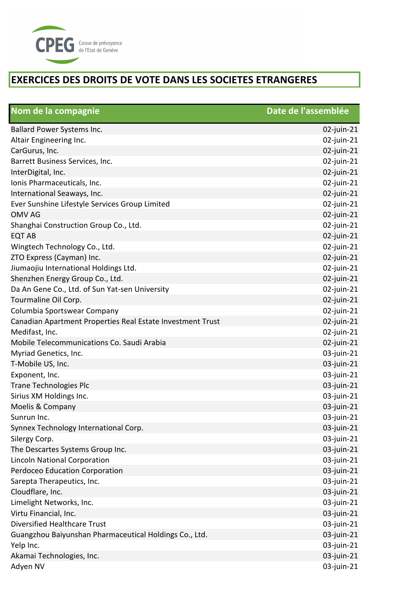

| Nom de la compagnie                                        | Date de l'assemblée |
|------------------------------------------------------------|---------------------|
| Ballard Power Systems Inc.                                 | $02$ -juin-21       |
| Altair Engineering Inc.                                    | 02-juin-21          |
| CarGurus, Inc.                                             | $02$ -juin-21       |
| Barrett Business Services, Inc.                            | 02-juin-21          |
| InterDigital, Inc.                                         | $02$ -juin-21       |
| Ionis Pharmaceuticals, Inc.                                | $02$ -juin-21       |
| International Seaways, Inc.                                | $02$ -juin-21       |
| Ever Sunshine Lifestyle Services Group Limited             | 02-juin-21          |
| <b>OMV AG</b>                                              | 02-juin-21          |
| Shanghai Construction Group Co., Ltd.                      | 02-juin-21          |
| <b>EQT AB</b>                                              | $02$ -juin-21       |
| Wingtech Technology Co., Ltd.                              | 02-juin-21          |
| ZTO Express (Cayman) Inc.                                  | 02-juin-21          |
| Jiumaojiu International Holdings Ltd.                      | 02-juin-21          |
| Shenzhen Energy Group Co., Ltd.                            | 02-juin-21          |
| Da An Gene Co., Ltd. of Sun Yat-sen University             | 02-juin-21          |
| Tourmaline Oil Corp.                                       | $02$ -juin-21       |
| Columbia Sportswear Company                                | 02-juin-21          |
| Canadian Apartment Properties Real Estate Investment Trust | $02$ -juin-21       |
| Medifast, Inc.                                             | 02-juin-21          |
| Mobile Telecommunications Co. Saudi Arabia                 | $02$ -juin-21       |
| Myriad Genetics, Inc.                                      | 03-juin-21          |
| T-Mobile US, Inc.                                          | 03-juin-21          |
| Exponent, Inc.                                             | 03-juin-21          |
| <b>Trane Technologies Plc</b>                              | 03-juin-21          |
| Sirius XM Holdings Inc.                                    | 03-juin-21          |
| Moelis & Company                                           | 03-juin-21          |
| Sunrun Inc.                                                | 03-juin-21          |
| Synnex Technology International Corp.                      | 03-juin-21          |
| Silergy Corp.                                              | 03-juin-21          |
| The Descartes Systems Group Inc.                           | 03-juin-21          |
| <b>Lincoln National Corporation</b>                        | 03-juin-21          |
| Perdoceo Education Corporation                             | 03-juin-21          |
| Sarepta Therapeutics, Inc.                                 | 03-juin-21          |
| Cloudflare, Inc.                                           | 03-juin-21          |
| Limelight Networks, Inc.                                   | 03-juin-21          |
| Virtu Financial, Inc.                                      | 03-juin-21          |
| <b>Diversified Healthcare Trust</b>                        | 03-juin-21          |
| Guangzhou Baiyunshan Pharmaceutical Holdings Co., Ltd.     | 03-juin-21          |
| Yelp Inc.                                                  | 03-juin-21          |
| Akamai Technologies, Inc.                                  | 03-juin-21          |
| Adyen NV                                                   | 03-juin-21          |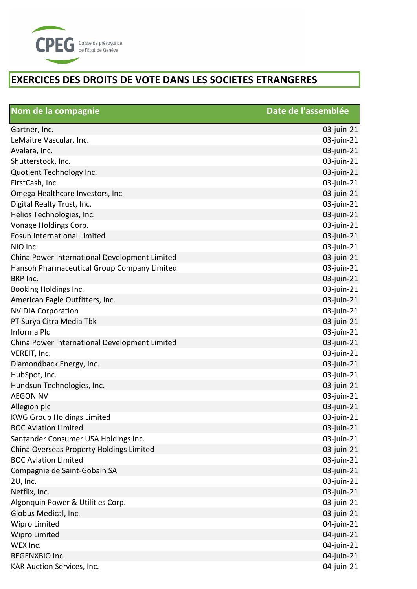

| Nom de la compagnie                           | Date de l'assemblée |
|-----------------------------------------------|---------------------|
| Gartner, Inc.                                 | 03-juin-21          |
| LeMaitre Vascular, Inc.                       | 03-juin-21          |
| Avalara, Inc.                                 | 03-juin-21          |
| Shutterstock, Inc.                            | 03-juin-21          |
| Quotient Technology Inc.                      | 03-juin-21          |
| FirstCash, Inc.                               | 03-juin-21          |
| Omega Healthcare Investors, Inc.              | 03-juin-21          |
| Digital Realty Trust, Inc.                    | 03-juin-21          |
| Helios Technologies, Inc.                     | 03-juin-21          |
| Vonage Holdings Corp.                         | 03-juin-21          |
| <b>Fosun International Limited</b>            | 03-juin-21          |
| NIO Inc.                                      | 03-juin-21          |
| China Power International Development Limited | 03-juin-21          |
| Hansoh Pharmaceutical Group Company Limited   | 03-juin-21          |
| <b>BRP Inc.</b>                               | 03-juin-21          |
| Booking Holdings Inc.                         | 03-juin-21          |
| American Eagle Outfitters, Inc.               | 03-juin-21          |
| <b>NVIDIA Corporation</b>                     | 03-juin-21          |
| PT Surya Citra Media Tbk                      | 03-juin-21          |
| Informa Plc                                   | 03-juin-21          |
| China Power International Development Limited | 03-juin-21          |
| VEREIT, Inc.                                  | 03-juin-21          |
| Diamondback Energy, Inc.                      | 03-juin-21          |
| HubSpot, Inc.                                 | 03-juin-21          |
| Hundsun Technologies, Inc.                    | 03-juin-21          |
| <b>AEGON NV</b>                               | 03-juin-21          |
| Allegion plc                                  | 03-juin-21          |
| <b>KWG Group Holdings Limited</b>             | 03-juin-21          |
| <b>BOC Aviation Limited</b>                   | 03-juin-21          |
| Santander Consumer USA Holdings Inc.          | 03-juin-21          |
| China Overseas Property Holdings Limited      | 03-juin-21          |
| <b>BOC Aviation Limited</b>                   | 03-juin-21          |
| Compagnie de Saint-Gobain SA                  | 03-juin-21          |
| 2U, Inc.                                      | 03-juin-21          |
| Netflix, Inc.                                 | 03-juin-21          |
| Algonquin Power & Utilities Corp.             | 03-juin-21          |
| Globus Medical, Inc.                          | 03-juin-21          |
| Wipro Limited                                 | 04-juin-21          |
| <b>Wipro Limited</b>                          | 04-juin-21          |
| WEX Inc.                                      | 04-juin-21          |
| REGENXBIO Inc.                                | 04-juin-21          |
| KAR Auction Services, Inc.                    | 04-juin-21          |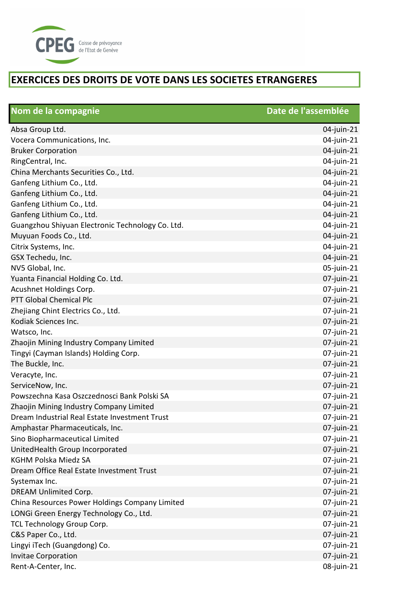

| Nom de la compagnie                              | Date de l'assemblée |
|--------------------------------------------------|---------------------|
| Absa Group Ltd.                                  | 04-juin-21          |
| Vocera Communications, Inc.                      | 04-juin-21          |
| <b>Bruker Corporation</b>                        | 04-juin-21          |
| RingCentral, Inc.                                | 04-juin-21          |
| China Merchants Securities Co., Ltd.             | 04-juin-21          |
| Ganfeng Lithium Co., Ltd.                        | 04-juin-21          |
| Ganfeng Lithium Co., Ltd.                        | 04-juin-21          |
| Ganfeng Lithium Co., Ltd.                        | 04-juin-21          |
| Ganfeng Lithium Co., Ltd.                        | 04-juin-21          |
| Guangzhou Shiyuan Electronic Technology Co. Ltd. | 04-juin-21          |
| Muyuan Foods Co., Ltd.                           | 04-juin-21          |
| Citrix Systems, Inc.                             | 04-juin-21          |
| GSX Techedu, Inc.                                | 04-juin-21          |
| NV5 Global, Inc.                                 | 05-juin-21          |
| Yuanta Financial Holding Co. Ltd.                | 07-juin-21          |
| Acushnet Holdings Corp.                          | 07-juin-21          |
| PTT Global Chemical Plc                          | 07-juin-21          |
| Zhejiang Chint Electrics Co., Ltd.               | 07-juin-21          |
| Kodiak Sciences Inc.                             | 07-juin-21          |
| Watsco, Inc.                                     | 07-juin-21          |
| Zhaojin Mining Industry Company Limited          | 07-juin-21          |
| Tingyi (Cayman Islands) Holding Corp.            | 07-juin-21          |
| The Buckle, Inc.                                 | 07-juin-21          |
| Veracyte, Inc.                                   | 07-juin-21          |
| ServiceNow, Inc.                                 | 07-juin-21          |
| Powszechna Kasa Oszczednosci Bank Polski SA      | 07-juin-21          |
| Zhaojin Mining Industry Company Limited          | 07-juin-21          |
| Dream Industrial Real Estate Investment Trust    | 07-juin-21          |
| Amphastar Pharmaceuticals, Inc.                  | 07-juin-21          |
| Sino Biopharmaceutical Limited                   | 07-juin-21          |
| UnitedHealth Group Incorporated                  | 07-juin-21          |
| <b>KGHM Polska Miedz SA</b>                      | 07-juin-21          |
| Dream Office Real Estate Investment Trust        | 07-juin-21          |
| Systemax Inc.                                    | 07-juin-21          |
| <b>DREAM Unlimited Corp.</b>                     | 07-juin-21          |
| China Resources Power Holdings Company Limited   | 07-juin-21          |
| LONGi Green Energy Technology Co., Ltd.          | 07-juin-21          |
| TCL Technology Group Corp.                       | 07-juin-21          |
| C&S Paper Co., Ltd.                              | 07-juin-21          |
| Lingyi iTech (Guangdong) Co.                     | 07-juin-21          |
| <b>Invitae Corporation</b>                       | 07-juin-21          |
| Rent-A-Center, Inc.                              | 08-juin-21          |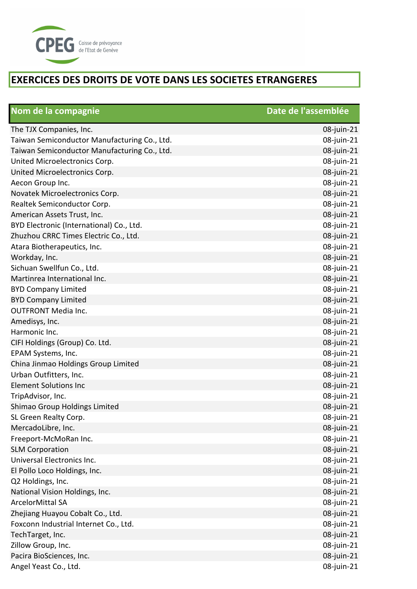

| Nom de la compagnie                          | Date de l'assemblée |
|----------------------------------------------|---------------------|
| The TJX Companies, Inc.                      | 08-juin-21          |
| Taiwan Semiconductor Manufacturing Co., Ltd. | 08-juin-21          |
| Taiwan Semiconductor Manufacturing Co., Ltd. | 08-juin-21          |
| United Microelectronics Corp.                | 08-juin-21          |
| United Microelectronics Corp.                | 08-juin-21          |
| Aecon Group Inc.                             | 08-juin-21          |
| Novatek Microelectronics Corp.               | 08-juin-21          |
| Realtek Semiconductor Corp.                  | 08-juin-21          |
| American Assets Trust, Inc.                  | 08-juin-21          |
| BYD Electronic (International) Co., Ltd.     | 08-juin-21          |
| Zhuzhou CRRC Times Electric Co., Ltd.        | 08-juin-21          |
| Atara Biotherapeutics, Inc.                  | 08-juin-21          |
| Workday, Inc.                                | 08-juin-21          |
| Sichuan Swellfun Co., Ltd.                   | 08-juin-21          |
| Martinrea International Inc.                 | 08-juin-21          |
| <b>BYD Company Limited</b>                   | 08-juin-21          |
| <b>BYD Company Limited</b>                   | 08-juin-21          |
| <b>OUTFRONT Media Inc.</b>                   | 08-juin-21          |
| Amedisys, Inc.                               | 08-juin-21          |
| Harmonic Inc.                                | 08-juin-21          |
| CIFI Holdings (Group) Co. Ltd.               | 08-juin-21          |
| EPAM Systems, Inc.                           | 08-juin-21          |
| China Jinmao Holdings Group Limited          | 08-juin-21          |
| Urban Outfitters, Inc.                       | 08-juin-21          |
| <b>Element Solutions Inc</b>                 | 08-juin-21          |
| TripAdvisor, Inc.                            | 08-juin-21          |
| Shimao Group Holdings Limited                | 08-juin-21          |
| SL Green Realty Corp.                        | 08-juin-21          |
| MercadoLibre, Inc.                           | 08-juin-21          |
| Freeport-McMoRan Inc.                        | 08-juin-21          |
| <b>SLM Corporation</b>                       | 08-juin-21          |
| Universal Electronics Inc.                   | 08-juin-21          |
| El Pollo Loco Holdings, Inc.                 | 08-juin-21          |
| Q2 Holdings, Inc.                            | 08-juin-21          |
| National Vision Holdings, Inc.               | 08-juin-21          |
| <b>ArcelorMittal SA</b>                      | 08-juin-21          |
| Zhejiang Huayou Cobalt Co., Ltd.             | 08-juin-21          |
| Foxconn Industrial Internet Co., Ltd.        | 08-juin-21          |
| TechTarget, Inc.                             | 08-juin-21          |
| Zillow Group, Inc.                           | 08-juin-21          |
| Pacira BioSciences, Inc.                     | 08-juin-21          |
| Angel Yeast Co., Ltd.                        | 08-juin-21          |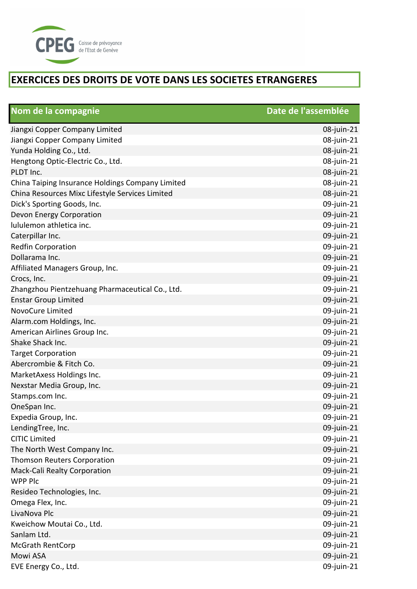

| Nom de la compagnie                              | Date de l'assemblée |
|--------------------------------------------------|---------------------|
| Jiangxi Copper Company Limited                   | 08-juin-21          |
| Jiangxi Copper Company Limited                   | 08-juin-21          |
| Yunda Holding Co., Ltd.                          | 08-juin-21          |
| Hengtong Optic-Electric Co., Ltd.                | 08-juin-21          |
| PLDT Inc.                                        | 08-juin-21          |
| China Taiping Insurance Holdings Company Limited | 08-juin-21          |
| China Resources Mixc Lifestyle Services Limited  | 08-juin-21          |
| Dick's Sporting Goods, Inc.                      | 09-juin-21          |
| Devon Energy Corporation                         | 09-juin-21          |
| lululemon athletica inc.                         | 09-juin-21          |
| Caterpillar Inc.                                 | 09-juin-21          |
| <b>Redfin Corporation</b>                        | 09-juin-21          |
| Dollarama Inc.                                   | 09-juin-21          |
| Affiliated Managers Group, Inc.                  | 09-juin-21          |
| Crocs, Inc.                                      | 09-juin-21          |
| Zhangzhou Pientzehuang Pharmaceutical Co., Ltd.  | 09-juin-21          |
| <b>Enstar Group Limited</b>                      | 09-juin-21          |
| NovoCure Limited                                 | 09-juin-21          |
| Alarm.com Holdings, Inc.                         | 09-juin-21          |
| American Airlines Group Inc.                     | 09-juin-21          |
| Shake Shack Inc.                                 | 09-juin-21          |
| <b>Target Corporation</b>                        | 09-juin-21          |
| Abercrombie & Fitch Co.                          | 09-juin-21          |
| MarketAxess Holdings Inc.                        | 09-juin-21          |
| Nexstar Media Group, Inc.                        | 09-juin-21          |
| Stamps.com Inc.                                  | 09-juin-21          |
| OneSpan Inc.                                     | 09-juin-21          |
| Expedia Group, Inc.                              | 09-juin-21          |
| LendingTree, Inc.                                | 09-juin-21          |
| <b>CITIC Limited</b>                             | 09-juin-21          |
| The North West Company Inc.                      | 09-juin-21          |
| <b>Thomson Reuters Corporation</b>               | 09-juin-21          |
| Mack-Cali Realty Corporation                     | 09-juin-21          |
| <b>WPP Plc</b>                                   | 09-juin-21          |
| Resideo Technologies, Inc.                       | 09-juin-21          |
| Omega Flex, Inc.                                 | 09-juin-21          |
| LivaNova Plc                                     | 09-juin-21          |
| Kweichow Moutai Co., Ltd.                        | 09-juin-21          |
| Sanlam Ltd.                                      | 09-juin-21          |
| <b>McGrath RentCorp</b>                          | 09-juin-21          |
| Mowi ASA                                         | 09-juin-21          |
| EVE Energy Co., Ltd.                             | 09-juin-21          |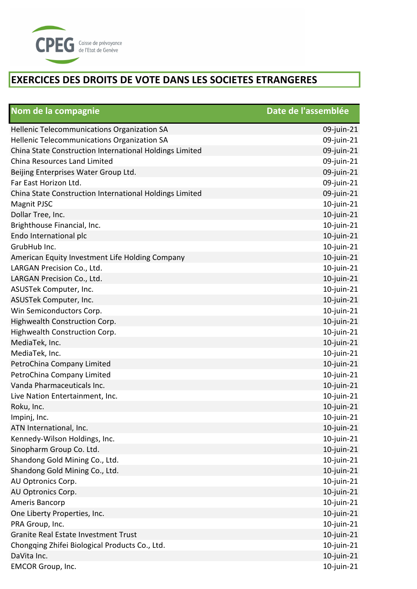

| Nom de la compagnie                                     | Date de l'assemblée |
|---------------------------------------------------------|---------------------|
| <b>Hellenic Telecommunications Organization SA</b>      | 09-juin-21          |
| Hellenic Telecommunications Organization SA             | 09-juin-21          |
| China State Construction International Holdings Limited | 09-juin-21          |
| China Resources Land Limited                            | 09-juin-21          |
| Beijing Enterprises Water Group Ltd.                    | 09-juin-21          |
| Far East Horizon Ltd.                                   | 09-juin-21          |
| China State Construction International Holdings Limited | 09-juin-21          |
| Magnit PJSC                                             | $10$ -juin-21       |
| Dollar Tree, Inc.                                       | $10$ -juin-21       |
| Brighthouse Financial, Inc.                             | $10$ -juin-21       |
| Endo International plc                                  | $10$ -juin-21       |
| GrubHub Inc.                                            | 10-juin-21          |
| American Equity Investment Life Holding Company         | $10$ -juin-21       |
| LARGAN Precision Co., Ltd.                              | $10$ -juin-21       |
| LARGAN Precision Co., Ltd.                              | $10$ -juin-21       |
| ASUSTek Computer, Inc.                                  | $10$ -juin-21       |
| ASUSTek Computer, Inc.                                  | $10$ -juin-21       |
| Win Semiconductors Corp.                                | $10$ -juin-21       |
| Highwealth Construction Corp.                           | 10-juin-21          |
| Highwealth Construction Corp.                           | $10$ -juin-21       |
| MediaTek, Inc.                                          | $10$ -juin-21       |
| MediaTek, Inc.                                          | $10$ -juin-21       |
| PetroChina Company Limited                              | $10$ -juin-21       |
| PetroChina Company Limited                              | $10$ -juin-21       |
| Vanda Pharmaceuticals Inc.                              | $10$ -juin-21       |
| Live Nation Entertainment, Inc.                         | $10$ -juin-21       |
| Roku, Inc.                                              | $10$ -juin-21       |
| Impinj, Inc.                                            | $10$ -juin-21       |
| ATN International, Inc.                                 | $10$ -juin-21       |
| Kennedy-Wilson Holdings, Inc.                           | $10$ -juin-21       |
| Sinopharm Group Co. Ltd.                                | $10$ -juin-21       |
| Shandong Gold Mining Co., Ltd.                          | $10$ -juin-21       |
| Shandong Gold Mining Co., Ltd.                          | $10$ -juin-21       |
| AU Optronics Corp.                                      | $10$ -juin-21       |
| AU Optronics Corp.                                      | $10$ -juin- $21$    |
| Ameris Bancorp                                          | $10$ -juin-21       |
| One Liberty Properties, Inc.                            | $10$ -juin-21       |
| PRA Group, Inc.                                         | $10$ -juin-21       |
| Granite Real Estate Investment Trust                    | $10$ -juin-21       |
| Chongqing Zhifei Biological Products Co., Ltd.          | $10$ -juin- $21$    |
| DaVita Inc.                                             | $10$ -juin-21       |
| <b>EMCOR Group, Inc.</b>                                | $10$ -juin-21       |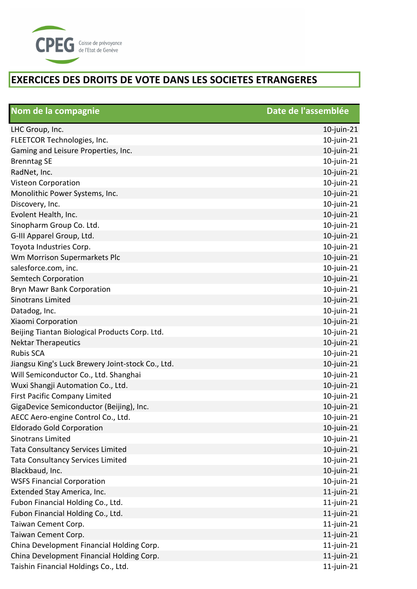

| Nom de la compagnie                               | Date de l'assemblée |
|---------------------------------------------------|---------------------|
| LHC Group, Inc.                                   | $10$ -juin-21       |
| FLEETCOR Technologies, Inc.                       | $10$ -juin-21       |
| Gaming and Leisure Properties, Inc.               | $10$ -juin-21       |
| <b>Brenntag SE</b>                                | 10-juin-21          |
| RadNet, Inc.                                      | $10$ -juin-21       |
| Visteon Corporation                               | 10-juin-21          |
| Monolithic Power Systems, Inc.                    | $10$ -juin-21       |
| Discovery, Inc.                                   | 10-juin-21          |
| Evolent Health, Inc.                              | $10$ -juin-21       |
| Sinopharm Group Co. Ltd.                          | 10-juin-21          |
| G-III Apparel Group, Ltd.                         | $10$ -juin-21       |
| Toyota Industries Corp.                           | $10$ -juin-21       |
| Wm Morrison Supermarkets Plc                      | $10$ -juin-21       |
| salesforce.com, inc.                              | 10-juin-21          |
| <b>Semtech Corporation</b>                        | $10$ -juin-21       |
| <b>Bryn Mawr Bank Corporation</b>                 | $10$ -juin-21       |
| <b>Sinotrans Limited</b>                          | $10$ -juin-21       |
| Datadog, Inc.                                     | $10$ -juin-21       |
| Xiaomi Corporation                                | 10-juin-21          |
| Beijing Tiantan Biological Products Corp. Ltd.    | 10-juin-21          |
| <b>Nektar Therapeutics</b>                        | 10-juin-21          |
| <b>Rubis SCA</b>                                  | 10-juin-21          |
| Jiangsu King's Luck Brewery Joint-stock Co., Ltd. | 10-juin-21          |
| Will Semiconductor Co., Ltd. Shanghai             | $10$ -juin-21       |
| Wuxi Shangji Automation Co., Ltd.                 | 10-juin-21          |
| <b>First Pacific Company Limited</b>              | 10-juin-21          |
| GigaDevice Semiconductor (Beijing), Inc.          | $10$ -juin-21       |
| AECC Aero-engine Control Co., Ltd.                | $10$ -juin-21       |
| <b>Eldorado Gold Corporation</b>                  | $10$ -juin-21       |
| <b>Sinotrans Limited</b>                          | $10$ -juin-21       |
| <b>Tata Consultancy Services Limited</b>          | 10-juin-21          |
| <b>Tata Consultancy Services Limited</b>          | 10-juin-21          |
| Blackbaud, Inc.                                   | 10-juin-21          |
| <b>WSFS Financial Corporation</b>                 | $10$ -juin-21       |
| Extended Stay America, Inc.                       | $11$ -juin-21       |
| Fubon Financial Holding Co., Ltd.                 | $11$ -juin-21       |
| Fubon Financial Holding Co., Ltd.                 | $11$ -juin-21       |
| Taiwan Cement Corp.                               | $11$ -juin-21       |
| Taiwan Cement Corp.                               | $11$ -juin-21       |
| China Development Financial Holding Corp.         | $11$ -juin-21       |
| China Development Financial Holding Corp.         | $11$ -juin-21       |
| Taishin Financial Holdings Co., Ltd.              | $11$ -juin-21       |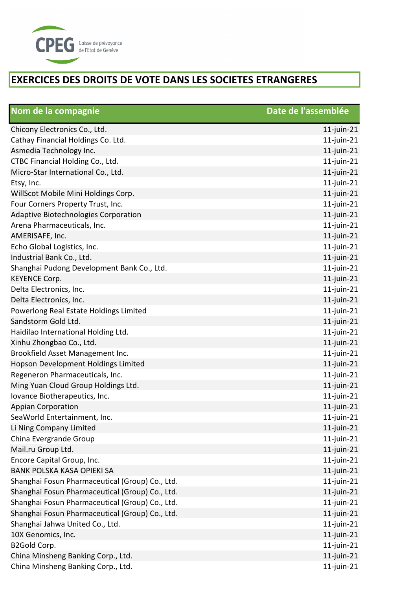

| Nom de la compagnie                             | Date de l'assemblée |
|-------------------------------------------------|---------------------|
| Chicony Electronics Co., Ltd.                   | $11$ -juin-21       |
| Cathay Financial Holdings Co. Ltd.              | $11$ -juin-21       |
| Asmedia Technology Inc.                         | $11$ -juin-21       |
| CTBC Financial Holding Co., Ltd.                | $11$ -juin-21       |
| Micro-Star International Co., Ltd.              | $11$ -juin-21       |
| Etsy, Inc.                                      | $11$ -juin-21       |
| WillScot Mobile Mini Holdings Corp.             | $11$ -juin-21       |
| Four Corners Property Trust, Inc.               | $11$ -juin-21       |
| Adaptive Biotechnologies Corporation            | $11$ -juin-21       |
| Arena Pharmaceuticals, Inc.                     | $11$ -juin-21       |
| AMERISAFE, Inc.                                 | $11$ -juin-21       |
| Echo Global Logistics, Inc.                     | $11$ -juin-21       |
| Industrial Bank Co., Ltd.                       | $11$ -juin-21       |
| Shanghai Pudong Development Bank Co., Ltd.      | $11$ -juin-21       |
| <b>KEYENCE Corp.</b>                            | $11$ -juin-21       |
| Delta Electronics, Inc.                         | $11$ -juin-21       |
| Delta Electronics, Inc.                         | $11$ -juin-21       |
| Powerlong Real Estate Holdings Limited          | $11$ -juin-21       |
| Sandstorm Gold Ltd.                             | $11$ -juin-21       |
| Haidilao International Holding Ltd.             | $11$ -juin-21       |
| Xinhu Zhongbao Co., Ltd.                        | $11$ -juin-21       |
| Brookfield Asset Management Inc.                | $11$ -juin-21       |
| Hopson Development Holdings Limited             | $11$ -juin-21       |
| Regeneron Pharmaceuticals, Inc.                 | $11$ -juin-21       |
| Ming Yuan Cloud Group Holdings Ltd.             | $11$ -juin-21       |
| Iovance Biotherapeutics, Inc.                   | $11$ -juin-21       |
| <b>Appian Corporation</b>                       | $11$ -juin-21       |
| SeaWorld Entertainment, Inc.                    | $11$ -juin-21       |
| Li Ning Company Limited                         | $11$ -juin-21       |
| China Evergrande Group                          | $11$ -juin-21       |
| Mail.ru Group Ltd.                              | $11$ -juin-21       |
| Encore Capital Group, Inc.                      | $11$ -juin-21       |
| BANK POLSKA KASA OPIEKI SA                      | $11$ -juin-21       |
| Shanghai Fosun Pharmaceutical (Group) Co., Ltd. | $11$ -juin-21       |
| Shanghai Fosun Pharmaceutical (Group) Co., Ltd. | $11$ -juin-21       |
| Shanghai Fosun Pharmaceutical (Group) Co., Ltd. | $11$ -juin-21       |
| Shanghai Fosun Pharmaceutical (Group) Co., Ltd. | $11$ -juin-21       |
| Shanghai Jahwa United Co., Ltd.                 | $11$ -juin-21       |
| 10X Genomics, Inc.                              | $11$ -juin-21       |
| B2Gold Corp.                                    | $11$ -juin-21       |
| China Minsheng Banking Corp., Ltd.              | $11$ -juin-21       |
| China Minsheng Banking Corp., Ltd.              | $11$ -juin-21       |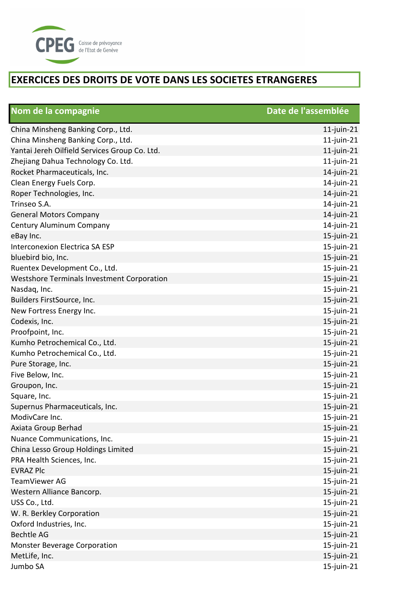

| Nom de la compagnie                           | Date de l'assemblée |
|-----------------------------------------------|---------------------|
| China Minsheng Banking Corp., Ltd.            | $11$ -juin-21       |
| China Minsheng Banking Corp., Ltd.            | $11$ -juin-21       |
| Yantai Jereh Oilfield Services Group Co. Ltd. | $11$ -juin-21       |
| Zhejiang Dahua Technology Co. Ltd.            | $11$ -juin-21       |
| Rocket Pharmaceuticals, Inc.                  | $14$ -juin-21       |
| Clean Energy Fuels Corp.                      | $14$ -juin-21       |
| Roper Technologies, Inc.                      | $14$ -juin-21       |
| Trinseo S.A.                                  | $14$ -juin-21       |
| <b>General Motors Company</b>                 | $14$ -juin-21       |
| Century Aluminum Company                      | $14$ -juin-21       |
| eBay Inc.                                     | $15$ -juin-21       |
| Interconexion Electrica SA ESP                | 15-juin-21          |
| bluebird bio, Inc.                            | $15$ -juin-21       |
| Ruentex Development Co., Ltd.                 | 15-juin-21          |
| Westshore Terminals Investment Corporation    | $15$ -juin-21       |
| Nasdaq, Inc.                                  | 15-juin-21          |
| Builders FirstSource, Inc.                    | $15$ -juin-21       |
| New Fortress Energy Inc.                      | $15$ -juin-21       |
| Codexis, Inc.                                 | $15$ -juin-21       |
| Proofpoint, Inc.                              | $15$ -juin-21       |
| Kumho Petrochemical Co., Ltd.                 | $15$ -juin-21       |
| Kumho Petrochemical Co., Ltd.                 | $15$ -juin-21       |
| Pure Storage, Inc.                            | 15-juin-21          |
| Five Below, Inc.                              | $15$ -juin-21       |
| Groupon, Inc.                                 | 15-juin-21          |
| Square, Inc.                                  | $15$ -juin-21       |
| Supernus Pharmaceuticals, Inc.                | $15$ -juin-21       |
| ModivCare Inc.                                | $15$ -juin-21       |
| Axiata Group Berhad                           | $15$ -juin-21       |
| Nuance Communications, Inc.                   | $15$ -juin-21       |
| China Lesso Group Holdings Limited            | $15$ -juin-21       |
| PRA Health Sciences, Inc.                     | $15$ -juin-21       |
| <b>EVRAZ Plc</b>                              | $15$ -juin-21       |
| TeamViewer AG                                 | $15$ -juin-21       |
| Western Alliance Bancorp.                     | $15$ -juin-21       |
| USS Co., Ltd.                                 | $15$ -juin-21       |
| W. R. Berkley Corporation                     | $15$ -juin-21       |
| Oxford Industries, Inc.                       | 15-juin-21          |
| <b>Bechtle AG</b>                             | 15-juin-21          |
| <b>Monster Beverage Corporation</b>           | $15$ -juin-21       |
| MetLife, Inc.                                 | $15$ -juin-21       |
| Jumbo SA                                      | $15$ -juin-21       |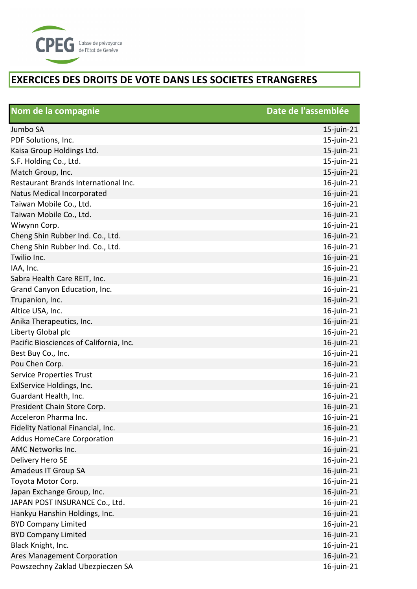

| Nom de la compagnie                     | Date de l'assemblée |
|-----------------------------------------|---------------------|
| Jumbo SA                                | $15$ -juin-21       |
| PDF Solutions, Inc.                     | $15$ -juin-21       |
| Kaisa Group Holdings Ltd.               | 15-juin-21          |
| S.F. Holding Co., Ltd.                  | 15-juin-21          |
| Match Group, Inc.                       | 15-juin-21          |
| Restaurant Brands International Inc.    | 16-juin-21          |
| Natus Medical Incorporated              | 16-juin-21          |
| Taiwan Mobile Co., Ltd.                 | 16-juin-21          |
| Taiwan Mobile Co., Ltd.                 | 16-juin-21          |
| Wiwynn Corp.                            | 16-juin-21          |
| Cheng Shin Rubber Ind. Co., Ltd.        | 16-juin-21          |
| Cheng Shin Rubber Ind. Co., Ltd.        | 16-juin-21          |
| Twilio Inc.                             | 16-juin-21          |
| IAA, Inc.                               | 16-juin-21          |
| Sabra Health Care REIT, Inc.            | 16-juin-21          |
| Grand Canyon Education, Inc.            | 16-juin-21          |
| Trupanion, Inc.                         | 16-juin-21          |
| Altice USA, Inc.                        | 16-juin-21          |
| Anika Therapeutics, Inc.                | 16-juin-21          |
| Liberty Global plc                      | 16-juin-21          |
| Pacific Biosciences of California, Inc. | 16-juin-21          |
| Best Buy Co., Inc.                      | 16-juin-21          |
| Pou Chen Corp.                          | 16-juin-21          |
| <b>Service Properties Trust</b>         | $16$ -juin-21       |
| ExlService Holdings, Inc.               | 16-juin-21          |
| Guardant Health, Inc.                   | 16-juin-21          |
| President Chain Store Corp.             | 16-juin-21          |
| Acceleron Pharma Inc.                   | 16-juin-21          |
| Fidelity National Financial, Inc.       | 16-juin-21          |
| <b>Addus HomeCare Corporation</b>       | 16-juin-21          |
| AMC Networks Inc.                       | 16-juin-21          |
| Delivery Hero SE                        | 16-juin-21          |
| Amadeus IT Group SA                     | 16-juin-21          |
| Toyota Motor Corp.                      | 16-juin-21          |
| Japan Exchange Group, Inc.              | 16-juin-21          |
| JAPAN POST INSURANCE Co., Ltd.          | 16-juin-21          |
| Hankyu Hanshin Holdings, Inc.           | 16-juin-21          |
| <b>BYD Company Limited</b>              | 16-juin-21          |
| <b>BYD Company Limited</b>              | 16-juin-21          |
| Black Knight, Inc.                      | 16-juin-21          |
| Ares Management Corporation             | $16$ -juin-21       |
| Powszechny Zaklad Ubezpieczen SA        | 16-juin-21          |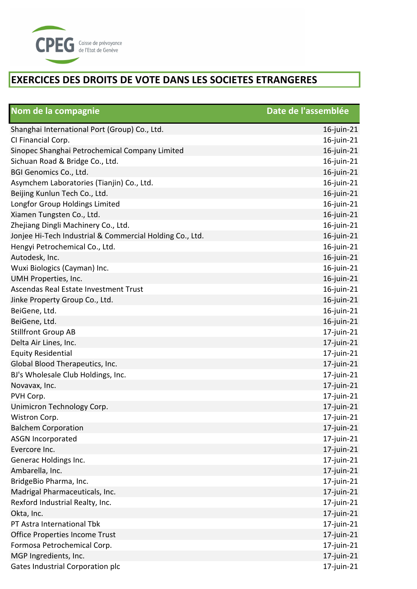

| Nom de la compagnie                                      | Date de l'assemblée |
|----------------------------------------------------------|---------------------|
| Shanghai International Port (Group) Co., Ltd.            | $16$ -juin-21       |
| CI Financial Corp.                                       | 16-juin-21          |
| Sinopec Shanghai Petrochemical Company Limited           | 16-juin-21          |
| Sichuan Road & Bridge Co., Ltd.                          | 16-juin-21          |
| BGI Genomics Co., Ltd.                                   | $16$ -juin-21       |
| Asymchem Laboratories (Tianjin) Co., Ltd.                | $16$ -juin-21       |
| Beijing Kunlun Tech Co., Ltd.                            | 16-juin-21          |
| Longfor Group Holdings Limited                           | 16-juin-21          |
| Xiamen Tungsten Co., Ltd.                                | 16-juin-21          |
| Zhejiang Dingli Machinery Co., Ltd.                      | 16-juin-21          |
| Jonjee Hi-Tech Industrial & Commercial Holding Co., Ltd. | 16-juin-21          |
| Hengyi Petrochemical Co., Ltd.                           | 16-juin-21          |
| Autodesk, Inc.                                           | 16-juin-21          |
| Wuxi Biologics (Cayman) Inc.                             | 16-juin-21          |
| UMH Properties, Inc.                                     | 16-juin-21          |
| Ascendas Real Estate Investment Trust                    | $16$ -juin-21       |
| Jinke Property Group Co., Ltd.                           | $16$ -juin-21       |
| BeiGene, Ltd.                                            | $16$ -juin-21       |
| BeiGene, Ltd.                                            | $16$ -juin-21       |
| <b>Stillfront Group AB</b>                               | $17$ -juin-21       |
| Delta Air Lines, Inc.                                    | $17$ -juin-21       |
| <b>Equity Residential</b>                                | $17$ -juin-21       |
| Global Blood Therapeutics, Inc.                          | $17$ -juin-21       |
| BJ's Wholesale Club Holdings, Inc.                       | $17$ -juin-21       |
| Novavax, Inc.                                            | $17$ -juin-21       |
| PVH Corp.                                                | $17$ -juin-21       |
| Unimicron Technology Corp.                               | $17$ -juin-21       |
| Wistron Corp.                                            | $17$ -juin-21       |
| <b>Balchem Corporation</b>                               | $17$ -juin-21       |
| <b>ASGN Incorporated</b>                                 | $17$ -juin-21       |
| Evercore Inc.                                            | $17$ -juin-21       |
| Generac Holdings Inc.                                    | $17$ -juin-21       |
| Ambarella, Inc.                                          | $17$ -juin-21       |
| BridgeBio Pharma, Inc.                                   | $17$ -juin-21       |
| Madrigal Pharmaceuticals, Inc.                           | $17$ -juin-21       |
| Rexford Industrial Realty, Inc.                          | $17$ -juin-21       |
| Okta, Inc.                                               | $17$ -juin-21       |
| PT Astra International Tbk                               | 17-juin-21          |
| Office Properties Income Trust                           | $17$ -juin-21       |
| Formosa Petrochemical Corp.                              | 17-juin-21          |
| MGP Ingredients, Inc.                                    | $17$ -juin-21       |
| Gates Industrial Corporation plc                         | 17-juin-21          |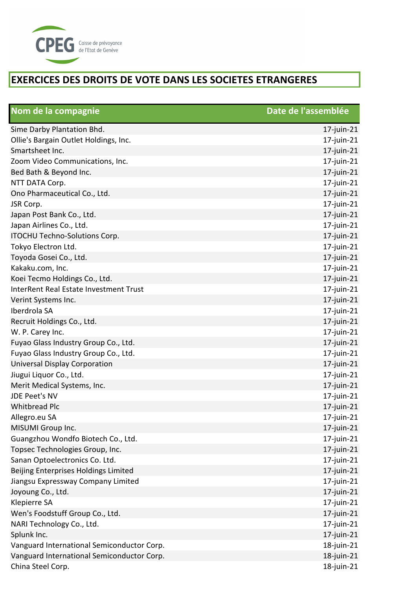

| Nom de la compagnie                        | Date de l'assemblée |
|--------------------------------------------|---------------------|
| Sime Darby Plantation Bhd.                 | $17$ -juin-21       |
| Ollie's Bargain Outlet Holdings, Inc.      | 17-juin-21          |
| Smartsheet Inc.                            | $17$ -juin-21       |
| Zoom Video Communications, Inc.            | $17$ -juin-21       |
| Bed Bath & Beyond Inc.                     | $17$ -juin-21       |
| NTT DATA Corp.                             | $17$ -juin-21       |
| Ono Pharmaceutical Co., Ltd.               | $17$ -juin-21       |
| JSR Corp.                                  | $17$ -juin-21       |
| Japan Post Bank Co., Ltd.                  | $17$ -juin-21       |
| Japan Airlines Co., Ltd.                   | $17$ -juin-21       |
| ITOCHU Techno-Solutions Corp.              | 17-juin-21          |
| Tokyo Electron Ltd.                        | 17-juin-21          |
| Toyoda Gosei Co., Ltd.                     | $17$ -juin-21       |
| Kakaku.com, Inc.                           | $17$ -juin-21       |
| Koei Tecmo Holdings Co., Ltd.              | $17$ -juin-21       |
| InterRent Real Estate Investment Trust     | $17$ -juin-21       |
| Verint Systems Inc.                        | $17$ -juin-21       |
| Iberdrola SA                               | 17-juin-21          |
| Recruit Holdings Co., Ltd.                 | $17$ -juin-21       |
| W. P. Carey Inc.                           | $17$ -juin-21       |
| Fuyao Glass Industry Group Co., Ltd.       | $17$ -juin-21       |
| Fuyao Glass Industry Group Co., Ltd.       | $17$ -juin-21       |
| <b>Universal Display Corporation</b>       | 17-juin-21          |
| Jiugui Liquor Co., Ltd.                    | $17$ -juin-21       |
| Merit Medical Systems, Inc.                | $17$ -juin-21       |
| <b>JDE Peet's NV</b>                       | $17$ -juin-21       |
| <b>Whitbread Plc</b>                       | $17$ -juin- $21$    |
| Allegro.eu SA                              | $17$ -juin-21       |
| MISUMI Group Inc.                          | $17$ -juin-21       |
| Guangzhou Wondfo Biotech Co., Ltd.         | $17$ -juin-21       |
| Topsec Technologies Group, Inc.            | $17$ -juin-21       |
| Sanan Optoelectronics Co. Ltd.             | $17$ -juin-21       |
| Beijing Enterprises Holdings Limited       | $17$ -juin-21       |
| Jiangsu Expressway Company Limited         | $17$ -juin-21       |
| Joyoung Co., Ltd.                          | $17$ -juin- $21$    |
| Klepierre SA                               | 17-juin-21          |
| Wen's Foodstuff Group Co., Ltd.            | $17$ -juin-21       |
| NARI Technology Co., Ltd.                  | $17$ -juin-21       |
| Splunk Inc.                                | $17$ -juin-21       |
| Vanguard International Semiconductor Corp. | 18-juin-21          |
| Vanguard International Semiconductor Corp. | 18-juin-21          |
| China Steel Corp.                          | 18-juin-21          |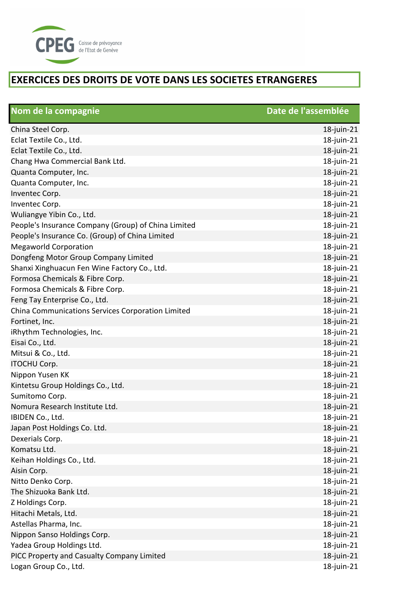

| Nom de la compagnie                                 | Date de l'assemblée |
|-----------------------------------------------------|---------------------|
| China Steel Corp.                                   | $18$ -juin-21       |
| Eclat Textile Co., Ltd.                             | 18-juin-21          |
| Eclat Textile Co., Ltd.                             | 18-juin-21          |
| Chang Hwa Commercial Bank Ltd.                      | 18-juin-21          |
| Quanta Computer, Inc.                               | 18-juin-21          |
| Quanta Computer, Inc.                               | 18-juin-21          |
| Inventec Corp.                                      | 18-juin-21          |
| Inventec Corp.                                      | 18-juin-21          |
| Wuliangye Yibin Co., Ltd.                           | 18-juin-21          |
| People's Insurance Company (Group) of China Limited | 18-juin-21          |
| People's Insurance Co. (Group) of China Limited     | 18-juin-21          |
| <b>Megaworld Corporation</b>                        | 18-juin-21          |
| Dongfeng Motor Group Company Limited                | 18-juin-21          |
| Shanxi Xinghuacun Fen Wine Factory Co., Ltd.        | 18-juin-21          |
| Formosa Chemicals & Fibre Corp.                     | 18-juin-21          |
| Formosa Chemicals & Fibre Corp.                     | 18-juin-21          |
| Feng Tay Enterprise Co., Ltd.                       | 18-juin-21          |
| China Communications Services Corporation Limited   | 18-juin-21          |
| Fortinet, Inc.                                      | 18-juin-21          |
| iRhythm Technologies, Inc.                          | 18-juin-21          |
| Eisai Co., Ltd.                                     | 18-juin-21          |
| Mitsui & Co., Ltd.                                  | 18-juin-21          |
| <b>ITOCHU Corp.</b>                                 | 18-juin-21          |
| Nippon Yusen KK                                     | 18-juin-21          |
| Kintetsu Group Holdings Co., Ltd.                   | 18-juin-21          |
| Sumitomo Corp.                                      | 18-juin-21          |
| Nomura Research Institute Ltd.                      | 18-juin-21          |
| IBIDEN Co., Ltd.                                    | 18-juin-21          |
| Japan Post Holdings Co. Ltd.                        | 18-juin-21          |
| Dexerials Corp.                                     | 18-juin-21          |
| Komatsu Ltd.                                        | 18-juin-21          |
| Keihan Holdings Co., Ltd.                           | 18-juin-21          |
| Aisin Corp.                                         | 18-juin-21          |
| Nitto Denko Corp.                                   | 18-juin-21          |
| The Shizuoka Bank Ltd.                              | 18-juin-21          |
| Z Holdings Corp.                                    | 18-juin-21          |
| Hitachi Metals, Ltd.                                | 18-juin-21          |
| Astellas Pharma, Inc.                               | 18-juin-21          |
| Nippon Sanso Holdings Corp.                         | 18-juin-21          |
| Yadea Group Holdings Ltd.                           | 18-juin-21          |
| PICC Property and Casualty Company Limited          | 18-juin-21          |
| Logan Group Co., Ltd.                               | 18-juin-21          |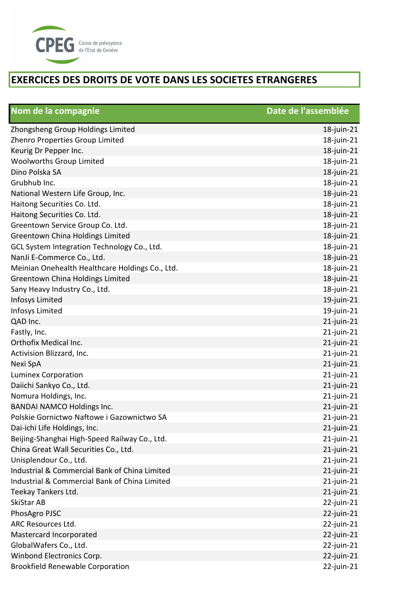

| Nom de la compagnie                             | Date de l'assemblée |
|-------------------------------------------------|---------------------|
| Zhongsheng Group Holdings Limited               | $18$ -juin-21       |
| Zhenro Properties Group Limited                 | 18-juin-21          |
| Keurig Dr Pepper Inc.                           | 18-juin-21          |
| Woolworths Group Limited                        | 18-juin-21          |
| Dino Polska SA                                  | 18-juin-21          |
| Grubhub Inc.                                    | 18-juin-21          |
| National Western Life Group, Inc.               | 18-juin-21          |
| Haitong Securities Co. Ltd.                     | 18-juin-21          |
| Haitong Securities Co. Ltd.                     | 18-juin-21          |
| Greentown Service Group Co. Ltd.                | 18-juin-21          |
| Greentown China Holdings Limited                | 18-juin-21          |
| GCL System Integration Technology Co., Ltd.     | 18-juin-21          |
| NanJi E-Commerce Co., Ltd.                      | 18-juin-21          |
| Meinian Onehealth Healthcare Holdings Co., Ltd. | 18-juin-21          |
| Greentown China Holdings Limited                | 18-juin-21          |
| Sany Heavy Industry Co., Ltd.                   | 18-juin-21          |
| Infosys Limited                                 | 19-juin-21          |
| Infosys Limited                                 | 19-juin-21          |
| QAD Inc.                                        | 21-juin-21          |
| Fastly, Inc.                                    | 21-juin-21          |
| Orthofix Medical Inc.                           | $21$ -juin-21       |
| Activision Blizzard, Inc.                       | $21$ -juin-21       |
| Nexi SpA                                        | $21$ -juin-21       |
| <b>Luminex Corporation</b>                      | $21$ -juin-21       |
| Daiichi Sankyo Co., Ltd.                        | $21$ -juin-21       |
| Nomura Holdings, Inc.                           | $21$ -juin-21       |
| <b>BANDAI NAMCO Holdings Inc.</b>               | $21$ -juin-21       |
| Polskie Gornictwo Naftowe i Gazownictwo SA      | $21$ -juin-21       |
| Dai-ichi Life Holdings, Inc.                    | $21$ -juin-21       |
| Beijing-Shanghai High-Speed Railway Co., Ltd.   | $21$ -juin-21       |
| China Great Wall Securities Co., Ltd.           | $21$ -juin-21       |
| Unisplendour Co., Ltd.                          | $21$ -juin-21       |
| Industrial & Commercial Bank of China Limited   | $21$ -juin-21       |
| Industrial & Commercial Bank of China Limited   | $21$ -juin-21       |
| Teekay Tankers Ltd.                             | $21$ -juin-21       |
| SkiStar AB                                      | 22-juin-21          |
| PhosAgro PJSC                                   | $22$ -juin-21       |
| ARC Resources Ltd.                              | $22$ -juin- $21$    |
| Mastercard Incorporated                         | $22$ -juin-21       |
| GlobalWafers Co., Ltd.                          | $22$ -juin-21       |
| Winbond Electronics Corp.                       | $22$ -juin-21       |
| <b>Brookfield Renewable Corporation</b>         | $22$ -juin-21       |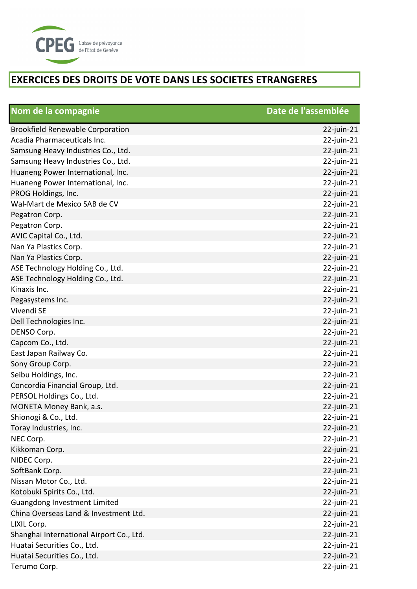

| Nom de la compagnie                      | Date de l'assemblée |
|------------------------------------------|---------------------|
| <b>Brookfield Renewable Corporation</b>  | $22$ -juin-21       |
| Acadia Pharmaceuticals Inc.              | 22-juin-21          |
| Samsung Heavy Industries Co., Ltd.       | 22-juin-21          |
| Samsung Heavy Industries Co., Ltd.       | 22-juin-21          |
| Huaneng Power International, Inc.        | 22-juin-21          |
| Huaneng Power International, Inc.        | 22-juin-21          |
| PROG Holdings, Inc.                      | $22$ -juin-21       |
| Wal-Mart de Mexico SAB de CV             | 22-juin-21          |
| Pegatron Corp.                           | 22-juin-21          |
| Pegatron Corp.                           | 22-juin-21          |
| AVIC Capital Co., Ltd.                   | 22-juin-21          |
| Nan Ya Plastics Corp.                    | 22-juin-21          |
| Nan Ya Plastics Corp.                    | $22$ -juin-21       |
| ASE Technology Holding Co., Ltd.         | 22-juin-21          |
| ASE Technology Holding Co., Ltd.         | $22$ -juin-21       |
| Kinaxis Inc.                             | 22-juin-21          |
| Pegasystems Inc.                         | 22-juin-21          |
| Vivendi SE                               | 22-juin-21          |
| Dell Technologies Inc.                   | 22-juin-21          |
| DENSO Corp.                              | 22-juin-21          |
| Capcom Co., Ltd.                         | 22-juin-21          |
| East Japan Railway Co.                   | 22-juin-21          |
| Sony Group Corp.                         | 22-juin-21          |
| Seibu Holdings, Inc.                     | 22-juin-21          |
| Concordia Financial Group, Ltd.          | 22-juin-21          |
| PERSOL Holdings Co., Ltd.                | 22-juin-21          |
| MONETA Money Bank, a.s.                  | $22$ -juin- $21$    |
| Shionogi & Co., Ltd.                     | $22$ -juin-21       |
| Toray Industries, Inc.                   | $22$ -juin-21       |
| NEC Corp.                                | 22-juin-21          |
| Kikkoman Corp.                           | $22$ -juin-21       |
| NIDEC Corp.                              | 22-juin-21          |
| SoftBank Corp.                           | $22$ -juin-21       |
| Nissan Motor Co., Ltd.                   | 22-juin-21          |
| Kotobuki Spirits Co., Ltd.               | 22-juin-21          |
| Guangdong Investment Limited             | 22-juin-21          |
| China Overseas Land & Investment Ltd.    | $22$ -juin-21       |
| LIXIL Corp.                              | 22-juin-21          |
| Shanghai International Airport Co., Ltd. | $22$ -juin-21       |
| Huatai Securities Co., Ltd.              | 22-juin-21          |
| Huatai Securities Co., Ltd.              | $22$ -juin-21       |
| Terumo Corp.                             | $22$ -juin-21       |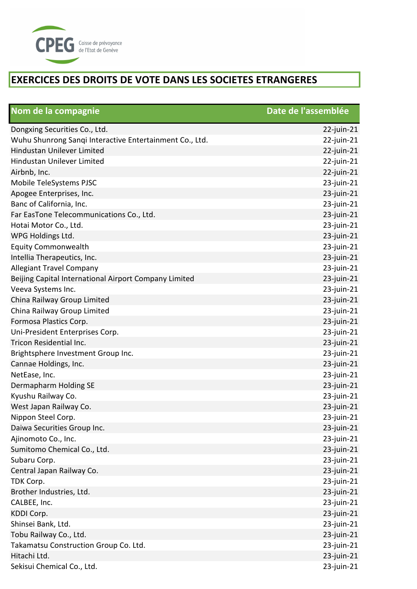

| Nom de la compagnie                                     | Date de l'assemblée |
|---------------------------------------------------------|---------------------|
| Dongxing Securities Co., Ltd.                           | $22$ -juin-21       |
| Wuhu Shunrong Sanqi Interactive Entertainment Co., Ltd. | 22-juin-21          |
| Hindustan Unilever Limited                              | 22-juin-21          |
| Hindustan Unilever Limited                              | 22-juin-21          |
| Airbnb, Inc.                                            | 22-juin-21          |
| Mobile TeleSystems PJSC                                 | 23-juin-21          |
| Apogee Enterprises, Inc.                                | 23-juin-21          |
| Banc of California, Inc.                                | 23-juin-21          |
| Far EasTone Telecommunications Co., Ltd.                | 23-juin-21          |
| Hotai Motor Co., Ltd.                                   | 23-juin-21          |
| WPG Holdings Ltd.                                       | 23-juin-21          |
| <b>Equity Commonwealth</b>                              | 23-juin-21          |
| Intellia Therapeutics, Inc.                             | 23-juin-21          |
| <b>Allegiant Travel Company</b>                         | 23-juin-21          |
| Beijing Capital International Airport Company Limited   | 23-juin-21          |
| Veeva Systems Inc.                                      | 23-juin-21          |
| China Railway Group Limited                             | 23-juin-21          |
| China Railway Group Limited                             | 23-juin-21          |
| Formosa Plastics Corp.                                  | 23-juin-21          |
| Uni-President Enterprises Corp.                         | 23-juin-21          |
| Tricon Residential Inc.                                 | 23-juin-21          |
| Brightsphere Investment Group Inc.                      | 23-juin-21          |
| Cannae Holdings, Inc.                                   | 23-juin-21          |
| NetEase, Inc.                                           | 23-juin-21          |
| Dermapharm Holding SE                                   | 23-juin-21          |
| Kyushu Railway Co.                                      | 23-juin-21          |
| West Japan Railway Co.                                  | 23-juin-21          |
| Nippon Steel Corp.                                      | $23$ -juin-21       |
| Daiwa Securities Group Inc.                             | $23$ -juin-21       |
| Ajinomoto Co., Inc.                                     | 23-juin-21          |
| Sumitomo Chemical Co., Ltd.                             | $23$ -juin-21       |
| Subaru Corp.                                            | $23$ -juin-21       |
| Central Japan Railway Co.                               | $23$ -juin-21       |
| TDK Corp.                                               | $23$ -juin-21       |
| Brother Industries, Ltd.                                | 23-juin-21          |
| CALBEE, Inc.                                            | $23$ -juin-21       |
| KDDI Corp.                                              | $23$ -juin-21       |
| Shinsei Bank, Ltd.                                      | $23$ -juin-21       |
| Tobu Railway Co., Ltd.                                  | $23$ -juin-21       |
| Takamatsu Construction Group Co. Ltd.                   | 23-juin-21          |
| Hitachi Ltd.                                            | $23$ -juin- $21$    |
| Sekisui Chemical Co., Ltd.                              | 23-juin-21          |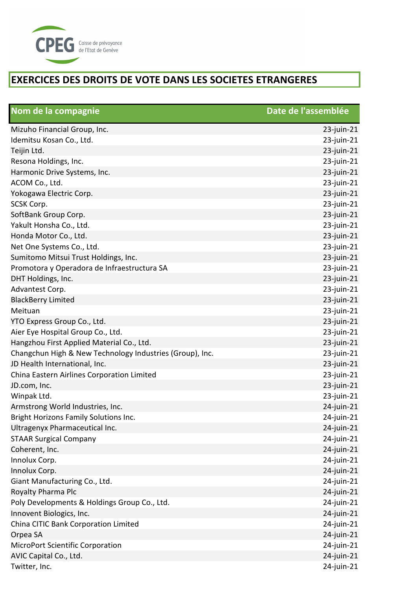

| Nom de la compagnie                                      | Date de l'assemblée |
|----------------------------------------------------------|---------------------|
| Mizuho Financial Group, Inc.                             | $23$ -juin-21       |
| Idemitsu Kosan Co., Ltd.                                 | 23-juin-21          |
| Teijin Ltd.                                              | 23-juin-21          |
| Resona Holdings, Inc.                                    | 23-juin-21          |
| Harmonic Drive Systems, Inc.                             | 23-juin-21          |
| ACOM Co., Ltd.                                           | 23-juin-21          |
| Yokogawa Electric Corp.                                  | 23-juin-21          |
| SCSK Corp.                                               | 23-juin-21          |
| SoftBank Group Corp.                                     | 23-juin-21          |
| Yakult Honsha Co., Ltd.                                  | 23-juin-21          |
| Honda Motor Co., Ltd.                                    | 23-juin-21          |
| Net One Systems Co., Ltd.                                | 23-juin-21          |
| Sumitomo Mitsui Trust Holdings, Inc.                     | 23-juin-21          |
| Promotora y Operadora de Infraestructura SA              | 23-juin-21          |
| DHT Holdings, Inc.                                       | $23$ -juin-21       |
| Advantest Corp.                                          | 23-juin-21          |
| <b>BlackBerry Limited</b>                                | 23-juin-21          |
| Meituan                                                  | 23-juin-21          |
| YTO Express Group Co., Ltd.                              | 23-juin-21          |
| Aier Eye Hospital Group Co., Ltd.                        | 23-juin-21          |
| Hangzhou First Applied Material Co., Ltd.                | 23-juin-21          |
| Changchun High & New Technology Industries (Group), Inc. | 23-juin-21          |
| JD Health International, Inc.                            | 23-juin-21          |
| China Eastern Airlines Corporation Limited               | 23-juin-21          |
| JD.com, Inc.                                             | 23-juin-21          |
| Winpak Ltd.                                              | 23-juin-21          |
| Armstrong World Industries, Inc.                         | 24-juin-21          |
| Bright Horizons Family Solutions Inc.                    | 24-juin-21          |
| Ultragenyx Pharmaceutical Inc.                           | $24$ -juin-21       |
| <b>STAAR Surgical Company</b>                            | 24-juin-21          |
| Coherent, Inc.                                           | 24-juin-21          |
| Innolux Corp.                                            | 24-juin-21          |
| Innolux Corp.                                            | 24-juin-21          |
| Giant Manufacturing Co., Ltd.                            | 24-juin-21          |
| Royalty Pharma Plc                                       | 24-juin-21          |
| Poly Developments & Holdings Group Co., Ltd.             | 24-juin-21          |
| Innovent Biologics, Inc.                                 | 24-juin-21          |
| China CITIC Bank Corporation Limited                     | 24-juin-21          |
| Orpea SA                                                 | 24-juin-21          |
| <b>MicroPort Scientific Corporation</b>                  | 24-juin-21          |
| AVIC Capital Co., Ltd.                                   | 24-juin-21          |
| Twitter, Inc.                                            | 24-juin-21          |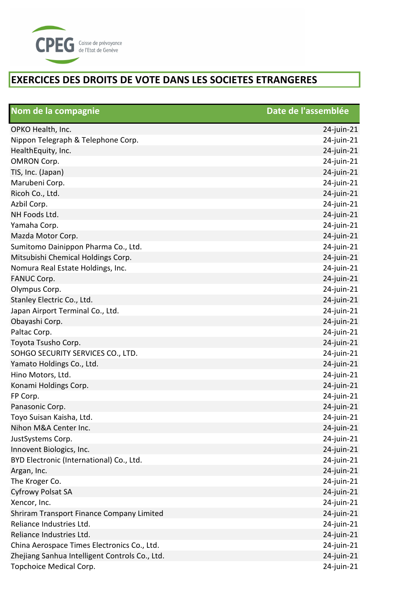

| Nom de la compagnie                            | Date de l'assemblée |
|------------------------------------------------|---------------------|
| OPKO Health, Inc.                              | 24-juin-21          |
| Nippon Telegraph & Telephone Corp.             | 24-juin-21          |
| HealthEquity, Inc.                             | 24-juin-21          |
| <b>OMRON Corp.</b>                             | 24-juin-21          |
| TIS, Inc. (Japan)                              | 24-juin-21          |
| Marubeni Corp.                                 | 24-juin-21          |
| Ricoh Co., Ltd.                                | 24-juin-21          |
| Azbil Corp.                                    | 24-juin-21          |
| NH Foods Ltd.                                  | 24-juin-21          |
| Yamaha Corp.                                   | 24-juin-21          |
| Mazda Motor Corp.                              | 24-juin-21          |
| Sumitomo Dainippon Pharma Co., Ltd.            | 24-juin-21          |
| Mitsubishi Chemical Holdings Corp.             | 24-juin-21          |
| Nomura Real Estate Holdings, Inc.              | 24-juin-21          |
| <b>FANUC Corp.</b>                             | 24-juin-21          |
| Olympus Corp.                                  | 24-juin-21          |
| Stanley Electric Co., Ltd.                     | 24-juin-21          |
| Japan Airport Terminal Co., Ltd.               | 24-juin-21          |
| Obayashi Corp.                                 | 24-juin-21          |
| Paltac Corp.                                   | 24-juin-21          |
| Toyota Tsusho Corp.                            | 24-juin-21          |
| SOHGO SECURITY SERVICES CO., LTD.              | 24-juin-21          |
| Yamato Holdings Co., Ltd.                      | 24-juin-21          |
| Hino Motors, Ltd.                              | 24-juin-21          |
| Konami Holdings Corp.                          | 24-juin-21          |
| FP Corp.                                       | 24-juin-21          |
| Panasonic Corp.                                | 24-juin-21          |
| Toyo Suisan Kaisha, Ltd.                       | 24-juin-21          |
| Nihon M&A Center Inc.                          | 24-juin-21          |
| JustSystems Corp.                              | 24-juin-21          |
| Innovent Biologics, Inc.                       | $24$ -juin- $21$    |
| BYD Electronic (International) Co., Ltd.       | 24-juin-21          |
| Argan, Inc.                                    | 24-juin-21          |
| The Kroger Co.                                 | 24-juin-21          |
| <b>Cyfrowy Polsat SA</b>                       | 24-juin-21          |
| Xencor, Inc.                                   | 24-juin-21          |
| Shriram Transport Finance Company Limited      | 24-juin-21          |
| Reliance Industries Ltd.                       | 24-juin-21          |
| Reliance Industries Ltd.                       | 24-juin-21          |
| China Aerospace Times Electronics Co., Ltd.    | 24-juin-21          |
| Zhejiang Sanhua Intelligent Controls Co., Ltd. | 24-juin-21          |
| Topchoice Medical Corp.                        | 24-juin-21          |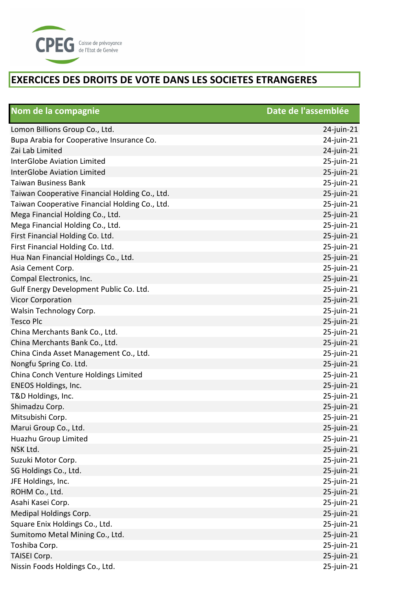

| Nom de la compagnie                            | Date de l'assemblée |
|------------------------------------------------|---------------------|
| Lomon Billions Group Co., Ltd.                 | 24-juin-21          |
| Bupa Arabia for Cooperative Insurance Co.      | 24-juin-21          |
| Zai Lab Limited                                | 24-juin-21          |
| <b>InterGlobe Aviation Limited</b>             | 25-juin-21          |
| <b>InterGlobe Aviation Limited</b>             | 25-juin-21          |
| <b>Taiwan Business Bank</b>                    | 25-juin-21          |
| Taiwan Cooperative Financial Holding Co., Ltd. | 25-juin-21          |
| Taiwan Cooperative Financial Holding Co., Ltd. | 25-juin-21          |
| Mega Financial Holding Co., Ltd.               | 25-juin-21          |
| Mega Financial Holding Co., Ltd.               | 25-juin-21          |
| First Financial Holding Co. Ltd.               | 25-juin-21          |
| First Financial Holding Co. Ltd.               | 25-juin-21          |
| Hua Nan Financial Holdings Co., Ltd.           | 25-juin-21          |
| Asia Cement Corp.                              | 25-juin-21          |
| Compal Electronics, Inc.                       | 25-juin-21          |
| Gulf Energy Development Public Co. Ltd.        | 25-juin-21          |
| <b>Vicor Corporation</b>                       | 25-juin-21          |
| Walsin Technology Corp.                        | 25-juin-21          |
| <b>Tesco Plc</b>                               | 25-juin-21          |
| China Merchants Bank Co., Ltd.                 | 25-juin-21          |
| China Merchants Bank Co., Ltd.                 | 25-juin-21          |
| China Cinda Asset Management Co., Ltd.         | 25-juin-21          |
| Nongfu Spring Co. Ltd.                         | 25-juin-21          |
| China Conch Venture Holdings Limited           | 25-juin-21          |
| <b>ENEOS Holdings, Inc.</b>                    | 25-juin-21          |
| T&D Holdings, Inc.                             | 25-juin-21          |
| Shimadzu Corp.                                 | $25$ -juin- $21$    |
| Mitsubishi Corp.                               | $25$ -juin-21       |
| Marui Group Co., Ltd.                          | $25$ -juin-21       |
| Huazhu Group Limited                           | $25$ -juin-21       |
| NSK Ltd.                                       | 25-juin-21          |
| Suzuki Motor Corp.                             | 25-juin-21          |
| SG Holdings Co., Ltd.                          | 25-juin-21          |
| JFE Holdings, Inc.                             | 25-juin-21          |
| ROHM Co., Ltd.                                 | 25-juin-21          |
| Asahi Kasei Corp.                              | 25-juin-21          |
| Medipal Holdings Corp.                         | 25-juin-21          |
| Square Enix Holdings Co., Ltd.                 | 25-juin-21          |
| Sumitomo Metal Mining Co., Ltd.                | 25-juin-21          |
| Toshiba Corp.                                  | 25-juin-21          |
| TAISEI Corp.                                   | $25$ -juin- $21$    |
| Nissin Foods Holdings Co., Ltd.                | 25-juin-21          |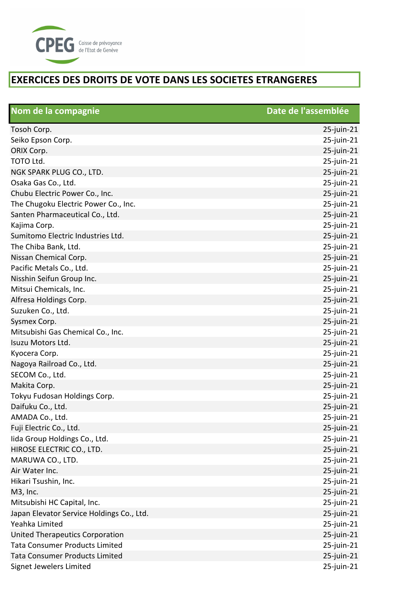

| Nom de la compagnie                       | Date de l'assemblée |
|-------------------------------------------|---------------------|
| Tosoh Corp.                               | $25$ -juin-21       |
| Seiko Epson Corp.                         | 25-juin-21          |
| ORIX Corp.                                | 25-juin-21          |
| TOTO Ltd.                                 | $25$ -juin- $21$    |
| NGK SPARK PLUG CO., LTD.                  | $25$ -juin-21       |
| Osaka Gas Co., Ltd.                       | 25-juin-21          |
| Chubu Electric Power Co., Inc.            | $25$ -juin- $21$    |
| The Chugoku Electric Power Co., Inc.      | $25$ -juin- $21$    |
| Santen Pharmaceutical Co., Ltd.           | 25-juin-21          |
| Kajima Corp.                              | 25-juin-21          |
| Sumitomo Electric Industries Ltd.         | $25$ -juin-21       |
| The Chiba Bank, Ltd.                      | 25-juin-21          |
| Nissan Chemical Corp.                     | $25$ -juin-21       |
| Pacific Metals Co., Ltd.                  | $25$ -juin- $21$    |
| Nisshin Seifun Group Inc.                 | $25$ -juin-21       |
| Mitsui Chemicals, Inc.                    | 25-juin-21          |
| Alfresa Holdings Corp.                    | $25$ -juin- $21$    |
| Suzuken Co., Ltd.                         | $25$ -juin- $21$    |
| Sysmex Corp.                              | $25$ -juin-21       |
| Mitsubishi Gas Chemical Co., Inc.         | 25-juin-21          |
| Isuzu Motors Ltd.                         | $25$ -juin- $21$    |
| Kyocera Corp.                             | 25-juin-21          |
| Nagoya Railroad Co., Ltd.                 | $25$ -juin- $21$    |
| SECOM Co., Ltd.                           | $25$ -juin-21       |
| Makita Corp.                              | $25$ -juin-21       |
| Tokyu Fudosan Holdings Corp.              | 25-juin-21          |
| Daifuku Co., Ltd.                         | $25$ -juin-21       |
| AMADA Co., Ltd.                           | 25-juin-21          |
| Fuji Electric Co., Ltd.                   | $25$ -juin-21       |
| lida Group Holdings Co., Ltd.             | 25-juin-21          |
| HIROSE ELECTRIC CO., LTD.                 | 25-juin-21          |
| MARUWA CO., LTD.                          | 25-juin-21          |
| Air Water Inc.                            | $25$ -juin-21       |
| Hikari Tsushin, Inc.                      | $25$ -juin- $21$    |
| M3, Inc.                                  | $25$ -juin-21       |
| Mitsubishi HC Capital, Inc.               | $25$ -juin- $21$    |
| Japan Elevator Service Holdings Co., Ltd. | 25-juin-21          |
| Yeahka Limited                            | $25$ -juin- $21$    |
| United Therapeutics Corporation           | $25$ -juin- $21$    |
| <b>Tata Consumer Products Limited</b>     | $25$ -juin- $21$    |
| <b>Tata Consumer Products Limited</b>     | $25$ -juin-21       |
| Signet Jewelers Limited                   | $25$ -juin- $21$    |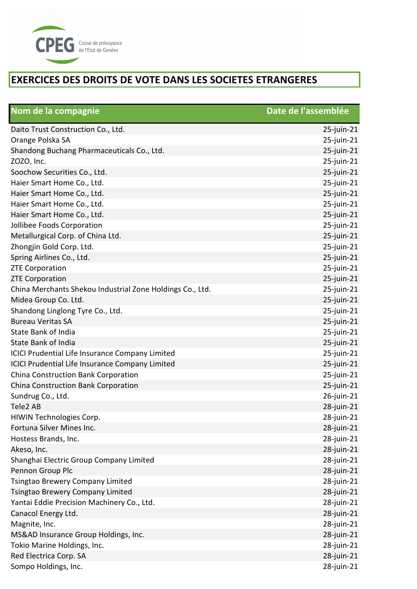

| Nom de la compagnie                                       | Date de l'assemblée |
|-----------------------------------------------------------|---------------------|
| Daito Trust Construction Co., Ltd.                        | 25-juin-21          |
| Orange Polska SA                                          | 25-juin-21          |
| Shandong Buchang Pharmaceuticals Co., Ltd.                | 25-juin-21          |
| ZOZO, Inc.                                                | 25-juin-21          |
| Soochow Securities Co., Ltd.                              | 25-juin-21          |
| Haier Smart Home Co., Ltd.                                | 25-juin-21          |
| Haier Smart Home Co., Ltd.                                | 25-juin-21          |
| Haier Smart Home Co., Ltd.                                | 25-juin-21          |
| Haier Smart Home Co., Ltd.                                | 25-juin-21          |
| Jollibee Foods Corporation                                | 25-juin-21          |
| Metallurgical Corp. of China Ltd.                         | 25-juin-21          |
| Zhongjin Gold Corp. Ltd.                                  | 25-juin-21          |
| Spring Airlines Co., Ltd.                                 | 25-juin-21          |
| <b>ZTE Corporation</b>                                    | 25-juin-21          |
| <b>ZTE Corporation</b>                                    | 25-juin-21          |
| China Merchants Shekou Industrial Zone Holdings Co., Ltd. | 25-juin-21          |
| Midea Group Co. Ltd.                                      | 25-juin-21          |
| Shandong Linglong Tyre Co., Ltd.                          | 25-juin-21          |
| <b>Bureau Veritas SA</b>                                  | 25-juin-21          |
| <b>State Bank of India</b>                                | 25-juin-21          |
| <b>State Bank of India</b>                                | 25-juin-21          |
| ICICI Prudential Life Insurance Company Limited           | 25-juin-21          |
| ICICI Prudential Life Insurance Company Limited           | 25-juin-21          |
| China Construction Bank Corporation                       | 25-juin-21          |
| China Construction Bank Corporation                       | 25-juin-21          |
| Sundrug Co., Ltd.                                         | 26-juin-21          |
| Tele2 AB                                                  | 28-juin-21          |
| HIWIN Technologies Corp.                                  | 28-juin-21          |
| Fortuna Silver Mines Inc.                                 | 28-juin-21          |
| Hostess Brands, Inc.                                      | 28-juin-21          |
| Akeso, Inc.                                               | 28-juin-21          |
| Shanghai Electric Group Company Limited                   | 28-juin-21          |
| Pennon Group Plc                                          | 28-juin-21          |
| Tsingtao Brewery Company Limited                          | 28-juin-21          |
| <b>Tsingtao Brewery Company Limited</b>                   | 28-juin-21          |
| Yantai Eddie Precision Machinery Co., Ltd.                | 28-juin-21          |
| Canacol Energy Ltd.                                       | 28-juin-21          |
| Magnite, Inc.                                             | 28-juin-21          |
| MS&AD Insurance Group Holdings, Inc.                      | 28-juin-21          |
| Tokio Marine Holdings, Inc.                               | 28-juin-21          |
| Red Electrica Corp. SA                                    | 28-juin-21          |
| Sompo Holdings, Inc.                                      | 28-juin-21          |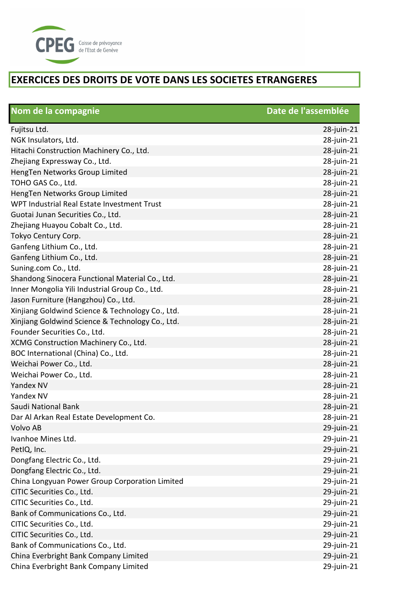

| Nom de la compagnie                              | Date de l'assemblée |
|--------------------------------------------------|---------------------|
| Fujitsu Ltd.                                     | 28-juin-21          |
| NGK Insulators, Ltd.                             | 28-juin-21          |
| Hitachi Construction Machinery Co., Ltd.         | 28-juin-21          |
| Zhejiang Expressway Co., Ltd.                    | 28-juin-21          |
| HengTen Networks Group Limited                   | 28-juin-21          |
| TOHO GAS Co., Ltd.                               | 28-juin-21          |
| HengTen Networks Group Limited                   | 28-juin-21          |
| WPT Industrial Real Estate Investment Trust      | 28-juin-21          |
| Guotai Junan Securities Co., Ltd.                | 28-juin-21          |
| Zhejiang Huayou Cobalt Co., Ltd.                 | 28-juin-21          |
| Tokyo Century Corp.                              | 28-juin-21          |
| Ganfeng Lithium Co., Ltd.                        | 28-juin-21          |
| Ganfeng Lithium Co., Ltd.                        | 28-juin-21          |
| Suning.com Co., Ltd.                             | 28-juin-21          |
| Shandong Sinocera Functional Material Co., Ltd.  | 28-juin-21          |
| Inner Mongolia Yili Industrial Group Co., Ltd.   | 28-juin-21          |
| Jason Furniture (Hangzhou) Co., Ltd.             | 28-juin-21          |
| Xinjiang Goldwind Science & Technology Co., Ltd. | 28-juin-21          |
| Xinjiang Goldwind Science & Technology Co., Ltd. | 28-juin-21          |
| Founder Securities Co., Ltd.                     | 28-juin-21          |
| XCMG Construction Machinery Co., Ltd.            | 28-juin-21          |
| BOC International (China) Co., Ltd.              | 28-juin-21          |
| Weichai Power Co., Ltd.                          | 28-juin-21          |
| Weichai Power Co., Ltd.                          | 28-juin-21          |
| Yandex NV                                        | 28-juin-21          |
| Yandex NV                                        | 28-juin-21          |
| Saudi National Bank                              | 28-juin-21          |
| Dar Al Arkan Real Estate Development Co.         | 28-juin-21          |
| Volvo AB                                         | 29-juin-21          |
| Ivanhoe Mines Ltd.                               | 29-juin-21          |
| PetIQ, Inc.                                      | 29-juin-21          |
| Dongfang Electric Co., Ltd.                      | 29-juin-21          |
| Dongfang Electric Co., Ltd.                      | 29-juin-21          |
| China Longyuan Power Group Corporation Limited   | 29-juin-21          |
| CITIC Securities Co., Ltd.                       | 29-juin-21          |
| CITIC Securities Co., Ltd.                       | 29-juin-21          |
| Bank of Communications Co., Ltd.                 | 29-juin-21          |
| CITIC Securities Co., Ltd.                       | 29-juin-21          |
| CITIC Securities Co., Ltd.                       | 29-juin-21          |
| Bank of Communications Co., Ltd.                 | 29-juin-21          |
| China Everbright Bank Company Limited            | 29-juin-21          |
| China Everbright Bank Company Limited            | 29-juin-21          |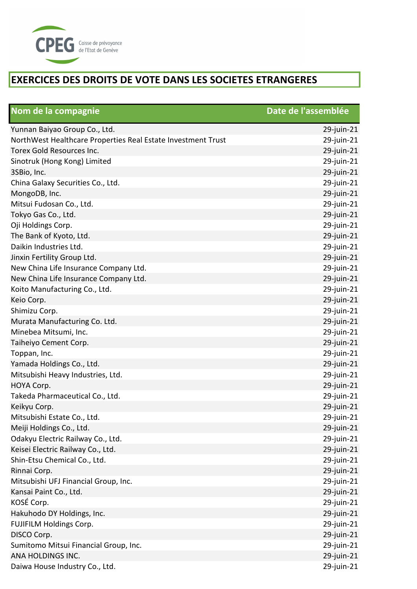

| Nom de la compagnie                                          | Date de l'assemblée |
|--------------------------------------------------------------|---------------------|
| Yunnan Baiyao Group Co., Ltd.                                | 29-juin-21          |
| NorthWest Healthcare Properties Real Estate Investment Trust | 29-juin-21          |
| Torex Gold Resources Inc.                                    | 29-juin-21          |
| Sinotruk (Hong Kong) Limited                                 | 29-juin-21          |
| 3SBio, Inc.                                                  | 29-juin-21          |
| China Galaxy Securities Co., Ltd.                            | 29-juin-21          |
| MongoDB, Inc.                                                | 29-juin-21          |
| Mitsui Fudosan Co., Ltd.                                     | 29-juin-21          |
| Tokyo Gas Co., Ltd.                                          | 29-juin-21          |
| Oji Holdings Corp.                                           | 29-juin-21          |
| The Bank of Kyoto, Ltd.                                      | 29-juin-21          |
| Daikin Industries Ltd.                                       | 29-juin-21          |
| Jinxin Fertility Group Ltd.                                  | 29-juin-21          |
| New China Life Insurance Company Ltd.                        | 29-juin-21          |
| New China Life Insurance Company Ltd.                        | 29-juin-21          |
| Koito Manufacturing Co., Ltd.                                | 29-juin-21          |
| Keio Corp.                                                   | 29-juin-21          |
| Shimizu Corp.                                                | 29-juin-21          |
| Murata Manufacturing Co. Ltd.                                | 29-juin-21          |
| Minebea Mitsumi, Inc.                                        | 29-juin-21          |
| Taiheiyo Cement Corp.                                        | 29-juin-21          |
| Toppan, Inc.                                                 | 29-juin-21          |
| Yamada Holdings Co., Ltd.                                    | 29-juin-21          |
| Mitsubishi Heavy Industries, Ltd.                            | 29-juin-21          |
| HOYA Corp.                                                   | 29-juin-21          |
| Takeda Pharmaceutical Co., Ltd.                              | 29-juin-21          |
| Keikyu Corp.                                                 | 29-juin-21          |
| Mitsubishi Estate Co., Ltd.                                  | 29-juin-21          |
| Meiji Holdings Co., Ltd.                                     | 29-juin-21          |
| Odakyu Electric Railway Co., Ltd.                            | 29-juin-21          |
| Keisei Electric Railway Co., Ltd.                            | 29-juin-21          |
| Shin-Etsu Chemical Co., Ltd.                                 | 29-juin-21          |
| Rinnai Corp.                                                 | 29-juin-21          |
| Mitsubishi UFJ Financial Group, Inc.                         | 29-juin-21          |
| Kansai Paint Co., Ltd.                                       | 29-juin-21          |
| KOSÉ Corp.                                                   | 29-juin-21          |
| Hakuhodo DY Holdings, Inc.                                   | 29-juin-21          |
| FUJIFILM Holdings Corp.                                      | 29-juin-21          |
| DISCO Corp.                                                  | 29-juin-21          |
| Sumitomo Mitsui Financial Group, Inc.                        | 29-juin-21          |
| ANA HOLDINGS INC.                                            | 29-juin-21          |
| Daiwa House Industry Co., Ltd.                               | 29-juin-21          |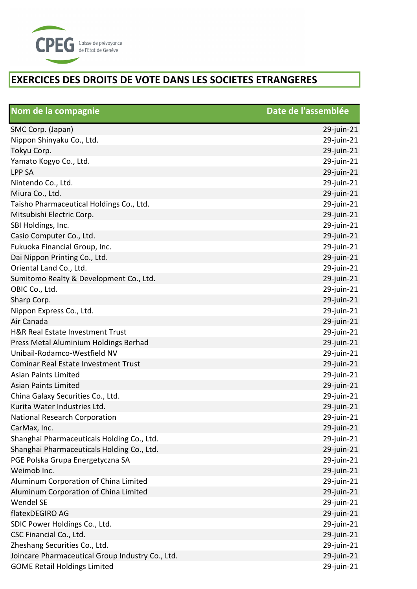

| Nom de la compagnie                              | Date de l'assemblée |
|--------------------------------------------------|---------------------|
| SMC Corp. (Japan)                                | 29-juin-21          |
| Nippon Shinyaku Co., Ltd.                        | 29-juin-21          |
| Tokyu Corp.                                      | 29-juin-21          |
| Yamato Kogyo Co., Ltd.                           | 29-juin-21          |
| <b>LPP SA</b>                                    | 29-juin-21          |
| Nintendo Co., Ltd.                               | 29-juin-21          |
| Miura Co., Ltd.                                  | 29-juin-21          |
| Taisho Pharmaceutical Holdings Co., Ltd.         | 29-juin-21          |
| Mitsubishi Electric Corp.                        | 29-juin-21          |
| SBI Holdings, Inc.                               | 29-juin-21          |
| Casio Computer Co., Ltd.                         | 29-juin-21          |
| Fukuoka Financial Group, Inc.                    | 29-juin-21          |
| Dai Nippon Printing Co., Ltd.                    | 29-juin-21          |
| Oriental Land Co., Ltd.                          | 29-juin-21          |
| Sumitomo Realty & Development Co., Ltd.          | 29-juin-21          |
| OBIC Co., Ltd.                                   | 29-juin-21          |
| Sharp Corp.                                      | 29-juin-21          |
| Nippon Express Co., Ltd.                         | 29-juin-21          |
| Air Canada                                       | 29-juin-21          |
| H&R Real Estate Investment Trust                 | 29-juin-21          |
| Press Metal Aluminium Holdings Berhad            | 29-juin-21          |
| Unibail-Rodamco-Westfield NV                     | 29-juin-21          |
| Cominar Real Estate Investment Trust             | 29-juin-21          |
| <b>Asian Paints Limited</b>                      | 29-juin-21          |
| <b>Asian Paints Limited</b>                      | 29-juin-21          |
| China Galaxy Securities Co., Ltd.                | 29-juin-21          |
| Kurita Water Industries Ltd.                     | 29-juin-21          |
| National Research Corporation                    | 29-juin-21          |
| CarMax, Inc.                                     | 29-juin-21          |
| Shanghai Pharmaceuticals Holding Co., Ltd.       | 29-juin-21          |
| Shanghai Pharmaceuticals Holding Co., Ltd.       | 29-juin-21          |
| PGE Polska Grupa Energetyczna SA                 | 29-juin-21          |
| Weimob Inc.                                      | 29-juin-21          |
| Aluminum Corporation of China Limited            | 29-juin-21          |
| Aluminum Corporation of China Limited            | 29-juin-21          |
| Wendel SE                                        | 29-juin-21          |
| flatexDEGIRO AG                                  | 29-juin-21          |
| SDIC Power Holdings Co., Ltd.                    | 29-juin-21          |
| CSC Financial Co., Ltd.                          | 29-juin-21          |
| Zheshang Securities Co., Ltd.                    | 29-juin-21          |
| Joincare Pharmaceutical Group Industry Co., Ltd. | 29-juin-21          |
| <b>GOME Retail Holdings Limited</b>              | 29-juin-21          |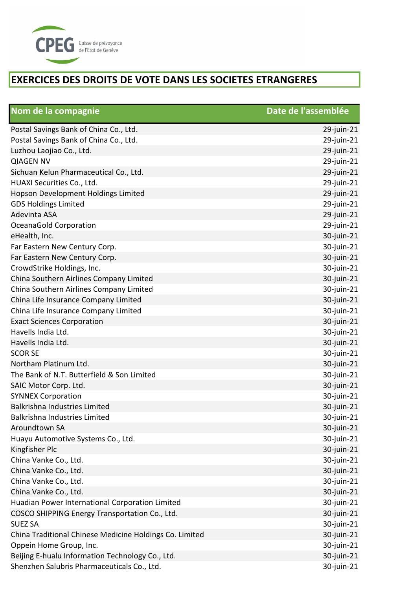

| Nom de la compagnie                                     | Date de l'assemblée |
|---------------------------------------------------------|---------------------|
| Postal Savings Bank of China Co., Ltd.                  | 29-juin-21          |
| Postal Savings Bank of China Co., Ltd.                  | 29-juin-21          |
| Luzhou Laojiao Co., Ltd.                                | 29-juin-21          |
| <b>QIAGEN NV</b>                                        | 29-juin-21          |
| Sichuan Kelun Pharmaceutical Co., Ltd.                  | 29-juin-21          |
| HUAXI Securities Co., Ltd.                              | 29-juin-21          |
| Hopson Development Holdings Limited                     | 29-juin-21          |
| <b>GDS Holdings Limited</b>                             | 29-juin-21          |
| Adevinta ASA                                            | 29-juin-21          |
| OceanaGold Corporation                                  | 29-juin-21          |
| eHealth, Inc.                                           | 30-juin-21          |
| Far Eastern New Century Corp.                           | 30-juin-21          |
| Far Eastern New Century Corp.                           | 30-juin-21          |
| CrowdStrike Holdings, Inc.                              | 30-juin-21          |
| China Southern Airlines Company Limited                 | 30-juin-21          |
| China Southern Airlines Company Limited                 | 30-juin-21          |
| China Life Insurance Company Limited                    | 30-juin-21          |
| China Life Insurance Company Limited                    | 30-juin-21          |
| <b>Exact Sciences Corporation</b>                       | 30-juin-21          |
| Havells India Ltd.                                      | 30-juin-21          |
| Havells India Ltd.                                      | 30-juin-21          |
| <b>SCOR SE</b>                                          | 30-juin-21          |
| Northam Platinum Ltd.                                   | 30-juin-21          |
| The Bank of N.T. Butterfield & Son Limited              | 30-juin-21          |
| SAIC Motor Corp. Ltd.                                   | 30-juin-21          |
| <b>SYNNEX Corporation</b>                               | 30-juin-21          |
| <b>Balkrishna Industries Limited</b>                    | 30-juin-21          |
| Balkrishna Industries Limited                           | 30-juin-21          |
| Aroundtown SA                                           | 30-juin-21          |
| Huayu Automotive Systems Co., Ltd.                      | 30-juin-21          |
| Kingfisher Plc                                          | 30-juin-21          |
| China Vanke Co., Ltd.                                   | 30-juin-21          |
| China Vanke Co., Ltd.                                   | 30-juin-21          |
| China Vanke Co., Ltd.                                   | 30-juin-21          |
| China Vanke Co., Ltd.                                   | 30-juin-21          |
| Huadian Power International Corporation Limited         | 30-juin-21          |
| COSCO SHIPPING Energy Transportation Co., Ltd.          | 30-juin-21          |
| <b>SUEZ SA</b>                                          | 30-juin-21          |
| China Traditional Chinese Medicine Holdings Co. Limited | 30-juin-21          |
| Oppein Home Group, Inc.                                 | 30-juin-21          |
| Beijing E-hualu Information Technology Co., Ltd.        | 30-juin-21          |
| Shenzhen Salubris Pharmaceuticals Co., Ltd.             | 30-juin-21          |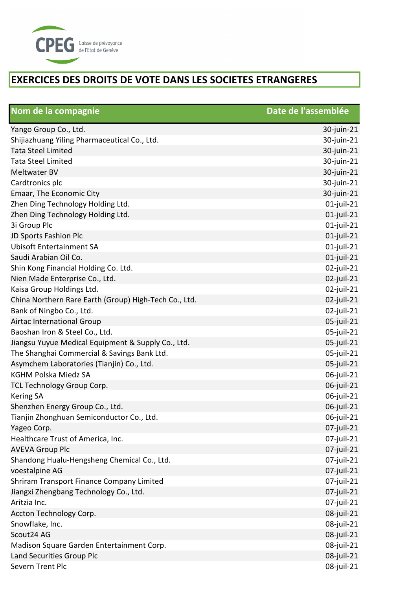

| Nom de la compagnie                                   | Date de l'assemblée |
|-------------------------------------------------------|---------------------|
| Yango Group Co., Ltd.                                 | 30-juin-21          |
| Shijiazhuang Yiling Pharmaceutical Co., Ltd.          | 30-juin-21          |
| <b>Tata Steel Limited</b>                             | 30-juin-21          |
| <b>Tata Steel Limited</b>                             | 30-juin-21          |
| Meltwater BV                                          | 30-juin-21          |
| Cardtronics plc                                       | 30-juin-21          |
| Emaar, The Economic City                              | 30-juin-21          |
| Zhen Ding Technology Holding Ltd.                     | 01-juil-21          |
| Zhen Ding Technology Holding Ltd.                     | $01$ -juil-21       |
| 3i Group Plc                                          | 01-juil-21          |
| JD Sports Fashion Plc                                 | $01$ -juil-21       |
| <b>Ubisoft Entertainment SA</b>                       | $01$ -juil-21       |
| Saudi Arabian Oil Co.                                 | $01$ -juil-21       |
| Shin Kong Financial Holding Co. Ltd.                  | 02-juil-21          |
| Nien Made Enterprise Co., Ltd.                        | 02-juil-21          |
| Kaisa Group Holdings Ltd.                             | 02-juil-21          |
| China Northern Rare Earth (Group) High-Tech Co., Ltd. | 02-juil-21          |
| Bank of Ningbo Co., Ltd.                              | 02-juil-21          |
| Airtac International Group                            | 05-juil-21          |
| Baoshan Iron & Steel Co., Ltd.                        | 05-juil-21          |
| Jiangsu Yuyue Medical Equipment & Supply Co., Ltd.    | 05-juil-21          |
| The Shanghai Commercial & Savings Bank Ltd.           | 05-juil-21          |
| Asymchem Laboratories (Tianjin) Co., Ltd.             | 05-juil-21          |
| <b>KGHM Polska Miedz SA</b>                           | 06-juil-21          |
| TCL Technology Group Corp.                            | 06-juil-21          |
| <b>Kering SA</b>                                      | 06-juil-21          |
| Shenzhen Energy Group Co., Ltd.                       | 06-juil-21          |
| Tianjin Zhonghuan Semiconductor Co., Ltd.             | 06-juil-21          |
| Yageo Corp.                                           | 07-juil-21          |
| Healthcare Trust of America, Inc.                     | 07-juil-21          |
| <b>AVEVA Group Plc</b>                                | 07-juil-21          |
| Shandong Hualu-Hengsheng Chemical Co., Ltd.           | 07-juil-21          |
| voestalpine AG                                        | 07-juil-21          |
| Shriram Transport Finance Company Limited             | 07-juil-21          |
| Jiangxi Zhengbang Technology Co., Ltd.                | 07-juil-21          |
| Aritzia Inc.                                          | 07-juil-21          |
| Accton Technology Corp.                               | 08-juil-21          |
| Snowflake, Inc.                                       | 08-juil-21          |
| Scout24 AG                                            | 08-juil-21          |
| Madison Square Garden Entertainment Corp.             | 08-juil-21          |
| Land Securities Group Plc                             | 08-juil-21          |
| Severn Trent Plc                                      | 08-juil-21          |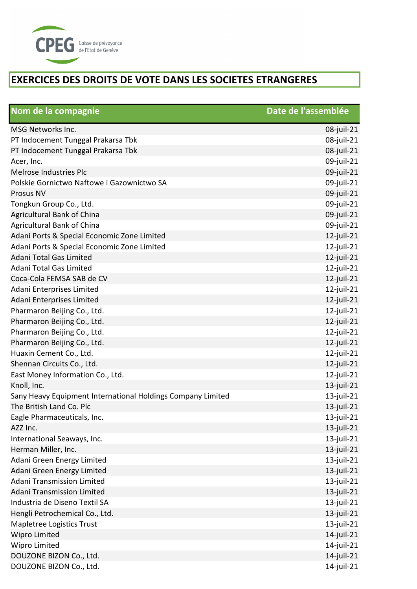

| Nom de la compagnie                                         | Date de l'assemblée |
|-------------------------------------------------------------|---------------------|
| <b>MSG Networks Inc.</b>                                    | 08-juil-21          |
| PT Indocement Tunggal Prakarsa Tbk                          | 08-juil-21          |
| PT Indocement Tunggal Prakarsa Tbk                          | 08-juil-21          |
| Acer, Inc.                                                  | 09-juil-21          |
| Melrose Industries Plc                                      | 09-juil-21          |
| Polskie Gornictwo Naftowe i Gazownictwo SA                  | 09-juil-21          |
| Prosus NV                                                   | 09-juil-21          |
| Tongkun Group Co., Ltd.                                     | 09-juil-21          |
| Agricultural Bank of China                                  | 09-juil-21          |
| <b>Agricultural Bank of China</b>                           | 09-juil-21          |
| Adani Ports & Special Economic Zone Limited                 | $12$ -juil-21       |
| Adani Ports & Special Economic Zone Limited                 | $12$ -juil-21       |
| Adani Total Gas Limited                                     | $12$ -juil-21       |
| Adani Total Gas Limited                                     | $12$ -juil-21       |
| Coca-Cola FEMSA SAB de CV                                   | $12$ -juil-21       |
| Adani Enterprises Limited                                   | $12$ -juil-21       |
| Adani Enterprises Limited                                   | $12$ -juil-21       |
| Pharmaron Beijing Co., Ltd.                                 | $12$ -juil-21       |
| Pharmaron Beijing Co., Ltd.                                 | $12$ -juil-21       |
| Pharmaron Beijing Co., Ltd.                                 | $12$ -juil-21       |
| Pharmaron Beijing Co., Ltd.                                 | $12$ -juil-21       |
| Huaxin Cement Co., Ltd.                                     | $12$ -juil-21       |
| Shennan Circuits Co., Ltd.                                  | $12$ -juil-21       |
| East Money Information Co., Ltd.                            | $12$ -juil-21       |
| Knoll, Inc.                                                 | $13$ -juil-21       |
| Sany Heavy Equipment International Holdings Company Limited | $13$ -juil-21       |
| The British Land Co. Plc                                    | $13$ -juil-21       |
| Eagle Pharmaceuticals, Inc.                                 | $13$ -juil-21       |
| AZZ Inc.                                                    | $13$ -juil-21       |
| International Seaways, Inc.                                 | $13$ -juil-21       |
| Herman Miller, Inc.                                         | $13$ -juil-21       |
| Adani Green Energy Limited                                  | $13$ -juil-21       |
| Adani Green Energy Limited                                  | $13$ -juil-21       |
| Adani Transmission Limited                                  | $13$ -juil-21       |
| <b>Adani Transmission Limited</b>                           | 13-juil-21          |
| Industria de Diseno Textil SA                               | $13$ -juil-21       |
| Hengli Petrochemical Co., Ltd.                              | $13$ -juil-21       |
| Mapletree Logistics Trust                                   | $13$ -juil-21       |
| Wipro Limited                                               | $14$ -juil-21       |
| Wipro Limited                                               | $14$ -juil-21       |
| DOUZONE BIZON Co., Ltd.                                     | 14-juil-21          |
| DOUZONE BIZON Co., Ltd.                                     | $14$ -juil-21       |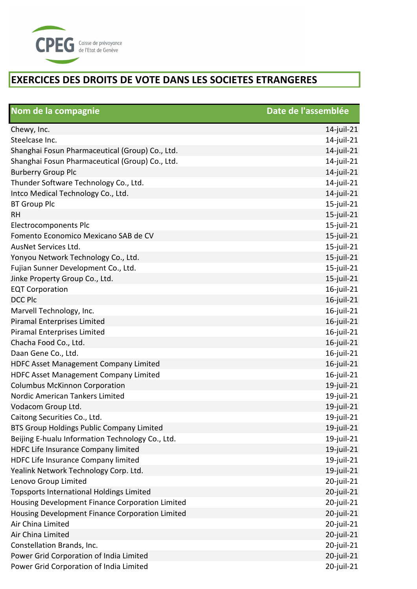

| Nom de la compagnie                              | Date de l'assemblée |
|--------------------------------------------------|---------------------|
| Chewy, Inc.                                      | $14$ -juil-21       |
| Steelcase Inc.                                   | $14$ -juil-21       |
| Shanghai Fosun Pharmaceutical (Group) Co., Ltd.  | $14$ -juil-21       |
| Shanghai Fosun Pharmaceutical (Group) Co., Ltd.  | $14$ -juil-21       |
| <b>Burberry Group Plc</b>                        | 14-juil-21          |
| Thunder Software Technology Co., Ltd.            | $14$ -juil-21       |
| Intco Medical Technology Co., Ltd.               | $14$ -juil-21       |
| <b>BT Group Plc</b>                              | $15$ -juil-21       |
| <b>RH</b>                                        | $15$ -juil-21       |
| Electrocomponents Plc                            | $15$ -juil-21       |
| Fomento Economico Mexicano SAB de CV             | $15$ -juil-21       |
| AusNet Services Ltd.                             | $15$ -juil-21       |
| Yonyou Network Technology Co., Ltd.              | $15$ -juil-21       |
| Fujian Sunner Development Co., Ltd.              | $15$ -juil-21       |
| Jinke Property Group Co., Ltd.                   | $15$ -juil-21       |
| <b>EQT Corporation</b>                           | $16$ -juil-21       |
| <b>DCC Plc</b>                                   | $16$ -juil-21       |
| Marvell Technology, Inc.                         | $16$ -juil-21       |
| Piramal Enterprises Limited                      | $16$ -juil-21       |
| Piramal Enterprises Limited                      | $16$ -juil-21       |
| Chacha Food Co., Ltd.                            | $16$ -juil-21       |
| Daan Gene Co., Ltd.                              | $16$ -juil-21       |
| HDFC Asset Management Company Limited            | $16$ -juil-21       |
| <b>HDFC Asset Management Company Limited</b>     | $16$ -juil-21       |
| <b>Columbus McKinnon Corporation</b>             | $19$ -juil-21       |
| Nordic American Tankers Limited                  | 19-juil-21          |
| Vodacom Group Ltd.                               | $19$ -juil-21       |
| Caitong Securities Co., Ltd.                     | 19-juil-21          |
| BTS Group Holdings Public Company Limited        | $19$ -juil-21       |
| Beijing E-hualu Information Technology Co., Ltd. | $19$ -juil-21       |
| HDFC Life Insurance Company limited              | $19$ -juil-21       |
| HDFC Life Insurance Company limited              | 19-juil-21          |
| Yealink Network Technology Corp. Ltd.            | $19$ -juil-21       |
| Lenovo Group Limited                             | 20-juil-21          |
| <b>Topsports International Holdings Limited</b>  | 20-juil-21          |
| Housing Development Finance Corporation Limited  | 20-juil-21          |
| Housing Development Finance Corporation Limited  | 20-juil-21          |
| Air China Limited                                | 20-juil-21          |
| Air China Limited                                | 20-juil-21          |
| Constellation Brands, Inc.                       | 20-juil-21          |
| Power Grid Corporation of India Limited          | 20-juil-21          |
| Power Grid Corporation of India Limited          | 20-juil-21          |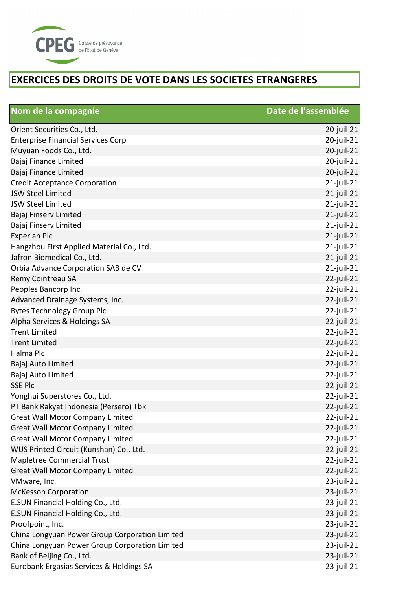

| Nom de la compagnie                            | Date de l'assemblée |
|------------------------------------------------|---------------------|
| Orient Securities Co., Ltd.                    | $20$ -juil-21       |
| <b>Enterprise Financial Services Corp</b>      | $20$ -juil-21       |
| Muyuan Foods Co., Ltd.                         | 20-juil-21          |
| Bajaj Finance Limited                          | 20-juil-21          |
| Bajaj Finance Limited                          | 20-juil-21          |
| <b>Credit Acceptance Corporation</b>           | $21$ -juil-21       |
| <b>JSW Steel Limited</b>                       | $21$ -juil-21       |
| <b>JSW Steel Limited</b>                       | $21$ -juil-21       |
| Bajaj Finserv Limited                          | $21$ -juil-21       |
| Bajaj Finserv Limited                          | $21$ -juil-21       |
| <b>Experian Plc</b>                            | $21$ -juil-21       |
| Hangzhou First Applied Material Co., Ltd.      | $21$ -juil-21       |
| Jafron Biomedical Co., Ltd.                    | $21$ -juil-21       |
| Orbia Advance Corporation SAB de CV            | $21$ -juil-21       |
| Remy Cointreau SA                              | $22$ -juil-21       |
| Peoples Bancorp Inc.                           | $22$ -juil-21       |
| Advanced Drainage Systems, Inc.                | $22$ -juil-21       |
| <b>Bytes Technology Group Plc</b>              | $22$ -juil-21       |
| Alpha Services & Holdings SA                   | $22$ -juil-21       |
| <b>Trent Limited</b>                           | 22-juil-21          |
| <b>Trent Limited</b>                           | $22$ -juil-21       |
| Halma Plc                                      | $22$ -juil-21       |
| Bajaj Auto Limited                             | 22-juil-21          |
| Bajaj Auto Limited                             | 22-juil-21          |
| <b>SSE Plc</b>                                 | 22-juil-21          |
| Yonghui Superstores Co., Ltd.                  | $22$ -juil-21       |
| PT Bank Rakyat Indonesia (Persero) Tbk         | $22$ -juil-21       |
| <b>Great Wall Motor Company Limited</b>        | $22$ -juil-21       |
| <b>Great Wall Motor Company Limited</b>        | $22$ -juil-21       |
| <b>Great Wall Motor Company Limited</b>        | $22$ -juil-21       |
| WUS Printed Circuit (Kunshan) Co., Ltd.        | $22$ -juil-21       |
| <b>Mapletree Commercial Trust</b>              | $22$ -juil-21       |
| <b>Great Wall Motor Company Limited</b>        | 22-juil-21          |
| VMware, Inc.                                   | 23-juil-21          |
| <b>McKesson Corporation</b>                    | 23-juil-21          |
| E.SUN Financial Holding Co., Ltd.              | 23-juil-21          |
| E.SUN Financial Holding Co., Ltd.              | $23$ -juil-21       |
| Proofpoint, Inc.                               | 23-juil-21          |
| China Longyuan Power Group Corporation Limited | $23$ -juil-21       |
| China Longyuan Power Group Corporation Limited | $23$ -juil-21       |
| Bank of Beijing Co., Ltd.                      | $23$ -juil-21       |
| Eurobank Ergasias Services & Holdings SA       | 23-juil-21          |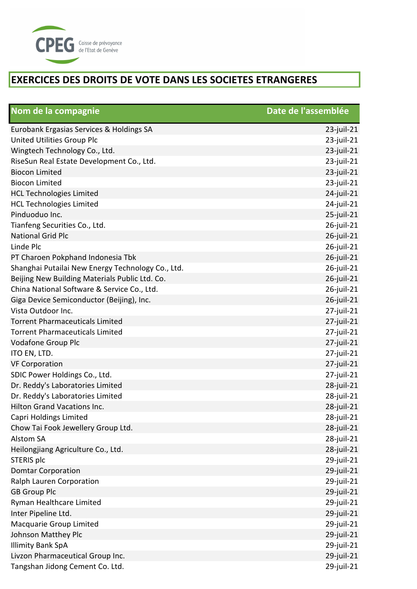

| Nom de la compagnie                               | Date de l'assemblée |
|---------------------------------------------------|---------------------|
| Eurobank Ergasias Services & Holdings SA          | $23$ -juil-21       |
| United Utilities Group Plc                        | 23-juil-21          |
| Wingtech Technology Co., Ltd.                     | 23-juil-21          |
| RiseSun Real Estate Development Co., Ltd.         | 23-juil-21          |
| <b>Biocon Limited</b>                             | 23-juil-21          |
| <b>Biocon Limited</b>                             | 23-juil-21          |
| <b>HCL Technologies Limited</b>                   | 24-juil-21          |
| <b>HCL Technologies Limited</b>                   | 24-juil-21          |
| Pinduoduo Inc.                                    | $25$ -juil-21       |
| Tianfeng Securities Co., Ltd.                     | 26-juil-21          |
| <b>National Grid Plc</b>                          | 26-juil-21          |
| Linde Plc                                         | 26-juil-21          |
| PT Charoen Pokphand Indonesia Tbk                 | 26-juil-21          |
| Shanghai Putailai New Energy Technology Co., Ltd. | 26-juil-21          |
| Beijing New Building Materials Public Ltd. Co.    | 26-juil-21          |
| China National Software & Service Co., Ltd.       | 26-juil-21          |
| Giga Device Semiconductor (Beijing), Inc.         | 26-juil-21          |
| Vista Outdoor Inc.                                | 27-juil-21          |
| <b>Torrent Pharmaceuticals Limited</b>            | $27$ -juil-21       |
| <b>Torrent Pharmaceuticals Limited</b>            | $27$ -juil-21       |
| Vodafone Group Plc                                | $27$ -juil-21       |
| ITO EN, LTD.                                      | $27$ -juil-21       |
| <b>VF Corporation</b>                             | 27-juil-21          |
| SDIC Power Holdings Co., Ltd.                     | $27$ -juil-21       |
| Dr. Reddy's Laboratories Limited                  | 28-juil-21          |
| Dr. Reddy's Laboratories Limited                  | 28-juil-21          |
| Hilton Grand Vacations Inc.                       | 28-juil-21          |
| Capri Holdings Limited                            | 28-juil-21          |
| Chow Tai Fook Jewellery Group Ltd.                | 28-juil-21          |
| <b>Alstom SA</b>                                  | 28-juil-21          |
| Heilongjiang Agriculture Co., Ltd.                | 28-juil-21          |
| STERIS plc                                        | 29-juil-21          |
| <b>Domtar Corporation</b>                         | 29-juil-21          |
| Ralph Lauren Corporation                          | 29-juil-21          |
| <b>GB Group Plc</b>                               | 29-juil-21          |
| Ryman Healthcare Limited                          | 29-juil-21          |
| Inter Pipeline Ltd.                               | 29-juil-21          |
| Macquarie Group Limited                           | 29-juil-21          |
| Johnson Matthey Plc                               | 29-juil-21          |
| <b>Illimity Bank SpA</b>                          | 29-juil-21          |
| Livzon Pharmaceutical Group Inc.                  | 29-juil-21          |
| Tangshan Jidong Cement Co. Ltd.                   | 29-juil-21          |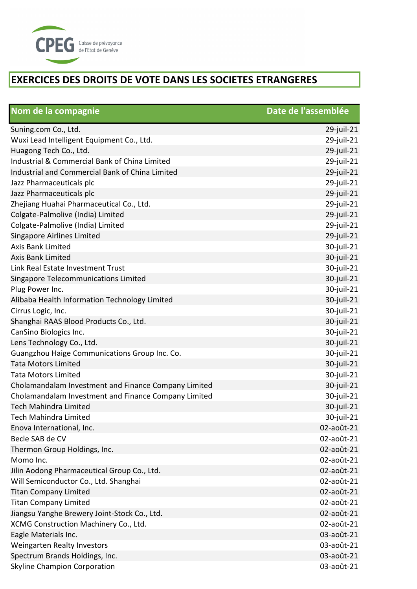

| Nom de la compagnie                                  | Date de l'assemblée |
|------------------------------------------------------|---------------------|
| Suning.com Co., Ltd.                                 | 29-juil-21          |
| Wuxi Lead Intelligent Equipment Co., Ltd.            | 29-juil-21          |
| Huagong Tech Co., Ltd.                               | 29-juil-21          |
| Industrial & Commercial Bank of China Limited        | 29-juil-21          |
| Industrial and Commercial Bank of China Limited      | 29-juil-21          |
| Jazz Pharmaceuticals plc                             | 29-juil-21          |
| Jazz Pharmaceuticals plc                             | 29-juil-21          |
| Zhejiang Huahai Pharmaceutical Co., Ltd.             | 29-juil-21          |
| Colgate-Palmolive (India) Limited                    | 29-juil-21          |
| Colgate-Palmolive (India) Limited                    | 29-juil-21          |
| Singapore Airlines Limited                           | 29-juil-21          |
| <b>Axis Bank Limited</b>                             | 30-juil-21          |
| <b>Axis Bank Limited</b>                             | 30-juil-21          |
| Link Real Estate Investment Trust                    | 30-juil-21          |
| Singapore Telecommunications Limited                 | 30-juil-21          |
| Plug Power Inc.                                      | 30-juil-21          |
| Alibaba Health Information Technology Limited        | 30-juil-21          |
| Cirrus Logic, Inc.                                   | 30-juil-21          |
| Shanghai RAAS Blood Products Co., Ltd.               | 30-juil-21          |
| CanSino Biologics Inc.                               | 30-juil-21          |
| Lens Technology Co., Ltd.                            | 30-juil-21          |
| Guangzhou Haige Communications Group Inc. Co.        | 30-juil-21          |
| <b>Tata Motors Limited</b>                           | 30-juil-21          |
| <b>Tata Motors Limited</b>                           | 30-juil-21          |
| Cholamandalam Investment and Finance Company Limited | 30-juil-21          |
| Cholamandalam Investment and Finance Company Limited | 30-juil-21          |
| <b>Tech Mahindra Limited</b>                         | 30-juil-21          |
| <b>Tech Mahindra Limited</b>                         | 30-juil-21          |
| Enova International, Inc.                            | 02-août-21          |
| Becle SAB de CV                                      | 02-août-21          |
| Thermon Group Holdings, Inc.                         | 02-août-21          |
| Momo Inc.                                            | 02-août-21          |
| Jilin Aodong Pharmaceutical Group Co., Ltd.          | 02-août-21          |
| Will Semiconductor Co., Ltd. Shanghai                | 02-août-21          |
| <b>Titan Company Limited</b>                         | 02-août-21          |
| <b>Titan Company Limited</b>                         | 02-août-21          |
| Jiangsu Yanghe Brewery Joint-Stock Co., Ltd.         | 02-août-21          |
| XCMG Construction Machinery Co., Ltd.                | 02-août-21          |
| Eagle Materials Inc.                                 | 03-août-21          |
| <b>Weingarten Realty Investors</b>                   | 03-août-21          |
| Spectrum Brands Holdings, Inc.                       | 03-août-21          |
| <b>Skyline Champion Corporation</b>                  | 03-août-21          |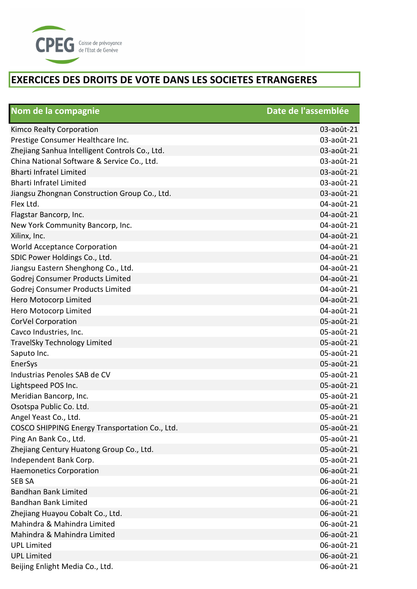

| Nom de la compagnie                            | Date de l'assemblée |
|------------------------------------------------|---------------------|
| Kimco Realty Corporation                       | 03-août-21          |
| Prestige Consumer Healthcare Inc.              | 03-août-21          |
| Zhejiang Sanhua Intelligent Controls Co., Ltd. | 03-août-21          |
| China National Software & Service Co., Ltd.    | 03-août-21          |
| <b>Bharti Infratel Limited</b>                 | 03-août-21          |
| <b>Bharti Infratel Limited</b>                 | 03-août-21          |
| Jiangsu Zhongnan Construction Group Co., Ltd.  | 03-août-21          |
| Flex Ltd.                                      | 04-août-21          |
| Flagstar Bancorp, Inc.                         | 04-août-21          |
| New York Community Bancorp, Inc.               | 04-août-21          |
| Xilinx, Inc.                                   | 04-août-21          |
| <b>World Acceptance Corporation</b>            | 04-août-21          |
| SDIC Power Holdings Co., Ltd.                  | 04-août-21          |
| Jiangsu Eastern Shenghong Co., Ltd.            | 04-août-21          |
| Godrej Consumer Products Limited               | 04-août-21          |
| Godrej Consumer Products Limited               | 04-août-21          |
| Hero Motocorp Limited                          | 04-août-21          |
| Hero Motocorp Limited                          | 04-août-21          |
| CorVel Corporation                             | 05-août-21          |
| Cavco Industries, Inc.                         | 05-août-21          |
| <b>TravelSky Technology Limited</b>            | 05-août-21          |
| Saputo Inc.                                    | 05-août-21          |
| EnerSys                                        | 05-août-21          |
| Industrias Penoles SAB de CV                   | 05-août-21          |
| Lightspeed POS Inc.                            | 05-août-21          |
| Meridian Bancorp, Inc.                         | 05-août-21          |
| Osotspa Public Co. Ltd.                        | 05-août-21          |
| Angel Yeast Co., Ltd.                          | 05-août-21          |
| COSCO SHIPPING Energy Transportation Co., Ltd. | 05-août-21          |
| Ping An Bank Co., Ltd.                         | 05-août-21          |
| Zhejiang Century Huatong Group Co., Ltd.       | 05-août-21          |
| Independent Bank Corp.                         | 05-août-21          |
| <b>Haemonetics Corporation</b>                 | 06-août-21          |
| <b>SEB SA</b>                                  | 06-août-21          |
| <b>Bandhan Bank Limited</b>                    | 06-août-21          |
| <b>Bandhan Bank Limited</b>                    | 06-août-21          |
| Zhejiang Huayou Cobalt Co., Ltd.               | 06-août-21          |
| Mahindra & Mahindra Limited                    | 06-août-21          |
| Mahindra & Mahindra Limited                    | 06-août-21          |
| <b>UPL Limited</b>                             | 06-août-21          |
| <b>UPL Limited</b>                             | 06-août-21          |
| Beijing Enlight Media Co., Ltd.                | 06-août-21          |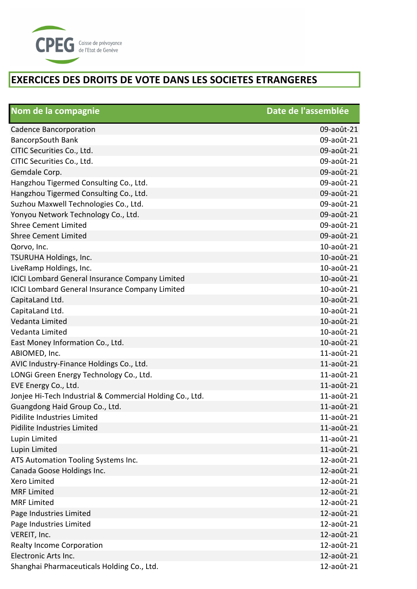

| Nom de la compagnie                                      | Date de l'assemblée |
|----------------------------------------------------------|---------------------|
| <b>Cadence Bancorporation</b>                            | 09-août-21          |
| <b>BancorpSouth Bank</b>                                 | 09-août-21          |
| CITIC Securities Co., Ltd.                               | 09-août-21          |
| CITIC Securities Co., Ltd.                               | 09-août-21          |
| Gemdale Corp.                                            | 09-août-21          |
| Hangzhou Tigermed Consulting Co., Ltd.                   | 09-août-21          |
| Hangzhou Tigermed Consulting Co., Ltd.                   | 09-août-21          |
| Suzhou Maxwell Technologies Co., Ltd.                    | 09-août-21          |
| Yonyou Network Technology Co., Ltd.                      | 09-août-21          |
| <b>Shree Cement Limited</b>                              | 09-août-21          |
| <b>Shree Cement Limited</b>                              | 09-août-21          |
| Qorvo, Inc.                                              | 10-août-21          |
| TSURUHA Holdings, Inc.                                   | 10-août-21          |
| LiveRamp Holdings, Inc.                                  | 10-août-21          |
| <b>ICICI Lombard General Insurance Company Limited</b>   | 10-août-21          |
| <b>ICICI Lombard General Insurance Company Limited</b>   | 10-août-21          |
| CapitaLand Ltd.                                          | 10-août-21          |
| CapitaLand Ltd.                                          | 10-août-21          |
| Vedanta Limited                                          | 10-août-21          |
| Vedanta Limited                                          | 10-août-21          |
| East Money Information Co., Ltd.                         | 10-août-21          |
| ABIOMED, Inc.                                            | 11-août-21          |
| AVIC Industry-Finance Holdings Co., Ltd.                 | 11-août-21          |
| LONGi Green Energy Technology Co., Ltd.                  | 11-août-21          |
| EVE Energy Co., Ltd.                                     | 11-août-21          |
| Jonjee Hi-Tech Industrial & Commercial Holding Co., Ltd. | 11-août-21          |
| Guangdong Haid Group Co., Ltd.                           | 11-août-21          |
| Pidilite Industries Limited                              | 11-août-21          |
| Pidilite Industries Limited                              | 11-août-21          |
| Lupin Limited                                            | 11-août-21          |
| Lupin Limited                                            | 11-août-21          |
| ATS Automation Tooling Systems Inc.                      | 12-août-21          |
| Canada Goose Holdings Inc.                               | 12-août-21          |
| Xero Limited                                             | 12-août-21          |
| <b>MRF Limited</b>                                       | 12-août-21          |
| <b>MRF Limited</b>                                       | 12-août-21          |
| Page Industries Limited                                  | 12-août-21          |
| Page Industries Limited                                  | 12-août-21          |
| VEREIT, Inc.                                             | 12-août-21          |
| <b>Realty Income Corporation</b>                         | 12-août-21          |
| Electronic Arts Inc.                                     | 12-août-21          |
| Shanghai Pharmaceuticals Holding Co., Ltd.               | 12-août-21          |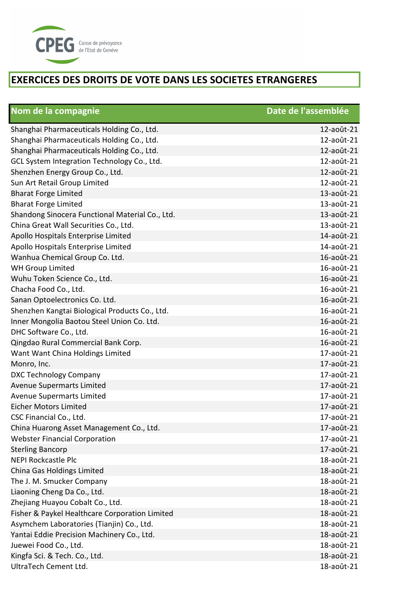

| Nom de la compagnie                             | Date de l'assemblée |
|-------------------------------------------------|---------------------|
| Shanghai Pharmaceuticals Holding Co., Ltd.      | 12-août-21          |
| Shanghai Pharmaceuticals Holding Co., Ltd.      | 12-août-21          |
| Shanghai Pharmaceuticals Holding Co., Ltd.      | 12-août-21          |
| GCL System Integration Technology Co., Ltd.     | 12-août-21          |
| Shenzhen Energy Group Co., Ltd.                 | 12-août-21          |
| Sun Art Retail Group Limited                    | 12-août-21          |
| <b>Bharat Forge Limited</b>                     | 13-août-21          |
| <b>Bharat Forge Limited</b>                     | 13-août-21          |
| Shandong Sinocera Functional Material Co., Ltd. | 13-août-21          |
| China Great Wall Securities Co., Ltd.           | 13-août-21          |
| Apollo Hospitals Enterprise Limited             | 14-août-21          |
| Apollo Hospitals Enterprise Limited             | 14-août-21          |
| Wanhua Chemical Group Co. Ltd.                  | 16-août-21          |
| <b>WH Group Limited</b>                         | 16-août-21          |
| Wuhu Token Science Co., Ltd.                    | 16-août-21          |
| Chacha Food Co., Ltd.                           | 16-août-21          |
| Sanan Optoelectronics Co. Ltd.                  | 16-août-21          |
| Shenzhen Kangtai Biological Products Co., Ltd.  | 16-août-21          |
| Inner Mongolia Baotou Steel Union Co. Ltd.      | 16-août-21          |
| DHC Software Co., Ltd.                          | 16-août-21          |
| Qingdao Rural Commercial Bank Corp.             | 16-août-21          |
| Want Want China Holdings Limited                | 17-août-21          |
| Monro, Inc.                                     | 17-août-21          |
| <b>DXC Technology Company</b>                   | 17-août-21          |
| <b>Avenue Supermarts Limited</b>                | 17-août-21          |
| <b>Avenue Supermarts Limited</b>                | 17-août-21          |
| <b>Eicher Motors Limited</b>                    | 17-août-21          |
| CSC Financial Co., Ltd.                         | 17-août-21          |
| China Huarong Asset Management Co., Ltd.        | 17-août-21          |
| <b>Webster Financial Corporation</b>            | 17-août-21          |
| <b>Sterling Bancorp</b>                         | 17-août-21          |
| <b>NEPI Rockcastle Plc</b>                      | 18-août-21          |
| China Gas Holdings Limited                      | 18-août-21          |
| The J. M. Smucker Company                       | 18-août-21          |
| Liaoning Cheng Da Co., Ltd.                     | 18-août-21          |
| Zhejiang Huayou Cobalt Co., Ltd.                | 18-août-21          |
| Fisher & Paykel Healthcare Corporation Limited  | 18-août-21          |
| Asymchem Laboratories (Tianjin) Co., Ltd.       | 18-août-21          |
| Yantai Eddie Precision Machinery Co., Ltd.      | 18-août-21          |
| Juewei Food Co., Ltd.                           | 18-août-21          |
| Kingfa Sci. & Tech. Co., Ltd.                   | 18-août-21          |
| UltraTech Cement Ltd.                           | 18-août-21          |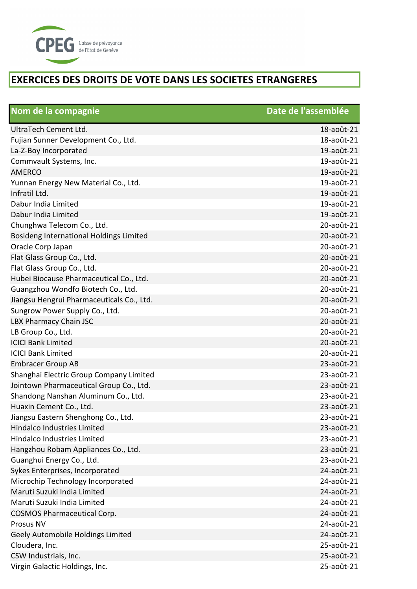

| Nom de la compagnie                       | Date de l'assemblée |
|-------------------------------------------|---------------------|
| UltraTech Cement Ltd.                     | 18-août-21          |
| Fujian Sunner Development Co., Ltd.       | 18-août-21          |
| La-Z-Boy Incorporated                     | 19-août-21          |
| Commvault Systems, Inc.                   | 19-août-21          |
| <b>AMERCO</b>                             | 19-août-21          |
| Yunnan Energy New Material Co., Ltd.      | 19-août-21          |
| Infratil Ltd.                             | 19-août-21          |
| Dabur India Limited                       | 19-août-21          |
| Dabur India Limited                       | 19-août-21          |
| Chunghwa Telecom Co., Ltd.                | 20-août-21          |
| Bosideng International Holdings Limited   | 20-août-21          |
| Oracle Corp Japan                         | 20-août-21          |
| Flat Glass Group Co., Ltd.                | 20-août-21          |
| Flat Glass Group Co., Ltd.                | 20-août-21          |
| Hubei Biocause Pharmaceutical Co., Ltd.   | 20-août-21          |
| Guangzhou Wondfo Biotech Co., Ltd.        | 20-août-21          |
| Jiangsu Hengrui Pharmaceuticals Co., Ltd. | 20-août-21          |
| Sungrow Power Supply Co., Ltd.            | 20-août-21          |
| LBX Pharmacy Chain JSC                    | 20-août-21          |
| LB Group Co., Ltd.                        | 20-août-21          |
| <b>ICICI Bank Limited</b>                 | 20-août-21          |
| <b>ICICI Bank Limited</b>                 | 20-août-21          |
| <b>Embracer Group AB</b>                  | 23-août-21          |
| Shanghai Electric Group Company Limited   | 23-août-21          |
| Jointown Pharmaceutical Group Co., Ltd.   | 23-août-21          |
| Shandong Nanshan Aluminum Co., Ltd.       | 23-août-21          |
| Huaxin Cement Co., Ltd.                   | 23-août-21          |
| Jiangsu Eastern Shenghong Co., Ltd.       | 23-août-21          |
| Hindalco Industries Limited               | 23-août-21          |
| Hindalco Industries Limited               | 23-août-21          |
| Hangzhou Robam Appliances Co., Ltd.       | 23-août-21          |
| Guanghui Energy Co., Ltd.                 | 23-août-21          |
| Sykes Enterprises, Incorporated           | 24-août-21          |
| Microchip Technology Incorporated         | 24-août-21          |
| Maruti Suzuki India Limited               | 24-août-21          |
| Maruti Suzuki India Limited               | 24-août-21          |
| <b>COSMOS Pharmaceutical Corp.</b>        | 24-août-21          |
| Prosus NV                                 | 24-août-21          |
| Geely Automobile Holdings Limited         | 24-août-21          |
| Cloudera, Inc.                            | 25-août-21          |
| CSW Industrials, Inc.                     | 25-août-21          |
| Virgin Galactic Holdings, Inc.            | 25-août-21          |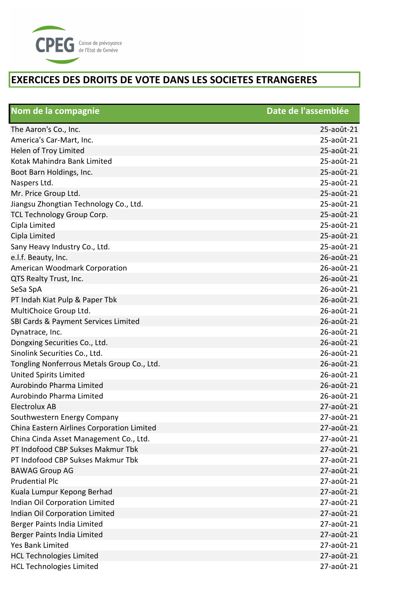

| Nom de la compagnie                        | Date de l'assemblée |
|--------------------------------------------|---------------------|
| The Aaron's Co., Inc.                      | 25-août-21          |
| America's Car-Mart, Inc.                   | 25-août-21          |
| Helen of Troy Limited                      | 25-août-21          |
| Kotak Mahindra Bank Limited                | 25-août-21          |
| Boot Barn Holdings, Inc.                   | 25-août-21          |
| Naspers Ltd.                               | 25-août-21          |
| Mr. Price Group Ltd.                       | 25-août-21          |
| Jiangsu Zhongtian Technology Co., Ltd.     | 25-août-21          |
| TCL Technology Group Corp.                 | 25-août-21          |
| Cipla Limited                              | 25-août-21          |
| Cipla Limited                              | 25-août-21          |
| Sany Heavy Industry Co., Ltd.              | 25-août-21          |
| e.l.f. Beauty, Inc.                        | 26-août-21          |
| American Woodmark Corporation              | 26-août-21          |
| QTS Realty Trust, Inc.                     | 26-août-21          |
| SeSa SpA                                   | 26-août-21          |
| PT Indah Kiat Pulp & Paper Tbk             | 26-août-21          |
| MultiChoice Group Ltd.                     | 26-août-21          |
| SBI Cards & Payment Services Limited       | 26-août-21          |
| Dynatrace, Inc.                            | 26-août-21          |
| Dongxing Securities Co., Ltd.              | 26-août-21          |
| Sinolink Securities Co., Ltd.              | 26-août-21          |
| Tongling Nonferrous Metals Group Co., Ltd. | 26-août-21          |
| <b>United Spirits Limited</b>              | 26-août-21          |
| Aurobindo Pharma Limited                   | 26-août-21          |
| Aurobindo Pharma Limited                   | 26-août-21          |
| Electrolux AB                              | 27-août-21          |
| Southwestern Energy Company                | 27-août-21          |
| China Eastern Airlines Corporation Limited | 27-août-21          |
| China Cinda Asset Management Co., Ltd.     | 27-août-21          |
| PT Indofood CBP Sukses Makmur Tbk          | 27-août-21          |
| PT Indofood CBP Sukses Makmur Tbk          | 27-août-21          |
| <b>BAWAG Group AG</b>                      | 27-août-21          |
| <b>Prudential Plc</b>                      | 27-août-21          |
| Kuala Lumpur Kepong Berhad                 | 27-août-21          |
| Indian Oil Corporation Limited             | 27-août-21          |
| Indian Oil Corporation Limited             | 27-août-21          |
| Berger Paints India Limited                | 27-août-21          |
| Berger Paints India Limited                | 27-août-21          |
| Yes Bank Limited                           | 27-août-21          |
| <b>HCL Technologies Limited</b>            | 27-août-21          |
| <b>HCL Technologies Limited</b>            | 27-août-21          |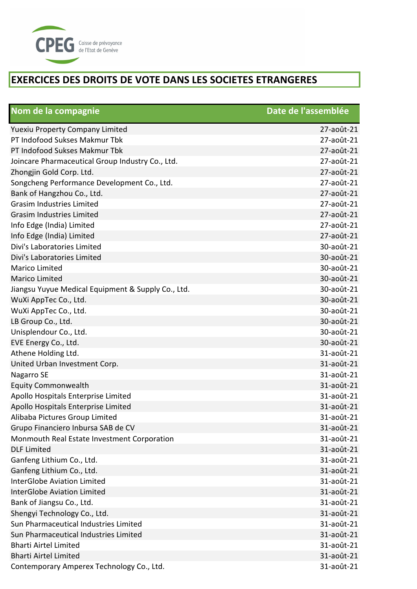

| Nom de la compagnie                                | Date de l'assemblée |
|----------------------------------------------------|---------------------|
| <b>Yuexiu Property Company Limited</b>             | 27-août-21          |
| PT Indofood Sukses Makmur Tbk                      | 27-août-21          |
| PT Indofood Sukses Makmur Tbk                      | 27-août-21          |
| Joincare Pharmaceutical Group Industry Co., Ltd.   | 27-août-21          |
| Zhongjin Gold Corp. Ltd.                           | 27-août-21          |
| Songcheng Performance Development Co., Ltd.        | 27-août-21          |
| Bank of Hangzhou Co., Ltd.                         | 27-août-21          |
| <b>Grasim Industries Limited</b>                   | 27-août-21          |
| <b>Grasim Industries Limited</b>                   | 27-août-21          |
| Info Edge (India) Limited                          | 27-août-21          |
| Info Edge (India) Limited                          | 27-août-21          |
| Divi's Laboratories Limited                        | 30-août-21          |
| Divi's Laboratories Limited                        | 30-août-21          |
| <b>Marico Limited</b>                              | 30-août-21          |
| <b>Marico Limited</b>                              | 30-août-21          |
| Jiangsu Yuyue Medical Equipment & Supply Co., Ltd. | 30-août-21          |
| WuXi AppTec Co., Ltd.                              | 30-août-21          |
| WuXi AppTec Co., Ltd.                              | 30-août-21          |
| LB Group Co., Ltd.                                 | 30-août-21          |
| Unisplendour Co., Ltd.                             | 30-août-21          |
| EVE Energy Co., Ltd.                               | 30-août-21          |
| Athene Holding Ltd.                                | 31-août-21          |
| United Urban Investment Corp.                      | 31-août-21          |
| Nagarro SE                                         | 31-août-21          |
| <b>Equity Commonwealth</b>                         | 31-août-21          |
| Apollo Hospitals Enterprise Limited                | 31-août-21          |
| Apollo Hospitals Enterprise Limited                | 31-août-21          |
| Alibaba Pictures Group Limited                     | 31-août-21          |
| Grupo Financiero Inbursa SAB de CV                 | 31-août-21          |
| Monmouth Real Estate Investment Corporation        | 31-août-21          |
| <b>DLF Limited</b>                                 | 31-août-21          |
| Ganfeng Lithium Co., Ltd.                          | 31-août-21          |
| Ganfeng Lithium Co., Ltd.                          | 31-août-21          |
| <b>InterGlobe Aviation Limited</b>                 | 31-août-21          |
| <b>InterGlobe Aviation Limited</b>                 | 31-août-21          |
| Bank of Jiangsu Co., Ltd.                          | 31-août-21          |
| Shengyi Technology Co., Ltd.                       | 31-août-21          |
| Sun Pharmaceutical Industries Limited              | 31-août-21          |
| Sun Pharmaceutical Industries Limited              | 31-août-21          |
| <b>Bharti Airtel Limited</b>                       | 31-août-21          |
| <b>Bharti Airtel Limited</b>                       | 31-août-21          |
| Contemporary Amperex Technology Co., Ltd.          | 31-août-21          |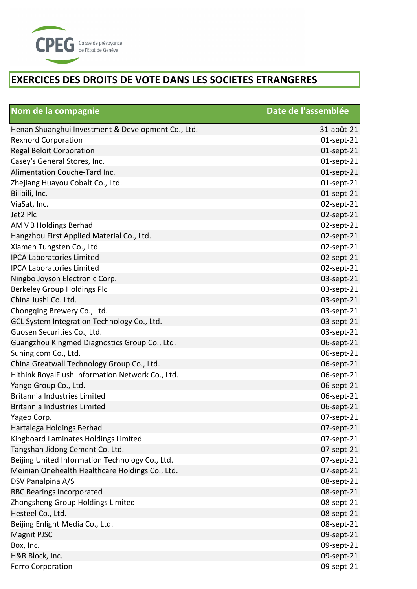

| Nom de la compagnie                                | Date de l'assemblée |
|----------------------------------------------------|---------------------|
| Henan Shuanghui Investment & Development Co., Ltd. | 31-août-21          |
| <b>Rexnord Corporation</b>                         | $01$ -sept-21       |
| <b>Regal Beloit Corporation</b>                    | $01$ -sept-21       |
| Casey's General Stores, Inc.                       | $01$ -sept-21       |
| Alimentation Couche-Tard Inc.                      | $01$ -sept-21       |
| Zhejiang Huayou Cobalt Co., Ltd.                   | $01$ -sept-21       |
| Bilibili, Inc.                                     | $01$ -sept-21       |
| ViaSat, Inc.                                       | 02-sept-21          |
| Jet2 Plc                                           | 02-sept-21          |
| <b>AMMB Holdings Berhad</b>                        | 02-sept-21          |
| Hangzhou First Applied Material Co., Ltd.          | 02-sept-21          |
| Xiamen Tungsten Co., Ltd.                          | 02-sept-21          |
| <b>IPCA Laboratories Limited</b>                   | 02-sept-21          |
| <b>IPCA Laboratories Limited</b>                   | 02-sept-21          |
| Ningbo Joyson Electronic Corp.                     | 03-sept-21          |
| Berkeley Group Holdings Plc                        | 03-sept-21          |
| China Jushi Co. Ltd.                               | 03-sept-21          |
| Chongqing Brewery Co., Ltd.                        | 03-sept-21          |
| GCL System Integration Technology Co., Ltd.        | 03-sept-21          |
| Guosen Securities Co., Ltd.                        | 03-sept-21          |
| Guangzhou Kingmed Diagnostics Group Co., Ltd.      | 06-sept-21          |
| Suning.com Co., Ltd.                               | 06-sept-21          |
| China Greatwall Technology Group Co., Ltd.         | 06-sept-21          |
| Hithink RoyalFlush Information Network Co., Ltd.   | 06-sept-21          |
| Yango Group Co., Ltd.                              | 06-sept-21          |
| Britannia Industries Limited                       | 06-sept-21          |
| Britannia Industries Limited                       | 06-sept-21          |
| Yageo Corp.                                        | 07-sept-21          |
| Hartalega Holdings Berhad                          | 07-sept-21          |
| Kingboard Laminates Holdings Limited               | 07-sept-21          |
| Tangshan Jidong Cement Co. Ltd.                    | 07-sept-21          |
| Beijing United Information Technology Co., Ltd.    | 07-sept-21          |
| Meinian Onehealth Healthcare Holdings Co., Ltd.    | 07-sept-21          |
| DSV Panalpina A/S                                  | 08-sept-21          |
| <b>RBC Bearings Incorporated</b>                   | 08-sept-21          |
| Zhongsheng Group Holdings Limited                  | 08-sept-21          |
| Hesteel Co., Ltd.                                  | 08-sept-21          |
| Beijing Enlight Media Co., Ltd.                    | 08-sept-21          |
| Magnit PJSC                                        | 09-sept-21          |
| Box, Inc.                                          | 09-sept-21          |
| H&R Block, Inc.                                    | 09-sept-21          |
| <b>Ferro Corporation</b>                           | 09-sept-21          |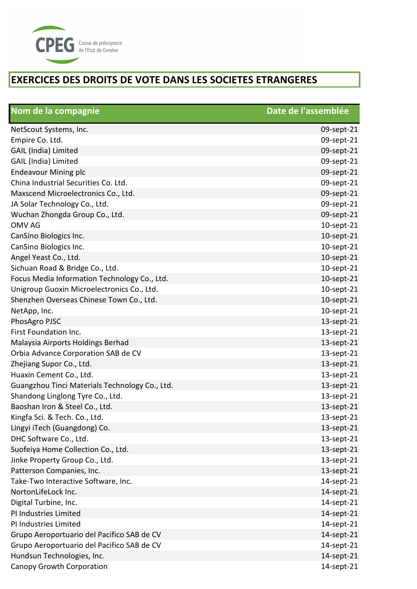

| Nom de la compagnie                            | Date de l'assemblée |
|------------------------------------------------|---------------------|
| NetScout Systems, Inc.                         | 09-sept-21          |
| Empire Co. Ltd.                                | 09-sept-21          |
| GAIL (India) Limited                           | 09-sept-21          |
| GAIL (India) Limited                           | 09-sept-21          |
| <b>Endeavour Mining plc</b>                    | 09-sept-21          |
| China Industrial Securities Co. Ltd.           | 09-sept-21          |
| Maxscend Microelectronics Co., Ltd.            | 09-sept-21          |
| JA Solar Technology Co., Ltd.                  | 09-sept-21          |
| Wuchan Zhongda Group Co., Ltd.                 | 09-sept-21          |
| <b>OMV AG</b>                                  | 10-sept-21          |
| CanSino Biologics Inc.                         | 10-sept-21          |
| CanSino Biologics Inc.                         | 10-sept-21          |
| Angel Yeast Co., Ltd.                          | 10-sept-21          |
| Sichuan Road & Bridge Co., Ltd.                | 10-sept-21          |
| Focus Media Information Technology Co., Ltd.   | 10-sept-21          |
| Unigroup Guoxin Microelectronics Co., Ltd.     | 10-sept-21          |
| Shenzhen Overseas Chinese Town Co., Ltd.       | 10-sept-21          |
| NetApp, Inc.                                   | 10-sept-21          |
| PhosAgro PJSC                                  | 13-sept-21          |
| First Foundation Inc.                          | 13-sept-21          |
| Malaysia Airports Holdings Berhad              | 13-sept-21          |
| Orbia Advance Corporation SAB de CV            | 13-sept-21          |
| Zhejiang Supor Co., Ltd.                       | 13-sept-21          |
| Huaxin Cement Co., Ltd.                        | 13-sept-21          |
| Guangzhou Tinci Materials Technology Co., Ltd. | 13-sept-21          |
| Shandong Linglong Tyre Co., Ltd.               | 13-sept-21          |
| Baoshan Iron & Steel Co., Ltd.                 | 13-sept-21          |
| Kingfa Sci. & Tech. Co., Ltd.                  | 13-sept-21          |
| Lingyi iTech (Guangdong) Co.                   | 13-sept-21          |
| DHC Software Co., Ltd.                         | 13-sept-21          |
| Suofeiya Home Collection Co., Ltd.             | 13-sept-21          |
| Jinke Property Group Co., Ltd.                 | 13-sept-21          |
| Patterson Companies, Inc.                      | 13-sept-21          |
| Take-Two Interactive Software, Inc.            | 14-sept-21          |
| NortonLifeLock Inc.                            | 14-sept-21          |
| Digital Turbine, Inc.                          | 14-sept-21          |
| PI Industries Limited                          | 14-sept-21          |
| PI Industries Limited                          | 14-sept-21          |
| Grupo Aeroportuario del Pacifico SAB de CV     | 14-sept-21          |
| Grupo Aeroportuario del Pacifico SAB de CV     | 14-sept-21          |
| Hundsun Technologies, Inc.                     | 14-sept-21          |
| Canopy Growth Corporation                      | 14-sept-21          |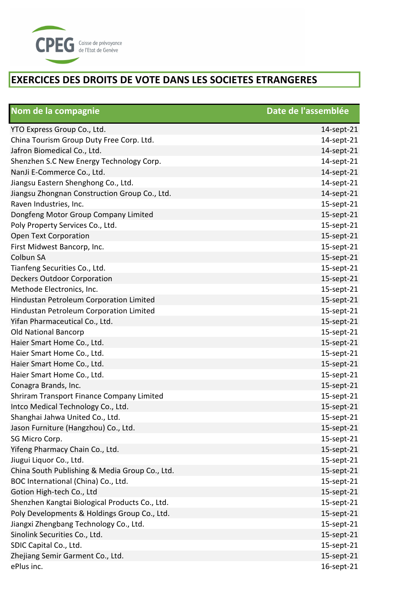

| Nom de la compagnie                            | Date de l'assemblée |
|------------------------------------------------|---------------------|
| YTO Express Group Co., Ltd.                    | 14-sept-21          |
| China Tourism Group Duty Free Corp. Ltd.       | 14-sept-21          |
| Jafron Biomedical Co., Ltd.                    | 14-sept-21          |
| Shenzhen S.C New Energy Technology Corp.       | 14-sept-21          |
| NanJi E-Commerce Co., Ltd.                     | 14-sept-21          |
| Jiangsu Eastern Shenghong Co., Ltd.            | 14-sept-21          |
| Jiangsu Zhongnan Construction Group Co., Ltd.  | 14-sept-21          |
| Raven Industries, Inc.                         | 15-sept-21          |
| Dongfeng Motor Group Company Limited           | 15-sept-21          |
| Poly Property Services Co., Ltd.               | 15-sept-21          |
| Open Text Corporation                          | 15-sept-21          |
| First Midwest Bancorp, Inc.                    | 15-sept-21          |
| Colbun SA                                      | 15-sept-21          |
| Tianfeng Securities Co., Ltd.                  | 15-sept-21          |
| <b>Deckers Outdoor Corporation</b>             | 15-sept-21          |
| Methode Electronics, Inc.                      | 15-sept-21          |
| Hindustan Petroleum Corporation Limited        | 15-sept-21          |
| Hindustan Petroleum Corporation Limited        | 15-sept-21          |
| Yifan Pharmaceutical Co., Ltd.                 | 15-sept-21          |
| <b>Old National Bancorp</b>                    | 15-sept-21          |
| Haier Smart Home Co., Ltd.                     | 15-sept-21          |
| Haier Smart Home Co., Ltd.                     | 15-sept-21          |
| Haier Smart Home Co., Ltd.                     | 15-sept-21          |
| Haier Smart Home Co., Ltd.                     | 15-sept-21          |
| Conagra Brands, Inc.                           | 15-sept-21          |
| Shriram Transport Finance Company Limited      | 15-sept-21          |
| Intco Medical Technology Co., Ltd.             | 15-sept-21          |
| Shanghai Jahwa United Co., Ltd.                | 15-sept-21          |
| Jason Furniture (Hangzhou) Co., Ltd.           | 15-sept-21          |
| SG Micro Corp.                                 | 15-sept-21          |
| Yifeng Pharmacy Chain Co., Ltd.                | 15-sept-21          |
| Jiugui Liquor Co., Ltd.                        | 15-sept-21          |
| China South Publishing & Media Group Co., Ltd. | 15-sept-21          |
| BOC International (China) Co., Ltd.            | 15-sept-21          |
| Gotion High-tech Co., Ltd                      | 15-sept-21          |
| Shenzhen Kangtai Biological Products Co., Ltd. | 15-sept-21          |
| Poly Developments & Holdings Group Co., Ltd.   | 15-sept-21          |
| Jiangxi Zhengbang Technology Co., Ltd.         | 15-sept-21          |
| Sinolink Securities Co., Ltd.                  | 15-sept-21          |
| SDIC Capital Co., Ltd.                         | 15-sept-21          |
| Zhejiang Semir Garment Co., Ltd.               | 15-sept-21          |
| ePlus inc.                                     | 16-sept-21          |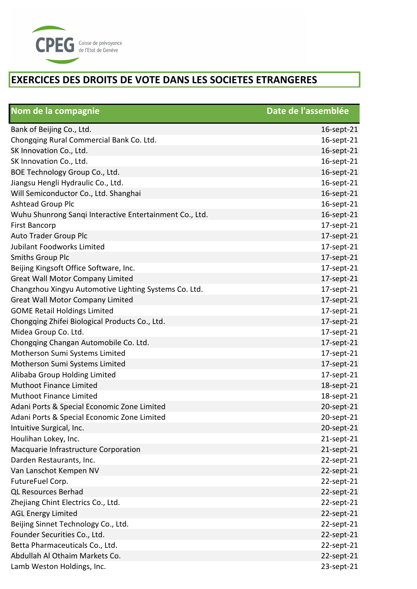

| Nom de la compagnie                                     | Date de l'assemblée |
|---------------------------------------------------------|---------------------|
| Bank of Beijing Co., Ltd.                               | 16-sept-21          |
| Chongqing Rural Commercial Bank Co. Ltd.                | 16-sept-21          |
| SK Innovation Co., Ltd.                                 | 16-sept-21          |
| SK Innovation Co., Ltd.                                 | 16-sept-21          |
| BOE Technology Group Co., Ltd.                          | 16-sept-21          |
| Jiangsu Hengli Hydraulic Co., Ltd.                      | 16-sept-21          |
| Will Semiconductor Co., Ltd. Shanghai                   | 16-sept-21          |
| Ashtead Group Plc                                       | 16-sept-21          |
| Wuhu Shunrong Sanqi Interactive Entertainment Co., Ltd. | 16-sept-21          |
| <b>First Bancorp</b>                                    | 17-sept-21          |
| Auto Trader Group Plc                                   | 17-sept-21          |
| Jubilant Foodworks Limited                              | 17-sept-21          |
| <b>Smiths Group Plc</b>                                 | 17-sept-21          |
| Beijing Kingsoft Office Software, Inc.                  | 17-sept-21          |
| <b>Great Wall Motor Company Limited</b>                 | 17-sept-21          |
| Changzhou Xingyu Automotive Lighting Systems Co. Ltd.   | 17-sept-21          |
| <b>Great Wall Motor Company Limited</b>                 | 17-sept-21          |
| <b>GOME Retail Holdings Limited</b>                     | 17-sept-21          |
| Chongqing Zhifei Biological Products Co., Ltd.          | 17-sept-21          |
| Midea Group Co. Ltd.                                    | 17-sept-21          |
| Chongqing Changan Automobile Co. Ltd.                   | 17-sept-21          |
| Motherson Sumi Systems Limited                          | 17-sept-21          |
| Motherson Sumi Systems Limited                          | 17-sept-21          |
| Alibaba Group Holding Limited                           | 17-sept-21          |
| Muthoot Finance Limited                                 | 18-sept-21          |
| Muthoot Finance Limited                                 | 18-sept-21          |
| Adani Ports & Special Economic Zone Limited             | 20-sept-21          |
| Adani Ports & Special Economic Zone Limited             | 20-sept-21          |
| Intuitive Surgical, Inc.                                | 20-sept-21          |
| Houlihan Lokey, Inc.                                    | 21-sept-21          |
| Macquarie Infrastructure Corporation                    | 21-sept-21          |
| Darden Restaurants, Inc.                                | 22-sept-21          |
| Van Lanschot Kempen NV                                  | 22-sept-21          |
| FutureFuel Corp.                                        | 22-sept-21          |
| <b>QL Resources Berhad</b>                              | 22-sept-21          |
| Zhejiang Chint Electrics Co., Ltd.                      | 22-sept-21          |
| <b>AGL Energy Limited</b>                               | 22-sept-21          |
| Beijing Sinnet Technology Co., Ltd.                     | 22-sept-21          |
| Founder Securities Co., Ltd.                            | 22-sept-21          |
| Betta Pharmaceuticals Co., Ltd.                         | 22-sept-21          |
| Abdullah Al Othaim Markets Co.                          | 22-sept-21          |
| Lamb Weston Holdings, Inc.                              | 23-sept-21          |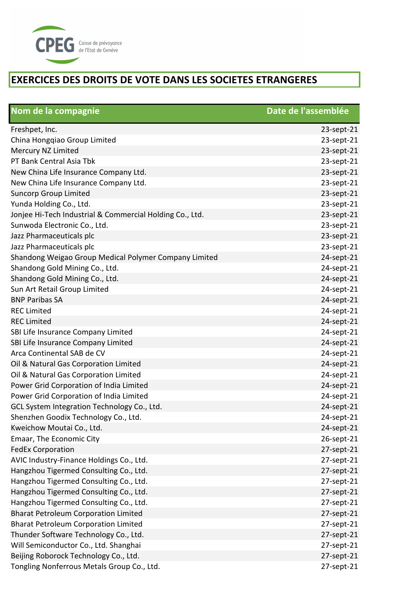

| Nom de la compagnie                                      | Date de l'assemblée |
|----------------------------------------------------------|---------------------|
| Freshpet, Inc.                                           | 23-sept-21          |
| China Hongqiao Group Limited                             | 23-sept-21          |
| Mercury NZ Limited                                       | 23-sept-21          |
| PT Bank Central Asia Tbk                                 | 23-sept-21          |
| New China Life Insurance Company Ltd.                    | 23-sept-21          |
| New China Life Insurance Company Ltd.                    | 23-sept-21          |
| <b>Suncorp Group Limited</b>                             | 23-sept-21          |
| Yunda Holding Co., Ltd.                                  | 23-sept-21          |
| Jonjee Hi-Tech Industrial & Commercial Holding Co., Ltd. | 23-sept-21          |
| Sunwoda Electronic Co., Ltd.                             | 23-sept-21          |
| Jazz Pharmaceuticals plc                                 | 23-sept-21          |
| Jazz Pharmaceuticals plc                                 | 23-sept-21          |
| Shandong Weigao Group Medical Polymer Company Limited    | 24-sept-21          |
| Shandong Gold Mining Co., Ltd.                           | 24-sept-21          |
| Shandong Gold Mining Co., Ltd.                           | 24-sept-21          |
| Sun Art Retail Group Limited                             | 24-sept-21          |
| <b>BNP Paribas SA</b>                                    | 24-sept-21          |
| <b>REC Limited</b>                                       | 24-sept-21          |
| <b>REC Limited</b>                                       | 24-sept-21          |
| SBI Life Insurance Company Limited                       | 24-sept-21          |
| SBI Life Insurance Company Limited                       | 24-sept-21          |
| Arca Continental SAB de CV                               | 24-sept-21          |
| Oil & Natural Gas Corporation Limited                    | 24-sept-21          |
| Oil & Natural Gas Corporation Limited                    | 24-sept-21          |
| Power Grid Corporation of India Limited                  | 24-sept-21          |
| Power Grid Corporation of India Limited                  | 24-sept-21          |
| GCL System Integration Technology Co., Ltd.              | 24-sept-21          |
| Shenzhen Goodix Technology Co., Ltd.                     | 24-sept-21          |
| Kweichow Moutai Co., Ltd.                                | 24-sept-21          |
| Emaar, The Economic City                                 | 26-sept-21          |
| <b>FedEx Corporation</b>                                 | 27-sept-21          |
| AVIC Industry-Finance Holdings Co., Ltd.                 | 27-sept-21          |
| Hangzhou Tigermed Consulting Co., Ltd.                   | 27-sept-21          |
| Hangzhou Tigermed Consulting Co., Ltd.                   | 27-sept-21          |
| Hangzhou Tigermed Consulting Co., Ltd.                   | 27-sept-21          |
| Hangzhou Tigermed Consulting Co., Ltd.                   | 27-sept-21          |
| <b>Bharat Petroleum Corporation Limited</b>              | 27-sept-21          |
| <b>Bharat Petroleum Corporation Limited</b>              | 27-sept-21          |
| Thunder Software Technology Co., Ltd.                    | 27-sept-21          |
| Will Semiconductor Co., Ltd. Shanghai                    | 27-sept-21          |
| Beijing Roborock Technology Co., Ltd.                    | 27-sept-21          |
| Tongling Nonferrous Metals Group Co., Ltd.               | 27-sept-21          |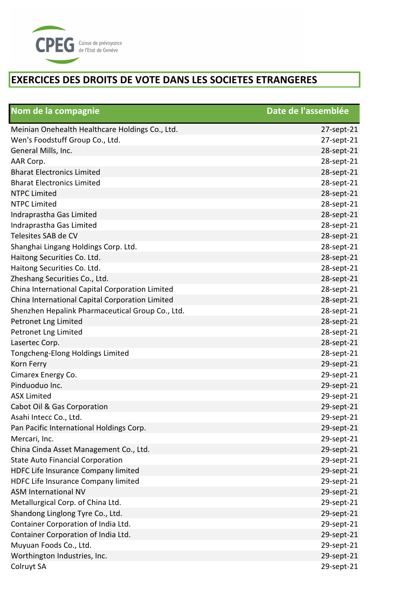

| Nom de la compagnie                              | Date de l'assemblée |
|--------------------------------------------------|---------------------|
| Meinian Onehealth Healthcare Holdings Co., Ltd.  | 27-sept-21          |
| Wen's Foodstuff Group Co., Ltd.                  | 27-sept-21          |
| General Mills, Inc.                              | 28-sept-21          |
| AAR Corp.                                        | 28-sept-21          |
| <b>Bharat Electronics Limited</b>                | 28-sept-21          |
| <b>Bharat Electronics Limited</b>                | 28-sept-21          |
| <b>NTPC Limited</b>                              | 28-sept-21          |
| <b>NTPC Limited</b>                              | 28-sept-21          |
| Indraprastha Gas Limited                         | 28-sept-21          |
| Indraprastha Gas Limited                         | 28-sept-21          |
| Telesites SAB de CV                              | 28-sept-21          |
| Shanghai Lingang Holdings Corp. Ltd.             | 28-sept-21          |
| Haitong Securities Co. Ltd.                      | 28-sept-21          |
| Haitong Securities Co. Ltd.                      | 28-sept-21          |
| Zheshang Securities Co., Ltd.                    | 28-sept-21          |
| China International Capital Corporation Limited  | 28-sept-21          |
| China International Capital Corporation Limited  | 28-sept-21          |
| Shenzhen Hepalink Pharmaceutical Group Co., Ltd. | 28-sept-21          |
| Petronet Lng Limited                             | 28-sept-21          |
| Petronet Lng Limited                             | 28-sept-21          |
| Lasertec Corp.                                   | 28-sept-21          |
| Tongcheng-Elong Holdings Limited                 | 28-sept-21          |
| Korn Ferry                                       | 29-sept-21          |
| Cimarex Energy Co.                               | 29-sept-21          |
| Pinduoduo Inc.                                   | 29-sept-21          |
| <b>ASX Limited</b>                               | 29-sept-21          |
| Cabot Oil & Gas Corporation                      | 29-sept-21          |
| Asahi Intecc Co., Ltd.                           | 29-sept-21          |
| Pan Pacific International Holdings Corp.         | 29-sept-21          |
| Mercari, Inc.                                    | 29-sept-21          |
| China Cinda Asset Management Co., Ltd.           | 29-sept-21          |
| <b>State Auto Financial Corporation</b>          | 29-sept-21          |
| HDFC Life Insurance Company limited              | 29-sept-21          |
| HDFC Life Insurance Company limited              | 29-sept-21          |
| ASM International NV                             | 29-sept-21          |
| Metallurgical Corp. of China Ltd.                | 29-sept-21          |
| Shandong Linglong Tyre Co., Ltd.                 | 29-sept-21          |
| Container Corporation of India Ltd.              | 29-sept-21          |
| Container Corporation of India Ltd.              | 29-sept-21          |
| Muyuan Foods Co., Ltd.                           | 29-sept-21          |
| Worthington Industries, Inc.                     | 29-sept-21          |
| Colruyt SA                                       | 29-sept-21          |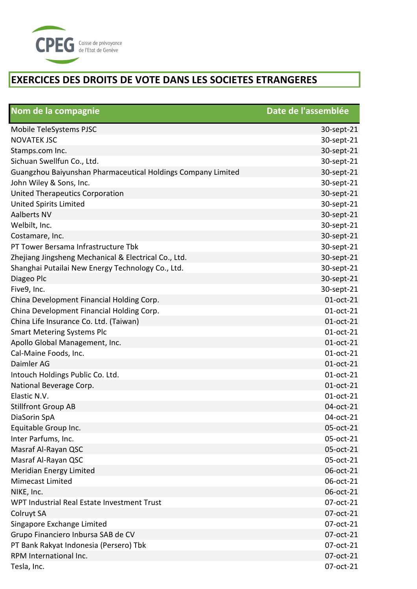

| Nom de la compagnie                                          | Date de l'assemblée |
|--------------------------------------------------------------|---------------------|
| Mobile TeleSystems PJSC                                      | 30-sept-21          |
| <b>NOVATEK JSC</b>                                           | 30-sept-21          |
| Stamps.com Inc.                                              | 30-sept-21          |
| Sichuan Swellfun Co., Ltd.                                   | 30-sept-21          |
| Guangzhou Baiyunshan Pharmaceutical Holdings Company Limited | 30-sept-21          |
| John Wiley & Sons, Inc.                                      | 30-sept-21          |
| United Therapeutics Corporation                              | 30-sept-21          |
| <b>United Spirits Limited</b>                                | 30-sept-21          |
| <b>Aalberts NV</b>                                           | 30-sept-21          |
| Welbilt, Inc.                                                | 30-sept-21          |
| Costamare, Inc.                                              | 30-sept-21          |
| PT Tower Bersama Infrastructure Tbk                          | 30-sept-21          |
| Zhejiang Jingsheng Mechanical & Electrical Co., Ltd.         | 30-sept-21          |
| Shanghai Putailai New Energy Technology Co., Ltd.            | 30-sept-21          |
| Diageo Plc                                                   | 30-sept-21          |
| Five9, Inc.                                                  | 30-sept-21          |
| China Development Financial Holding Corp.                    | 01-oct-21           |
| China Development Financial Holding Corp.                    | 01-oct-21           |
| China Life Insurance Co. Ltd. (Taiwan)                       | 01-oct-21           |
| <b>Smart Metering Systems Plc</b>                            | 01-oct-21           |
| Apollo Global Management, Inc.                               | 01-oct-21           |
| Cal-Maine Foods, Inc.                                        | 01-oct-21           |
| Daimler AG                                                   | 01-oct-21           |
| Intouch Holdings Public Co. Ltd.                             | 01-oct-21           |
| National Beverage Corp.                                      | 01-oct-21           |
| Elastic N.V.                                                 | 01-oct-21           |
| <b>Stillfront Group AB</b>                                   | 04-oct-21           |
| DiaSorin SpA                                                 | 04-oct-21           |
| Equitable Group Inc.                                         | 05-oct-21           |
| Inter Parfums, Inc.                                          | 05-oct-21           |
| Masraf Al-Rayan QSC                                          | 05-oct-21           |
| Masraf Al-Rayan QSC                                          | 05-oct-21           |
| Meridian Energy Limited                                      | 06-oct-21           |
| <b>Mimecast Limited</b>                                      | 06-oct-21           |
| NIKE, Inc.                                                   | 06-oct-21           |
| WPT Industrial Real Estate Investment Trust                  | 07-oct-21           |
| Colruyt SA                                                   | 07-oct-21           |
| Singapore Exchange Limited                                   | 07-oct-21           |
| Grupo Financiero Inbursa SAB de CV                           | 07-oct-21           |
| PT Bank Rakyat Indonesia (Persero) Tbk                       | 07-oct-21           |
| RPM International Inc.                                       | 07-oct-21           |
| Tesla, Inc.                                                  | 07-oct-21           |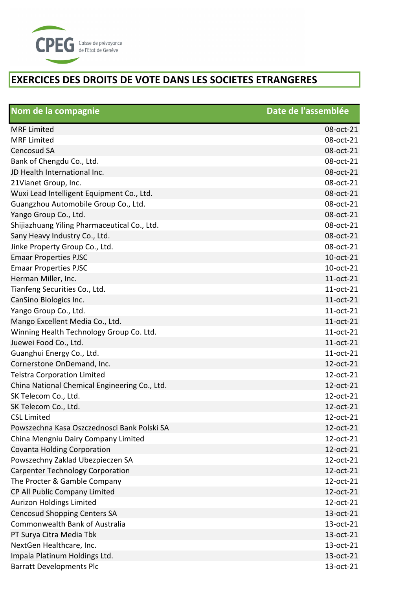

| Nom de la compagnie                           | Date de l'assemblée |
|-----------------------------------------------|---------------------|
| <b>MRF</b> Limited                            | 08-oct-21           |
| <b>MRF Limited</b>                            | 08-oct-21           |
| Cencosud SA                                   | 08-oct-21           |
| Bank of Chengdu Co., Ltd.                     | 08-oct-21           |
| JD Health International Inc.                  | 08-oct-21           |
| 21Vianet Group, Inc.                          | 08-oct-21           |
| Wuxi Lead Intelligent Equipment Co., Ltd.     | 08-oct-21           |
| Guangzhou Automobile Group Co., Ltd.          | 08-oct-21           |
| Yango Group Co., Ltd.                         | 08-oct-21           |
| Shijiazhuang Yiling Pharmaceutical Co., Ltd.  | 08-oct-21           |
| Sany Heavy Industry Co., Ltd.                 | 08-oct-21           |
| Jinke Property Group Co., Ltd.                | 08-oct-21           |
| <b>Emaar Properties PJSC</b>                  | 10-oct-21           |
| <b>Emaar Properties PJSC</b>                  | 10-oct-21           |
| Herman Miller, Inc.                           | 11-oct-21           |
| Tianfeng Securities Co., Ltd.                 | 11-oct-21           |
| CanSino Biologics Inc.                        | 11-oct-21           |
| Yango Group Co., Ltd.                         | 11-oct-21           |
| Mango Excellent Media Co., Ltd.               | 11-oct-21           |
| Winning Health Technology Group Co. Ltd.      | 11-oct-21           |
| Juewei Food Co., Ltd.                         | 11-oct-21           |
| Guanghui Energy Co., Ltd.                     | 11-oct-21           |
| Cornerstone OnDemand, Inc.                    | 12-oct-21           |
| <b>Telstra Corporation Limited</b>            | 12-oct-21           |
| China National Chemical Engineering Co., Ltd. | 12-oct-21           |
| SK Telecom Co., Ltd.                          | 12-oct-21           |
| SK Telecom Co., Ltd.                          | 12-oct-21           |
| <b>CSL Limited</b>                            | 12-oct-21           |
| Powszechna Kasa Oszczednosci Bank Polski SA   | 12-oct-21           |
| China Mengniu Dairy Company Limited           | 12-oct-21           |
| <b>Covanta Holding Corporation</b>            | 12-oct-21           |
| Powszechny Zaklad Ubezpieczen SA              | 12-oct-21           |
| <b>Carpenter Technology Corporation</b>       | 12-oct-21           |
| The Procter & Gamble Company                  | 12-oct-21           |
| CP All Public Company Limited                 | 12-oct-21           |
| <b>Aurizon Holdings Limited</b>               | 12-oct-21           |
| <b>Cencosud Shopping Centers SA</b>           | 13-oct-21           |
| Commonwealth Bank of Australia                | 13-oct-21           |
| PT Surya Citra Media Tbk                      | 13-oct-21           |
| NextGen Healthcare, Inc.                      | 13-oct-21           |
| Impala Platinum Holdings Ltd.                 | 13-oct-21           |
| <b>Barratt Developments Plc</b>               | 13-oct-21           |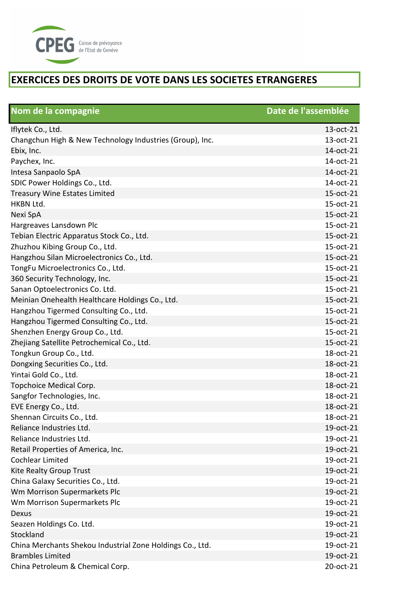

| Nom de la compagnie                                       | Date de l'assemblée |
|-----------------------------------------------------------|---------------------|
| Iflytek Co., Ltd.                                         | 13-oct-21           |
| Changchun High & New Technology Industries (Group), Inc.  | 13-oct-21           |
| Ebix, Inc.                                                | 14-oct-21           |
| Paychex, Inc.                                             | 14-oct-21           |
| Intesa Sanpaolo SpA                                       | 14-oct-21           |
| SDIC Power Holdings Co., Ltd.                             | 14-oct-21           |
| <b>Treasury Wine Estates Limited</b>                      | 15-oct-21           |
| <b>HKBN Ltd.</b>                                          | 15-oct-21           |
| Nexi SpA                                                  | 15-oct-21           |
| Hargreaves Lansdown Plc                                   | 15-oct-21           |
| Tebian Electric Apparatus Stock Co., Ltd.                 | 15-oct-21           |
| Zhuzhou Kibing Group Co., Ltd.                            | 15-oct-21           |
| Hangzhou Silan Microelectronics Co., Ltd.                 | 15-oct-21           |
| TongFu Microelectronics Co., Ltd.                         | 15-oct-21           |
| 360 Security Technology, Inc.                             | 15-oct-21           |
| Sanan Optoelectronics Co. Ltd.                            | 15-oct-21           |
| Meinian Onehealth Healthcare Holdings Co., Ltd.           | 15-oct-21           |
| Hangzhou Tigermed Consulting Co., Ltd.                    | 15-oct-21           |
| Hangzhou Tigermed Consulting Co., Ltd.                    | 15-oct-21           |
| Shenzhen Energy Group Co., Ltd.                           | 15-oct-21           |
| Zhejiang Satellite Petrochemical Co., Ltd.                | 15-oct-21           |
| Tongkun Group Co., Ltd.                                   | 18-oct-21           |
| Dongxing Securities Co., Ltd.                             | 18-oct-21           |
| Yintai Gold Co., Ltd.                                     | 18-oct-21           |
| Topchoice Medical Corp.                                   | 18-oct-21           |
| Sangfor Technologies, Inc.                                | 18-oct-21           |
| EVE Energy Co., Ltd.                                      | 18-oct-21           |
| Shennan Circuits Co., Ltd.                                | 18-oct-21           |
| Reliance Industries Ltd.                                  | 19-oct-21           |
| Reliance Industries Ltd.                                  | 19-oct-21           |
| Retail Properties of America, Inc.                        | 19-oct-21           |
| Cochlear Limited                                          | 19-oct-21           |
| Kite Realty Group Trust                                   | 19-oct-21           |
| China Galaxy Securities Co., Ltd.                         | 19-oct-21           |
| Wm Morrison Supermarkets Plc                              | 19-oct-21           |
| Wm Morrison Supermarkets Plc                              | 19-oct-21           |
| Dexus                                                     | 19-oct-21           |
| Seazen Holdings Co. Ltd.                                  | 19-oct-21           |
| Stockland                                                 | 19-oct-21           |
| China Merchants Shekou Industrial Zone Holdings Co., Ltd. | 19-oct-21           |
| <b>Brambles Limited</b>                                   | 19-oct-21           |
| China Petroleum & Chemical Corp.                          | 20-oct-21           |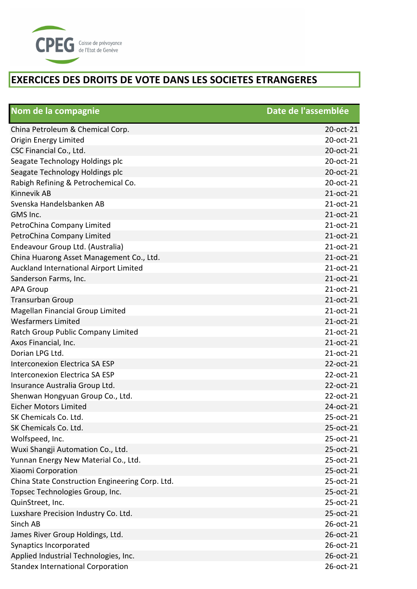

| Nom de la compagnie                             | Date de l'assemblée |
|-------------------------------------------------|---------------------|
| China Petroleum & Chemical Corp.                | 20-oct-21           |
| Origin Energy Limited                           | 20-oct-21           |
| CSC Financial Co., Ltd.                         | 20-oct-21           |
| Seagate Technology Holdings plc                 | 20-oct-21           |
| Seagate Technology Holdings plc                 | 20-oct-21           |
| Rabigh Refining & Petrochemical Co.             | 20-oct-21           |
| Kinnevik AB                                     | 21-oct-21           |
| Svenska Handelsbanken AB                        | 21-oct-21           |
| GMS Inc.                                        | 21-oct-21           |
| PetroChina Company Limited                      | 21-oct-21           |
| PetroChina Company Limited                      | 21-oct-21           |
| Endeavour Group Ltd. (Australia)                | 21-oct-21           |
| China Huarong Asset Management Co., Ltd.        | 21-oct-21           |
| Auckland International Airport Limited          | 21-oct-21           |
| Sanderson Farms, Inc.                           | 21-oct-21           |
| <b>APA Group</b>                                | 21-oct-21           |
| Transurban Group                                | 21-oct-21           |
| Magellan Financial Group Limited                | 21-oct-21           |
| <b>Wesfarmers Limited</b>                       | 21-oct-21           |
| Ratch Group Public Company Limited              | 21-oct-21           |
| Axos Financial, Inc.                            | 21-oct-21           |
| Dorian LPG Ltd.                                 | 21-oct-21           |
| Interconexion Electrica SA ESP                  | 22-oct-21           |
| Interconexion Electrica SA ESP                  | 22-oct-21           |
| Insurance Australia Group Ltd.                  | 22-oct-21           |
| Shenwan Hongyuan Group Co., Ltd.                | 22-oct-21           |
| <b>Eicher Motors Limited</b>                    | 24-oct-21           |
| SK Chemicals Co. Ltd.                           | 25-oct-21           |
| SK Chemicals Co. Ltd.                           | 25-oct-21           |
| Wolfspeed, Inc.                                 | 25-oct-21           |
| Wuxi Shangji Automation Co., Ltd.               | 25-oct-21           |
| Yunnan Energy New Material Co., Ltd.            | 25-oct-21           |
| Xiaomi Corporation                              | 25-oct-21           |
| China State Construction Engineering Corp. Ltd. | 25-oct-21           |
| Topsec Technologies Group, Inc.                 | 25-oct-21           |
| QuinStreet, Inc.                                | 25-oct-21           |
| Luxshare Precision Industry Co. Ltd.            | 25-oct-21           |
| Sinch AB                                        | 26-oct-21           |
| James River Group Holdings, Ltd.                | 26-oct-21           |
| Synaptics Incorporated                          | 26-oct-21           |
| Applied Industrial Technologies, Inc.           | 26-oct-21           |
| <b>Standex International Corporation</b>        | 26-oct-21           |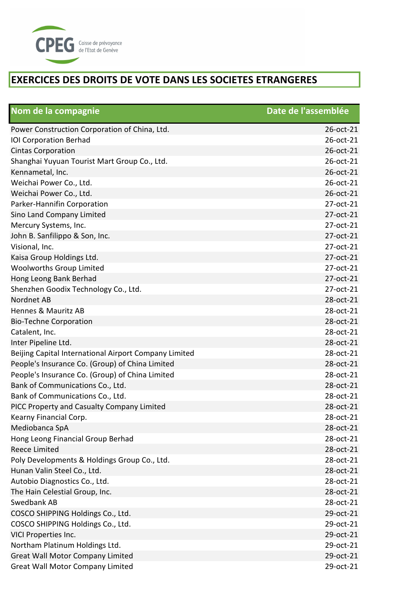

| Nom de la compagnie                                   | Date de l'assemblée |
|-------------------------------------------------------|---------------------|
| Power Construction Corporation of China, Ltd.         | 26-oct-21           |
| <b>IOI Corporation Berhad</b>                         | 26-oct-21           |
| <b>Cintas Corporation</b>                             | 26-oct-21           |
| Shanghai Yuyuan Tourist Mart Group Co., Ltd.          | 26-oct-21           |
| Kennametal, Inc.                                      | 26-oct-21           |
| Weichai Power Co., Ltd.                               | 26-oct-21           |
| Weichai Power Co., Ltd.                               | 26-oct-21           |
| Parker-Hannifin Corporation                           | 27-oct-21           |
| Sino Land Company Limited                             | 27-oct-21           |
| Mercury Systems, Inc.                                 | 27-oct-21           |
| John B. Sanfilippo & Son, Inc.                        | 27-oct-21           |
| Visional, Inc.                                        | 27-oct-21           |
| Kaisa Group Holdings Ltd.                             | 27-oct-21           |
| <b>Woolworths Group Limited</b>                       | 27-oct-21           |
| Hong Leong Bank Berhad                                | 27-oct-21           |
| Shenzhen Goodix Technology Co., Ltd.                  | 27-oct-21           |
| Nordnet AB                                            | 28-oct-21           |
| Hennes & Mauritz AB                                   | 28-oct-21           |
| <b>Bio-Techne Corporation</b>                         | 28-oct-21           |
| Catalent, Inc.                                        | 28-oct-21           |
| Inter Pipeline Ltd.                                   | 28-oct-21           |
| Beijing Capital International Airport Company Limited | 28-oct-21           |
| People's Insurance Co. (Group) of China Limited       | 28-oct-21           |
| People's Insurance Co. (Group) of China Limited       | 28-oct-21           |
| Bank of Communications Co., Ltd.                      | 28-oct-21           |
| Bank of Communications Co., Ltd.                      | 28-oct-21           |
| PICC Property and Casualty Company Limited            | 28-oct-21           |
| Kearny Financial Corp.                                | 28-oct-21           |
| Mediobanca SpA                                        | 28-oct-21           |
| Hong Leong Financial Group Berhad                     | 28-oct-21           |
| <b>Reece Limited</b>                                  | 28-oct-21           |
| Poly Developments & Holdings Group Co., Ltd.          | 28-oct-21           |
| Hunan Valin Steel Co., Ltd.                           | 28-oct-21           |
| Autobio Diagnostics Co., Ltd.                         | 28-oct-21           |
| The Hain Celestial Group, Inc.                        | 28-oct-21           |
| Swedbank AB                                           | 28-oct-21           |
| COSCO SHIPPING Holdings Co., Ltd.                     | 29-oct-21           |
| COSCO SHIPPING Holdings Co., Ltd.                     | 29-oct-21           |
| VICI Properties Inc.                                  | 29-oct-21           |
| Northam Platinum Holdings Ltd.                        | 29-oct-21           |
| <b>Great Wall Motor Company Limited</b>               | 29-oct-21           |
| <b>Great Wall Motor Company Limited</b>               | 29-oct-21           |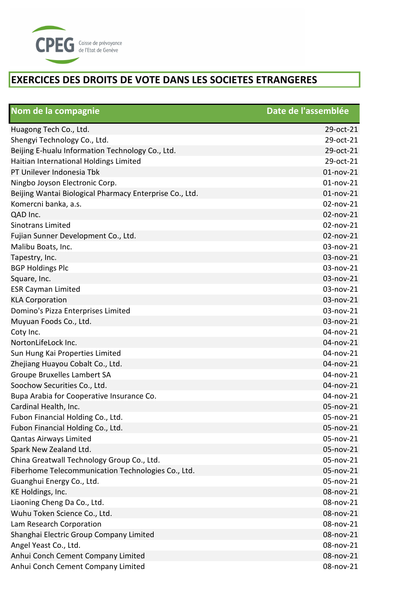

| Nom de la compagnie                                     | Date de l'assemblée |
|---------------------------------------------------------|---------------------|
| Huagong Tech Co., Ltd.                                  | 29-oct-21           |
| Shengyi Technology Co., Ltd.                            | 29-oct-21           |
| Beijing E-hualu Information Technology Co., Ltd.        | 29-oct-21           |
| Haitian International Holdings Limited                  | 29-oct-21           |
| PT Unilever Indonesia Tbk                               | $01$ -nov-21        |
| Ningbo Joyson Electronic Corp.                          | $01$ -nov-21        |
| Beijing Wantai Biological Pharmacy Enterprise Co., Ltd. | 01-nov-21           |
| Komercni banka, a.s.                                    | 02-nov-21           |
| QAD Inc.                                                | 02-nov-21           |
| <b>Sinotrans Limited</b>                                | 02-nov-21           |
| Fujian Sunner Development Co., Ltd.                     | 02-nov-21           |
| Malibu Boats, Inc.                                      | 03-nov-21           |
| Tapestry, Inc.                                          | 03-nov-21           |
| <b>BGP Holdings Plc</b>                                 | 03-nov-21           |
| Square, Inc.                                            | 03-nov-21           |
| <b>ESR Cayman Limited</b>                               | 03-nov-21           |
| <b>KLA Corporation</b>                                  | 03-nov-21           |
| Domino's Pizza Enterprises Limited                      | 03-nov-21           |
| Muyuan Foods Co., Ltd.                                  | 03-nov-21           |
| Coty Inc.                                               | 04-nov-21           |
| NortonLifeLock Inc.                                     | 04-nov-21           |
| Sun Hung Kai Properties Limited                         | 04-nov-21           |
| Zhejiang Huayou Cobalt Co., Ltd.                        | 04-nov-21           |
| Groupe Bruxelles Lambert SA                             | 04-nov-21           |
| Soochow Securities Co., Ltd.                            | 04-nov-21           |
| Bupa Arabia for Cooperative Insurance Co.               | 04-nov-21           |
| Cardinal Health, Inc.                                   | 05-nov-21           |
| Fubon Financial Holding Co., Ltd.                       | 05-nov-21           |
| Fubon Financial Holding Co., Ltd.                       | 05-nov-21           |
| <b>Qantas Airways Limited</b>                           | 05-nov-21           |
| Spark New Zealand Ltd.                                  | 05-nov-21           |
| China Greatwall Technology Group Co., Ltd.              | 05-nov-21           |
| Fiberhome Telecommunication Technologies Co., Ltd.      | 05-nov-21           |
| Guanghui Energy Co., Ltd.                               | 05-nov-21           |
| KE Holdings, Inc.                                       | 08-nov-21           |
| Liaoning Cheng Da Co., Ltd.                             | 08-nov-21           |
| Wuhu Token Science Co., Ltd.                            | 08-nov-21           |
| Lam Research Corporation                                | 08-nov-21           |
| Shanghai Electric Group Company Limited                 | 08-nov-21           |
| Angel Yeast Co., Ltd.                                   | 08-nov-21           |
| Anhui Conch Cement Company Limited                      | 08-nov-21           |
| Anhui Conch Cement Company Limited                      | 08-nov-21           |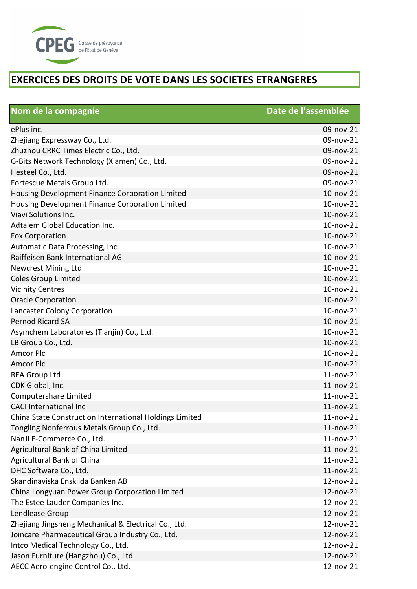

| Nom de la compagnie                                     | Date de l'assemblée |
|---------------------------------------------------------|---------------------|
| ePlus inc.                                              | 09-nov-21           |
| Zhejiang Expressway Co., Ltd.                           | 09-nov-21           |
| Zhuzhou CRRC Times Electric Co., Ltd.                   | 09-nov-21           |
| G-Bits Network Technology (Xiamen) Co., Ltd.            | 09-nov-21           |
| Hesteel Co., Ltd.                                       | 09-nov-21           |
| Fortescue Metals Group Ltd.                             | 09-nov-21           |
| Housing Development Finance Corporation Limited         | 10-nov-21           |
| Housing Development Finance Corporation Limited         | 10-nov-21           |
| Viavi Solutions Inc.                                    | 10-nov-21           |
| Adtalem Global Education Inc.                           | 10-nov-21           |
| <b>Fox Corporation</b>                                  | 10-nov-21           |
| Automatic Data Processing, Inc.                         | 10-nov-21           |
| Raiffeisen Bank International AG                        | 10-nov-21           |
| Newcrest Mining Ltd.                                    | 10-nov-21           |
| <b>Coles Group Limited</b>                              | 10-nov-21           |
| <b>Vicinity Centres</b>                                 | 10-nov-21           |
| <b>Oracle Corporation</b>                               | 10-nov-21           |
| Lancaster Colony Corporation                            | 10-nov-21           |
| Pernod Ricard SA                                        | 10-nov-21           |
| Asymchem Laboratories (Tianjin) Co., Ltd.               | 10-nov-21           |
| LB Group Co., Ltd.                                      | 10-nov-21           |
| <b>Amcor Plc</b>                                        | 10-nov-21           |
| <b>Amcor Plc</b>                                        | 10-nov-21           |
| <b>REA Group Ltd</b>                                    | 11-nov-21           |
| CDK Global, Inc.                                        | $11$ -nov-21        |
| Computershare Limited                                   | $11$ -nov- $21$     |
| <b>CACI International Inc</b>                           | 11-nov-21           |
| China State Construction International Holdings Limited | $11$ -nov- $21$     |
| Tongling Nonferrous Metals Group Co., Ltd.              | $11$ -nov- $21$     |
| NanJi E-Commerce Co., Ltd.                              | $11$ -nov-21        |
| Agricultural Bank of China Limited                      | $11$ -nov-21        |
| Agricultural Bank of China                              | 11-nov-21           |
| DHC Software Co., Ltd.                                  | $11$ -nov-21        |
| Skandinaviska Enskilda Banken AB                        | 12-nov-21           |
| China Longyuan Power Group Corporation Limited          | 12-nov-21           |
| The Estee Lauder Companies Inc.                         | 12-nov-21           |
| Lendlease Group                                         | 12-nov-21           |
| Zhejiang Jingsheng Mechanical & Electrical Co., Ltd.    | 12-nov-21           |
| Joincare Pharmaceutical Group Industry Co., Ltd.        | 12-nov-21           |
| Intco Medical Technology Co., Ltd.                      | 12-nov-21           |
| Jason Furniture (Hangzhou) Co., Ltd.                    | 12-nov-21           |
| AECC Aero-engine Control Co., Ltd.                      | 12-nov-21           |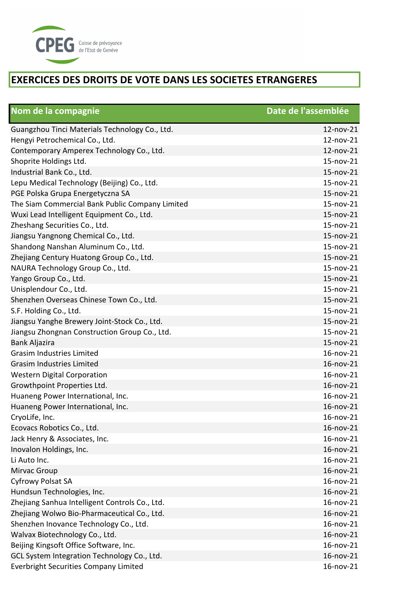

| Nom de la compagnie                             | Date de l'assemblée |
|-------------------------------------------------|---------------------|
| Guangzhou Tinci Materials Technology Co., Ltd.  | 12-nov-21           |
| Hengyi Petrochemical Co., Ltd.                  | 12-nov-21           |
| Contemporary Amperex Technology Co., Ltd.       | 12-nov-21           |
| Shoprite Holdings Ltd.                          | 15-nov-21           |
| Industrial Bank Co., Ltd.                       | 15-nov-21           |
| Lepu Medical Technology (Beijing) Co., Ltd.     | 15-nov-21           |
| PGE Polska Grupa Energetyczna SA                | 15-nov-21           |
| The Siam Commercial Bank Public Company Limited | 15-nov-21           |
| Wuxi Lead Intelligent Equipment Co., Ltd.       | 15-nov-21           |
| Zheshang Securities Co., Ltd.                   | 15-nov-21           |
| Jiangsu Yangnong Chemical Co., Ltd.             | 15-nov-21           |
| Shandong Nanshan Aluminum Co., Ltd.             | 15-nov-21           |
| Zhejiang Century Huatong Group Co., Ltd.        | 15-nov-21           |
| NAURA Technology Group Co., Ltd.                | 15-nov-21           |
| Yango Group Co., Ltd.                           | $15 - nov-21$       |
| Unisplendour Co., Ltd.                          | 15-nov-21           |
| Shenzhen Overseas Chinese Town Co., Ltd.        | 15-nov-21           |
| S.F. Holding Co., Ltd.                          | 15-nov-21           |
| Jiangsu Yanghe Brewery Joint-Stock Co., Ltd.    | 15-nov-21           |
| Jiangsu Zhongnan Construction Group Co., Ltd.   | 15-nov-21           |
| Bank Aljazira                                   | 15-nov-21           |
| <b>Grasim Industries Limited</b>                | 16-nov-21           |
| <b>Grasim Industries Limited</b>                | 16-nov-21           |
| <b>Western Digital Corporation</b>              | 16-nov-21           |
| Growthpoint Properties Ltd.                     | 16-nov-21           |
| Huaneng Power International, Inc.               | 16-nov-21           |
| Huaneng Power International, Inc.               | 16-nov-21           |
| CryoLife, Inc.                                  | 16-nov-21           |
| Ecovacs Robotics Co., Ltd.                      | $16$ -nov- $21$     |
| Jack Henry & Associates, Inc.                   | 16-nov-21           |
| Inovalon Holdings, Inc.                         | 16-nov-21           |
| Li Auto Inc.                                    | 16-nov-21           |
| Mirvac Group                                    | 16-nov-21           |
| <b>Cyfrowy Polsat SA</b>                        | 16-nov-21           |
| Hundsun Technologies, Inc.                      | 16-nov-21           |
| Zhejiang Sanhua Intelligent Controls Co., Ltd.  | 16-nov-21           |
| Zhejiang Wolwo Bio-Pharmaceutical Co., Ltd.     | 16-nov-21           |
| Shenzhen Inovance Technology Co., Ltd.          | 16-nov-21           |
| Walvax Biotechnology Co., Ltd.                  | 16-nov-21           |
| Beijing Kingsoft Office Software, Inc.          | 16-nov-21           |
| GCL System Integration Technology Co., Ltd.     | 16-nov-21           |
| <b>Everbright Securities Company Limited</b>    | 16-nov-21           |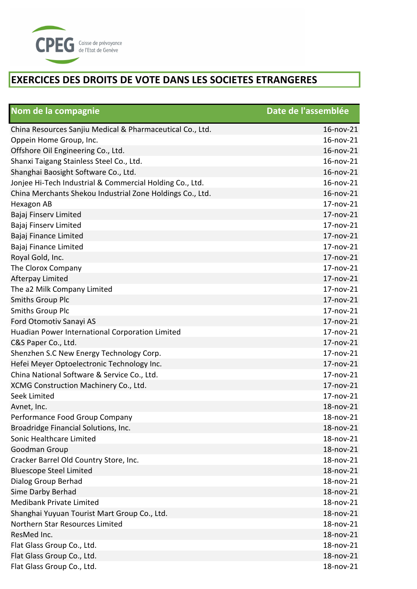

| Nom de la compagnie                                       | Date de l'assemblée |
|-----------------------------------------------------------|---------------------|
| China Resources Sanjiu Medical & Pharmaceutical Co., Ltd. | $16$ -nov- $21$     |
| Oppein Home Group, Inc.                                   | 16-nov-21           |
| Offshore Oil Engineering Co., Ltd.                        | 16-nov-21           |
| Shanxi Taigang Stainless Steel Co., Ltd.                  | 16-nov-21           |
| Shanghai Baosight Software Co., Ltd.                      | 16-nov-21           |
| Jonjee Hi-Tech Industrial & Commercial Holding Co., Ltd.  | 16-nov-21           |
| China Merchants Shekou Industrial Zone Holdings Co., Ltd. | 16-nov-21           |
| Hexagon AB                                                | 17-nov-21           |
| Bajaj Finserv Limited                                     | 17-nov-21           |
| Bajaj Finserv Limited                                     | 17-nov-21           |
| Bajaj Finance Limited                                     | 17-nov-21           |
| Bajaj Finance Limited                                     | 17-nov-21           |
| Royal Gold, Inc.                                          | 17-nov-21           |
| The Clorox Company                                        | 17-nov-21           |
| Afterpay Limited                                          | 17-nov-21           |
| The a2 Milk Company Limited                               | 17-nov-21           |
| <b>Smiths Group Plc</b>                                   | 17-nov-21           |
| <b>Smiths Group Plc</b>                                   | 17-nov-21           |
| Ford Otomotiv Sanayi AS                                   | 17-nov-21           |
| Huadian Power International Corporation Limited           | 17-nov-21           |
| C&S Paper Co., Ltd.                                       | 17-nov-21           |
| Shenzhen S.C New Energy Technology Corp.                  | 17-nov-21           |
| Hefei Meyer Optoelectronic Technology Inc.                | 17-nov-21           |
| China National Software & Service Co., Ltd.               | 17-nov-21           |
| XCMG Construction Machinery Co., Ltd.                     | 17-nov-21           |
| Seek Limited                                              | 17-nov-21           |
| Avnet, Inc.                                               | 18-nov-21           |
| Performance Food Group Company                            | 18-nov-21           |
| Broadridge Financial Solutions, Inc.                      | 18-nov-21           |
| Sonic Healthcare Limited                                  | 18-nov-21           |
| Goodman Group                                             | 18-nov-21           |
| Cracker Barrel Old Country Store, Inc.                    | 18-nov-21           |
| <b>Bluescope Steel Limited</b>                            | 18-nov-21           |
| Dialog Group Berhad                                       | 18-nov-21           |
| Sime Darby Berhad                                         | 18-nov-21           |
| <b>Medibank Private Limited</b>                           | 18-nov-21           |
| Shanghai Yuyuan Tourist Mart Group Co., Ltd.              | 18-nov-21           |
| Northern Star Resources Limited                           | 18-nov-21           |
| ResMed Inc.                                               | 18-nov-21           |
| Flat Glass Group Co., Ltd.                                | 18-nov-21           |
| Flat Glass Group Co., Ltd.                                | 18-nov-21           |
| Flat Glass Group Co., Ltd.                                | 18-nov-21           |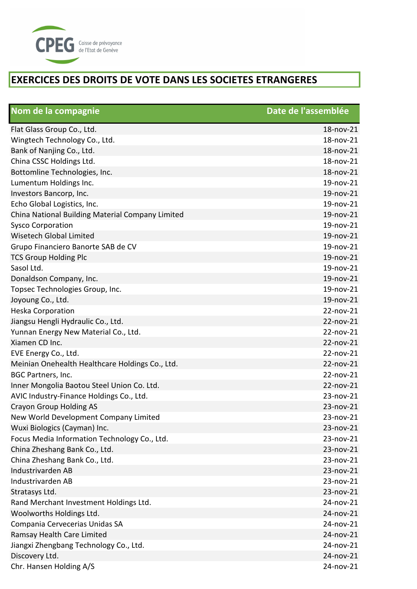

| Nom de la compagnie                              | Date de l'assemblée |
|--------------------------------------------------|---------------------|
| Flat Glass Group Co., Ltd.                       | 18-nov-21           |
| Wingtech Technology Co., Ltd.                    | 18-nov-21           |
| Bank of Nanjing Co., Ltd.                        | 18-nov-21           |
| China CSSC Holdings Ltd.                         | 18-nov-21           |
| Bottomline Technologies, Inc.                    | 18-nov-21           |
| Lumentum Holdings Inc.                           | 19-nov-21           |
| Investors Bancorp, Inc.                          | 19-nov-21           |
| Echo Global Logistics, Inc.                      | 19-nov-21           |
| China National Building Material Company Limited | 19-nov-21           |
| <b>Sysco Corporation</b>                         | 19-nov-21           |
| <b>Wisetech Global Limited</b>                   | 19-nov-21           |
| Grupo Financiero Banorte SAB de CV               | 19-nov-21           |
| <b>TCS Group Holding Plc</b>                     | 19-nov-21           |
| Sasol Ltd.                                       | 19-nov-21           |
| Donaldson Company, Inc.                          | 19-nov-21           |
| Topsec Technologies Group, Inc.                  | 19-nov-21           |
| Joyoung Co., Ltd.                                | 19-nov-21           |
| <b>Heska Corporation</b>                         | 22-nov-21           |
| Jiangsu Hengli Hydraulic Co., Ltd.               | 22-nov-21           |
| Yunnan Energy New Material Co., Ltd.             | 22-nov-21           |
| Xiamen CD Inc.                                   | 22-nov-21           |
| EVE Energy Co., Ltd.                             | 22-nov-21           |
| Meinian Onehealth Healthcare Holdings Co., Ltd.  | 22-nov-21           |
| <b>BGC Partners, Inc.</b>                        | 22-nov-21           |
| Inner Mongolia Baotou Steel Union Co. Ltd.       | 22-nov-21           |
| AVIC Industry-Finance Holdings Co., Ltd.         | 23-nov-21           |
| Crayon Group Holding AS                          | 23-nov-21           |
| New World Development Company Limited            | 23-nov-21           |
| Wuxi Biologics (Cayman) Inc.                     | 23-nov-21           |
| Focus Media Information Technology Co., Ltd.     | 23-nov-21           |
| China Zheshang Bank Co., Ltd.                    | 23-nov-21           |
| China Zheshang Bank Co., Ltd.                    | 23-nov-21           |
| <b>Industrivarden AB</b>                         | 23-nov-21           |
| Industrivarden AB                                | 23-nov-21           |
| Stratasys Ltd.                                   | 23-nov-21           |
| Rand Merchant Investment Holdings Ltd.           | 24-nov-21           |
| Woolworths Holdings Ltd.                         | 24-nov-21           |
| Compania Cervecerias Unidas SA                   | 24-nov-21           |
| Ramsay Health Care Limited                       | 24-nov-21           |
| Jiangxi Zhengbang Technology Co., Ltd.           | 24-nov-21           |
| Discovery Ltd.                                   | 24-nov-21           |
| Chr. Hansen Holding A/S                          | 24-nov-21           |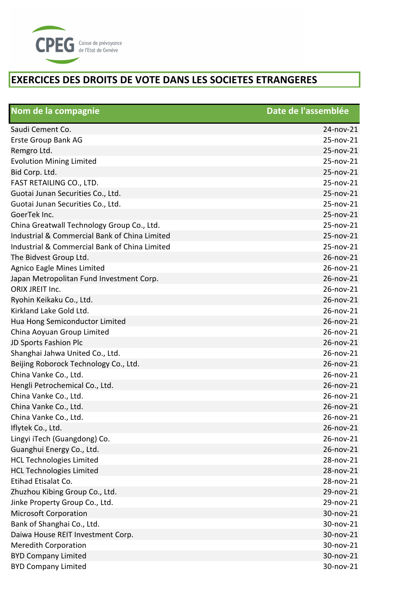

| Nom de la compagnie                           | Date de l'assemblée |
|-----------------------------------------------|---------------------|
| Saudi Cement Co.                              | 24-nov-21           |
| Erste Group Bank AG                           | 25-nov-21           |
| Remgro Ltd.                                   | 25-nov-21           |
| <b>Evolution Mining Limited</b>               | 25-nov-21           |
| Bid Corp. Ltd.                                | 25-nov-21           |
| FAST RETAILING CO., LTD.                      | 25-nov-21           |
| Guotai Junan Securities Co., Ltd.             | 25-nov-21           |
| Guotai Junan Securities Co., Ltd.             | 25-nov-21           |
| GoerTek Inc.                                  | 25-nov-21           |
| China Greatwall Technology Group Co., Ltd.    | 25-nov-21           |
| Industrial & Commercial Bank of China Limited | 25-nov-21           |
| Industrial & Commercial Bank of China Limited | 25-nov-21           |
| The Bidvest Group Ltd.                        | 26-nov-21           |
| Agnico Eagle Mines Limited                    | 26-nov-21           |
| Japan Metropolitan Fund Investment Corp.      | 26-nov-21           |
| ORIX JREIT Inc.                               | 26-nov-21           |
| Ryohin Keikaku Co., Ltd.                      | 26-nov-21           |
| Kirkland Lake Gold Ltd.                       | 26-nov-21           |
| Hua Hong Semiconductor Limited                | 26-nov-21           |
| China Aoyuan Group Limited                    | 26-nov-21           |
| JD Sports Fashion Plc                         | 26-nov-21           |
| Shanghai Jahwa United Co., Ltd.               | 26-nov-21           |
| Beijing Roborock Technology Co., Ltd.         | 26-nov-21           |
| China Vanke Co., Ltd.                         | 26-nov-21           |
| Hengli Petrochemical Co., Ltd.                | 26-nov-21           |
| China Vanke Co., Ltd.                         | 26-nov-21           |
| China Vanke Co., Ltd.                         | 26-nov-21           |
| China Vanke Co., Ltd.                         | 26-nov-21           |
| Iflytek Co., Ltd.                             | 26-nov-21           |
| Lingyi iTech (Guangdong) Co.                  | 26-nov-21           |
| Guanghui Energy Co., Ltd.                     | 26-nov-21           |
| <b>HCL Technologies Limited</b>               | 28-nov-21           |
| <b>HCL Technologies Limited</b>               | 28-nov-21           |
| Etihad Etisalat Co.                           | 28-nov-21           |
| Zhuzhou Kibing Group Co., Ltd.                | 29-nov-21           |
| Jinke Property Group Co., Ltd.                | 29-nov-21           |
| <b>Microsoft Corporation</b>                  | 30-nov-21           |
| Bank of Shanghai Co., Ltd.                    | 30-nov-21           |
| Daiwa House REIT Investment Corp.             | 30-nov-21           |
| <b>Meredith Corporation</b>                   | 30-nov-21           |
| <b>BYD Company Limited</b>                    | 30-nov-21           |
| <b>BYD Company Limited</b>                    | 30-nov-21           |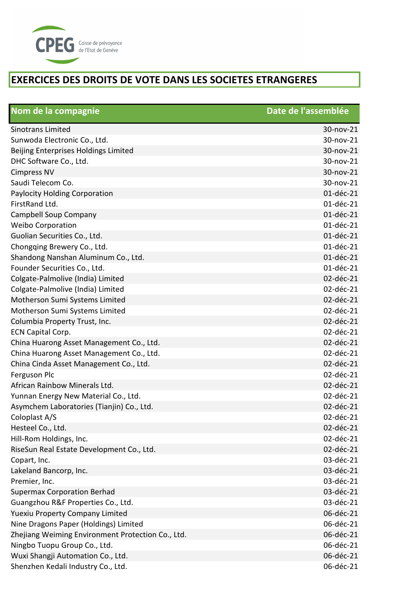

| Nom de la compagnie                               | Date de l'assemblée |
|---------------------------------------------------|---------------------|
| <b>Sinotrans Limited</b>                          | 30-nov-21           |
| Sunwoda Electronic Co., Ltd.                      | 30-nov-21           |
| Beijing Enterprises Holdings Limited              | 30-nov-21           |
| DHC Software Co., Ltd.                            | 30-nov-21           |
| <b>Cimpress NV</b>                                | 30-nov-21           |
| Saudi Telecom Co.                                 | 30-nov-21           |
| Paylocity Holding Corporation                     | 01-déc-21           |
| FirstRand Ltd.                                    | 01-déc-21           |
| Campbell Soup Company                             | 01-déc-21           |
| <b>Weibo Corporation</b>                          | 01-déc-21           |
| Guolian Securities Co., Ltd.                      | 01-déc-21           |
| Chongqing Brewery Co., Ltd.                       | 01-déc-21           |
| Shandong Nanshan Aluminum Co., Ltd.               | 01-déc-21           |
| Founder Securities Co., Ltd.                      | 01-déc-21           |
| Colgate-Palmolive (India) Limited                 | 02-déc-21           |
| Colgate-Palmolive (India) Limited                 | 02-déc-21           |
| Motherson Sumi Systems Limited                    | 02-déc-21           |
| Motherson Sumi Systems Limited                    | 02-déc-21           |
| Columbia Property Trust, Inc.                     | 02-déc-21           |
| ECN Capital Corp.                                 | 02-déc-21           |
| China Huarong Asset Management Co., Ltd.          | 02-déc-21           |
| China Huarong Asset Management Co., Ltd.          | 02-déc-21           |
| China Cinda Asset Management Co., Ltd.            | 02-déc-21           |
| Ferguson Plc                                      | 02-déc-21           |
| African Rainbow Minerals Ltd.                     | 02-déc-21           |
| Yunnan Energy New Material Co., Ltd.              | 02-déc-21           |
| Asymchem Laboratories (Tianjin) Co., Ltd.         | 02-déc-21           |
| Coloplast A/S                                     | 02-déc-21           |
| Hesteel Co., Ltd.                                 | 02-déc-21           |
| Hill-Rom Holdings, Inc.                           | 02-déc-21           |
| RiseSun Real Estate Development Co., Ltd.         | 02-déc-21           |
| Copart, Inc.                                      | 03-déc-21           |
| Lakeland Bancorp, Inc.                            | 03-déc-21           |
| Premier, Inc.                                     | 03-déc-21           |
| <b>Supermax Corporation Berhad</b>                | 03-déc-21           |
| Guangzhou R&F Properties Co., Ltd.                | 03-déc-21           |
| Yuexiu Property Company Limited                   | 06-déc-21           |
| Nine Dragons Paper (Holdings) Limited             | 06-déc-21           |
| Zhejiang Weiming Environment Protection Co., Ltd. | 06-déc-21           |
| Ningbo Tuopu Group Co., Ltd.                      | 06-déc-21           |
| Wuxi Shangji Automation Co., Ltd.                 | 06-déc-21           |
| Shenzhen Kedali Industry Co., Ltd.                | 06-déc-21           |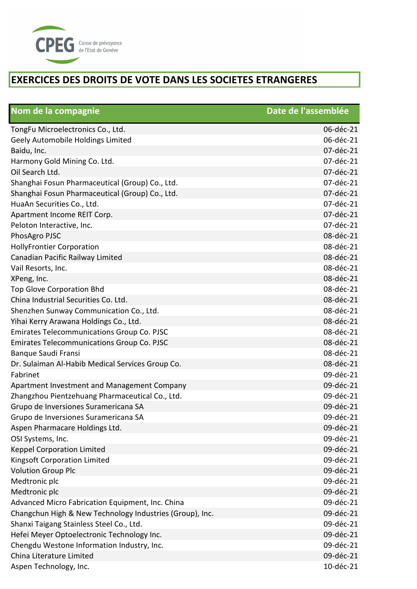

| Nom de la compagnie                                      | Date de l'assemblée |
|----------------------------------------------------------|---------------------|
| TongFu Microelectronics Co., Ltd.                        | 06-déc-21           |
| Geely Automobile Holdings Limited                        | 06-déc-21           |
| Baidu, Inc.                                              | 07-déc-21           |
| Harmony Gold Mining Co. Ltd.                             | 07-déc-21           |
| Oil Search Ltd.                                          | 07-déc-21           |
| Shanghai Fosun Pharmaceutical (Group) Co., Ltd.          | 07-déc-21           |
| Shanghai Fosun Pharmaceutical (Group) Co., Ltd.          | 07-déc-21           |
| HuaAn Securities Co., Ltd.                               | 07-déc-21           |
| Apartment Income REIT Corp.                              | 07-déc-21           |
| Peloton Interactive, Inc.                                | 07-déc-21           |
| PhosAgro PJSC                                            | 08-déc-21           |
| <b>HollyFrontier Corporation</b>                         | 08-déc-21           |
| Canadian Pacific Railway Limited                         | 08-déc-21           |
| Vail Resorts, Inc.                                       | 08-déc-21           |
| XPeng, Inc.                                              | 08-déc-21           |
| Top Glove Corporation Bhd                                | 08-déc-21           |
| China Industrial Securities Co. Ltd.                     | 08-déc-21           |
| Shenzhen Sunway Communication Co., Ltd.                  | 08-déc-21           |
| Yihai Kerry Arawana Holdings Co., Ltd.                   | 08-déc-21           |
| <b>Emirates Telecommunications Group Co. PJSC</b>        | 08-déc-21           |
| <b>Emirates Telecommunications Group Co. PJSC</b>        | 08-déc-21           |
| Banque Saudi Fransi                                      | 08-déc-21           |
| Dr. Sulaiman Al-Habib Medical Services Group Co.         | 08-déc-21           |
| Fabrinet                                                 | 09-déc-21           |
| Apartment Investment and Management Company              | 09-déc-21           |
| Zhangzhou Pientzehuang Pharmaceutical Co., Ltd.          | 09-déc-21           |
| Grupo de Inversiones Suramericana SA                     | 09-déc-21           |
| Grupo de Inversiones Suramericana SA                     | 09-déc-21           |
| Aspen Pharmacare Holdings Ltd.                           | 09-déc-21           |
| OSI Systems, Inc.                                        | 09-déc-21           |
| <b>Keppel Corporation Limited</b>                        | 09-déc-21           |
| Kingsoft Corporation Limited                             | 09-déc-21           |
| <b>Volution Group Plc</b>                                | 09-déc-21           |
| Medtronic plc                                            | 09-déc-21           |
| Medtronic plc                                            | 09-déc-21           |
| Advanced Micro Fabrication Equipment, Inc. China         | 09-déc-21           |
| Changchun High & New Technology Industries (Group), Inc. | 09-déc-21           |
| Shanxi Taigang Stainless Steel Co., Ltd.                 | 09-déc-21           |
| Hefei Meyer Optoelectronic Technology Inc.               | 09-déc-21           |
| Chengdu Westone Information Industry, Inc.               | 09-déc-21           |
| China Literature Limited                                 | 09-déc-21           |
| Aspen Technology, Inc.                                   | 10-déc-21           |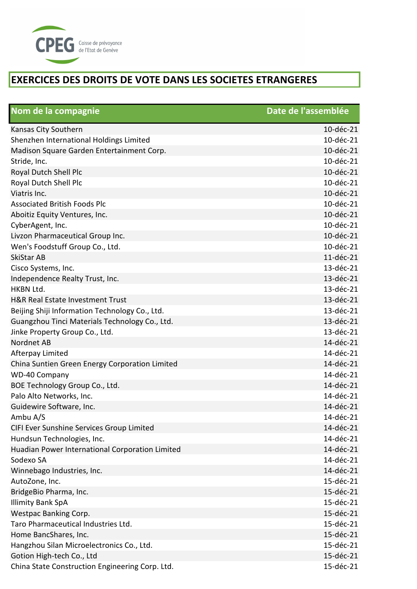

| Nom de la compagnie                             | Date de l'assemblée |
|-------------------------------------------------|---------------------|
| Kansas City Southern                            | 10-déc-21           |
| Shenzhen International Holdings Limited         | 10-déc-21           |
| Madison Square Garden Entertainment Corp.       | 10-déc-21           |
| Stride, Inc.                                    | 10-déc-21           |
| Royal Dutch Shell Plc                           | 10-déc-21           |
| Royal Dutch Shell Plc                           | 10-déc-21           |
| Viatris Inc.                                    | 10-déc-21           |
| <b>Associated British Foods Plc</b>             | 10-déc-21           |
| Aboitiz Equity Ventures, Inc.                   | 10-déc-21           |
| CyberAgent, Inc.                                | 10-déc-21           |
| Livzon Pharmaceutical Group Inc.                | 10-déc-21           |
| Wen's Foodstuff Group Co., Ltd.                 | 10-déc-21           |
| <b>SkiStar AB</b>                               | 11-déc-21           |
| Cisco Systems, Inc.                             | 13-déc-21           |
| Independence Realty Trust, Inc.                 | 13-déc-21           |
| HKBN Ltd.                                       | 13-déc-21           |
| H&R Real Estate Investment Trust                | 13-déc-21           |
| Beijing Shiji Information Technology Co., Ltd.  | 13-déc-21           |
| Guangzhou Tinci Materials Technology Co., Ltd.  | 13-déc-21           |
| Jinke Property Group Co., Ltd.                  | 13-déc-21           |
| Nordnet AB                                      | 14-déc-21           |
| Afterpay Limited                                | 14-déc-21           |
| China Suntien Green Energy Corporation Limited  | 14-déc-21           |
| WD-40 Company                                   | 14-déc-21           |
| BOE Technology Group Co., Ltd.                  | 14-déc-21           |
| Palo Alto Networks, Inc.                        | 14-déc-21           |
| Guidewire Software, Inc.                        | 14-déc-21           |
| Ambu A/S                                        | 14-déc-21           |
| CIFI Ever Sunshine Services Group Limited       | 14-déc-21           |
| Hundsun Technologies, Inc.                      | 14-déc-21           |
| Huadian Power International Corporation Limited | 14-déc-21           |
| Sodexo SA                                       | 14-déc-21           |
| Winnebago Industries, Inc.                      | 14-déc-21           |
| AutoZone, Inc.                                  | 15-déc-21           |
| BridgeBio Pharma, Inc.                          | 15-déc-21           |
| <b>Illimity Bank SpA</b>                        | 15-déc-21           |
| Westpac Banking Corp.                           | 15-déc-21           |
| Taro Pharmaceutical Industries Ltd.             | 15-déc-21           |
| Home BancShares, Inc.                           | 15-déc-21           |
| Hangzhou Silan Microelectronics Co., Ltd.       | 15-déc-21           |
| Gotion High-tech Co., Ltd                       | 15-déc-21           |
| China State Construction Engineering Corp. Ltd. | 15-déc-21           |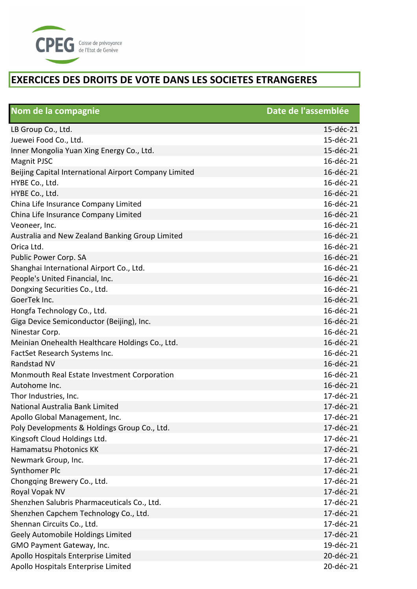

| Nom de la compagnie                                   | Date de l'assemblée |
|-------------------------------------------------------|---------------------|
| LB Group Co., Ltd.                                    | 15-déc-21           |
| Juewei Food Co., Ltd.                                 | 15-déc-21           |
| Inner Mongolia Yuan Xing Energy Co., Ltd.             | 15-déc-21           |
| <b>Magnit PJSC</b>                                    | 16-déc-21           |
| Beijing Capital International Airport Company Limited | 16-déc-21           |
| HYBE Co., Ltd.                                        | 16-déc-21           |
| HYBE Co., Ltd.                                        | 16-déc-21           |
| China Life Insurance Company Limited                  | 16-déc-21           |
| China Life Insurance Company Limited                  | 16-déc-21           |
| Veoneer, Inc.                                         | 16-déc-21           |
| Australia and New Zealand Banking Group Limited       | 16-déc-21           |
| Orica Ltd.                                            | 16-déc-21           |
| Public Power Corp. SA                                 | 16-déc-21           |
| Shanghai International Airport Co., Ltd.              | 16-déc-21           |
| People's United Financial, Inc.                       | 16-déc-21           |
| Dongxing Securities Co., Ltd.                         | 16-déc-21           |
| GoerTek Inc.                                          | 16-déc-21           |
| Hongfa Technology Co., Ltd.                           | 16-déc-21           |
| Giga Device Semiconductor (Beijing), Inc.             | 16-déc-21           |
| Ninestar Corp.                                        | 16-déc-21           |
| Meinian Onehealth Healthcare Holdings Co., Ltd.       | 16-déc-21           |
| FactSet Research Systems Inc.                         | 16-déc-21           |
| Randstad NV                                           | 16-déc-21           |
| Monmouth Real Estate Investment Corporation           | 16-déc-21           |
| Autohome Inc.                                         | 16-déc-21           |
| Thor Industries, Inc.                                 | 17-déc-21           |
| National Australia Bank Limited                       | 17-déc-21           |
| Apollo Global Management, Inc.                        | 17-déc-21           |
| Poly Developments & Holdings Group Co., Ltd.          | 17-déc-21           |
| Kingsoft Cloud Holdings Ltd.                          | 17-déc-21           |
| Hamamatsu Photonics KK                                | 17-déc-21           |
| Newmark Group, Inc.                                   | 17-déc-21           |
| Synthomer Plc                                         | 17-déc-21           |
| Chongqing Brewery Co., Ltd.                           | 17-déc-21           |
| Royal Vopak NV                                        | 17-déc-21           |
| Shenzhen Salubris Pharmaceuticals Co., Ltd.           | 17-déc-21           |
| Shenzhen Capchem Technology Co., Ltd.                 | 17-déc-21           |
| Shennan Circuits Co., Ltd.                            | 17-déc-21           |
| Geely Automobile Holdings Limited                     | 17-déc-21           |
| GMO Payment Gateway, Inc.                             | 19-déc-21           |
| Apollo Hospitals Enterprise Limited                   | 20-déc-21           |
| Apollo Hospitals Enterprise Limited                   | 20-déc-21           |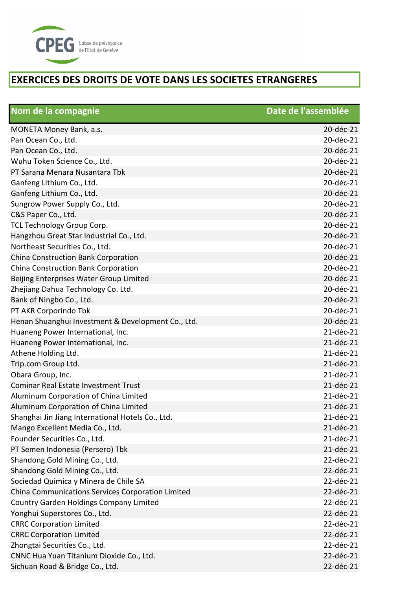

| Nom de la compagnie                                | Date de l'assemblée |
|----------------------------------------------------|---------------------|
| MONETA Money Bank, a.s.                            | 20-déc-21           |
| Pan Ocean Co., Ltd.                                | 20-déc-21           |
| Pan Ocean Co., Ltd.                                | 20-déc-21           |
| Wuhu Token Science Co., Ltd.                       | 20-déc-21           |
| PT Sarana Menara Nusantara Tbk                     | 20-déc-21           |
| Ganfeng Lithium Co., Ltd.                          | 20-déc-21           |
| Ganfeng Lithium Co., Ltd.                          | 20-déc-21           |
| Sungrow Power Supply Co., Ltd.                     | 20-déc-21           |
| C&S Paper Co., Ltd.                                | 20-déc-21           |
| TCL Technology Group Corp.                         | 20-déc-21           |
| Hangzhou Great Star Industrial Co., Ltd.           | 20-déc-21           |
| Northeast Securities Co., Ltd.                     | 20-déc-21           |
| China Construction Bank Corporation                | 20-déc-21           |
| China Construction Bank Corporation                | 20-déc-21           |
| Beijing Enterprises Water Group Limited            | 20-déc-21           |
| Zhejiang Dahua Technology Co. Ltd.                 | 20-déc-21           |
| Bank of Ningbo Co., Ltd.                           | 20-déc-21           |
| PT AKR Corporindo Tbk                              | 20-déc-21           |
| Henan Shuanghui Investment & Development Co., Ltd. | 20-déc-21           |
| Huaneng Power International, Inc.                  | 21-déc-21           |
| Huaneng Power International, Inc.                  | 21-déc-21           |
| Athene Holding Ltd.                                | 21-déc-21           |
| Trip.com Group Ltd.                                | 21-déc-21           |
| Obara Group, Inc.                                  | 21-déc-21           |
| <b>Cominar Real Estate Investment Trust</b>        | 21-déc-21           |
| Aluminum Corporation of China Limited              | 21-déc-21           |
| Aluminum Corporation of China Limited              | 21-déc-21           |
| Shanghai Jin Jiang International Hotels Co., Ltd.  | 21-déc-21           |
| Mango Excellent Media Co., Ltd.                    | 21-déc-21           |
| Founder Securities Co., Ltd.                       | 21-déc-21           |
| PT Semen Indonesia (Persero) Tbk                   | 21-déc-21           |
| Shandong Gold Mining Co., Ltd.                     | 22-déc-21           |
| Shandong Gold Mining Co., Ltd.                     | 22-déc-21           |
| Sociedad Quimica y Minera de Chile SA              | 22-déc-21           |
| China Communications Services Corporation Limited  | 22-déc-21           |
| <b>Country Garden Holdings Company Limited</b>     | 22-déc-21           |
| Yonghui Superstores Co., Ltd.                      | 22-déc-21           |
| <b>CRRC Corporation Limited</b>                    | 22-déc-21           |
| <b>CRRC Corporation Limited</b>                    | 22-déc-21           |
| Zhongtai Securities Co., Ltd.                      | 22-déc-21           |
| CNNC Hua Yuan Titanium Dioxide Co., Ltd.           | 22-déc-21           |
| Sichuan Road & Bridge Co., Ltd.                    | 22-déc-21           |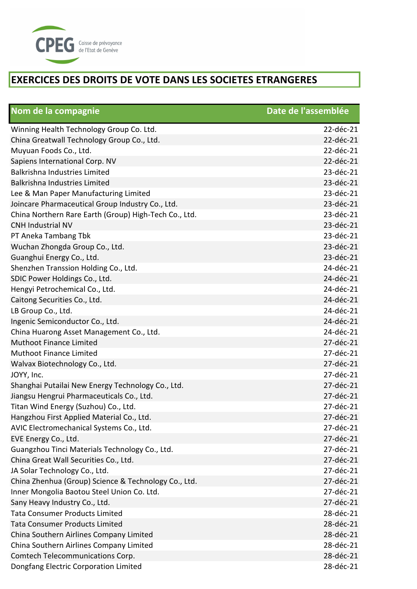

| Nom de la compagnie                                   | Date de l'assemblée |
|-------------------------------------------------------|---------------------|
| Winning Health Technology Group Co. Ltd.              | 22-déc-21           |
| China Greatwall Technology Group Co., Ltd.            | 22-déc-21           |
| Muyuan Foods Co., Ltd.                                | 22-déc-21           |
| Sapiens International Corp. NV                        | 22-déc-21           |
| <b>Balkrishna Industries Limited</b>                  | 23-déc-21           |
| <b>Balkrishna Industries Limited</b>                  | 23-déc-21           |
| Lee & Man Paper Manufacturing Limited                 | 23-déc-21           |
| Joincare Pharmaceutical Group Industry Co., Ltd.      | 23-déc-21           |
| China Northern Rare Earth (Group) High-Tech Co., Ltd. | 23-déc-21           |
| <b>CNH Industrial NV</b>                              | 23-déc-21           |
| PT Aneka Tambang Tbk                                  | 23-déc-21           |
| Wuchan Zhongda Group Co., Ltd.                        | 23-déc-21           |
| Guanghui Energy Co., Ltd.                             | 23-déc-21           |
| Shenzhen Transsion Holding Co., Ltd.                  | 24-déc-21           |
| SDIC Power Holdings Co., Ltd.                         | 24-déc-21           |
| Hengyi Petrochemical Co., Ltd.                        | 24-déc-21           |
| Caitong Securities Co., Ltd.                          | 24-déc-21           |
| LB Group Co., Ltd.                                    | 24-déc-21           |
| Ingenic Semiconductor Co., Ltd.                       | 24-déc-21           |
| China Huarong Asset Management Co., Ltd.              | 24-déc-21           |
| <b>Muthoot Finance Limited</b>                        | 27-déc-21           |
| Muthoot Finance Limited                               | 27-déc-21           |
| Walvax Biotechnology Co., Ltd.                        | 27-déc-21           |
| JOYY, Inc.                                            | 27-déc-21           |
| Shanghai Putailai New Energy Technology Co., Ltd.     | 27-déc-21           |
| Jiangsu Hengrui Pharmaceuticals Co., Ltd.             | 27-déc-21           |
| Titan Wind Energy (Suzhou) Co., Ltd.                  | 27-déc-21           |
| Hangzhou First Applied Material Co., Ltd.             | 27-déc-21           |
| AVIC Electromechanical Systems Co., Ltd.              | 27-déc-21           |
| EVE Energy Co., Ltd.                                  | 27-déc-21           |
| Guangzhou Tinci Materials Technology Co., Ltd.        | 27-déc-21           |
| China Great Wall Securities Co., Ltd.                 | 27-déc-21           |
| JA Solar Technology Co., Ltd.                         | 27-déc-21           |
| China Zhenhua (Group) Science & Technology Co., Ltd.  | 27-déc-21           |
| Inner Mongolia Baotou Steel Union Co. Ltd.            | 27-déc-21           |
| Sany Heavy Industry Co., Ltd.                         | 27-déc-21           |
| <b>Tata Consumer Products Limited</b>                 | 28-déc-21           |
| <b>Tata Consumer Products Limited</b>                 | 28-déc-21           |
| China Southern Airlines Company Limited               | 28-déc-21           |
| China Southern Airlines Company Limited               | 28-déc-21           |
| Comtech Telecommunications Corp.                      | 28-déc-21           |
| Dongfang Electric Corporation Limited                 | 28-déc-21           |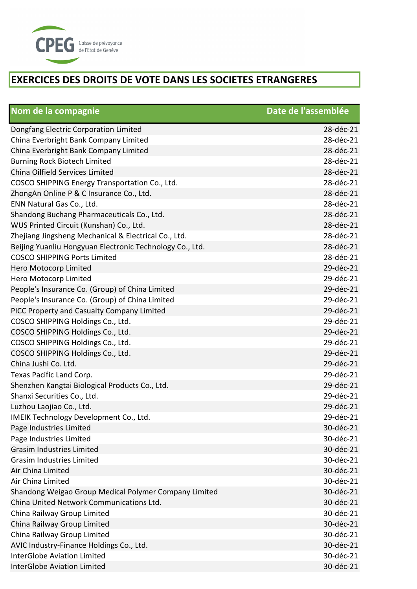

| Nom de la compagnie                                      | Date de l'assemblée |
|----------------------------------------------------------|---------------------|
| Dongfang Electric Corporation Limited                    | 28-déc-21           |
| China Everbright Bank Company Limited                    | 28-déc-21           |
| China Everbright Bank Company Limited                    | 28-déc-21           |
| Burning Rock Biotech Limited                             | 28-déc-21           |
| China Oilfield Services Limited                          | 28-déc-21           |
| COSCO SHIPPING Energy Transportation Co., Ltd.           | 28-déc-21           |
| ZhongAn Online P & C Insurance Co., Ltd.                 | 28-déc-21           |
| ENN Natural Gas Co., Ltd.                                | 28-déc-21           |
| Shandong Buchang Pharmaceuticals Co., Ltd.               | 28-déc-21           |
| WUS Printed Circuit (Kunshan) Co., Ltd.                  | 28-déc-21           |
| Zhejiang Jingsheng Mechanical & Electrical Co., Ltd.     | 28-déc-21           |
| Beijing Yuanliu Hongyuan Electronic Technology Co., Ltd. | 28-déc-21           |
| <b>COSCO SHIPPING Ports Limited</b>                      | 28-déc-21           |
| Hero Motocorp Limited                                    | 29-déc-21           |
| Hero Motocorp Limited                                    | 29-déc-21           |
| People's Insurance Co. (Group) of China Limited          | 29-déc-21           |
| People's Insurance Co. (Group) of China Limited          | 29-déc-21           |
| PICC Property and Casualty Company Limited               | 29-déc-21           |
| COSCO SHIPPING Holdings Co., Ltd.                        | 29-déc-21           |
| COSCO SHIPPING Holdings Co., Ltd.                        | 29-déc-21           |
| COSCO SHIPPING Holdings Co., Ltd.                        | 29-déc-21           |
| COSCO SHIPPING Holdings Co., Ltd.                        | 29-déc-21           |
| China Jushi Co. Ltd.                                     | 29-déc-21           |
| Texas Pacific Land Corp.                                 | 29-déc-21           |
| Shenzhen Kangtai Biological Products Co., Ltd.           | 29-déc-21           |
| Shanxi Securities Co., Ltd.                              | 29-déc-21           |
| Luzhou Laojiao Co., Ltd.                                 | 29-déc-21           |
| IMEIK Technology Development Co., Ltd.                   | 29-déc-21           |
| Page Industries Limited                                  | 30-déc-21           |
| Page Industries Limited                                  | 30-déc-21           |
| <b>Grasim Industries Limited</b>                         | 30-déc-21           |
| <b>Grasim Industries Limited</b>                         | 30-déc-21           |
| Air China Limited                                        | 30-déc-21           |
| Air China Limited                                        | 30-déc-21           |
| Shandong Weigao Group Medical Polymer Company Limited    | 30-déc-21           |
| China United Network Communications Ltd.                 | 30-déc-21           |
| China Railway Group Limited                              | 30-déc-21           |
| China Railway Group Limited                              | 30-déc-21           |
| China Railway Group Limited                              | 30-déc-21           |
| AVIC Industry-Finance Holdings Co., Ltd.                 | 30-déc-21           |
| <b>InterGlobe Aviation Limited</b>                       | 30-déc-21           |
| <b>InterGlobe Aviation Limited</b>                       | 30-déc-21           |